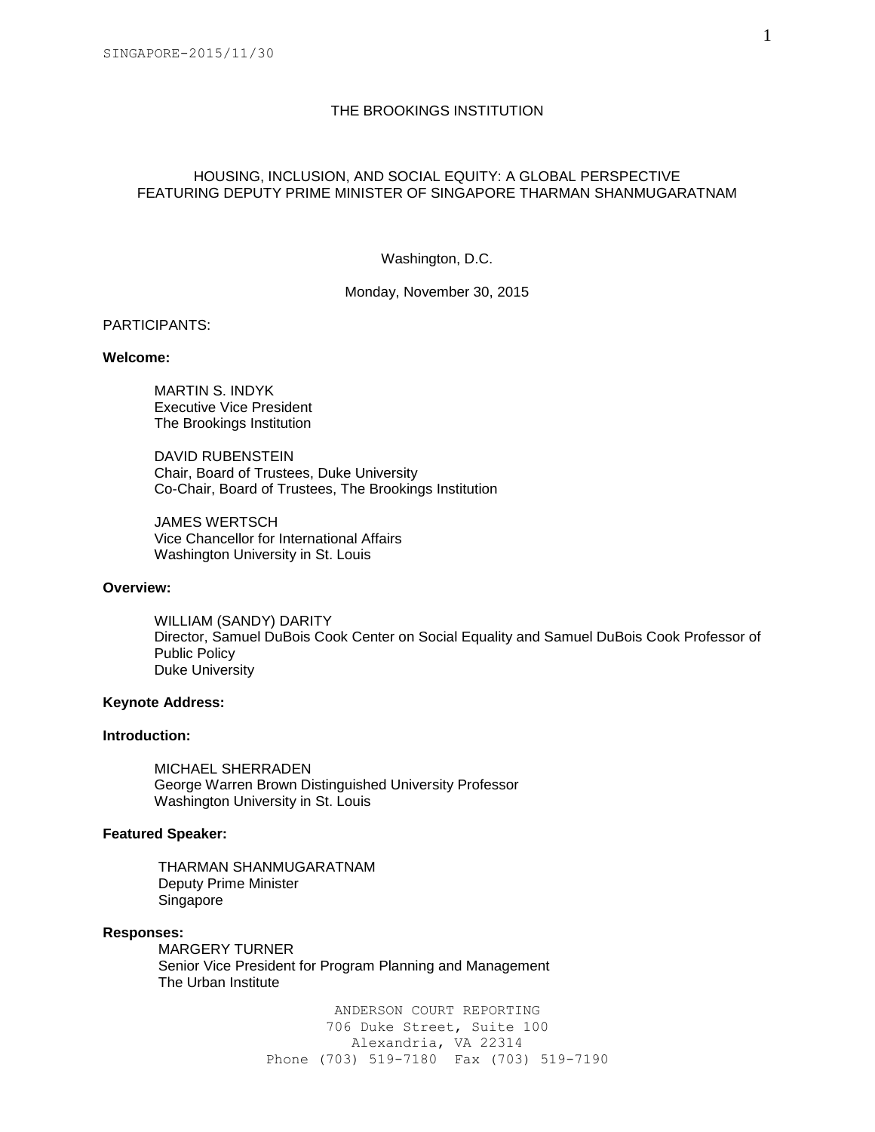# THE BROOKINGS INSTITUTION

## HOUSING, INCLUSION, AND SOCIAL EQUITY: A GLOBAL PERSPECTIVE FEATURING DEPUTY PRIME MINISTER OF SINGAPORE THARMAN SHANMUGARATNAM

### Washington, D.C.

Monday, November 30, 2015

# PARTICIPANTS:

#### **Welcome:**

MARTIN S. INDYK Executive Vice President The Brookings Institution

DAVID RUBENSTEIN Chair, Board of Trustees, Duke University Co-Chair, Board of Trustees, The Brookings Institution

JAMES WERTSCH Vice Chancellor for International Affairs Washington University in St. Louis

### **Overview:**

WILLIAM (SANDY) DARITY Director, Samuel DuBois Cook Center on Social Equality and Samuel DuBois Cook Professor of Public Policy Duke University

### **Keynote Address:**

### **Introduction:**

MICHAEL SHERRADEN George Warren Brown Distinguished University Professor Washington University in St. Louis

## **Featured Speaker:**

THARMAN SHANMUGARATNAM Deputy Prime Minister Singapore

#### **Responses:**

MARGERY TURNER Senior Vice President for Program Planning and Management The Urban Institute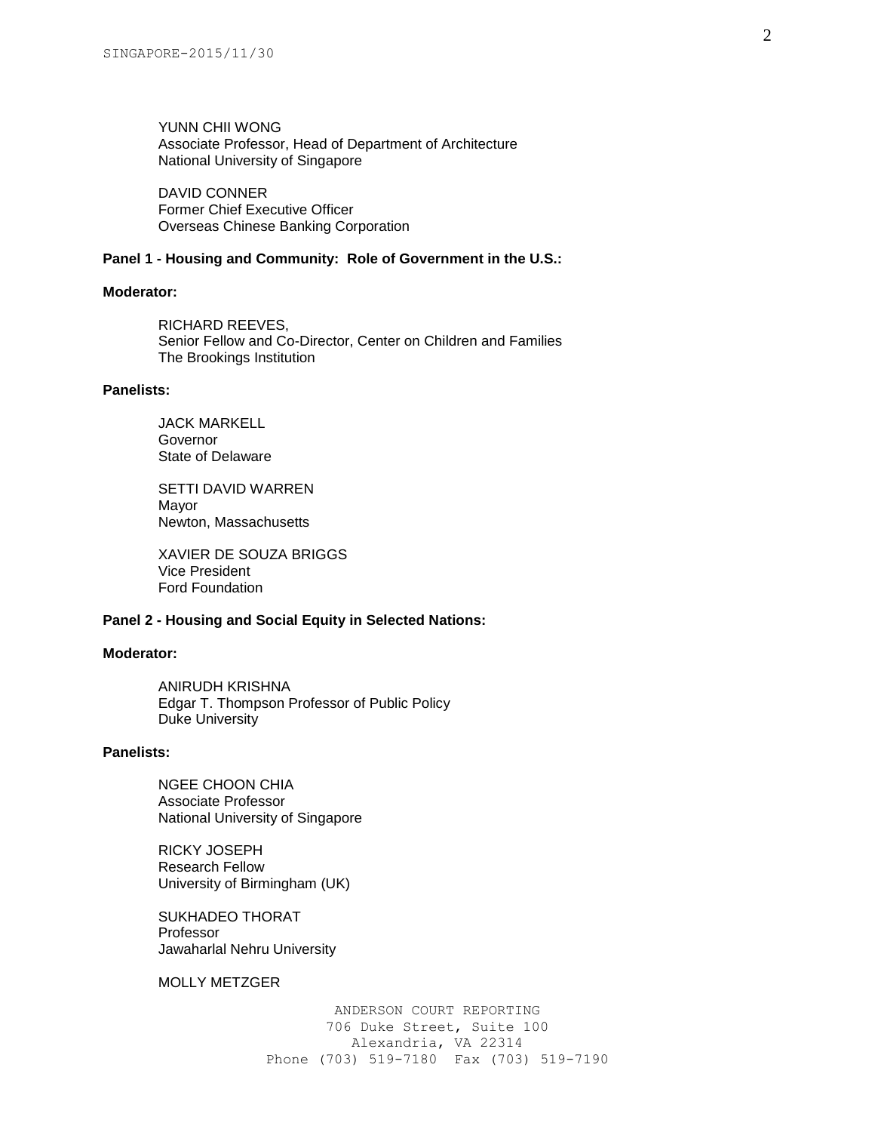YUNN CHII WONG Associate Professor, Head of Department of Architecture National University of Singapore

DAVID CONNER Former Chief Executive Officer Overseas Chinese Banking Corporation

# **Panel 1 - Housing and Community: Role of Government in the U.S.:**

# **Moderator:**

RICHARD REEVES, Senior Fellow and Co-Director, Center on Children and Families The Brookings Institution

### **Panelists:**

JACK MARKELL Governor State of Delaware

SETTI DAVID WARREN Mayor Newton, Massachusetts

XAVIER DE SOUZA BRIGGS Vice President Ford Foundation

# **Panel 2 - Housing and Social Equity in Selected Nations:**

## **Moderator:**

ANIRUDH KRISHNA Edgar T. Thompson Professor of Public Policy Duke University

### **Panelists:**

NGEE CHOON CHIA Associate Professor National University of Singapore

RICKY JOSEPH Research Fellow University of Birmingham (UK)

SUKHADEO THORAT Professor Jawaharlal Nehru University

MOLLY METZGER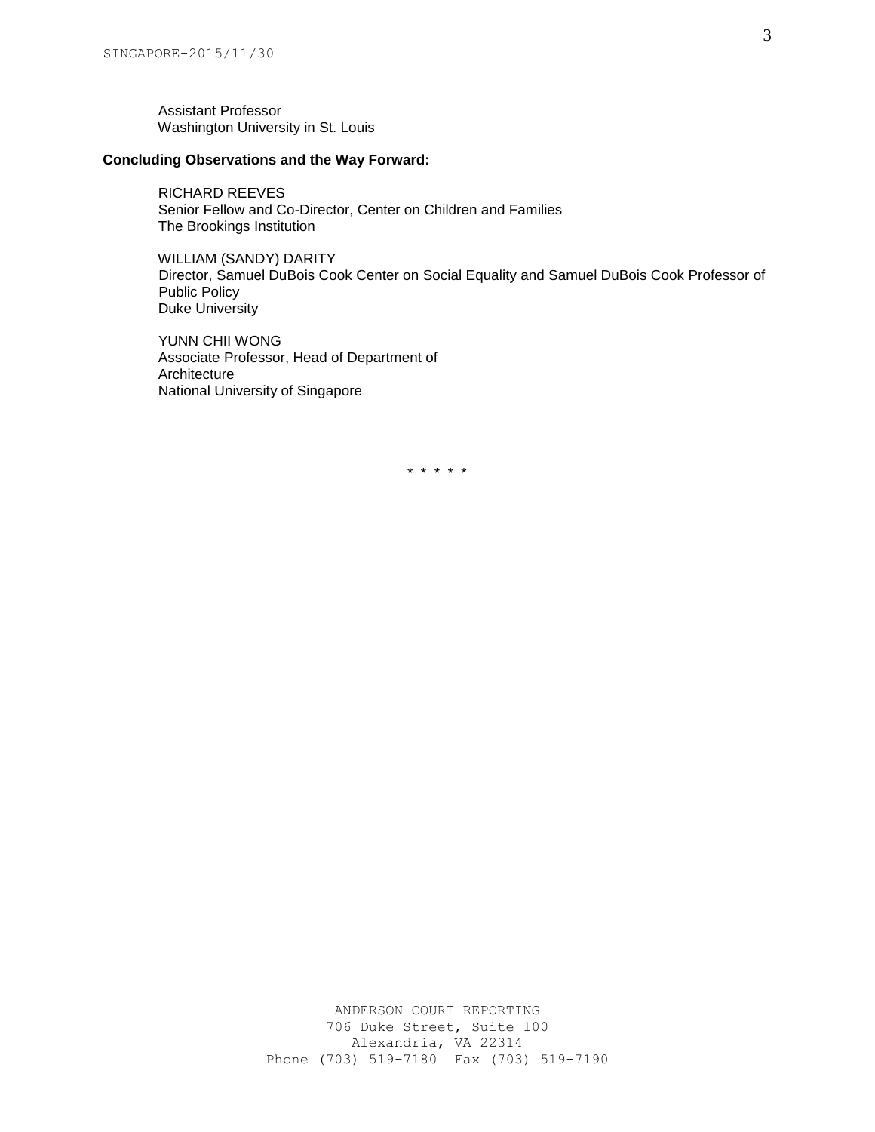Assistant Professor Washington University in St. Louis

### **Concluding Observations and the Way Forward:**

RICHARD REEVES Senior Fellow and Co-Director, Center on Children and Families The Brookings Institution

WILLIAM (SANDY) DARITY Director, Samuel DuBois Cook Center on Social Equality and Samuel DuBois Cook Professor of Public Policy Duke University

YUNN CHII WONG Associate Professor, Head of Department of Architecture National University of Singapore

\* \* \* \* \*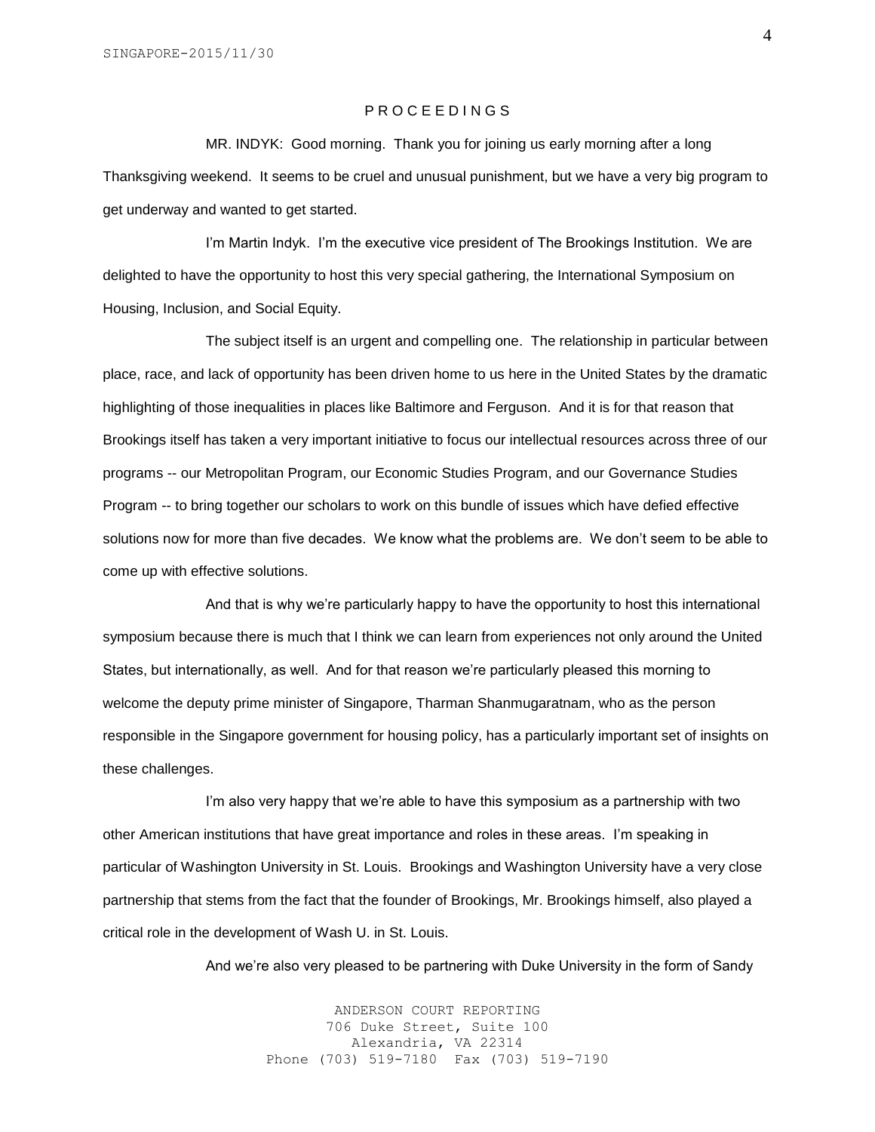## P R O C E E D I N G S

MR. INDYK: Good morning. Thank you for joining us early morning after a long Thanksgiving weekend. It seems to be cruel and unusual punishment, but we have a very big program to get underway and wanted to get started.

I'm Martin Indyk. I'm the executive vice president of The Brookings Institution. We are delighted to have the opportunity to host this very special gathering, the International Symposium on Housing, Inclusion, and Social Equity.

The subject itself is an urgent and compelling one. The relationship in particular between place, race, and lack of opportunity has been driven home to us here in the United States by the dramatic highlighting of those inequalities in places like Baltimore and Ferguson. And it is for that reason that Brookings itself has taken a very important initiative to focus our intellectual resources across three of our programs -- our Metropolitan Program, our Economic Studies Program, and our Governance Studies Program -- to bring together our scholars to work on this bundle of issues which have defied effective solutions now for more than five decades. We know what the problems are. We don't seem to be able to come up with effective solutions.

And that is why we're particularly happy to have the opportunity to host this international symposium because there is much that I think we can learn from experiences not only around the United States, but internationally, as well. And for that reason we're particularly pleased this morning to welcome the deputy prime minister of Singapore, Tharman Shanmugaratnam, who as the person responsible in the Singapore government for housing policy, has a particularly important set of insights on these challenges.

I'm also very happy that we're able to have this symposium as a partnership with two other American institutions that have great importance and roles in these areas. I'm speaking in particular of Washington University in St. Louis. Brookings and Washington University have a very close partnership that stems from the fact that the founder of Brookings, Mr. Brookings himself, also played a critical role in the development of Wash U. in St. Louis.

And we're also very pleased to be partnering with Duke University in the form of Sandy

ANDERSON COURT REPORTING 706 Duke Street, Suite 100 Alexandria, VA 22314 Phone (703) 519-7180 Fax (703) 519-7190 4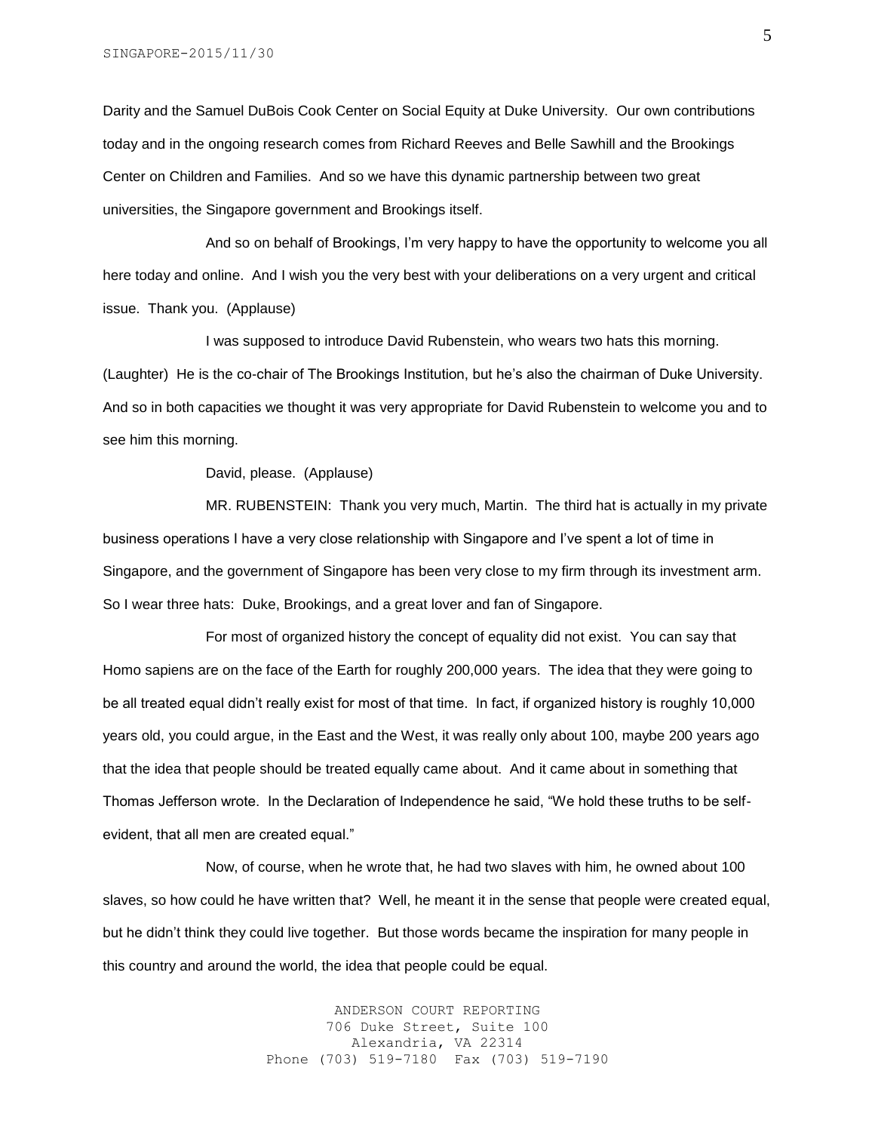Darity and the Samuel DuBois Cook Center on Social Equity at Duke University. Our own contributions today and in the ongoing research comes from Richard Reeves and Belle Sawhill and the Brookings Center on Children and Families. And so we have this dynamic partnership between two great universities, the Singapore government and Brookings itself.

And so on behalf of Brookings, I'm very happy to have the opportunity to welcome you all here today and online. And I wish you the very best with your deliberations on a very urgent and critical issue. Thank you. (Applause)

I was supposed to introduce David Rubenstein, who wears two hats this morning. (Laughter) He is the co-chair of The Brookings Institution, but he's also the chairman of Duke University. And so in both capacities we thought it was very appropriate for David Rubenstein to welcome you and to see him this morning.

David, please. (Applause)

MR. RUBENSTEIN: Thank you very much, Martin. The third hat is actually in my private business operations I have a very close relationship with Singapore and I've spent a lot of time in Singapore, and the government of Singapore has been very close to my firm through its investment arm. So I wear three hats: Duke, Brookings, and a great lover and fan of Singapore.

For most of organized history the concept of equality did not exist. You can say that Homo sapiens are on the face of the Earth for roughly 200,000 years. The idea that they were going to be all treated equal didn't really exist for most of that time. In fact, if organized history is roughly 10,000 years old, you could argue, in the East and the West, it was really only about 100, maybe 200 years ago that the idea that people should be treated equally came about. And it came about in something that Thomas Jefferson wrote. In the Declaration of Independence he said, "We hold these truths to be selfevident, that all men are created equal."

Now, of course, when he wrote that, he had two slaves with him, he owned about 100 slaves, so how could he have written that? Well, he meant it in the sense that people were created equal, but he didn't think they could live together. But those words became the inspiration for many people in this country and around the world, the idea that people could be equal.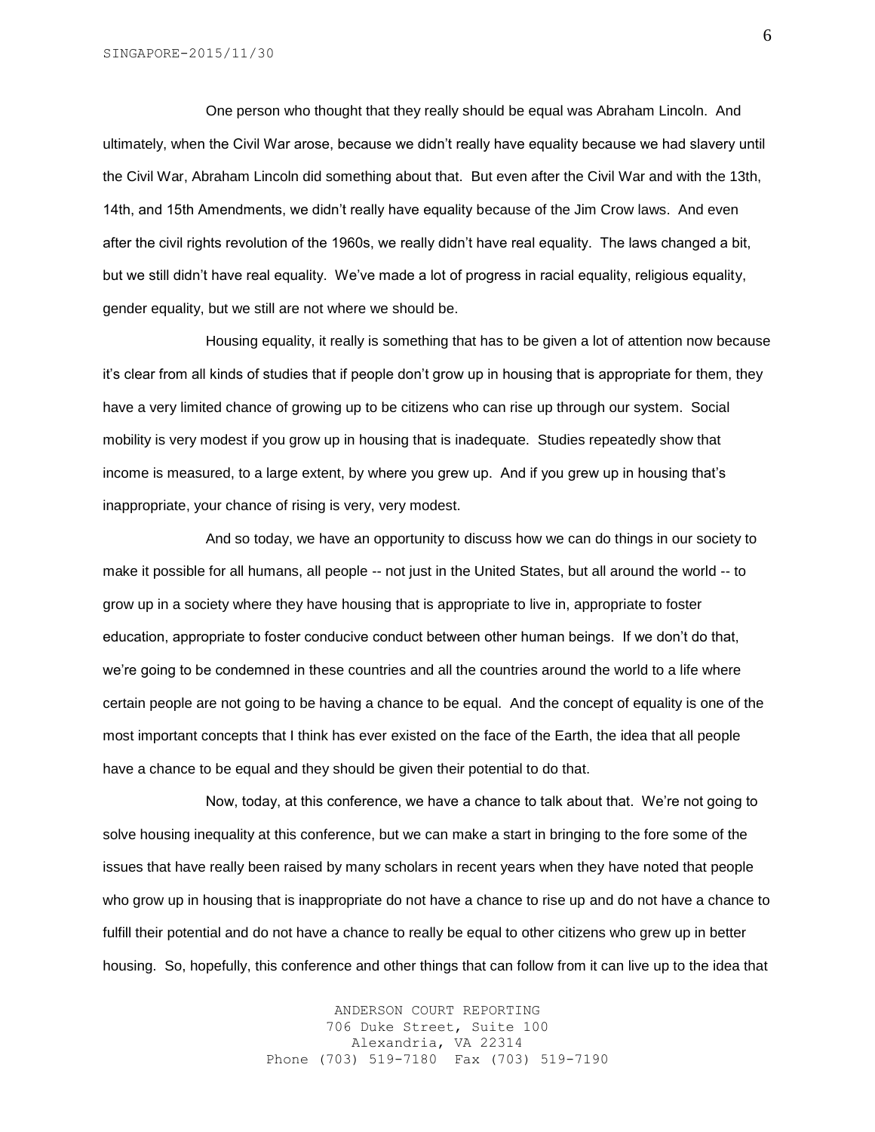One person who thought that they really should be equal was Abraham Lincoln. And ultimately, when the Civil War arose, because we didn't really have equality because we had slavery until the Civil War, Abraham Lincoln did something about that. But even after the Civil War and with the 13th, 14th, and 15th Amendments, we didn't really have equality because of the Jim Crow laws. And even after the civil rights revolution of the 1960s, we really didn't have real equality. The laws changed a bit, but we still didn't have real equality. We've made a lot of progress in racial equality, religious equality, gender equality, but we still are not where we should be.

Housing equality, it really is something that has to be given a lot of attention now because it's clear from all kinds of studies that if people don't grow up in housing that is appropriate for them, they have a very limited chance of growing up to be citizens who can rise up through our system. Social mobility is very modest if you grow up in housing that is inadequate. Studies repeatedly show that income is measured, to a large extent, by where you grew up. And if you grew up in housing that's inappropriate, your chance of rising is very, very modest.

And so today, we have an opportunity to discuss how we can do things in our society to make it possible for all humans, all people -- not just in the United States, but all around the world -- to grow up in a society where they have housing that is appropriate to live in, appropriate to foster education, appropriate to foster conducive conduct between other human beings. If we don't do that, we're going to be condemned in these countries and all the countries around the world to a life where certain people are not going to be having a chance to be equal. And the concept of equality is one of the most important concepts that I think has ever existed on the face of the Earth, the idea that all people have a chance to be equal and they should be given their potential to do that.

Now, today, at this conference, we have a chance to talk about that. We're not going to solve housing inequality at this conference, but we can make a start in bringing to the fore some of the issues that have really been raised by many scholars in recent years when they have noted that people who grow up in housing that is inappropriate do not have a chance to rise up and do not have a chance to fulfill their potential and do not have a chance to really be equal to other citizens who grew up in better housing. So, hopefully, this conference and other things that can follow from it can live up to the idea that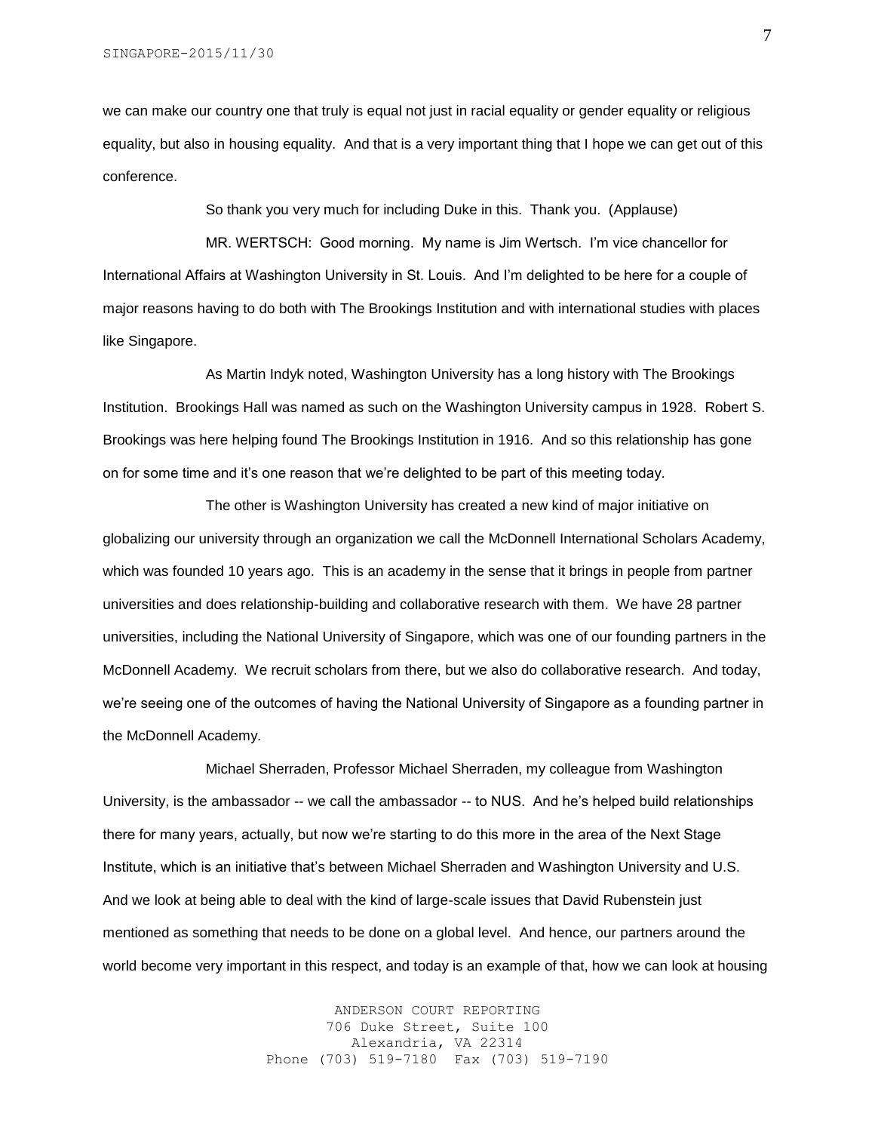we can make our country one that truly is equal not just in racial equality or gender equality or religious equality, but also in housing equality. And that is a very important thing that I hope we can get out of this conference.

So thank you very much for including Duke in this. Thank you. (Applause)

MR. WERTSCH: Good morning. My name is Jim Wertsch. I'm vice chancellor for International Affairs at Washington University in St. Louis. And I'm delighted to be here for a couple of major reasons having to do both with The Brookings Institution and with international studies with places like Singapore.

As Martin Indyk noted, Washington University has a long history with The Brookings Institution. Brookings Hall was named as such on the Washington University campus in 1928. Robert S. Brookings was here helping found The Brookings Institution in 1916. And so this relationship has gone on for some time and it's one reason that we're delighted to be part of this meeting today.

The other is Washington University has created a new kind of major initiative on globalizing our university through an organization we call the McDonnell International Scholars Academy, which was founded 10 years ago. This is an academy in the sense that it brings in people from partner universities and does relationship-building and collaborative research with them. We have 28 partner universities, including the National University of Singapore, which was one of our founding partners in the McDonnell Academy. We recruit scholars from there, but we also do collaborative research. And today, we're seeing one of the outcomes of having the National University of Singapore as a founding partner in the McDonnell Academy.

Michael Sherraden, Professor Michael Sherraden, my colleague from Washington University, is the ambassador -- we call the ambassador -- to NUS. And he's helped build relationships there for many years, actually, but now we're starting to do this more in the area of the Next Stage Institute, which is an initiative that's between Michael Sherraden and Washington University and U.S. And we look at being able to deal with the kind of large-scale issues that David Rubenstein just mentioned as something that needs to be done on a global level. And hence, our partners around the world become very important in this respect, and today is an example of that, how we can look at housing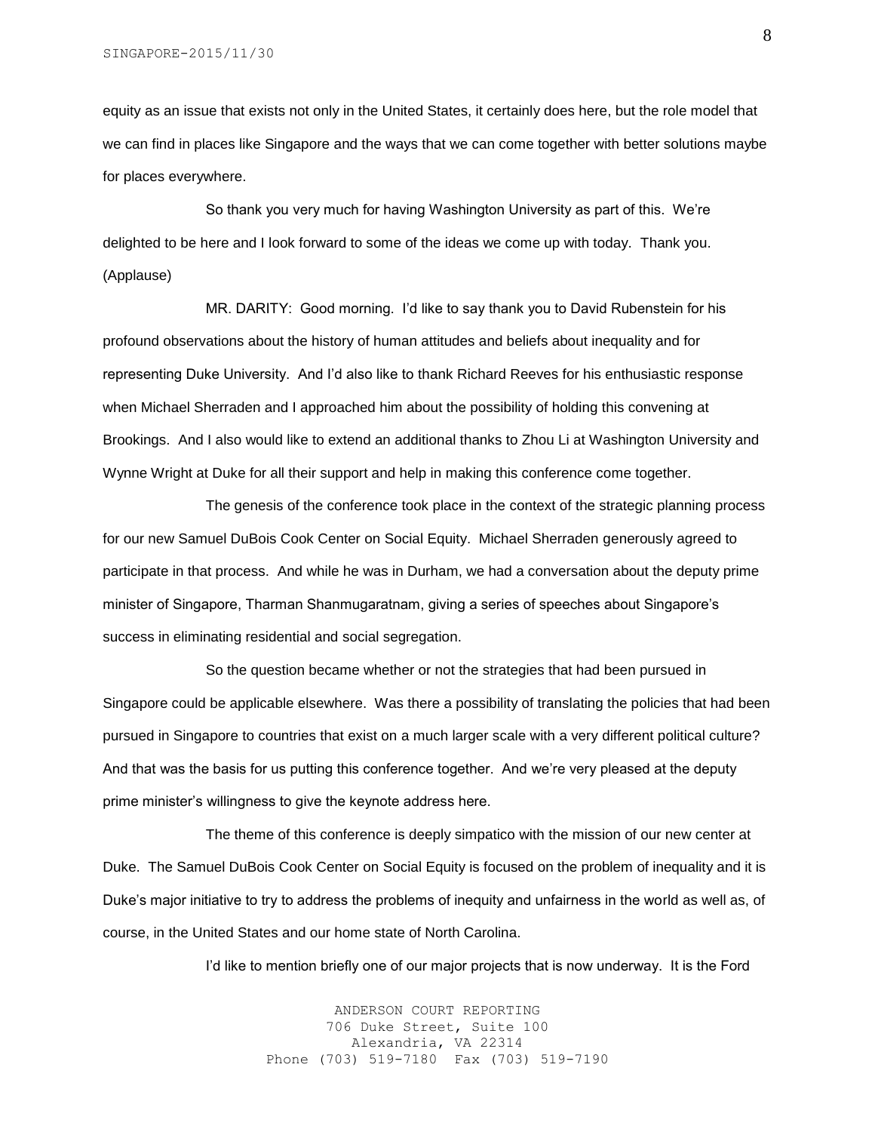equity as an issue that exists not only in the United States, it certainly does here, but the role model that we can find in places like Singapore and the ways that we can come together with better solutions maybe for places everywhere.

So thank you very much for having Washington University as part of this. We're delighted to be here and I look forward to some of the ideas we come up with today. Thank you. (Applause)

MR. DARITY: Good morning. I'd like to say thank you to David Rubenstein for his profound observations about the history of human attitudes and beliefs about inequality and for representing Duke University. And I'd also like to thank Richard Reeves for his enthusiastic response when Michael Sherraden and I approached him about the possibility of holding this convening at Brookings. And I also would like to extend an additional thanks to Zhou Li at Washington University and Wynne Wright at Duke for all their support and help in making this conference come together.

The genesis of the conference took place in the context of the strategic planning process for our new Samuel DuBois Cook Center on Social Equity. Michael Sherraden generously agreed to participate in that process. And while he was in Durham, we had a conversation about the deputy prime minister of Singapore, Tharman Shanmugaratnam, giving a series of speeches about Singapore's success in eliminating residential and social segregation.

So the question became whether or not the strategies that had been pursued in Singapore could be applicable elsewhere. Was there a possibility of translating the policies that had been pursued in Singapore to countries that exist on a much larger scale with a very different political culture? And that was the basis for us putting this conference together. And we're very pleased at the deputy prime minister's willingness to give the keynote address here.

The theme of this conference is deeply simpatico with the mission of our new center at Duke. The Samuel DuBois Cook Center on Social Equity is focused on the problem of inequality and it is Duke's major initiative to try to address the problems of inequity and unfairness in the world as well as, of course, in the United States and our home state of North Carolina.

I'd like to mention briefly one of our major projects that is now underway. It is the Ford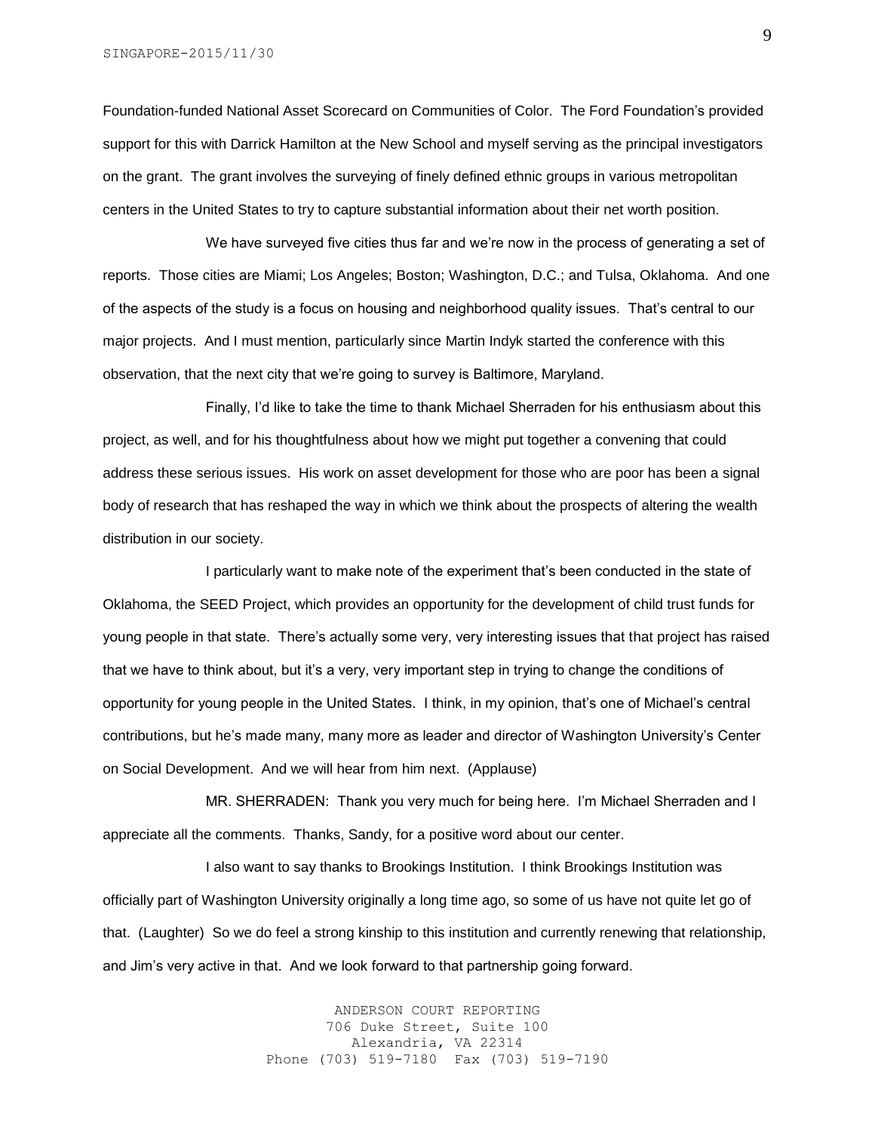Foundation-funded National Asset Scorecard on Communities of Color. The Ford Foundation's provided support for this with Darrick Hamilton at the New School and myself serving as the principal investigators on the grant. The grant involves the surveying of finely defined ethnic groups in various metropolitan centers in the United States to try to capture substantial information about their net worth position.

We have surveyed five cities thus far and we're now in the process of generating a set of reports. Those cities are Miami; Los Angeles; Boston; Washington, D.C.; and Tulsa, Oklahoma. And one of the aspects of the study is a focus on housing and neighborhood quality issues. That's central to our major projects. And I must mention, particularly since Martin Indyk started the conference with this observation, that the next city that we're going to survey is Baltimore, Maryland.

Finally, I'd like to take the time to thank Michael Sherraden for his enthusiasm about this project, as well, and for his thoughtfulness about how we might put together a convening that could address these serious issues. His work on asset development for those who are poor has been a signal body of research that has reshaped the way in which we think about the prospects of altering the wealth distribution in our society.

I particularly want to make note of the experiment that's been conducted in the state of Oklahoma, the SEED Project, which provides an opportunity for the development of child trust funds for young people in that state. There's actually some very, very interesting issues that that project has raised that we have to think about, but it's a very, very important step in trying to change the conditions of opportunity for young people in the United States. I think, in my opinion, that's one of Michael's central contributions, but he's made many, many more as leader and director of Washington University's Center on Social Development. And we will hear from him next. (Applause)

MR. SHERRADEN: Thank you very much for being here. I'm Michael Sherraden and I appreciate all the comments. Thanks, Sandy, for a positive word about our center.

I also want to say thanks to Brookings Institution. I think Brookings Institution was officially part of Washington University originally a long time ago, so some of us have not quite let go of that. (Laughter) So we do feel a strong kinship to this institution and currently renewing that relationship, and Jim's very active in that. And we look forward to that partnership going forward.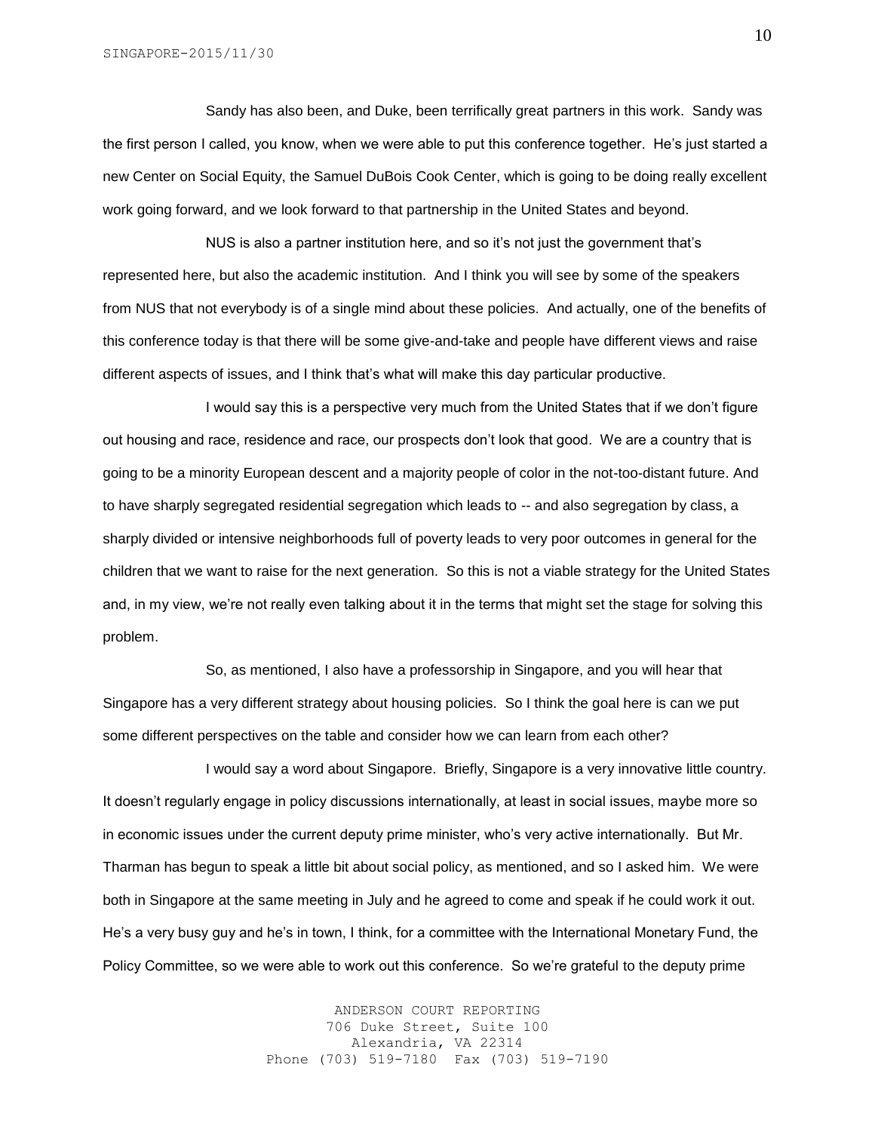Sandy has also been, and Duke, been terrifically great partners in this work. Sandy was the first person I called, you know, when we were able to put this conference together. He's just started a new Center on Social Equity, the Samuel DuBois Cook Center, which is going to be doing really excellent work going forward, and we look forward to that partnership in the United States and beyond.

NUS is also a partner institution here, and so it's not just the government that's represented here, but also the academic institution. And I think you will see by some of the speakers from NUS that not everybody is of a single mind about these policies. And actually, one of the benefits of this conference today is that there will be some give-and-take and people have different views and raise different aspects of issues, and I think that's what will make this day particular productive.

I would say this is a perspective very much from the United States that if we don't figure out housing and race, residence and race, our prospects don't look that good. We are a country that is going to be a minority European descent and a majority people of color in the not-too-distant future. And to have sharply segregated residential segregation which leads to -- and also segregation by class, a sharply divided or intensive neighborhoods full of poverty leads to very poor outcomes in general for the children that we want to raise for the next generation. So this is not a viable strategy for the United States and, in my view, we're not really even talking about it in the terms that might set the stage for solving this problem.

So, as mentioned, I also have a professorship in Singapore, and you will hear that Singapore has a very different strategy about housing policies. So I think the goal here is can we put some different perspectives on the table and consider how we can learn from each other?

I would say a word about Singapore. Briefly, Singapore is a very innovative little country. It doesn't regularly engage in policy discussions internationally, at least in social issues, maybe more so in economic issues under the current deputy prime minister, who's very active internationally. But Mr. Tharman has begun to speak a little bit about social policy, as mentioned, and so I asked him. We were both in Singapore at the same meeting in July and he agreed to come and speak if he could work it out. He's a very busy guy and he's in town, I think, for a committee with the International Monetary Fund, the Policy Committee, so we were able to work out this conference. So we're grateful to the deputy prime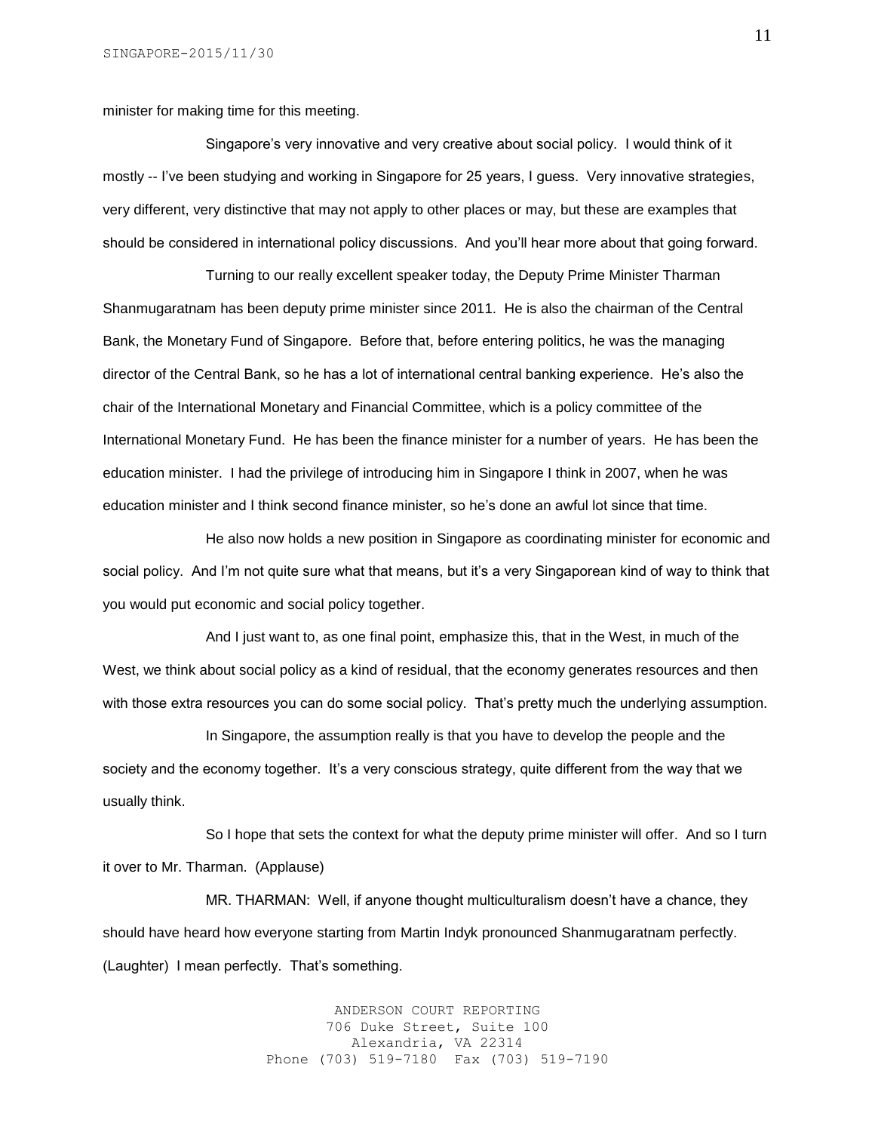minister for making time for this meeting.

Singapore's very innovative and very creative about social policy. I would think of it mostly -- I've been studying and working in Singapore for 25 years, I guess. Very innovative strategies, very different, very distinctive that may not apply to other places or may, but these are examples that should be considered in international policy discussions. And you'll hear more about that going forward.

Turning to our really excellent speaker today, the Deputy Prime Minister Tharman Shanmugaratnam has been deputy prime minister since 2011. He is also the chairman of the Central Bank, the Monetary Fund of Singapore. Before that, before entering politics, he was the managing director of the Central Bank, so he has a lot of international central banking experience. He's also the chair of the International Monetary and Financial Committee, which is a policy committee of the International Monetary Fund. He has been the finance minister for a number of years. He has been the education minister. I had the privilege of introducing him in Singapore I think in 2007, when he was education minister and I think second finance minister, so he's done an awful lot since that time.

He also now holds a new position in Singapore as coordinating minister for economic and social policy. And I'm not quite sure what that means, but it's a very Singaporean kind of way to think that you would put economic and social policy together.

And I just want to, as one final point, emphasize this, that in the West, in much of the West, we think about social policy as a kind of residual, that the economy generates resources and then with those extra resources you can do some social policy. That's pretty much the underlying assumption.

In Singapore, the assumption really is that you have to develop the people and the society and the economy together. It's a very conscious strategy, quite different from the way that we usually think.

So I hope that sets the context for what the deputy prime minister will offer. And so I turn it over to Mr. Tharman. (Applause)

MR. THARMAN: Well, if anyone thought multiculturalism doesn't have a chance, they should have heard how everyone starting from Martin Indyk pronounced Shanmugaratnam perfectly. (Laughter) I mean perfectly. That's something.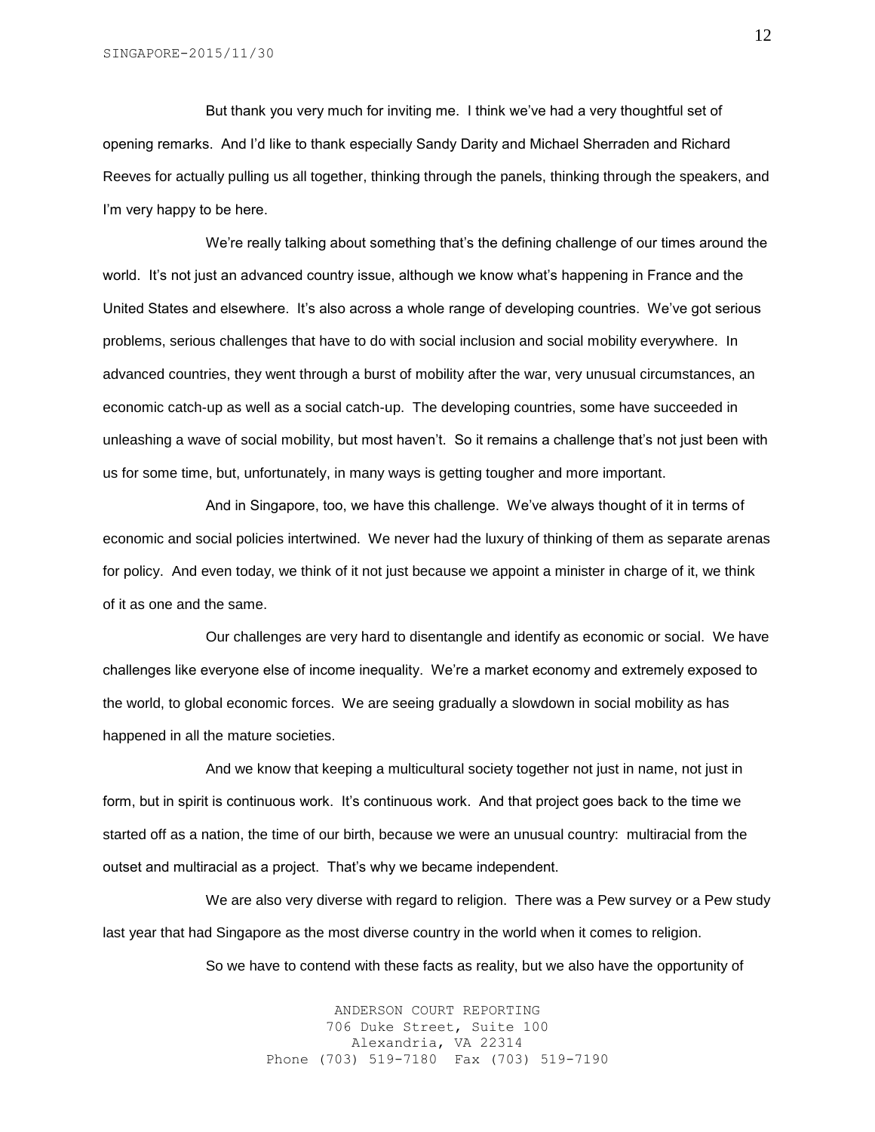But thank you very much for inviting me. I think we've had a very thoughtful set of opening remarks. And I'd like to thank especially Sandy Darity and Michael Sherraden and Richard Reeves for actually pulling us all together, thinking through the panels, thinking through the speakers, and I'm very happy to be here.

We're really talking about something that's the defining challenge of our times around the world. It's not just an advanced country issue, although we know what's happening in France and the United States and elsewhere. It's also across a whole range of developing countries. We've got serious problems, serious challenges that have to do with social inclusion and social mobility everywhere. In advanced countries, they went through a burst of mobility after the war, very unusual circumstances, an economic catch-up as well as a social catch-up. The developing countries, some have succeeded in unleashing a wave of social mobility, but most haven't. So it remains a challenge that's not just been with us for some time, but, unfortunately, in many ways is getting tougher and more important.

And in Singapore, too, we have this challenge. We've always thought of it in terms of economic and social policies intertwined. We never had the luxury of thinking of them as separate arenas for policy. And even today, we think of it not just because we appoint a minister in charge of it, we think of it as one and the same.

Our challenges are very hard to disentangle and identify as economic or social. We have challenges like everyone else of income inequality. We're a market economy and extremely exposed to the world, to global economic forces. We are seeing gradually a slowdown in social mobility as has happened in all the mature societies.

And we know that keeping a multicultural society together not just in name, not just in form, but in spirit is continuous work. It's continuous work. And that project goes back to the time we started off as a nation, the time of our birth, because we were an unusual country: multiracial from the outset and multiracial as a project. That's why we became independent.

We are also very diverse with regard to religion. There was a Pew survey or a Pew study last year that had Singapore as the most diverse country in the world when it comes to religion.

So we have to contend with these facts as reality, but we also have the opportunity of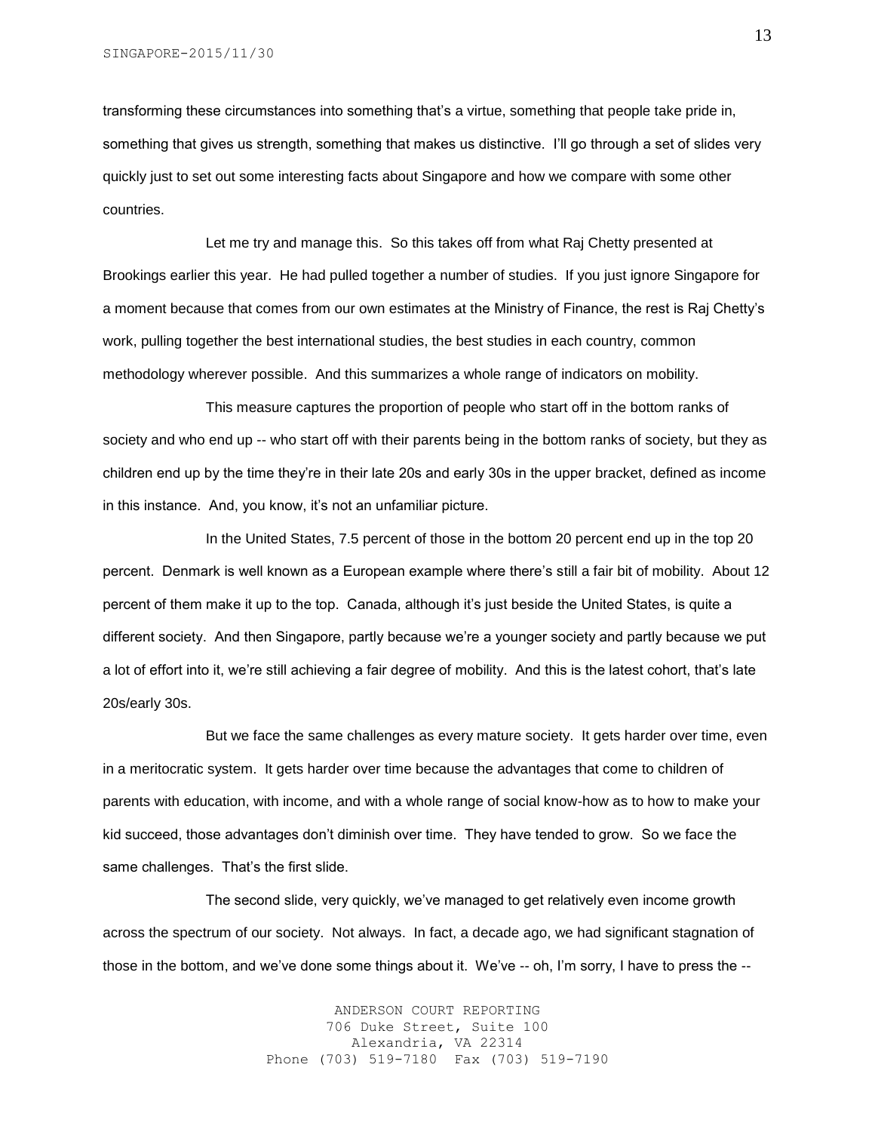transforming these circumstances into something that's a virtue, something that people take pride in, something that gives us strength, something that makes us distinctive. I'll go through a set of slides very quickly just to set out some interesting facts about Singapore and how we compare with some other countries.

Let me try and manage this. So this takes off from what Raj Chetty presented at Brookings earlier this year. He had pulled together a number of studies. If you just ignore Singapore for a moment because that comes from our own estimates at the Ministry of Finance, the rest is Raj Chetty's work, pulling together the best international studies, the best studies in each country, common methodology wherever possible. And this summarizes a whole range of indicators on mobility.

This measure captures the proportion of people who start off in the bottom ranks of society and who end up -- who start off with their parents being in the bottom ranks of society, but they as children end up by the time they're in their late 20s and early 30s in the upper bracket, defined as income in this instance. And, you know, it's not an unfamiliar picture.

In the United States, 7.5 percent of those in the bottom 20 percent end up in the top 20 percent. Denmark is well known as a European example where there's still a fair bit of mobility. About 12 percent of them make it up to the top. Canada, although it's just beside the United States, is quite a different society. And then Singapore, partly because we're a younger society and partly because we put a lot of effort into it, we're still achieving a fair degree of mobility. And this is the latest cohort, that's late 20s/early 30s.

But we face the same challenges as every mature society. It gets harder over time, even in a meritocratic system. It gets harder over time because the advantages that come to children of parents with education, with income, and with a whole range of social know-how as to how to make your kid succeed, those advantages don't diminish over time. They have tended to grow. So we face the same challenges. That's the first slide.

The second slide, very quickly, we've managed to get relatively even income growth across the spectrum of our society. Not always. In fact, a decade ago, we had significant stagnation of those in the bottom, and we've done some things about it. We've -- oh, I'm sorry, I have to press the --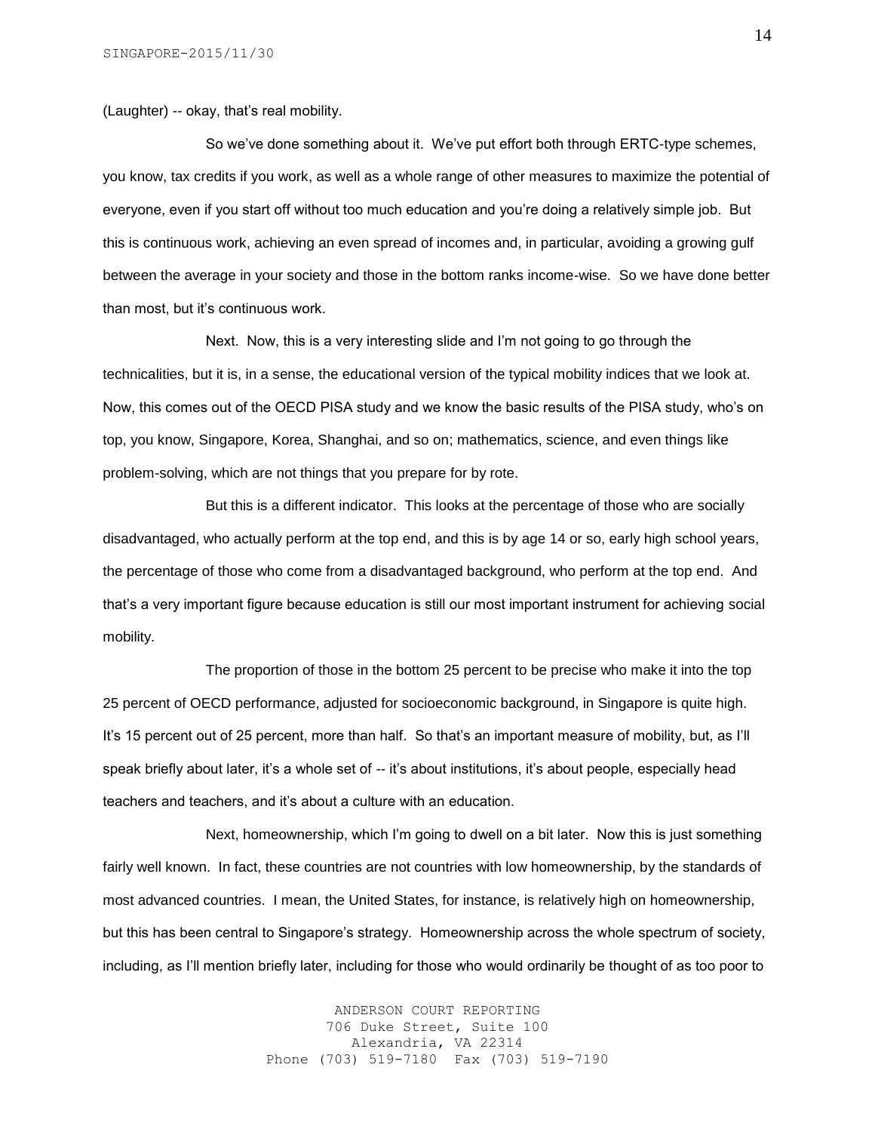(Laughter) -- okay, that's real mobility.

So we've done something about it. We've put effort both through ERTC-type schemes, you know, tax credits if you work, as well as a whole range of other measures to maximize the potential of everyone, even if you start off without too much education and you're doing a relatively simple job. But this is continuous work, achieving an even spread of incomes and, in particular, avoiding a growing gulf between the average in your society and those in the bottom ranks income-wise. So we have done better than most, but it's continuous work.

Next. Now, this is a very interesting slide and I'm not going to go through the technicalities, but it is, in a sense, the educational version of the typical mobility indices that we look at. Now, this comes out of the OECD PISA study and we know the basic results of the PISA study, who's on top, you know, Singapore, Korea, Shanghai, and so on; mathematics, science, and even things like problem-solving, which are not things that you prepare for by rote.

But this is a different indicator. This looks at the percentage of those who are socially disadvantaged, who actually perform at the top end, and this is by age 14 or so, early high school years, the percentage of those who come from a disadvantaged background, who perform at the top end. And that's a very important figure because education is still our most important instrument for achieving social mobility.

The proportion of those in the bottom 25 percent to be precise who make it into the top 25 percent of OECD performance, adjusted for socioeconomic background, in Singapore is quite high. It's 15 percent out of 25 percent, more than half. So that's an important measure of mobility, but, as I'll speak briefly about later, it's a whole set of -- it's about institutions, it's about people, especially head teachers and teachers, and it's about a culture with an education.

Next, homeownership, which I'm going to dwell on a bit later. Now this is just something fairly well known. In fact, these countries are not countries with low homeownership, by the standards of most advanced countries. I mean, the United States, for instance, is relatively high on homeownership, but this has been central to Singapore's strategy. Homeownership across the whole spectrum of society, including, as I'll mention briefly later, including for those who would ordinarily be thought of as too poor to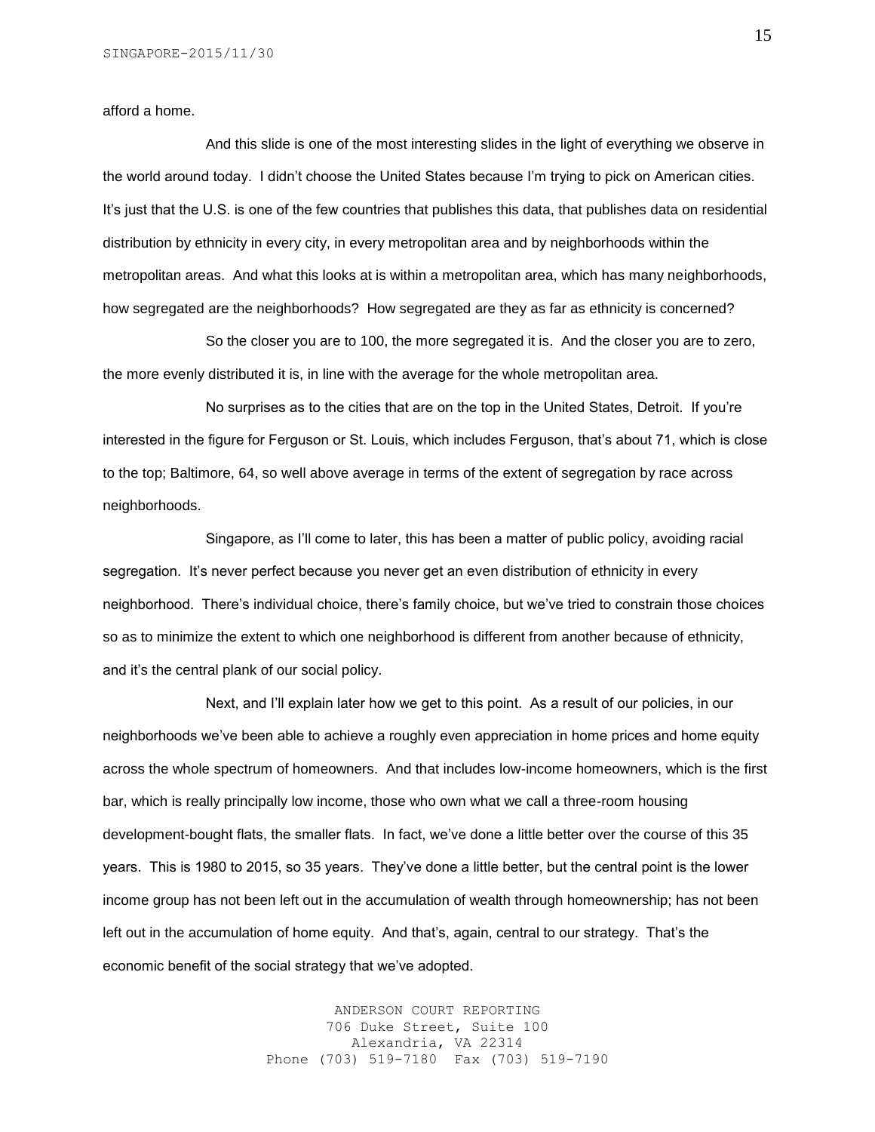afford a home.

And this slide is one of the most interesting slides in the light of everything we observe in the world around today. I didn't choose the United States because I'm trying to pick on American cities. It's just that the U.S. is one of the few countries that publishes this data, that publishes data on residential distribution by ethnicity in every city, in every metropolitan area and by neighborhoods within the metropolitan areas. And what this looks at is within a metropolitan area, which has many neighborhoods, how segregated are the neighborhoods? How segregated are they as far as ethnicity is concerned?

So the closer you are to 100, the more segregated it is. And the closer you are to zero, the more evenly distributed it is, in line with the average for the whole metropolitan area.

No surprises as to the cities that are on the top in the United States, Detroit. If you're interested in the figure for Ferguson or St. Louis, which includes Ferguson, that's about 71, which is close to the top; Baltimore, 64, so well above average in terms of the extent of segregation by race across neighborhoods.

Singapore, as I'll come to later, this has been a matter of public policy, avoiding racial segregation. It's never perfect because you never get an even distribution of ethnicity in every neighborhood. There's individual choice, there's family choice, but we've tried to constrain those choices so as to minimize the extent to which one neighborhood is different from another because of ethnicity, and it's the central plank of our social policy.

Next, and I'll explain later how we get to this point. As a result of our policies, in our neighborhoods we've been able to achieve a roughly even appreciation in home prices and home equity across the whole spectrum of homeowners. And that includes low-income homeowners, which is the first bar, which is really principally low income, those who own what we call a three-room housing development-bought flats, the smaller flats. In fact, we've done a little better over the course of this 35 years. This is 1980 to 2015, so 35 years. They've done a little better, but the central point is the lower income group has not been left out in the accumulation of wealth through homeownership; has not been left out in the accumulation of home equity. And that's, again, central to our strategy. That's the economic benefit of the social strategy that we've adopted.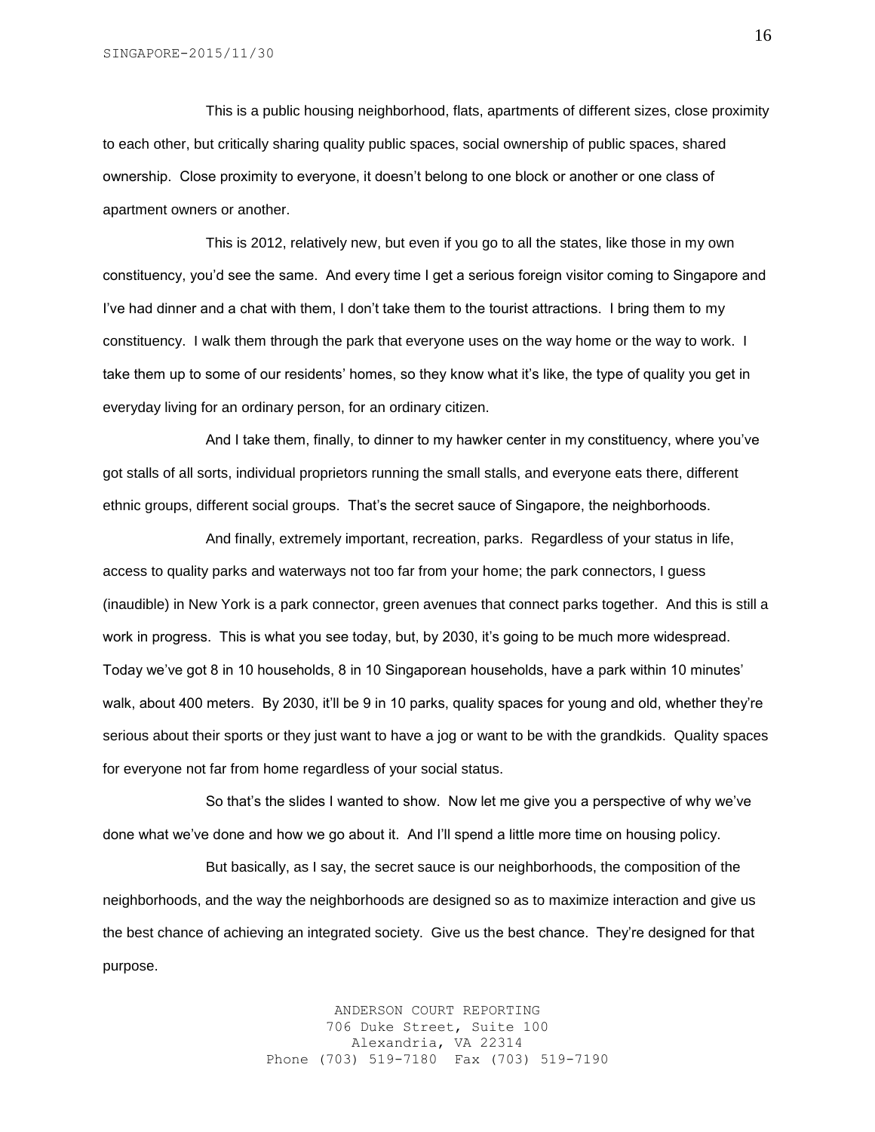This is a public housing neighborhood, flats, apartments of different sizes, close proximity to each other, but critically sharing quality public spaces, social ownership of public spaces, shared ownership. Close proximity to everyone, it doesn't belong to one block or another or one class of apartment owners or another.

This is 2012, relatively new, but even if you go to all the states, like those in my own constituency, you'd see the same. And every time I get a serious foreign visitor coming to Singapore and I've had dinner and a chat with them, I don't take them to the tourist attractions. I bring them to my constituency. I walk them through the park that everyone uses on the way home or the way to work. I take them up to some of our residents' homes, so they know what it's like, the type of quality you get in everyday living for an ordinary person, for an ordinary citizen.

And I take them, finally, to dinner to my hawker center in my constituency, where you've got stalls of all sorts, individual proprietors running the small stalls, and everyone eats there, different ethnic groups, different social groups. That's the secret sauce of Singapore, the neighborhoods.

And finally, extremely important, recreation, parks. Regardless of your status in life, access to quality parks and waterways not too far from your home; the park connectors, I guess (inaudible) in New York is a park connector, green avenues that connect parks together. And this is still a work in progress. This is what you see today, but, by 2030, it's going to be much more widespread. Today we've got 8 in 10 households, 8 in 10 Singaporean households, have a park within 10 minutes' walk, about 400 meters. By 2030, it'll be 9 in 10 parks, quality spaces for young and old, whether they're serious about their sports or they just want to have a jog or want to be with the grandkids. Quality spaces for everyone not far from home regardless of your social status.

So that's the slides I wanted to show. Now let me give you a perspective of why we've done what we've done and how we go about it. And I'll spend a little more time on housing policy.

But basically, as I say, the secret sauce is our neighborhoods, the composition of the neighborhoods, and the way the neighborhoods are designed so as to maximize interaction and give us the best chance of achieving an integrated society. Give us the best chance. They're designed for that purpose.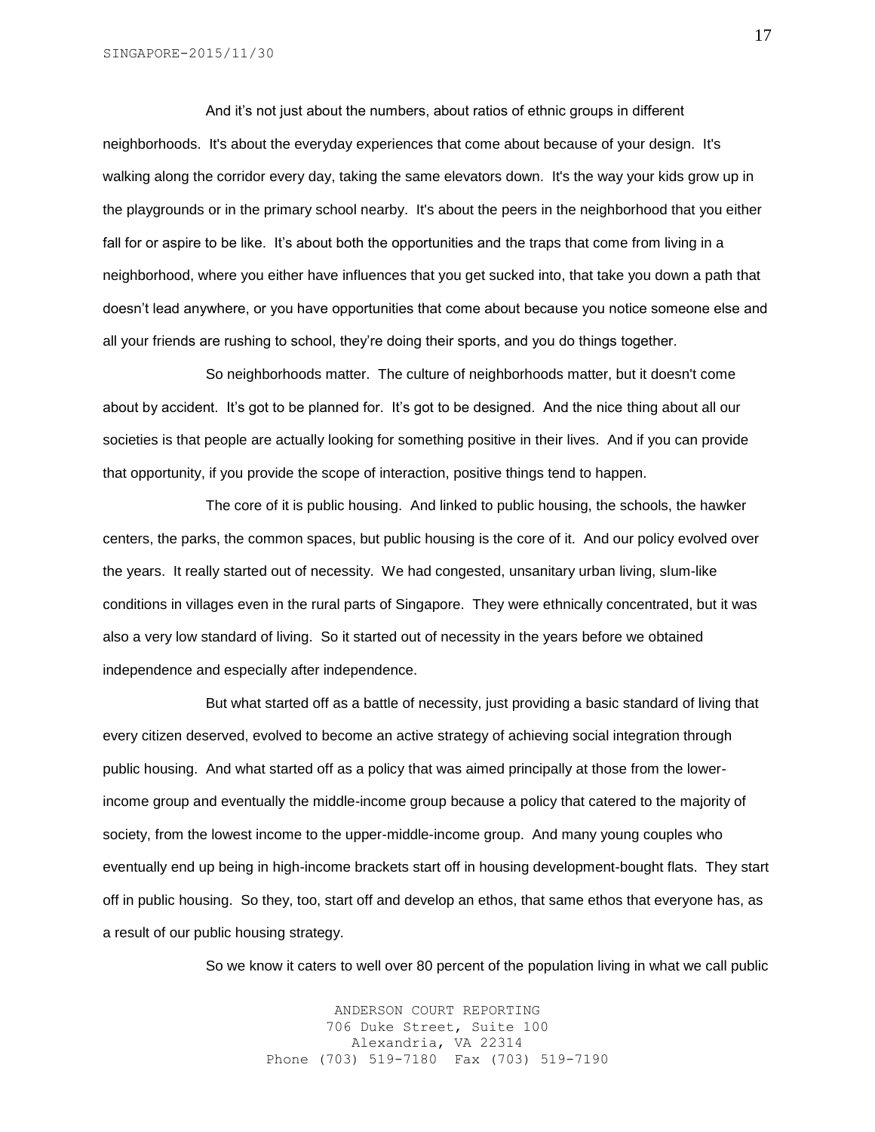And it's not just about the numbers, about ratios of ethnic groups in different neighborhoods. It's about the everyday experiences that come about because of your design. It's walking along the corridor every day, taking the same elevators down. It's the way your kids grow up in the playgrounds or in the primary school nearby. It's about the peers in the neighborhood that you either fall for or aspire to be like. It's about both the opportunities and the traps that come from living in a neighborhood, where you either have influences that you get sucked into, that take you down a path that doesn't lead anywhere, or you have opportunities that come about because you notice someone else and all your friends are rushing to school, they're doing their sports, and you do things together.

So neighborhoods matter. The culture of neighborhoods matter, but it doesn't come about by accident. It's got to be planned for. It's got to be designed. And the nice thing about all our societies is that people are actually looking for something positive in their lives. And if you can provide that opportunity, if you provide the scope of interaction, positive things tend to happen.

The core of it is public housing. And linked to public housing, the schools, the hawker centers, the parks, the common spaces, but public housing is the core of it. And our policy evolved over the years. It really started out of necessity. We had congested, unsanitary urban living, slum-like conditions in villages even in the rural parts of Singapore. They were ethnically concentrated, but it was also a very low standard of living. So it started out of necessity in the years before we obtained independence and especially after independence.

But what started off as a battle of necessity, just providing a basic standard of living that every citizen deserved, evolved to become an active strategy of achieving social integration through public housing. And what started off as a policy that was aimed principally at those from the lowerincome group and eventually the middle-income group because a policy that catered to the majority of society, from the lowest income to the upper-middle-income group. And many young couples who eventually end up being in high-income brackets start off in housing development-bought flats. They start off in public housing. So they, too, start off and develop an ethos, that same ethos that everyone has, as a result of our public housing strategy.

So we know it caters to well over 80 percent of the population living in what we call public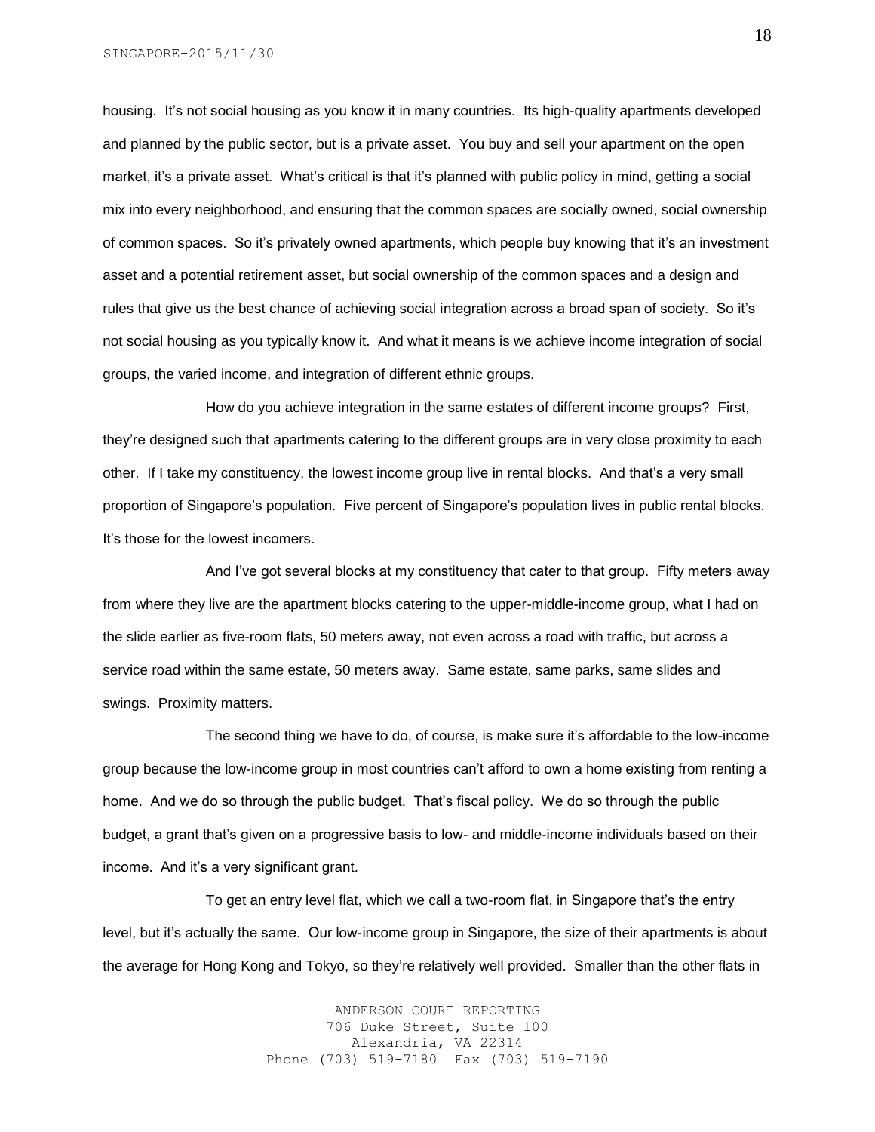SINGAPORE-2015/11/30

housing. It's not social housing as you know it in many countries. Its high-quality apartments developed and planned by the public sector, but is a private asset. You buy and sell your apartment on the open market, it's a private asset. What's critical is that it's planned with public policy in mind, getting a social mix into every neighborhood, and ensuring that the common spaces are socially owned, social ownership of common spaces. So it's privately owned apartments, which people buy knowing that it's an investment asset and a potential retirement asset, but social ownership of the common spaces and a design and rules that give us the best chance of achieving social integration across a broad span of society. So it's not social housing as you typically know it. And what it means is we achieve income integration of social groups, the varied income, and integration of different ethnic groups.

How do you achieve integration in the same estates of different income groups? First, they're designed such that apartments catering to the different groups are in very close proximity to each other. If I take my constituency, the lowest income group live in rental blocks. And that's a very small proportion of Singapore's population. Five percent of Singapore's population lives in public rental blocks. It's those for the lowest incomers.

And I've got several blocks at my constituency that cater to that group. Fifty meters away from where they live are the apartment blocks catering to the upper-middle-income group, what I had on the slide earlier as five-room flats, 50 meters away, not even across a road with traffic, but across a service road within the same estate, 50 meters away. Same estate, same parks, same slides and swings. Proximity matters.

The second thing we have to do, of course, is make sure it's affordable to the low-income group because the low-income group in most countries can't afford to own a home existing from renting a home. And we do so through the public budget. That's fiscal policy. We do so through the public budget, a grant that's given on a progressive basis to low- and middle-income individuals based on their income. And it's a very significant grant.

To get an entry level flat, which we call a two-room flat, in Singapore that's the entry level, but it's actually the same. Our low-income group in Singapore, the size of their apartments is about the average for Hong Kong and Tokyo, so they're relatively well provided. Smaller than the other flats in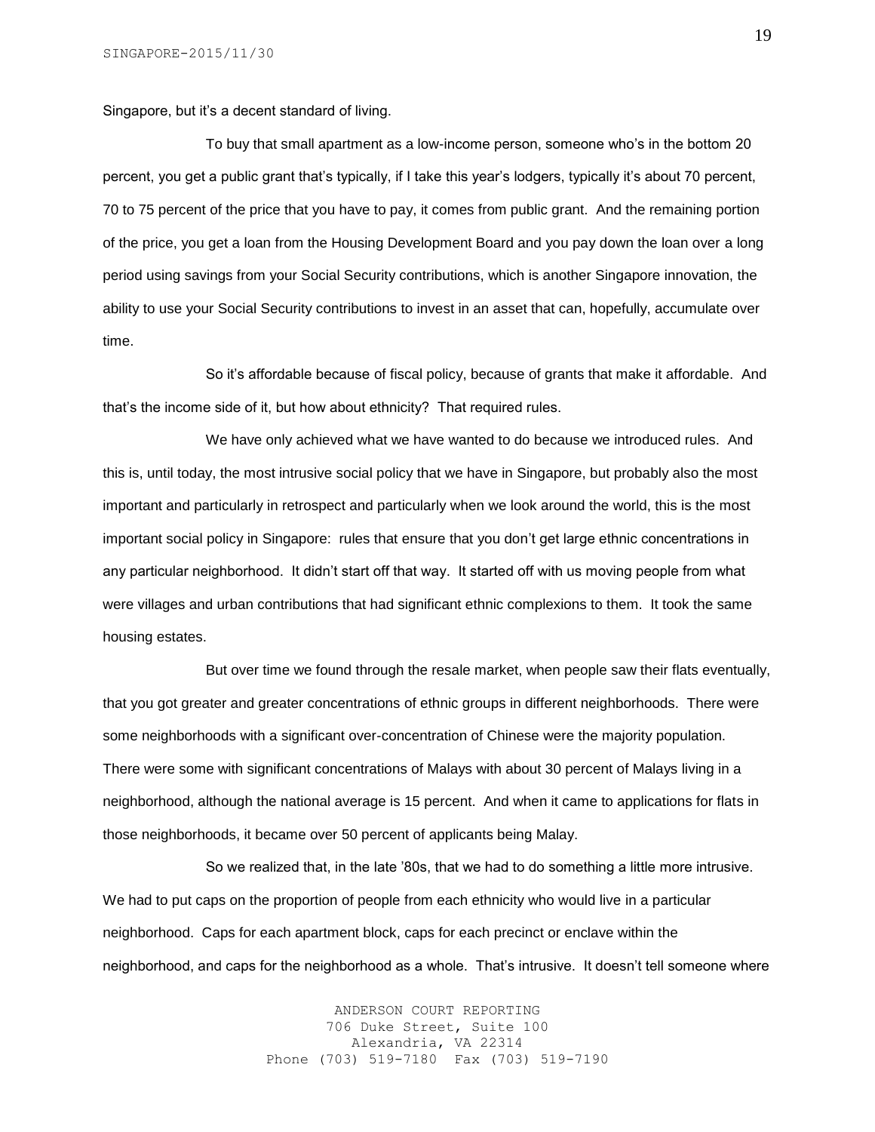Singapore, but it's a decent standard of living.

To buy that small apartment as a low-income person, someone who's in the bottom 20 percent, you get a public grant that's typically, if I take this year's lodgers, typically it's about 70 percent, 70 to 75 percent of the price that you have to pay, it comes from public grant. And the remaining portion of the price, you get a loan from the Housing Development Board and you pay down the loan over a long period using savings from your Social Security contributions, which is another Singapore innovation, the ability to use your Social Security contributions to invest in an asset that can, hopefully, accumulate over time.

So it's affordable because of fiscal policy, because of grants that make it affordable. And that's the income side of it, but how about ethnicity? That required rules.

We have only achieved what we have wanted to do because we introduced rules. And this is, until today, the most intrusive social policy that we have in Singapore, but probably also the most important and particularly in retrospect and particularly when we look around the world, this is the most important social policy in Singapore: rules that ensure that you don't get large ethnic concentrations in any particular neighborhood. It didn't start off that way. It started off with us moving people from what were villages and urban contributions that had significant ethnic complexions to them. It took the same housing estates.

But over time we found through the resale market, when people saw their flats eventually, that you got greater and greater concentrations of ethnic groups in different neighborhoods. There were some neighborhoods with a significant over-concentration of Chinese were the majority population. There were some with significant concentrations of Malays with about 30 percent of Malays living in a neighborhood, although the national average is 15 percent. And when it came to applications for flats in those neighborhoods, it became over 50 percent of applicants being Malay.

So we realized that, in the late '80s, that we had to do something a little more intrusive. We had to put caps on the proportion of people from each ethnicity who would live in a particular neighborhood. Caps for each apartment block, caps for each precinct or enclave within the neighborhood, and caps for the neighborhood as a whole. That's intrusive. It doesn't tell someone where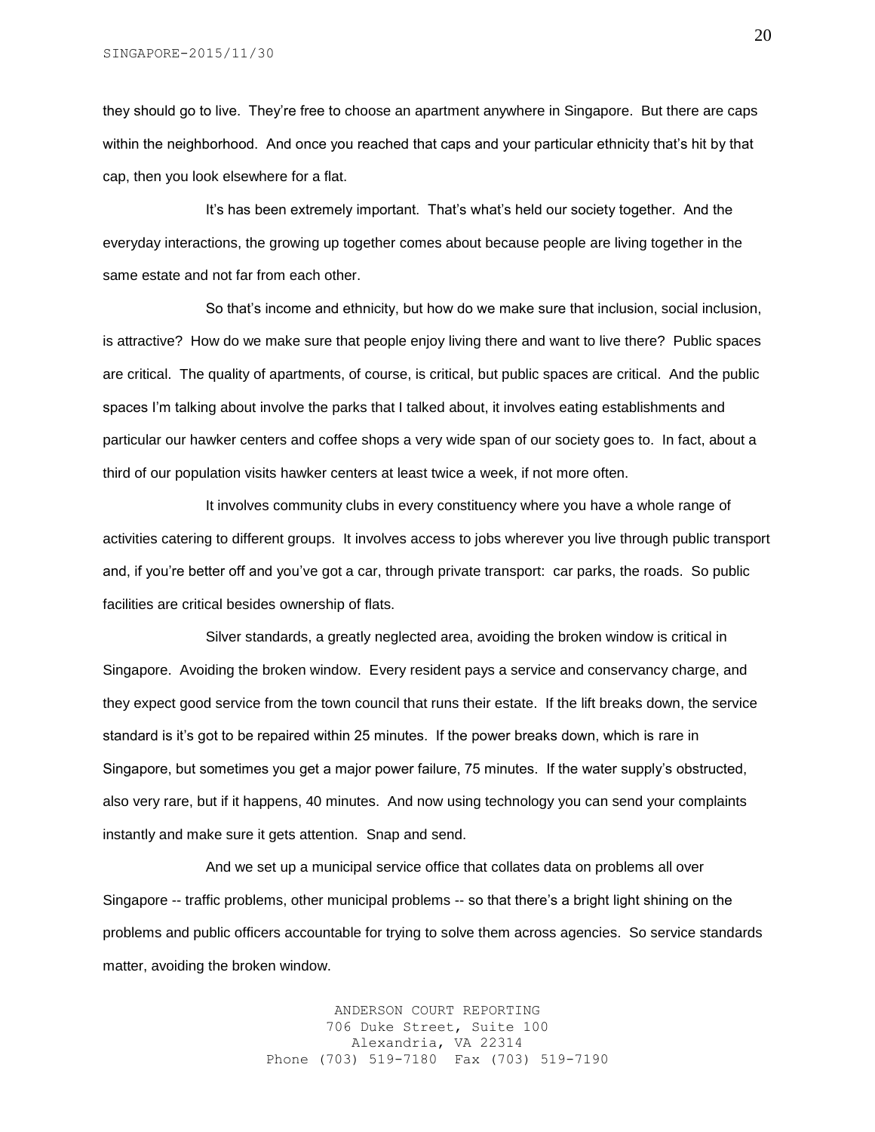they should go to live. They're free to choose an apartment anywhere in Singapore. But there are caps within the neighborhood. And once you reached that caps and your particular ethnicity that's hit by that cap, then you look elsewhere for a flat.

It's has been extremely important. That's what's held our society together. And the everyday interactions, the growing up together comes about because people are living together in the same estate and not far from each other.

So that's income and ethnicity, but how do we make sure that inclusion, social inclusion, is attractive? How do we make sure that people enjoy living there and want to live there? Public spaces are critical. The quality of apartments, of course, is critical, but public spaces are critical. And the public spaces I'm talking about involve the parks that I talked about, it involves eating establishments and particular our hawker centers and coffee shops a very wide span of our society goes to. In fact, about a third of our population visits hawker centers at least twice a week, if not more often.

It involves community clubs in every constituency where you have a whole range of activities catering to different groups. It involves access to jobs wherever you live through public transport and, if you're better off and you've got a car, through private transport: car parks, the roads. So public facilities are critical besides ownership of flats.

Silver standards, a greatly neglected area, avoiding the broken window is critical in Singapore. Avoiding the broken window. Every resident pays a service and conservancy charge, and they expect good service from the town council that runs their estate. If the lift breaks down, the service standard is it's got to be repaired within 25 minutes. If the power breaks down, which is rare in Singapore, but sometimes you get a major power failure, 75 minutes. If the water supply's obstructed, also very rare, but if it happens, 40 minutes. And now using technology you can send your complaints instantly and make sure it gets attention. Snap and send.

And we set up a municipal service office that collates data on problems all over Singapore -- traffic problems, other municipal problems -- so that there's a bright light shining on the problems and public officers accountable for trying to solve them across agencies. So service standards matter, avoiding the broken window.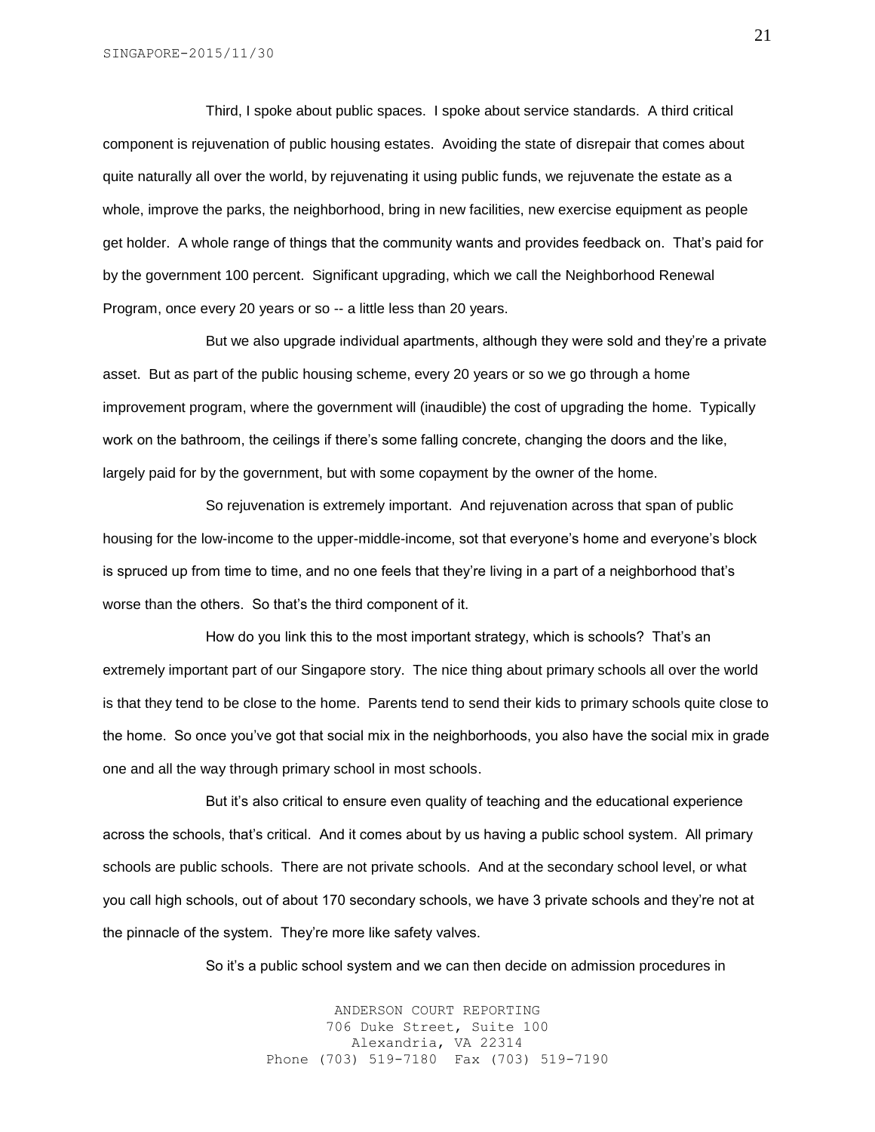Third, I spoke about public spaces. I spoke about service standards. A third critical component is rejuvenation of public housing estates. Avoiding the state of disrepair that comes about quite naturally all over the world, by rejuvenating it using public funds, we rejuvenate the estate as a whole, improve the parks, the neighborhood, bring in new facilities, new exercise equipment as people get holder. A whole range of things that the community wants and provides feedback on. That's paid for by the government 100 percent. Significant upgrading, which we call the Neighborhood Renewal Program, once every 20 years or so -- a little less than 20 years.

But we also upgrade individual apartments, although they were sold and they're a private asset. But as part of the public housing scheme, every 20 years or so we go through a home improvement program, where the government will (inaudible) the cost of upgrading the home. Typically work on the bathroom, the ceilings if there's some falling concrete, changing the doors and the like, largely paid for by the government, but with some copayment by the owner of the home.

So rejuvenation is extremely important. And rejuvenation across that span of public housing for the low-income to the upper-middle-income, sot that everyone's home and everyone's block is spruced up from time to time, and no one feels that they're living in a part of a neighborhood that's worse than the others. So that's the third component of it.

How do you link this to the most important strategy, which is schools? That's an extremely important part of our Singapore story. The nice thing about primary schools all over the world is that they tend to be close to the home. Parents tend to send their kids to primary schools quite close to the home. So once you've got that social mix in the neighborhoods, you also have the social mix in grade one and all the way through primary school in most schools.

But it's also critical to ensure even quality of teaching and the educational experience across the schools, that's critical. And it comes about by us having a public school system. All primary schools are public schools. There are not private schools. And at the secondary school level, or what you call high schools, out of about 170 secondary schools, we have 3 private schools and they're not at the pinnacle of the system. They're more like safety valves.

So it's a public school system and we can then decide on admission procedures in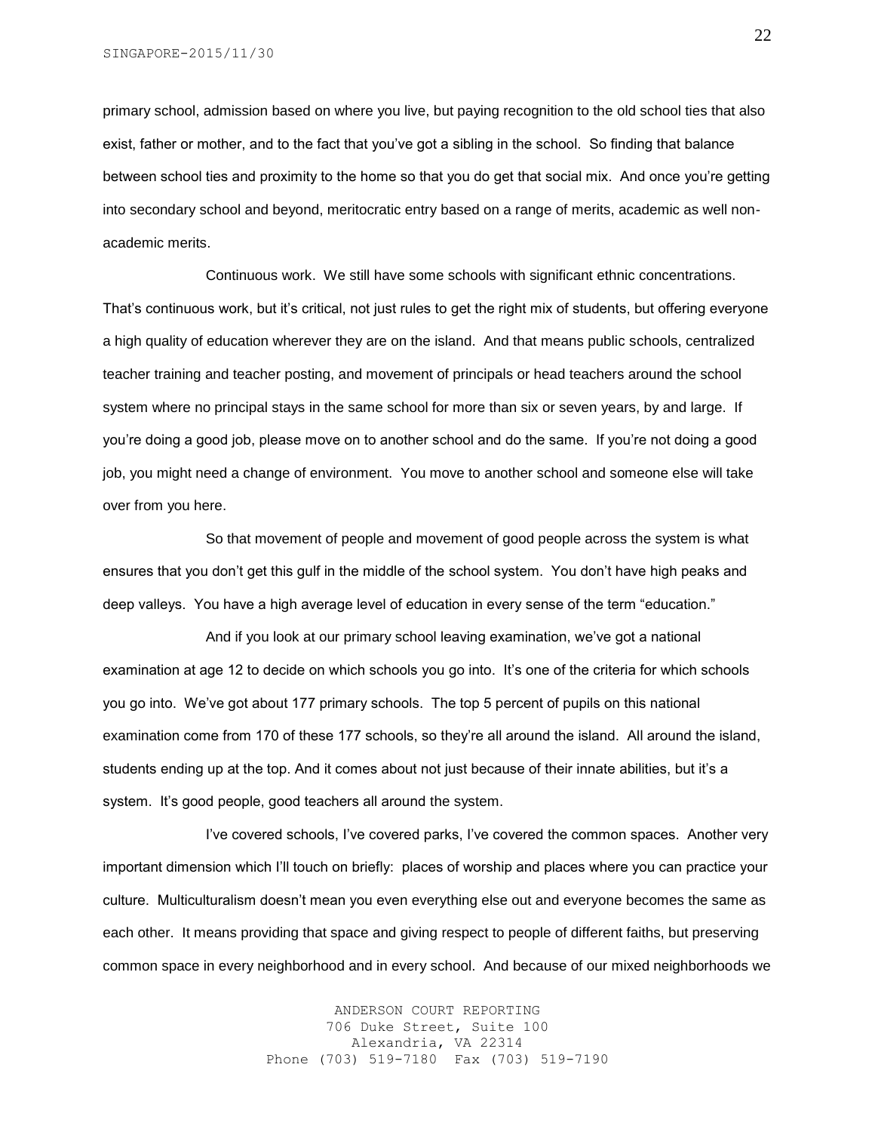primary school, admission based on where you live, but paying recognition to the old school ties that also exist, father or mother, and to the fact that you've got a sibling in the school. So finding that balance between school ties and proximity to the home so that you do get that social mix. And once you're getting into secondary school and beyond, meritocratic entry based on a range of merits, academic as well nonacademic merits.

Continuous work. We still have some schools with significant ethnic concentrations. That's continuous work, but it's critical, not just rules to get the right mix of students, but offering everyone a high quality of education wherever they are on the island. And that means public schools, centralized teacher training and teacher posting, and movement of principals or head teachers around the school system where no principal stays in the same school for more than six or seven years, by and large. If you're doing a good job, please move on to another school and do the same. If you're not doing a good job, you might need a change of environment. You move to another school and someone else will take over from you here.

So that movement of people and movement of good people across the system is what ensures that you don't get this gulf in the middle of the school system. You don't have high peaks and deep valleys. You have a high average level of education in every sense of the term "education."

And if you look at our primary school leaving examination, we've got a national examination at age 12 to decide on which schools you go into. It's one of the criteria for which schools you go into. We've got about 177 primary schools. The top 5 percent of pupils on this national examination come from 170 of these 177 schools, so they're all around the island. All around the island, students ending up at the top. And it comes about not just because of their innate abilities, but it's a system. It's good people, good teachers all around the system.

I've covered schools, I've covered parks, I've covered the common spaces. Another very important dimension which I'll touch on briefly: places of worship and places where you can practice your culture. Multiculturalism doesn't mean you even everything else out and everyone becomes the same as each other. It means providing that space and giving respect to people of different faiths, but preserving common space in every neighborhood and in every school. And because of our mixed neighborhoods we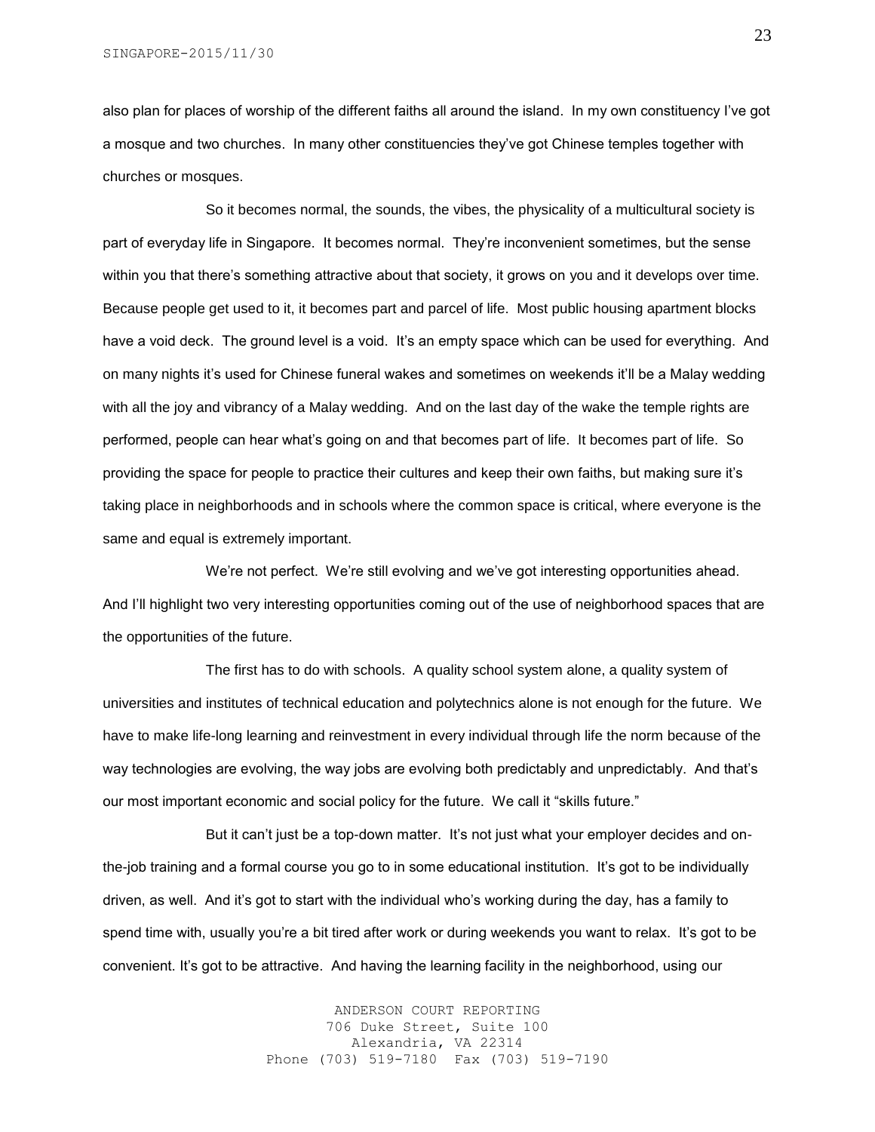also plan for places of worship of the different faiths all around the island. In my own constituency I've got a mosque and two churches. In many other constituencies they've got Chinese temples together with churches or mosques.

So it becomes normal, the sounds, the vibes, the physicality of a multicultural society is part of everyday life in Singapore. It becomes normal. They're inconvenient sometimes, but the sense within you that there's something attractive about that society, it grows on you and it develops over time. Because people get used to it, it becomes part and parcel of life. Most public housing apartment blocks have a void deck. The ground level is a void. It's an empty space which can be used for everything. And on many nights it's used for Chinese funeral wakes and sometimes on weekends it'll be a Malay wedding with all the joy and vibrancy of a Malay wedding. And on the last day of the wake the temple rights are performed, people can hear what's going on and that becomes part of life. It becomes part of life. So providing the space for people to practice their cultures and keep their own faiths, but making sure it's taking place in neighborhoods and in schools where the common space is critical, where everyone is the same and equal is extremely important.

We're not perfect. We're still evolving and we've got interesting opportunities ahead. And I'll highlight two very interesting opportunities coming out of the use of neighborhood spaces that are the opportunities of the future.

The first has to do with schools. A quality school system alone, a quality system of universities and institutes of technical education and polytechnics alone is not enough for the future. We have to make life-long learning and reinvestment in every individual through life the norm because of the way technologies are evolving, the way jobs are evolving both predictably and unpredictably. And that's our most important economic and social policy for the future. We call it "skills future."

But it can't just be a top-down matter. It's not just what your employer decides and onthe-job training and a formal course you go to in some educational institution. It's got to be individually driven, as well. And it's got to start with the individual who's working during the day, has a family to spend time with, usually you're a bit tired after work or during weekends you want to relax. It's got to be convenient. It's got to be attractive. And having the learning facility in the neighborhood, using our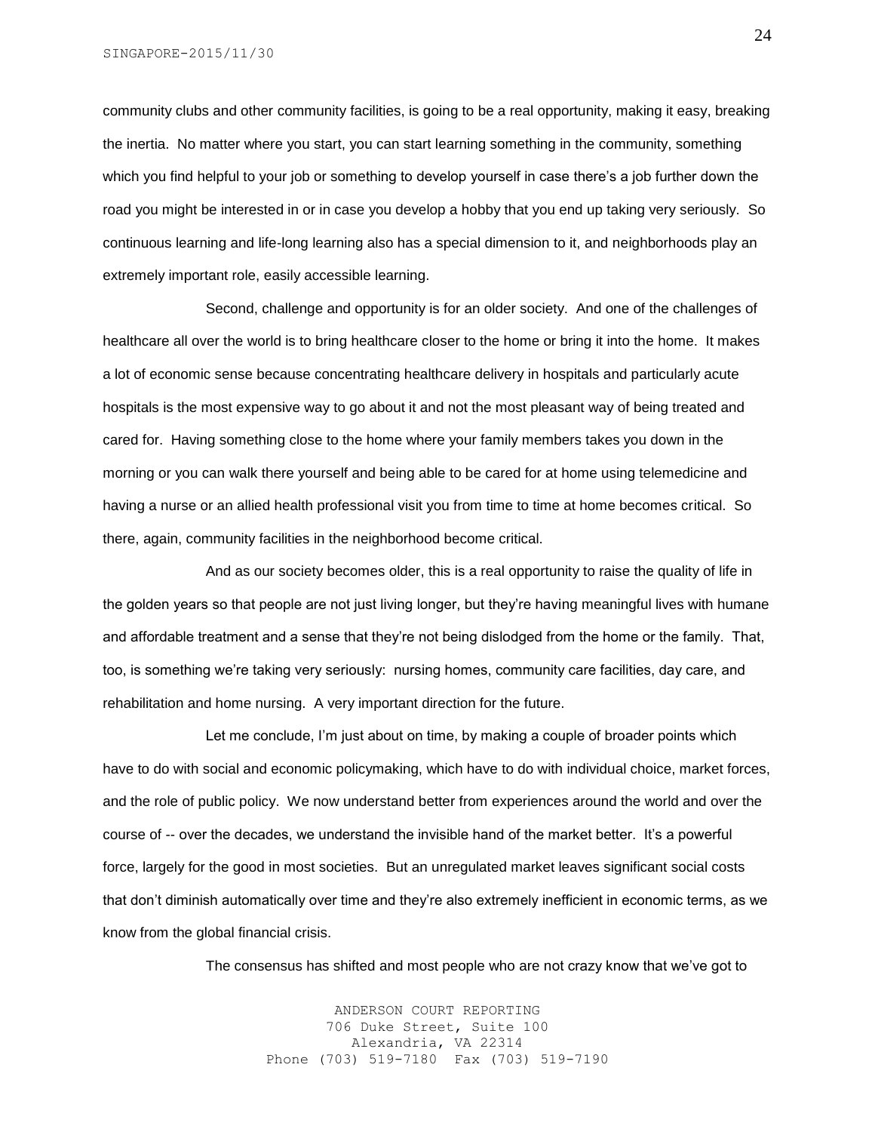community clubs and other community facilities, is going to be a real opportunity, making it easy, breaking the inertia. No matter where you start, you can start learning something in the community, something which you find helpful to your job or something to develop yourself in case there's a job further down the road you might be interested in or in case you develop a hobby that you end up taking very seriously. So continuous learning and life-long learning also has a special dimension to it, and neighborhoods play an extremely important role, easily accessible learning.

Second, challenge and opportunity is for an older society. And one of the challenges of healthcare all over the world is to bring healthcare closer to the home or bring it into the home. It makes a lot of economic sense because concentrating healthcare delivery in hospitals and particularly acute hospitals is the most expensive way to go about it and not the most pleasant way of being treated and cared for. Having something close to the home where your family members takes you down in the morning or you can walk there yourself and being able to be cared for at home using telemedicine and having a nurse or an allied health professional visit you from time to time at home becomes critical. So there, again, community facilities in the neighborhood become critical.

And as our society becomes older, this is a real opportunity to raise the quality of life in the golden years so that people are not just living longer, but they're having meaningful lives with humane and affordable treatment and a sense that they're not being dislodged from the home or the family. That, too, is something we're taking very seriously: nursing homes, community care facilities, day care, and rehabilitation and home nursing. A very important direction for the future.

Let me conclude, I'm just about on time, by making a couple of broader points which have to do with social and economic policymaking, which have to do with individual choice, market forces, and the role of public policy. We now understand better from experiences around the world and over the course of -- over the decades, we understand the invisible hand of the market better. It's a powerful force, largely for the good in most societies. But an unregulated market leaves significant social costs that don't diminish automatically over time and they're also extremely inefficient in economic terms, as we know from the global financial crisis.

The consensus has shifted and most people who are not crazy know that we've got to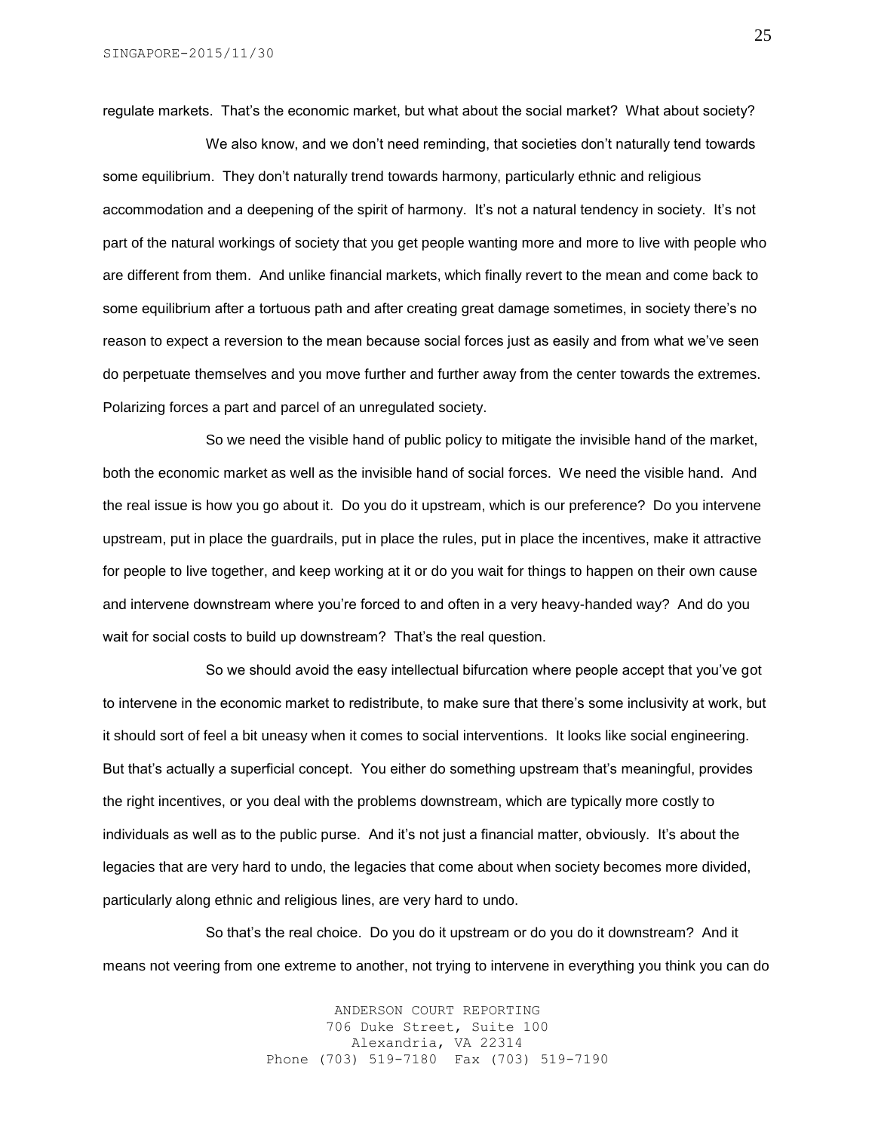regulate markets. That's the economic market, but what about the social market? What about society?

We also know, and we don't need reminding, that societies don't naturally tend towards some equilibrium. They don't naturally trend towards harmony, particularly ethnic and religious accommodation and a deepening of the spirit of harmony. It's not a natural tendency in society. It's not part of the natural workings of society that you get people wanting more and more to live with people who are different from them. And unlike financial markets, which finally revert to the mean and come back to some equilibrium after a tortuous path and after creating great damage sometimes, in society there's no reason to expect a reversion to the mean because social forces just as easily and from what we've seen do perpetuate themselves and you move further and further away from the center towards the extremes. Polarizing forces a part and parcel of an unregulated society.

So we need the visible hand of public policy to mitigate the invisible hand of the market, both the economic market as well as the invisible hand of social forces. We need the visible hand. And the real issue is how you go about it. Do you do it upstream, which is our preference? Do you intervene upstream, put in place the guardrails, put in place the rules, put in place the incentives, make it attractive for people to live together, and keep working at it or do you wait for things to happen on their own cause and intervene downstream where you're forced to and often in a very heavy-handed way? And do you wait for social costs to build up downstream? That's the real question.

So we should avoid the easy intellectual bifurcation where people accept that you've got to intervene in the economic market to redistribute, to make sure that there's some inclusivity at work, but it should sort of feel a bit uneasy when it comes to social interventions. It looks like social engineering. But that's actually a superficial concept. You either do something upstream that's meaningful, provides the right incentives, or you deal with the problems downstream, which are typically more costly to individuals as well as to the public purse. And it's not just a financial matter, obviously. It's about the legacies that are very hard to undo, the legacies that come about when society becomes more divided, particularly along ethnic and religious lines, are very hard to undo.

So that's the real choice. Do you do it upstream or do you do it downstream? And it means not veering from one extreme to another, not trying to intervene in everything you think you can do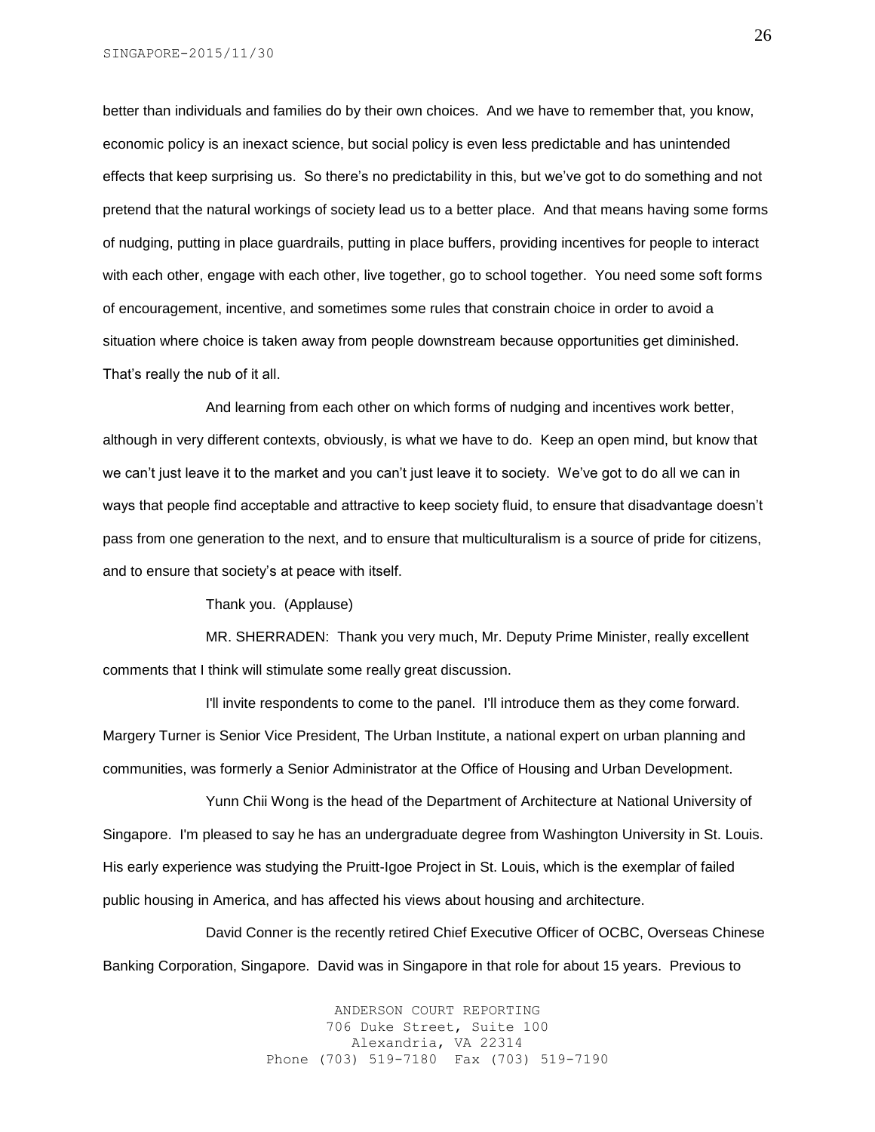SINGAPORE-2015/11/30

better than individuals and families do by their own choices. And we have to remember that, you know, economic policy is an inexact science, but social policy is even less predictable and has unintended effects that keep surprising us. So there's no predictability in this, but we've got to do something and not pretend that the natural workings of society lead us to a better place. And that means having some forms of nudging, putting in place guardrails, putting in place buffers, providing incentives for people to interact with each other, engage with each other, live together, go to school together. You need some soft forms of encouragement, incentive, and sometimes some rules that constrain choice in order to avoid a situation where choice is taken away from people downstream because opportunities get diminished. That's really the nub of it all.

And learning from each other on which forms of nudging and incentives work better, although in very different contexts, obviously, is what we have to do. Keep an open mind, but know that we can't just leave it to the market and you can't just leave it to society. We've got to do all we can in ways that people find acceptable and attractive to keep society fluid, to ensure that disadvantage doesn't pass from one generation to the next, and to ensure that multiculturalism is a source of pride for citizens, and to ensure that society's at peace with itself.

Thank you. (Applause)

MR. SHERRADEN: Thank you very much, Mr. Deputy Prime Minister, really excellent comments that I think will stimulate some really great discussion.

I'll invite respondents to come to the panel. I'll introduce them as they come forward. Margery Turner is Senior Vice President, The Urban Institute, a national expert on urban planning and communities, was formerly a Senior Administrator at the Office of Housing and Urban Development.

Yunn Chii Wong is the head of the Department of Architecture at National University of Singapore. I'm pleased to say he has an undergraduate degree from Washington University in St. Louis. His early experience was studying the Pruitt-Igoe Project in St. Louis, which is the exemplar of failed public housing in America, and has affected his views about housing and architecture.

David Conner is the recently retired Chief Executive Officer of OCBC, Overseas Chinese Banking Corporation, Singapore. David was in Singapore in that role for about 15 years. Previous to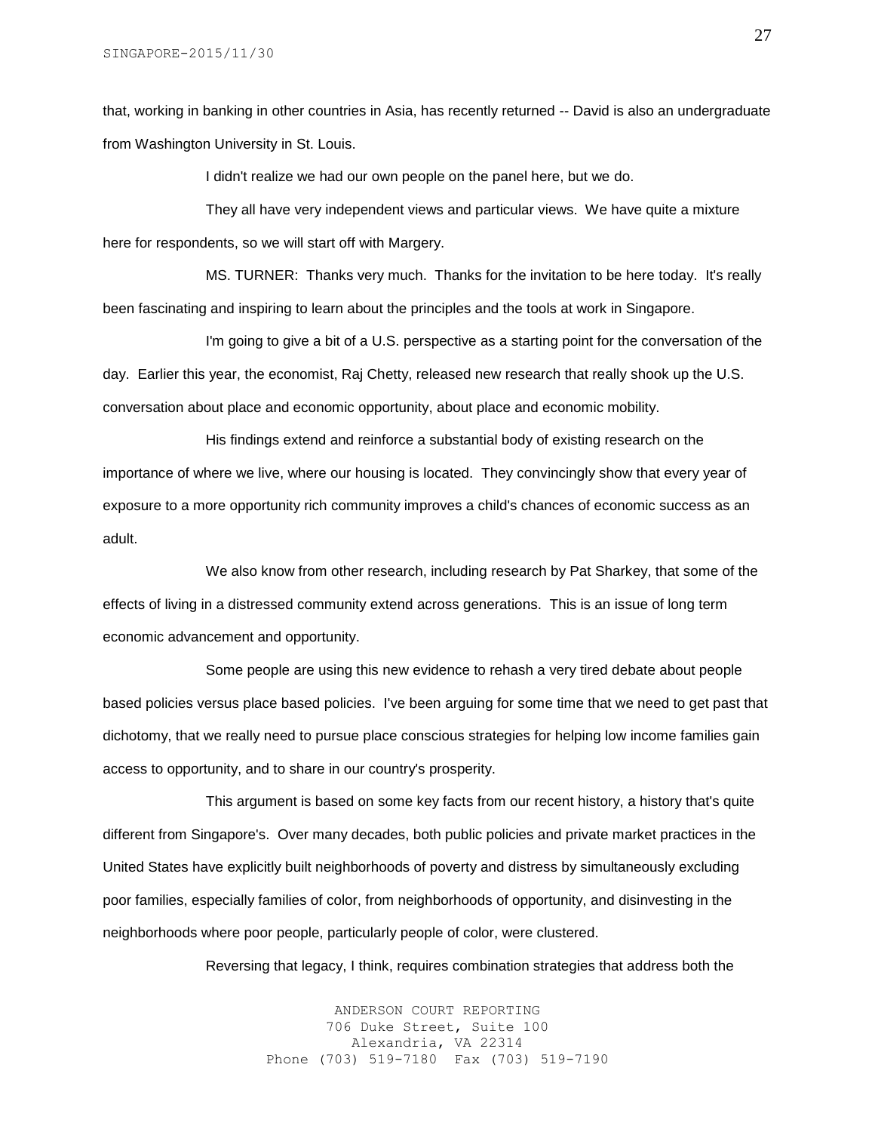that, working in banking in other countries in Asia, has recently returned -- David is also an undergraduate from Washington University in St. Louis.

I didn't realize we had our own people on the panel here, but we do.

They all have very independent views and particular views. We have quite a mixture here for respondents, so we will start off with Margery.

MS. TURNER: Thanks very much. Thanks for the invitation to be here today. It's really been fascinating and inspiring to learn about the principles and the tools at work in Singapore.

I'm going to give a bit of a U.S. perspective as a starting point for the conversation of the day. Earlier this year, the economist, Raj Chetty, released new research that really shook up the U.S. conversation about place and economic opportunity, about place and economic mobility.

His findings extend and reinforce a substantial body of existing research on the importance of where we live, where our housing is located. They convincingly show that every year of exposure to a more opportunity rich community improves a child's chances of economic success as an adult.

We also know from other research, including research by Pat Sharkey, that some of the effects of living in a distressed community extend across generations. This is an issue of long term economic advancement and opportunity.

Some people are using this new evidence to rehash a very tired debate about people based policies versus place based policies. I've been arguing for some time that we need to get past that dichotomy, that we really need to pursue place conscious strategies for helping low income families gain access to opportunity, and to share in our country's prosperity.

This argument is based on some key facts from our recent history, a history that's quite different from Singapore's. Over many decades, both public policies and private market practices in the United States have explicitly built neighborhoods of poverty and distress by simultaneously excluding poor families, especially families of color, from neighborhoods of opportunity, and disinvesting in the neighborhoods where poor people, particularly people of color, were clustered.

Reversing that legacy, I think, requires combination strategies that address both the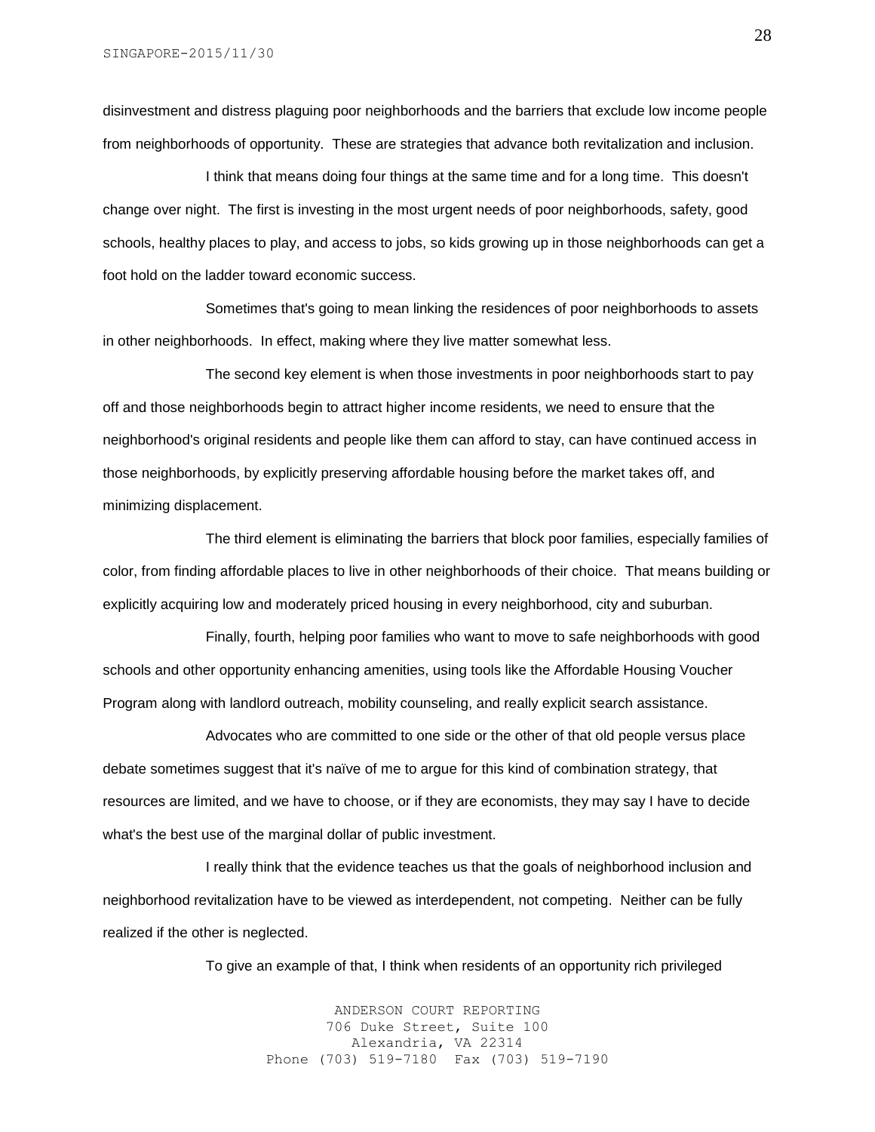SINGAPORE-2015/11/30

disinvestment and distress plaguing poor neighborhoods and the barriers that exclude low income people from neighborhoods of opportunity. These are strategies that advance both revitalization and inclusion.

I think that means doing four things at the same time and for a long time. This doesn't change over night. The first is investing in the most urgent needs of poor neighborhoods, safety, good schools, healthy places to play, and access to jobs, so kids growing up in those neighborhoods can get a foot hold on the ladder toward economic success.

Sometimes that's going to mean linking the residences of poor neighborhoods to assets in other neighborhoods. In effect, making where they live matter somewhat less.

The second key element is when those investments in poor neighborhoods start to pay off and those neighborhoods begin to attract higher income residents, we need to ensure that the neighborhood's original residents and people like them can afford to stay, can have continued access in those neighborhoods, by explicitly preserving affordable housing before the market takes off, and minimizing displacement.

The third element is eliminating the barriers that block poor families, especially families of color, from finding affordable places to live in other neighborhoods of their choice. That means building or explicitly acquiring low and moderately priced housing in every neighborhood, city and suburban.

Finally, fourth, helping poor families who want to move to safe neighborhoods with good schools and other opportunity enhancing amenities, using tools like the Affordable Housing Voucher Program along with landlord outreach, mobility counseling, and really explicit search assistance.

Advocates who are committed to one side or the other of that old people versus place debate sometimes suggest that it's naïve of me to argue for this kind of combination strategy, that resources are limited, and we have to choose, or if they are economists, they may say I have to decide what's the best use of the marginal dollar of public investment.

I really think that the evidence teaches us that the goals of neighborhood inclusion and neighborhood revitalization have to be viewed as interdependent, not competing. Neither can be fully realized if the other is neglected.

To give an example of that, I think when residents of an opportunity rich privileged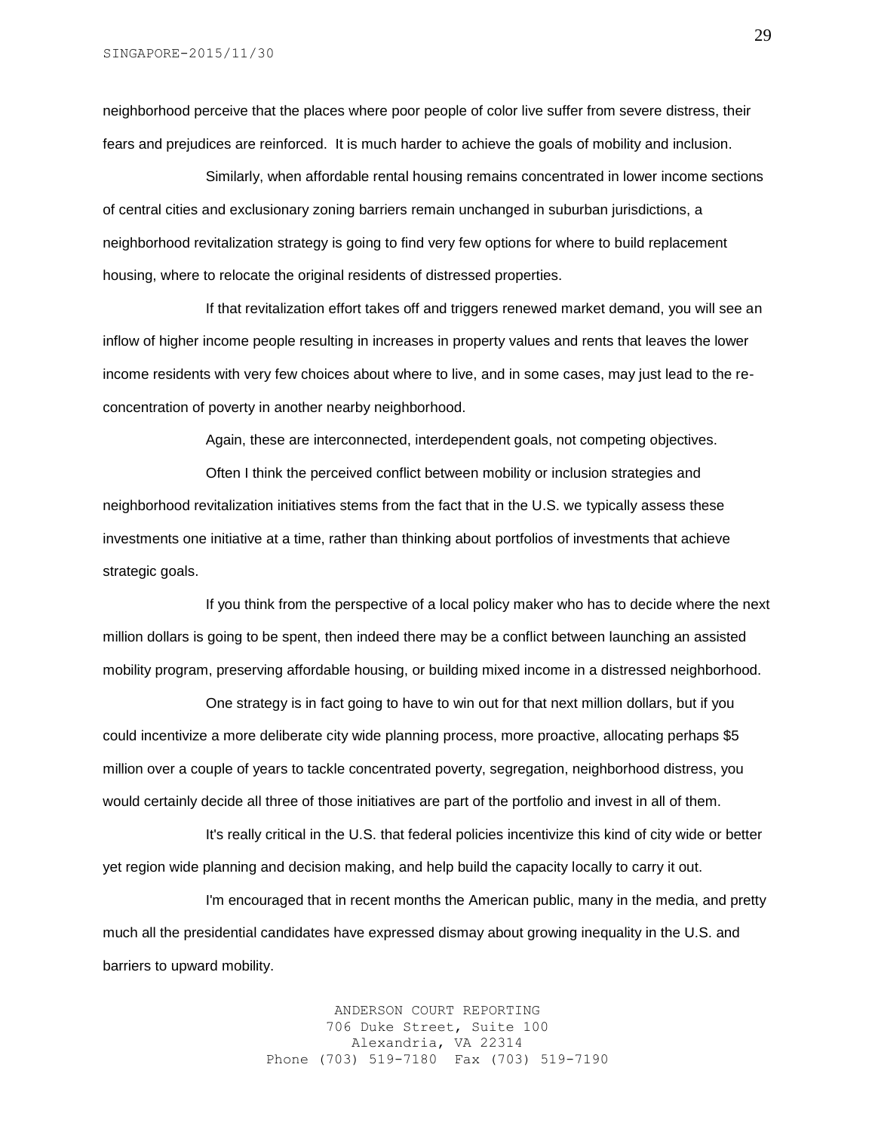neighborhood perceive that the places where poor people of color live suffer from severe distress, their fears and prejudices are reinforced. It is much harder to achieve the goals of mobility and inclusion.

Similarly, when affordable rental housing remains concentrated in lower income sections of central cities and exclusionary zoning barriers remain unchanged in suburban jurisdictions, a neighborhood revitalization strategy is going to find very few options for where to build replacement housing, where to relocate the original residents of distressed properties.

If that revitalization effort takes off and triggers renewed market demand, you will see an inflow of higher income people resulting in increases in property values and rents that leaves the lower income residents with very few choices about where to live, and in some cases, may just lead to the reconcentration of poverty in another nearby neighborhood.

Again, these are interconnected, interdependent goals, not competing objectives.

Often I think the perceived conflict between mobility or inclusion strategies and neighborhood revitalization initiatives stems from the fact that in the U.S. we typically assess these investments one initiative at a time, rather than thinking about portfolios of investments that achieve strategic goals.

If you think from the perspective of a local policy maker who has to decide where the next million dollars is going to be spent, then indeed there may be a conflict between launching an assisted mobility program, preserving affordable housing, or building mixed income in a distressed neighborhood.

One strategy is in fact going to have to win out for that next million dollars, but if you could incentivize a more deliberate city wide planning process, more proactive, allocating perhaps \$5 million over a couple of years to tackle concentrated poverty, segregation, neighborhood distress, you would certainly decide all three of those initiatives are part of the portfolio and invest in all of them.

It's really critical in the U.S. that federal policies incentivize this kind of city wide or better yet region wide planning and decision making, and help build the capacity locally to carry it out.

I'm encouraged that in recent months the American public, many in the media, and pretty much all the presidential candidates have expressed dismay about growing inequality in the U.S. and barriers to upward mobility.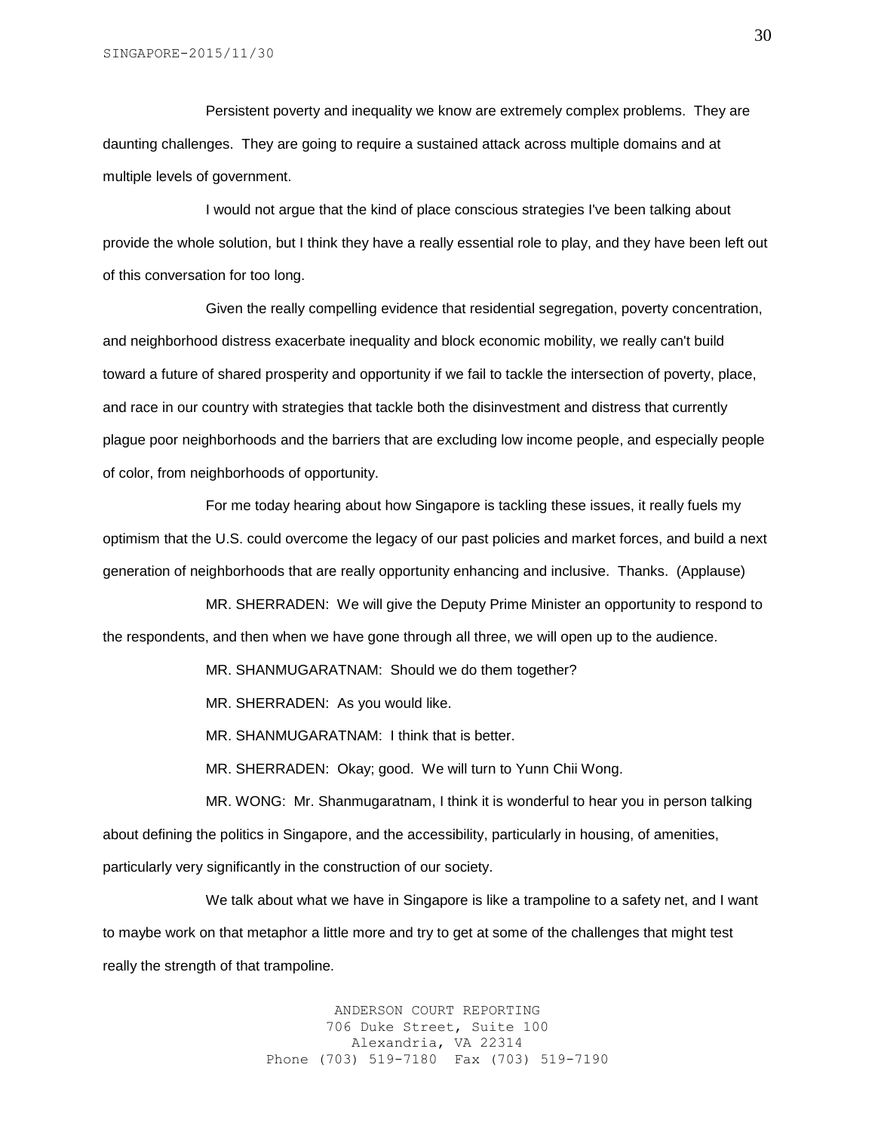Persistent poverty and inequality we know are extremely complex problems. They are daunting challenges. They are going to require a sustained attack across multiple domains and at multiple levels of government.

I would not argue that the kind of place conscious strategies I've been talking about provide the whole solution, but I think they have a really essential role to play, and they have been left out of this conversation for too long.

Given the really compelling evidence that residential segregation, poverty concentration, and neighborhood distress exacerbate inequality and block economic mobility, we really can't build toward a future of shared prosperity and opportunity if we fail to tackle the intersection of poverty, place, and race in our country with strategies that tackle both the disinvestment and distress that currently plague poor neighborhoods and the barriers that are excluding low income people, and especially people of color, from neighborhoods of opportunity.

For me today hearing about how Singapore is tackling these issues, it really fuels my optimism that the U.S. could overcome the legacy of our past policies and market forces, and build a next generation of neighborhoods that are really opportunity enhancing and inclusive. Thanks. (Applause)

MR. SHERRADEN: We will give the Deputy Prime Minister an opportunity to respond to the respondents, and then when we have gone through all three, we will open up to the audience.

MR. SHANMUGARATNAM: Should we do them together?

MR. SHERRADEN: As you would like.

MR. SHANMUGARATNAM: I think that is better.

MR. SHERRADEN: Okay; good. We will turn to Yunn Chii Wong.

MR. WONG: Mr. Shanmugaratnam, I think it is wonderful to hear you in person talking about defining the politics in Singapore, and the accessibility, particularly in housing, of amenities, particularly very significantly in the construction of our society.

We talk about what we have in Singapore is like a trampoline to a safety net, and I want to maybe work on that metaphor a little more and try to get at some of the challenges that might test really the strength of that trampoline.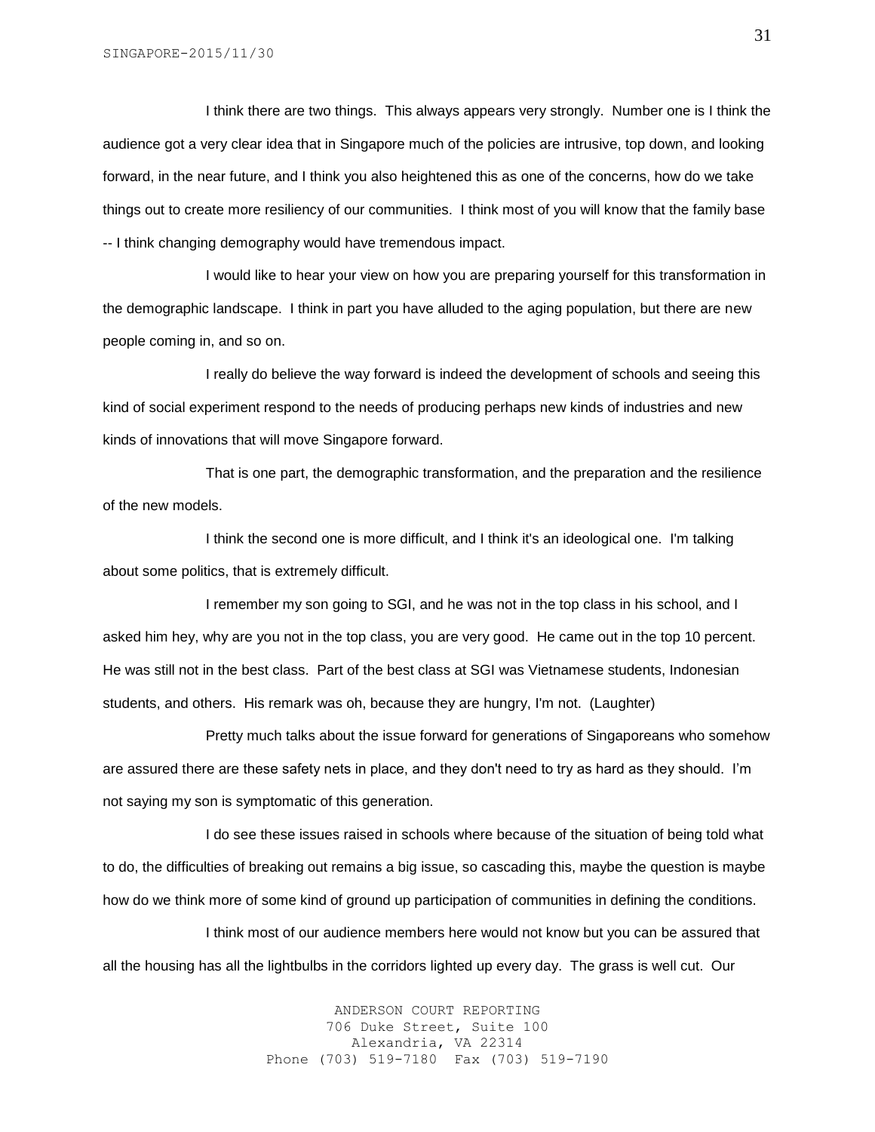I think there are two things. This always appears very strongly. Number one is I think the audience got a very clear idea that in Singapore much of the policies are intrusive, top down, and looking forward, in the near future, and I think you also heightened this as one of the concerns, how do we take things out to create more resiliency of our communities. I think most of you will know that the family base -- I think changing demography would have tremendous impact.

I would like to hear your view on how you are preparing yourself for this transformation in the demographic landscape. I think in part you have alluded to the aging population, but there are new people coming in, and so on.

I really do believe the way forward is indeed the development of schools and seeing this kind of social experiment respond to the needs of producing perhaps new kinds of industries and new kinds of innovations that will move Singapore forward.

That is one part, the demographic transformation, and the preparation and the resilience of the new models.

I think the second one is more difficult, and I think it's an ideological one. I'm talking about some politics, that is extremely difficult.

I remember my son going to SGI, and he was not in the top class in his school, and I asked him hey, why are you not in the top class, you are very good. He came out in the top 10 percent. He was still not in the best class. Part of the best class at SGI was Vietnamese students, Indonesian students, and others. His remark was oh, because they are hungry, I'm not. (Laughter)

Pretty much talks about the issue forward for generations of Singaporeans who somehow are assured there are these safety nets in place, and they don't need to try as hard as they should. I'm not saying my son is symptomatic of this generation.

I do see these issues raised in schools where because of the situation of being told what to do, the difficulties of breaking out remains a big issue, so cascading this, maybe the question is maybe how do we think more of some kind of ground up participation of communities in defining the conditions.

I think most of our audience members here would not know but you can be assured that all the housing has all the lightbulbs in the corridors lighted up every day. The grass is well cut. Our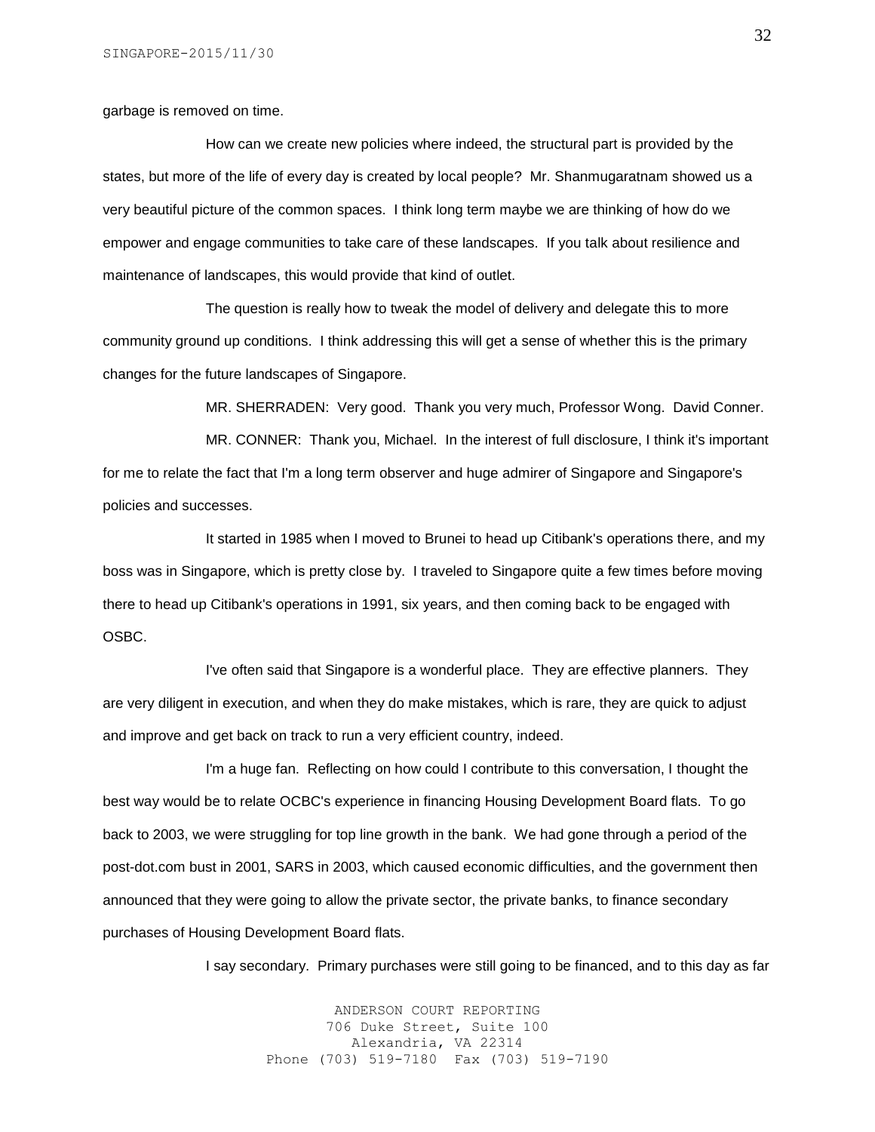garbage is removed on time.

How can we create new policies where indeed, the structural part is provided by the states, but more of the life of every day is created by local people? Mr. Shanmugaratnam showed us a very beautiful picture of the common spaces. I think long term maybe we are thinking of how do we empower and engage communities to take care of these landscapes. If you talk about resilience and maintenance of landscapes, this would provide that kind of outlet.

The question is really how to tweak the model of delivery and delegate this to more community ground up conditions. I think addressing this will get a sense of whether this is the primary changes for the future landscapes of Singapore.

MR. SHERRADEN: Very good. Thank you very much, Professor Wong. David Conner.

MR. CONNER: Thank you, Michael. In the interest of full disclosure, I think it's important for me to relate the fact that I'm a long term observer and huge admirer of Singapore and Singapore's policies and successes.

It started in 1985 when I moved to Brunei to head up Citibank's operations there, and my boss was in Singapore, which is pretty close by. I traveled to Singapore quite a few times before moving there to head up Citibank's operations in 1991, six years, and then coming back to be engaged with OSBC.

I've often said that Singapore is a wonderful place. They are effective planners. They are very diligent in execution, and when they do make mistakes, which is rare, they are quick to adjust and improve and get back on track to run a very efficient country, indeed.

I'm a huge fan. Reflecting on how could I contribute to this conversation, I thought the best way would be to relate OCBC's experience in financing Housing Development Board flats. To go back to 2003, we were struggling for top line growth in the bank. We had gone through a period of the post-dot.com bust in 2001, SARS in 2003, which caused economic difficulties, and the government then announced that they were going to allow the private sector, the private banks, to finance secondary purchases of Housing Development Board flats.

I say secondary. Primary purchases were still going to be financed, and to this day as far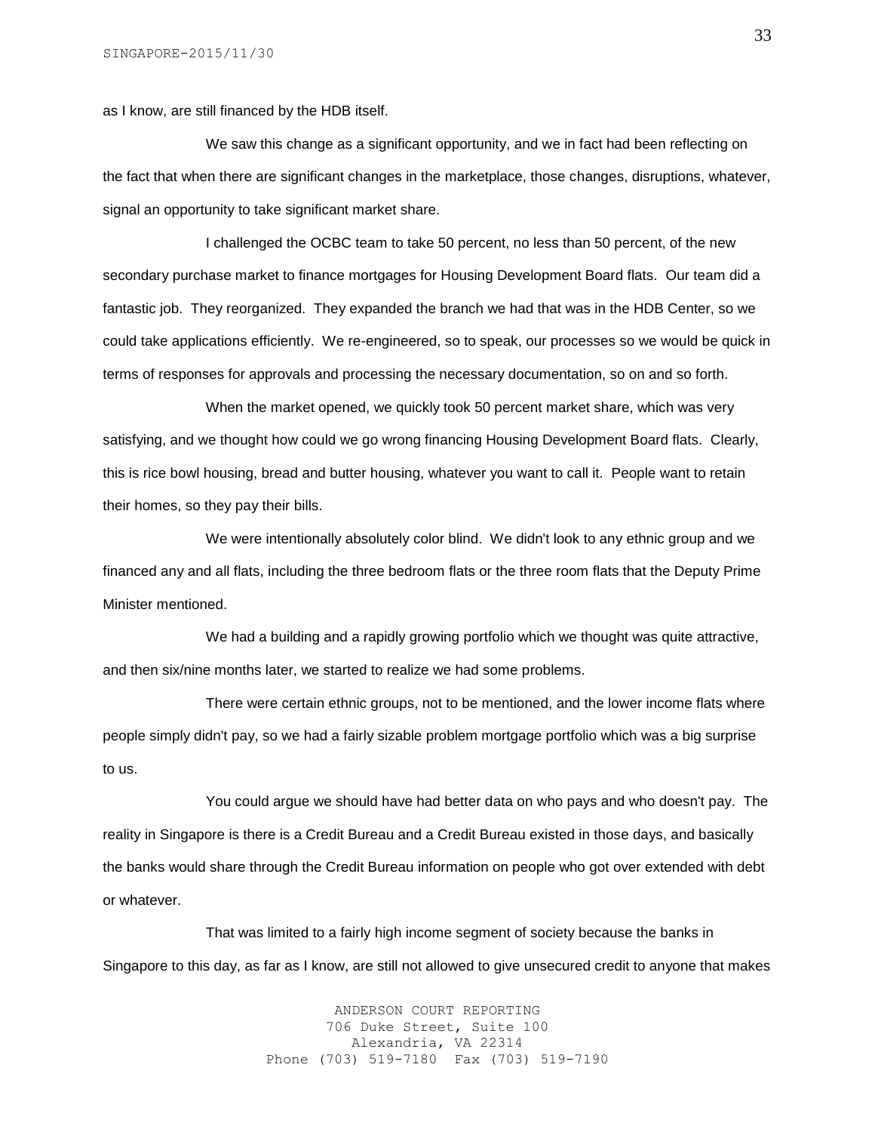as I know, are still financed by the HDB itself.

We saw this change as a significant opportunity, and we in fact had been reflecting on the fact that when there are significant changes in the marketplace, those changes, disruptions, whatever, signal an opportunity to take significant market share.

I challenged the OCBC team to take 50 percent, no less than 50 percent, of the new secondary purchase market to finance mortgages for Housing Development Board flats. Our team did a fantastic job. They reorganized. They expanded the branch we had that was in the HDB Center, so we could take applications efficiently. We re-engineered, so to speak, our processes so we would be quick in terms of responses for approvals and processing the necessary documentation, so on and so forth.

When the market opened, we quickly took 50 percent market share, which was very satisfying, and we thought how could we go wrong financing Housing Development Board flats. Clearly, this is rice bowl housing, bread and butter housing, whatever you want to call it. People want to retain their homes, so they pay their bills.

We were intentionally absolutely color blind. We didn't look to any ethnic group and we financed any and all flats, including the three bedroom flats or the three room flats that the Deputy Prime Minister mentioned.

We had a building and a rapidly growing portfolio which we thought was quite attractive, and then six/nine months later, we started to realize we had some problems.

There were certain ethnic groups, not to be mentioned, and the lower income flats where people simply didn't pay, so we had a fairly sizable problem mortgage portfolio which was a big surprise to us.

You could argue we should have had better data on who pays and who doesn't pay. The reality in Singapore is there is a Credit Bureau and a Credit Bureau existed in those days, and basically the banks would share through the Credit Bureau information on people who got over extended with debt or whatever.

That was limited to a fairly high income segment of society because the banks in Singapore to this day, as far as I know, are still not allowed to give unsecured credit to anyone that makes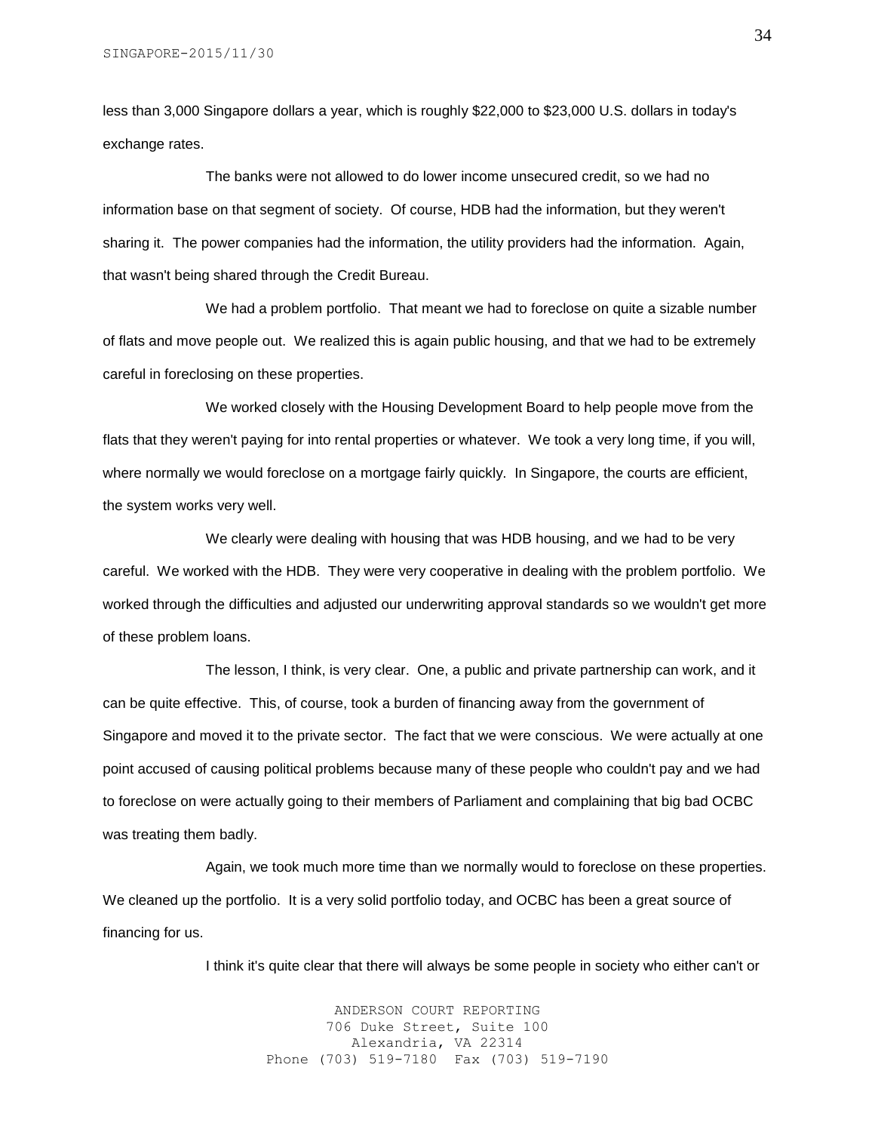less than 3,000 Singapore dollars a year, which is roughly \$22,000 to \$23,000 U.S. dollars in today's exchange rates.

The banks were not allowed to do lower income unsecured credit, so we had no information base on that segment of society. Of course, HDB had the information, but they weren't sharing it. The power companies had the information, the utility providers had the information. Again, that wasn't being shared through the Credit Bureau.

We had a problem portfolio. That meant we had to foreclose on quite a sizable number of flats and move people out. We realized this is again public housing, and that we had to be extremely careful in foreclosing on these properties.

We worked closely with the Housing Development Board to help people move from the flats that they weren't paying for into rental properties or whatever. We took a very long time, if you will, where normally we would foreclose on a mortgage fairly quickly. In Singapore, the courts are efficient, the system works very well.

We clearly were dealing with housing that was HDB housing, and we had to be very careful. We worked with the HDB. They were very cooperative in dealing with the problem portfolio. We worked through the difficulties and adjusted our underwriting approval standards so we wouldn't get more of these problem loans.

The lesson, I think, is very clear. One, a public and private partnership can work, and it can be quite effective. This, of course, took a burden of financing away from the government of Singapore and moved it to the private sector. The fact that we were conscious. We were actually at one point accused of causing political problems because many of these people who couldn't pay and we had to foreclose on were actually going to their members of Parliament and complaining that big bad OCBC was treating them badly.

Again, we took much more time than we normally would to foreclose on these properties. We cleaned up the portfolio. It is a very solid portfolio today, and OCBC has been a great source of financing for us.

I think it's quite clear that there will always be some people in society who either can't or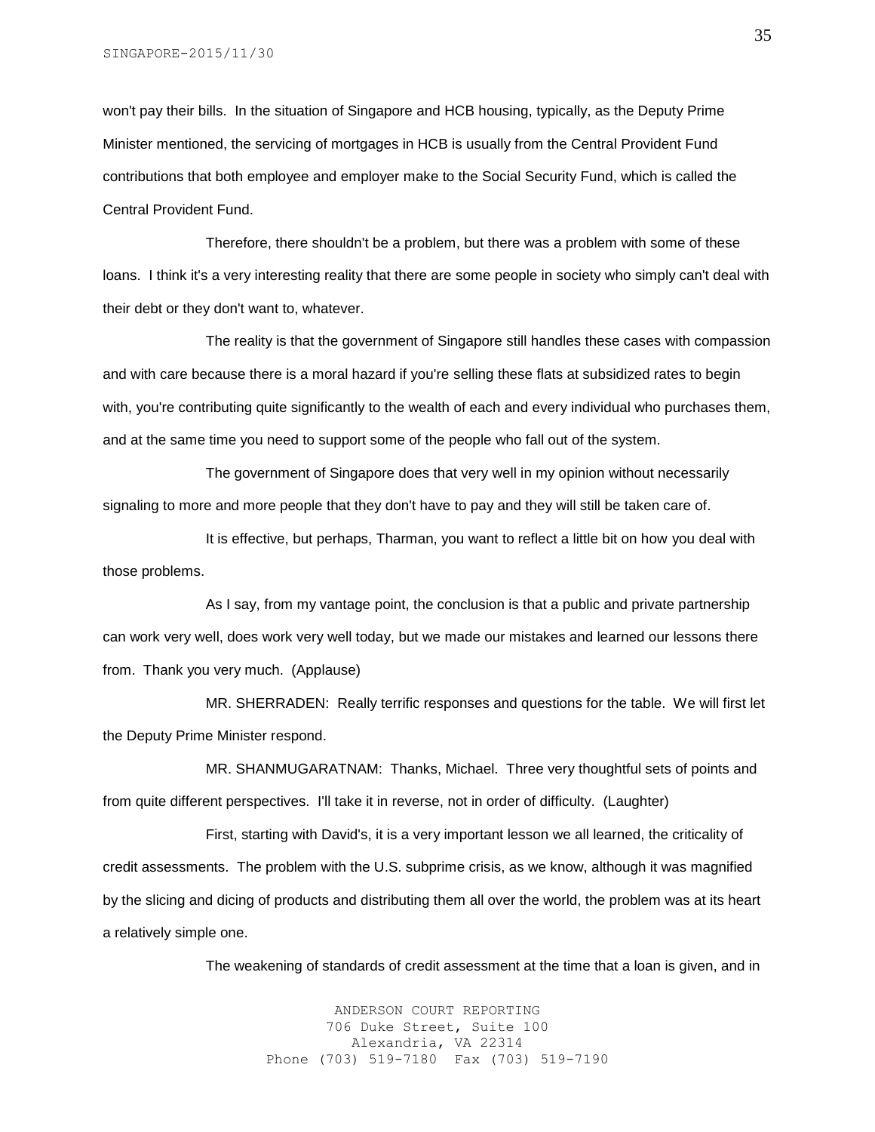won't pay their bills. In the situation of Singapore and HCB housing, typically, as the Deputy Prime Minister mentioned, the servicing of mortgages in HCB is usually from the Central Provident Fund contributions that both employee and employer make to the Social Security Fund, which is called the Central Provident Fund.

Therefore, there shouldn't be a problem, but there was a problem with some of these loans. I think it's a very interesting reality that there are some people in society who simply can't deal with their debt or they don't want to, whatever.

The reality is that the government of Singapore still handles these cases with compassion and with care because there is a moral hazard if you're selling these flats at subsidized rates to begin with, you're contributing quite significantly to the wealth of each and every individual who purchases them, and at the same time you need to support some of the people who fall out of the system.

The government of Singapore does that very well in my opinion without necessarily signaling to more and more people that they don't have to pay and they will still be taken care of.

It is effective, but perhaps, Tharman, you want to reflect a little bit on how you deal with those problems.

As I say, from my vantage point, the conclusion is that a public and private partnership can work very well, does work very well today, but we made our mistakes and learned our lessons there from. Thank you very much. (Applause)

MR. SHERRADEN: Really terrific responses and questions for the table. We will first let the Deputy Prime Minister respond.

MR. SHANMUGARATNAM: Thanks, Michael. Three very thoughtful sets of points and from quite different perspectives. I'll take it in reverse, not in order of difficulty. (Laughter)

First, starting with David's, it is a very important lesson we all learned, the criticality of credit assessments. The problem with the U.S. subprime crisis, as we know, although it was magnified by the slicing and dicing of products and distributing them all over the world, the problem was at its heart a relatively simple one.

The weakening of standards of credit assessment at the time that a loan is given, and in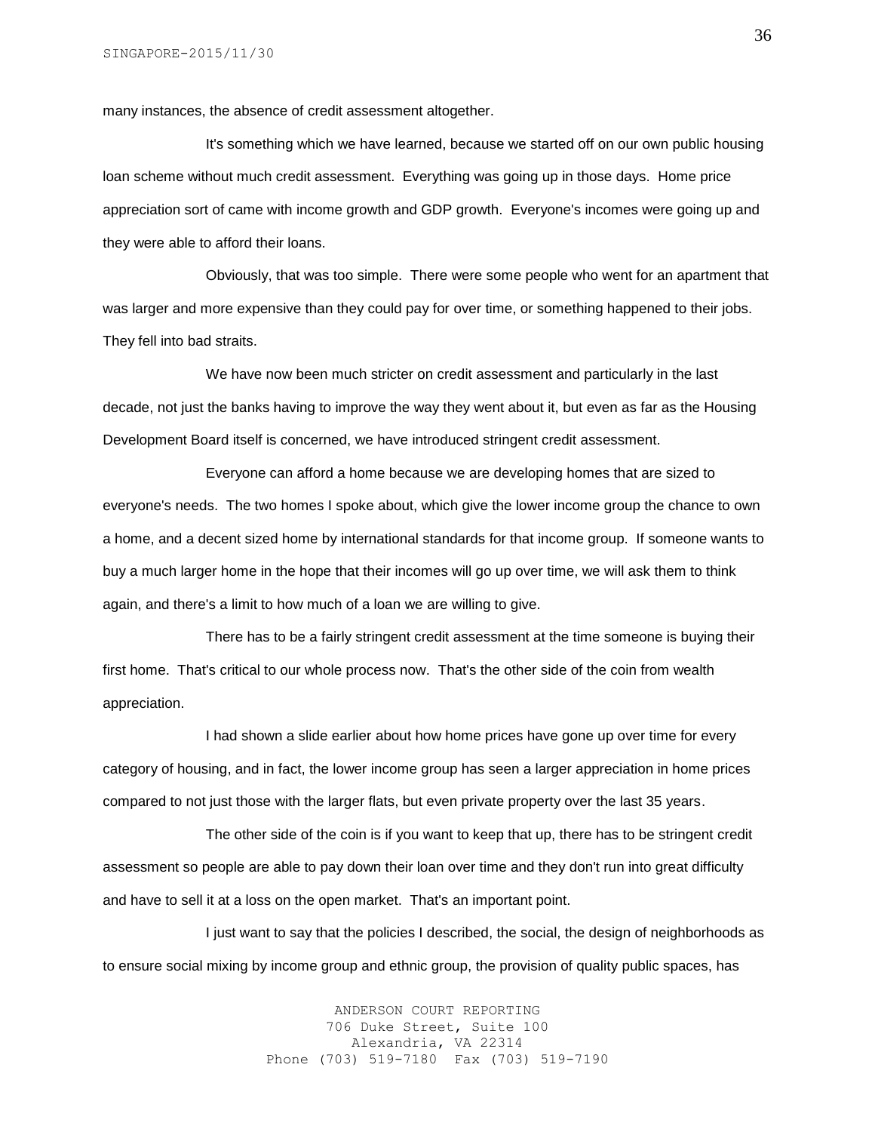many instances, the absence of credit assessment altogether.

It's something which we have learned, because we started off on our own public housing loan scheme without much credit assessment. Everything was going up in those days. Home price appreciation sort of came with income growth and GDP growth. Everyone's incomes were going up and they were able to afford their loans.

Obviously, that was too simple. There were some people who went for an apartment that was larger and more expensive than they could pay for over time, or something happened to their jobs. They fell into bad straits.

We have now been much stricter on credit assessment and particularly in the last decade, not just the banks having to improve the way they went about it, but even as far as the Housing Development Board itself is concerned, we have introduced stringent credit assessment.

Everyone can afford a home because we are developing homes that are sized to everyone's needs. The two homes I spoke about, which give the lower income group the chance to own a home, and a decent sized home by international standards for that income group. If someone wants to buy a much larger home in the hope that their incomes will go up over time, we will ask them to think again, and there's a limit to how much of a loan we are willing to give.

There has to be a fairly stringent credit assessment at the time someone is buying their first home. That's critical to our whole process now. That's the other side of the coin from wealth appreciation.

I had shown a slide earlier about how home prices have gone up over time for every category of housing, and in fact, the lower income group has seen a larger appreciation in home prices compared to not just those with the larger flats, but even private property over the last 35 years.

The other side of the coin is if you want to keep that up, there has to be stringent credit assessment so people are able to pay down their loan over time and they don't run into great difficulty and have to sell it at a loss on the open market. That's an important point.

I just want to say that the policies I described, the social, the design of neighborhoods as to ensure social mixing by income group and ethnic group, the provision of quality public spaces, has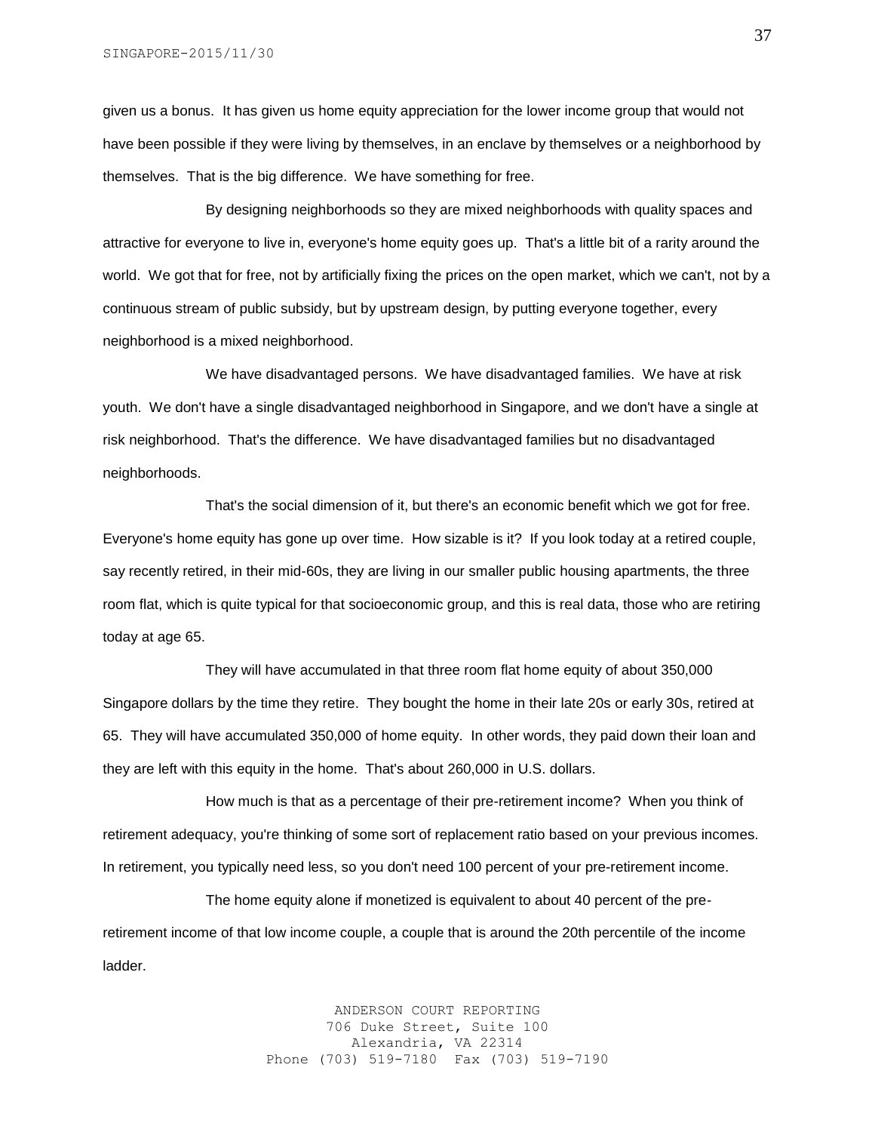given us a bonus. It has given us home equity appreciation for the lower income group that would not have been possible if they were living by themselves, in an enclave by themselves or a neighborhood by themselves. That is the big difference. We have something for free.

By designing neighborhoods so they are mixed neighborhoods with quality spaces and attractive for everyone to live in, everyone's home equity goes up. That's a little bit of a rarity around the world. We got that for free, not by artificially fixing the prices on the open market, which we can't, not by a continuous stream of public subsidy, but by upstream design, by putting everyone together, every neighborhood is a mixed neighborhood.

We have disadvantaged persons. We have disadvantaged families. We have at risk youth. We don't have a single disadvantaged neighborhood in Singapore, and we don't have a single at risk neighborhood. That's the difference. We have disadvantaged families but no disadvantaged neighborhoods.

That's the social dimension of it, but there's an economic benefit which we got for free. Everyone's home equity has gone up over time. How sizable is it? If you look today at a retired couple, say recently retired, in their mid-60s, they are living in our smaller public housing apartments, the three room flat, which is quite typical for that socioeconomic group, and this is real data, those who are retiring today at age 65.

They will have accumulated in that three room flat home equity of about 350,000 Singapore dollars by the time they retire. They bought the home in their late 20s or early 30s, retired at 65. They will have accumulated 350,000 of home equity. In other words, they paid down their loan and they are left with this equity in the home. That's about 260,000 in U.S. dollars.

How much is that as a percentage of their pre-retirement income? When you think of retirement adequacy, you're thinking of some sort of replacement ratio based on your previous incomes. In retirement, you typically need less, so you don't need 100 percent of your pre-retirement income.

The home equity alone if monetized is equivalent to about 40 percent of the preretirement income of that low income couple, a couple that is around the 20th percentile of the income ladder.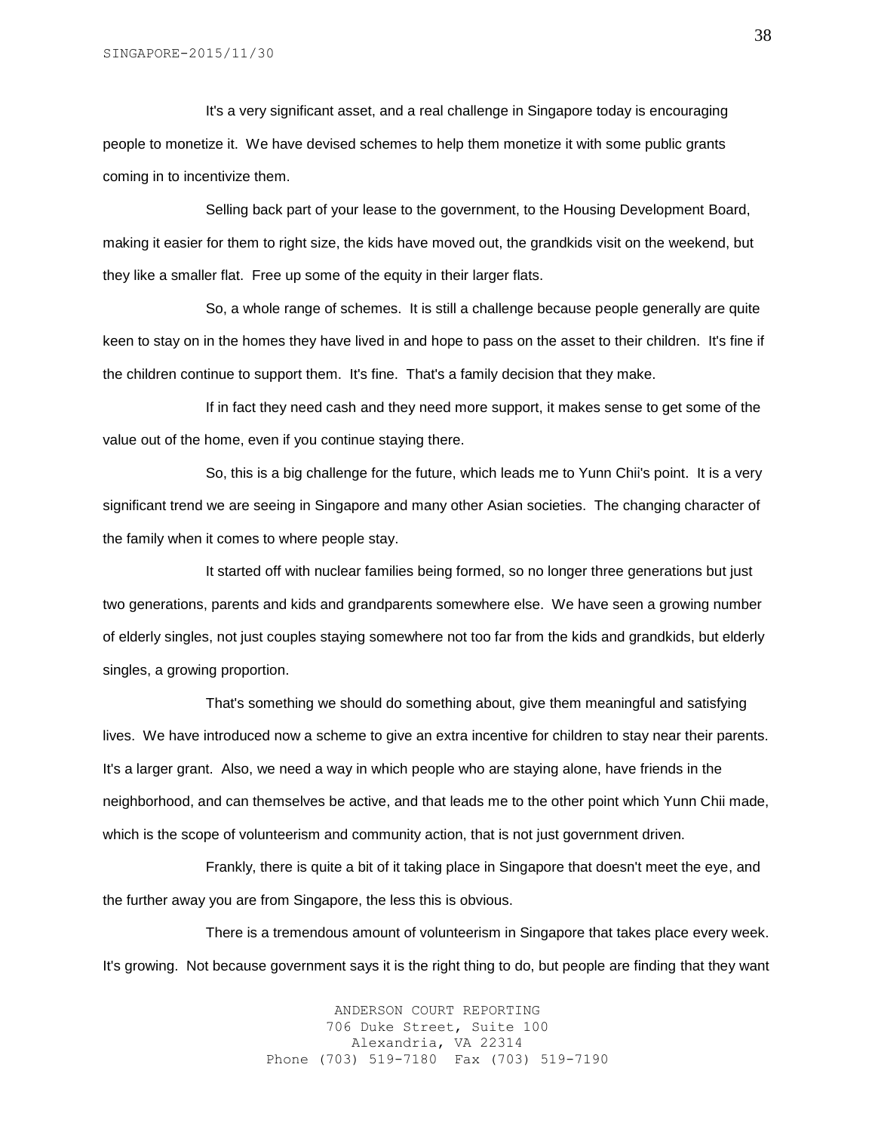It's a very significant asset, and a real challenge in Singapore today is encouraging people to monetize it. We have devised schemes to help them monetize it with some public grants coming in to incentivize them.

Selling back part of your lease to the government, to the Housing Development Board, making it easier for them to right size, the kids have moved out, the grandkids visit on the weekend, but they like a smaller flat. Free up some of the equity in their larger flats.

So, a whole range of schemes. It is still a challenge because people generally are quite keen to stay on in the homes they have lived in and hope to pass on the asset to their children. It's fine if the children continue to support them. It's fine. That's a family decision that they make.

If in fact they need cash and they need more support, it makes sense to get some of the value out of the home, even if you continue staying there.

So, this is a big challenge for the future, which leads me to Yunn Chii's point. It is a very significant trend we are seeing in Singapore and many other Asian societies. The changing character of the family when it comes to where people stay.

It started off with nuclear families being formed, so no longer three generations but just two generations, parents and kids and grandparents somewhere else. We have seen a growing number of elderly singles, not just couples staying somewhere not too far from the kids and grandkids, but elderly singles, a growing proportion.

That's something we should do something about, give them meaningful and satisfying lives. We have introduced now a scheme to give an extra incentive for children to stay near their parents. It's a larger grant. Also, we need a way in which people who are staying alone, have friends in the neighborhood, and can themselves be active, and that leads me to the other point which Yunn Chii made, which is the scope of volunteerism and community action, that is not just government driven.

Frankly, there is quite a bit of it taking place in Singapore that doesn't meet the eye, and the further away you are from Singapore, the less this is obvious.

There is a tremendous amount of volunteerism in Singapore that takes place every week. It's growing. Not because government says it is the right thing to do, but people are finding that they want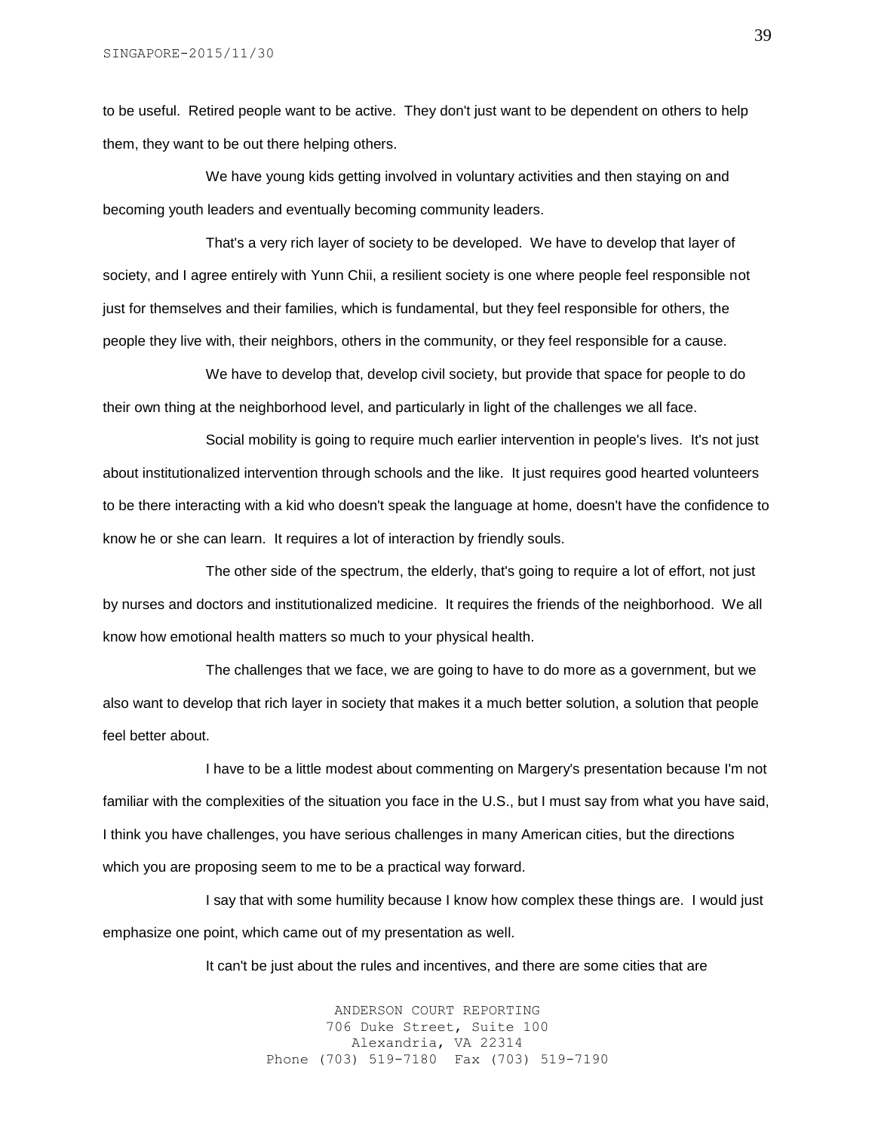to be useful. Retired people want to be active. They don't just want to be dependent on others to help them, they want to be out there helping others.

We have young kids getting involved in voluntary activities and then staying on and becoming youth leaders and eventually becoming community leaders.

That's a very rich layer of society to be developed. We have to develop that layer of society, and I agree entirely with Yunn Chii, a resilient society is one where people feel responsible not just for themselves and their families, which is fundamental, but they feel responsible for others, the people they live with, their neighbors, others in the community, or they feel responsible for a cause.

We have to develop that, develop civil society, but provide that space for people to do their own thing at the neighborhood level, and particularly in light of the challenges we all face.

Social mobility is going to require much earlier intervention in people's lives. It's not just about institutionalized intervention through schools and the like. It just requires good hearted volunteers to be there interacting with a kid who doesn't speak the language at home, doesn't have the confidence to know he or she can learn. It requires a lot of interaction by friendly souls.

The other side of the spectrum, the elderly, that's going to require a lot of effort, not just by nurses and doctors and institutionalized medicine. It requires the friends of the neighborhood. We all know how emotional health matters so much to your physical health.

The challenges that we face, we are going to have to do more as a government, but we also want to develop that rich layer in society that makes it a much better solution, a solution that people feel better about.

I have to be a little modest about commenting on Margery's presentation because I'm not familiar with the complexities of the situation you face in the U.S., but I must say from what you have said, I think you have challenges, you have serious challenges in many American cities, but the directions which you are proposing seem to me to be a practical way forward.

I say that with some humility because I know how complex these things are. I would just emphasize one point, which came out of my presentation as well.

It can't be just about the rules and incentives, and there are some cities that are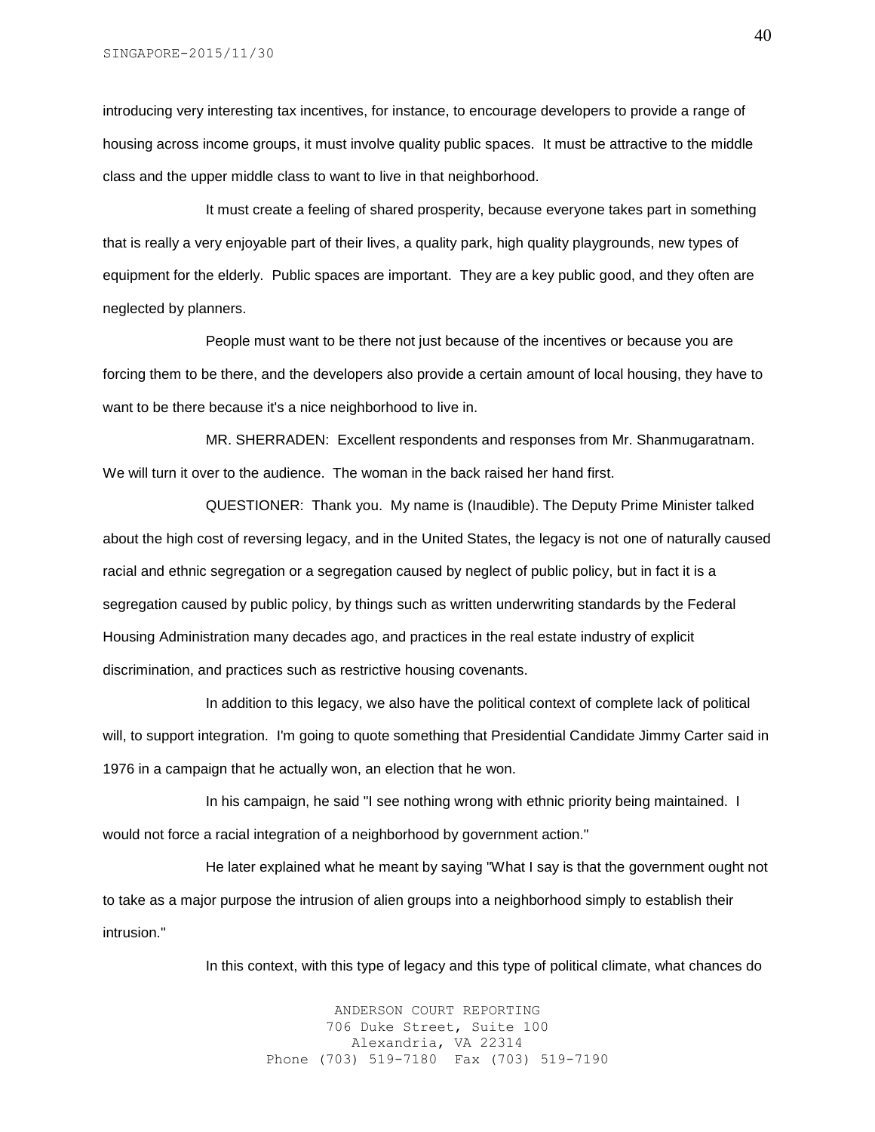introducing very interesting tax incentives, for instance, to encourage developers to provide a range of housing across income groups, it must involve quality public spaces. It must be attractive to the middle class and the upper middle class to want to live in that neighborhood.

It must create a feeling of shared prosperity, because everyone takes part in something that is really a very enjoyable part of their lives, a quality park, high quality playgrounds, new types of equipment for the elderly. Public spaces are important. They are a key public good, and they often are neglected by planners.

People must want to be there not just because of the incentives or because you are forcing them to be there, and the developers also provide a certain amount of local housing, they have to want to be there because it's a nice neighborhood to live in.

MR. SHERRADEN: Excellent respondents and responses from Mr. Shanmugaratnam. We will turn it over to the audience. The woman in the back raised her hand first.

QUESTIONER: Thank you. My name is (Inaudible). The Deputy Prime Minister talked about the high cost of reversing legacy, and in the United States, the legacy is not one of naturally caused racial and ethnic segregation or a segregation caused by neglect of public policy, but in fact it is a segregation caused by public policy, by things such as written underwriting standards by the Federal Housing Administration many decades ago, and practices in the real estate industry of explicit discrimination, and practices such as restrictive housing covenants.

In addition to this legacy, we also have the political context of complete lack of political will, to support integration. I'm going to quote something that Presidential Candidate Jimmy Carter said in 1976 in a campaign that he actually won, an election that he won.

In his campaign, he said "I see nothing wrong with ethnic priority being maintained. I would not force a racial integration of a neighborhood by government action."

He later explained what he meant by saying "What I say is that the government ought not to take as a major purpose the intrusion of alien groups into a neighborhood simply to establish their intrusion."

In this context, with this type of legacy and this type of political climate, what chances do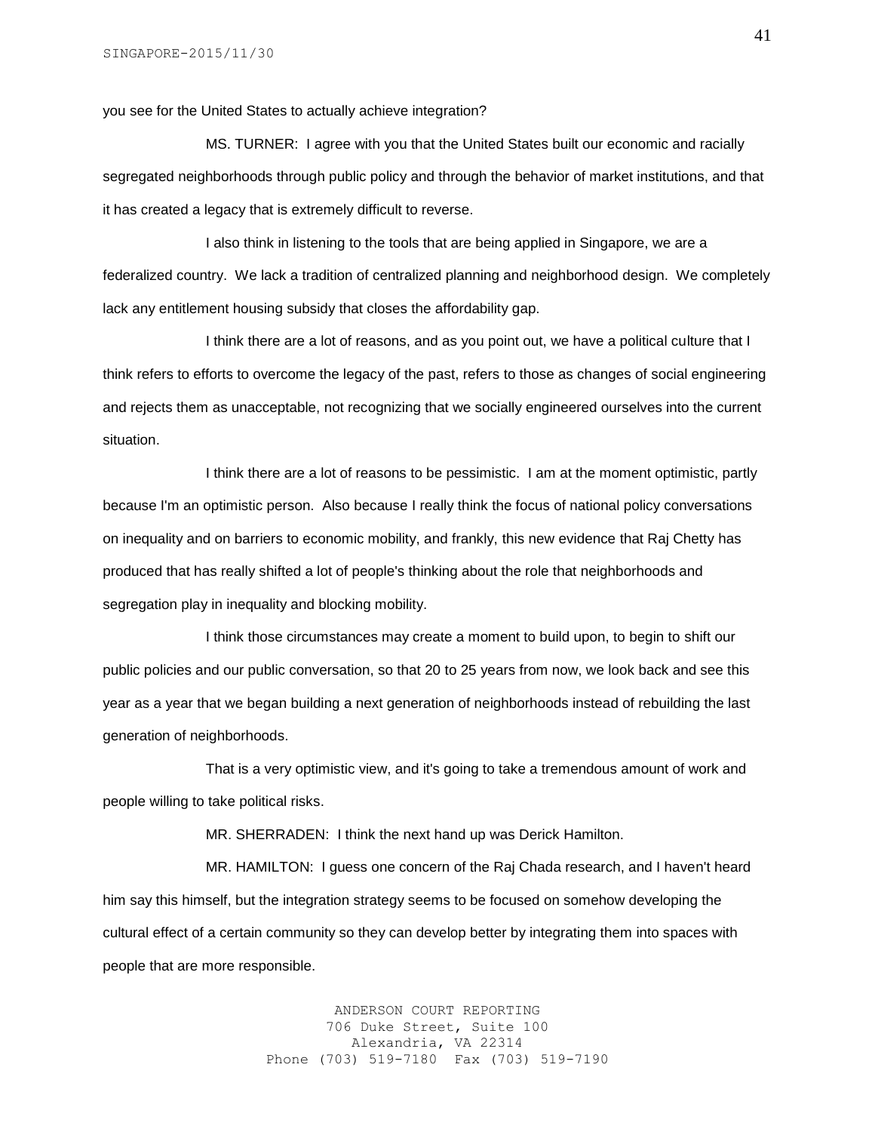you see for the United States to actually achieve integration?

MS. TURNER: I agree with you that the United States built our economic and racially segregated neighborhoods through public policy and through the behavior of market institutions, and that it has created a legacy that is extremely difficult to reverse.

I also think in listening to the tools that are being applied in Singapore, we are a federalized country. We lack a tradition of centralized planning and neighborhood design. We completely lack any entitlement housing subsidy that closes the affordability gap.

I think there are a lot of reasons, and as you point out, we have a political culture that I think refers to efforts to overcome the legacy of the past, refers to those as changes of social engineering and rejects them as unacceptable, not recognizing that we socially engineered ourselves into the current situation.

I think there are a lot of reasons to be pessimistic. I am at the moment optimistic, partly because I'm an optimistic person. Also because I really think the focus of national policy conversations on inequality and on barriers to economic mobility, and frankly, this new evidence that Raj Chetty has produced that has really shifted a lot of people's thinking about the role that neighborhoods and segregation play in inequality and blocking mobility.

I think those circumstances may create a moment to build upon, to begin to shift our public policies and our public conversation, so that 20 to 25 years from now, we look back and see this year as a year that we began building a next generation of neighborhoods instead of rebuilding the last generation of neighborhoods.

That is a very optimistic view, and it's going to take a tremendous amount of work and people willing to take political risks.

MR. SHERRADEN: I think the next hand up was Derick Hamilton.

MR. HAMILTON: I guess one concern of the Raj Chada research, and I haven't heard him say this himself, but the integration strategy seems to be focused on somehow developing the cultural effect of a certain community so they can develop better by integrating them into spaces with people that are more responsible.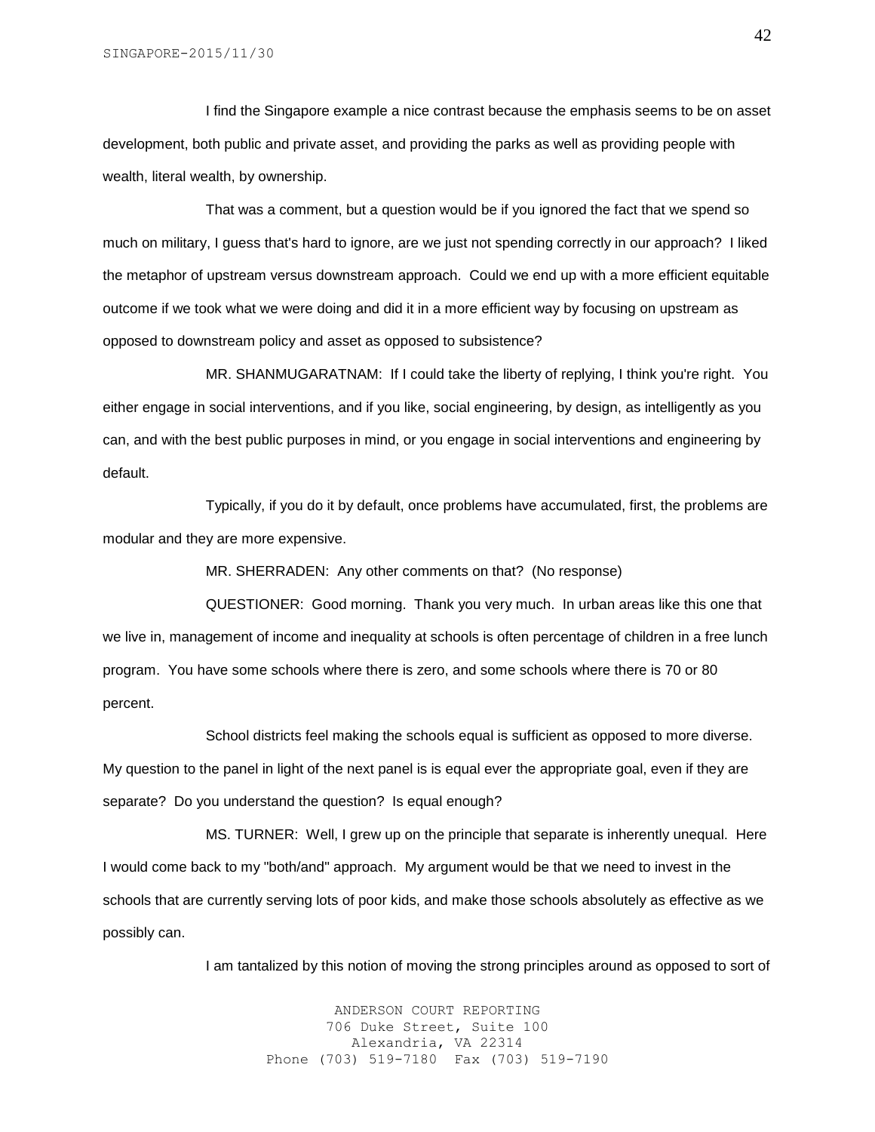I find the Singapore example a nice contrast because the emphasis seems to be on asset development, both public and private asset, and providing the parks as well as providing people with wealth, literal wealth, by ownership.

That was a comment, but a question would be if you ignored the fact that we spend so much on military, I guess that's hard to ignore, are we just not spending correctly in our approach? I liked the metaphor of upstream versus downstream approach. Could we end up with a more efficient equitable outcome if we took what we were doing and did it in a more efficient way by focusing on upstream as opposed to downstream policy and asset as opposed to subsistence?

MR. SHANMUGARATNAM: If I could take the liberty of replying, I think you're right. You either engage in social interventions, and if you like, social engineering, by design, as intelligently as you can, and with the best public purposes in mind, or you engage in social interventions and engineering by default.

Typically, if you do it by default, once problems have accumulated, first, the problems are modular and they are more expensive.

MR. SHERRADEN: Any other comments on that? (No response)

QUESTIONER: Good morning. Thank you very much. In urban areas like this one that we live in, management of income and inequality at schools is often percentage of children in a free lunch program. You have some schools where there is zero, and some schools where there is 70 or 80 percent.

School districts feel making the schools equal is sufficient as opposed to more diverse. My question to the panel in light of the next panel is is equal ever the appropriate goal, even if they are separate? Do you understand the question? Is equal enough?

MS. TURNER: Well, I grew up on the principle that separate is inherently unequal. Here I would come back to my "both/and" approach. My argument would be that we need to invest in the schools that are currently serving lots of poor kids, and make those schools absolutely as effective as we possibly can.

I am tantalized by this notion of moving the strong principles around as opposed to sort of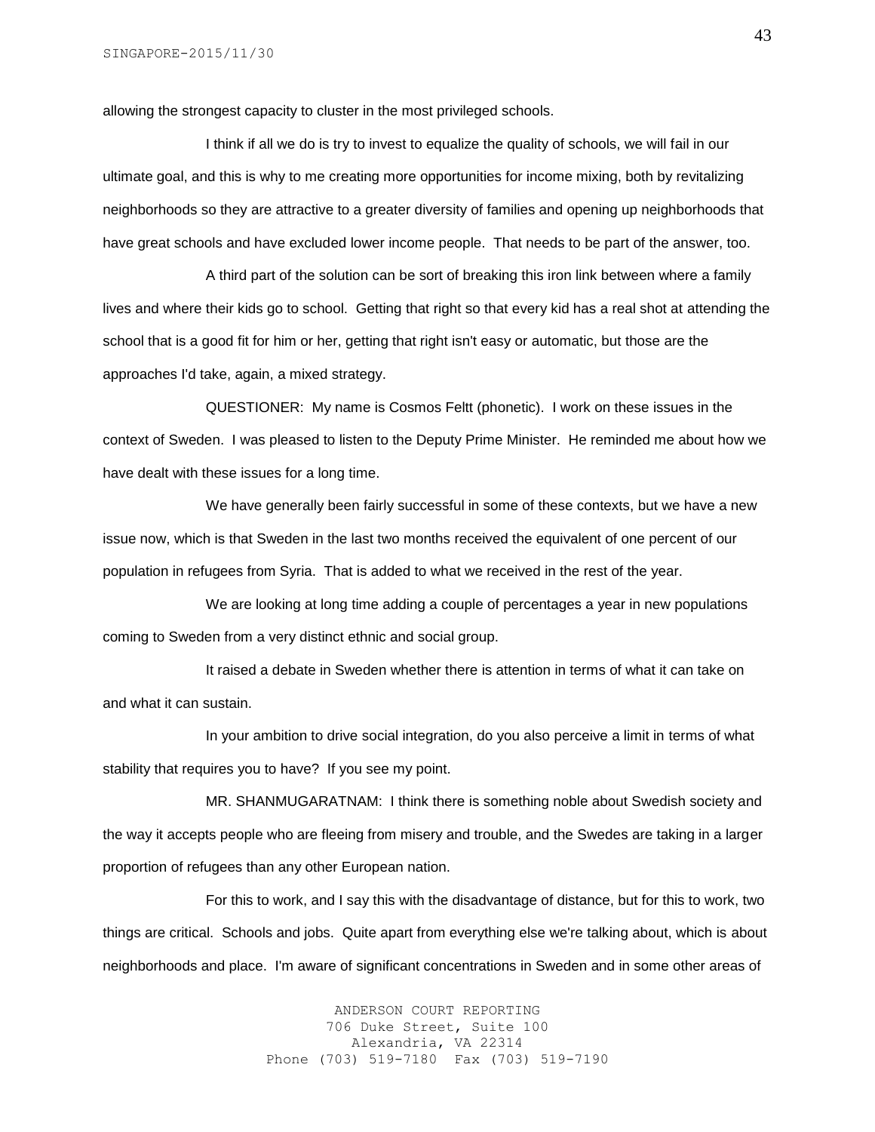allowing the strongest capacity to cluster in the most privileged schools.

I think if all we do is try to invest to equalize the quality of schools, we will fail in our ultimate goal, and this is why to me creating more opportunities for income mixing, both by revitalizing neighborhoods so they are attractive to a greater diversity of families and opening up neighborhoods that have great schools and have excluded lower income people. That needs to be part of the answer, too.

A third part of the solution can be sort of breaking this iron link between where a family lives and where their kids go to school. Getting that right so that every kid has a real shot at attending the school that is a good fit for him or her, getting that right isn't easy or automatic, but those are the approaches I'd take, again, a mixed strategy.

QUESTIONER: My name is Cosmos Feltt (phonetic). I work on these issues in the context of Sweden. I was pleased to listen to the Deputy Prime Minister. He reminded me about how we have dealt with these issues for a long time.

We have generally been fairly successful in some of these contexts, but we have a new issue now, which is that Sweden in the last two months received the equivalent of one percent of our population in refugees from Syria. That is added to what we received in the rest of the year.

We are looking at long time adding a couple of percentages a year in new populations coming to Sweden from a very distinct ethnic and social group.

It raised a debate in Sweden whether there is attention in terms of what it can take on and what it can sustain.

In your ambition to drive social integration, do you also perceive a limit in terms of what stability that requires you to have? If you see my point.

MR. SHANMUGARATNAM: I think there is something noble about Swedish society and the way it accepts people who are fleeing from misery and trouble, and the Swedes are taking in a larger proportion of refugees than any other European nation.

For this to work, and I say this with the disadvantage of distance, but for this to work, two things are critical. Schools and jobs. Quite apart from everything else we're talking about, which is about neighborhoods and place. I'm aware of significant concentrations in Sweden and in some other areas of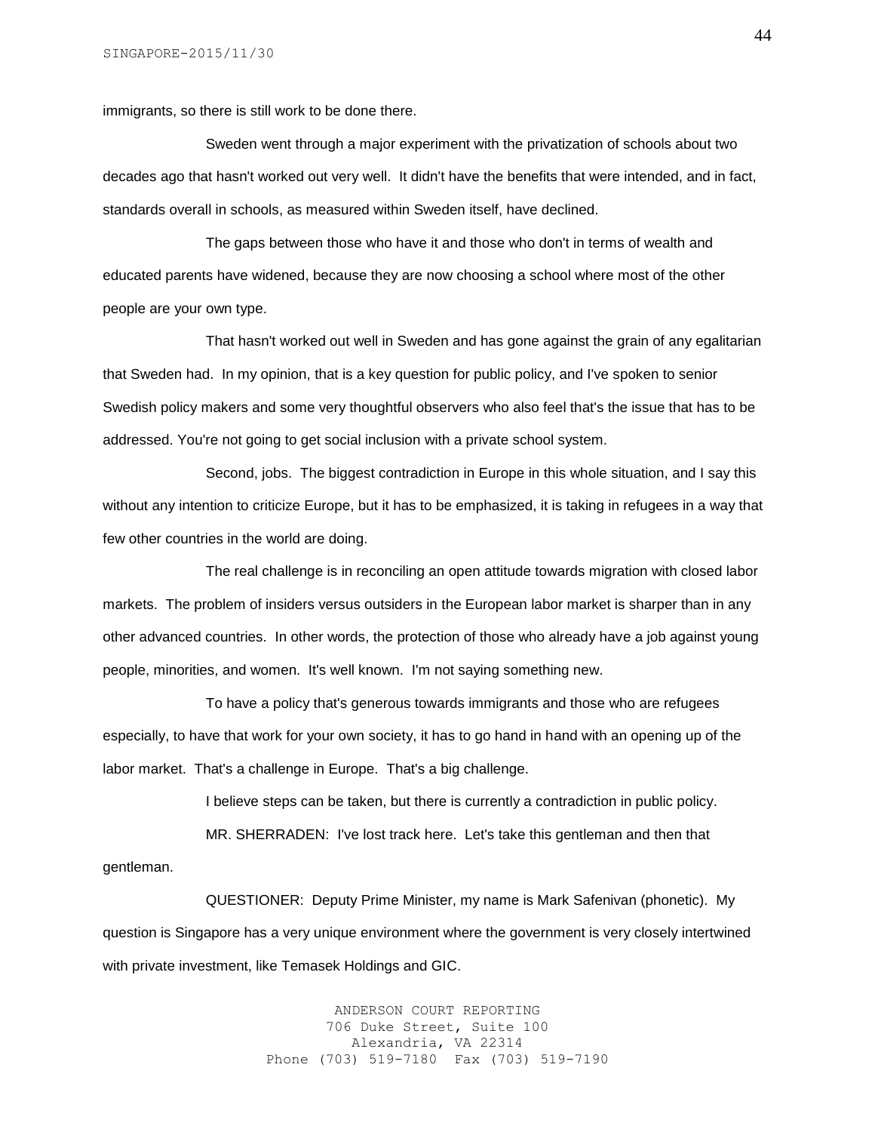immigrants, so there is still work to be done there.

Sweden went through a major experiment with the privatization of schools about two decades ago that hasn't worked out very well. It didn't have the benefits that were intended, and in fact, standards overall in schools, as measured within Sweden itself, have declined.

The gaps between those who have it and those who don't in terms of wealth and educated parents have widened, because they are now choosing a school where most of the other people are your own type.

That hasn't worked out well in Sweden and has gone against the grain of any egalitarian that Sweden had. In my opinion, that is a key question for public policy, and I've spoken to senior Swedish policy makers and some very thoughtful observers who also feel that's the issue that has to be addressed. You're not going to get social inclusion with a private school system.

Second, jobs. The biggest contradiction in Europe in this whole situation, and I say this without any intention to criticize Europe, but it has to be emphasized, it is taking in refugees in a way that few other countries in the world are doing.

The real challenge is in reconciling an open attitude towards migration with closed labor markets. The problem of insiders versus outsiders in the European labor market is sharper than in any other advanced countries. In other words, the protection of those who already have a job against young people, minorities, and women. It's well known. I'm not saying something new.

To have a policy that's generous towards immigrants and those who are refugees especially, to have that work for your own society, it has to go hand in hand with an opening up of the labor market. That's a challenge in Europe. That's a big challenge.

I believe steps can be taken, but there is currently a contradiction in public policy.

MR. SHERRADEN: I've lost track here. Let's take this gentleman and then that

gentleman.

QUESTIONER: Deputy Prime Minister, my name is Mark Safenivan (phonetic). My question is Singapore has a very unique environment where the government is very closely intertwined with private investment, like Temasek Holdings and GIC.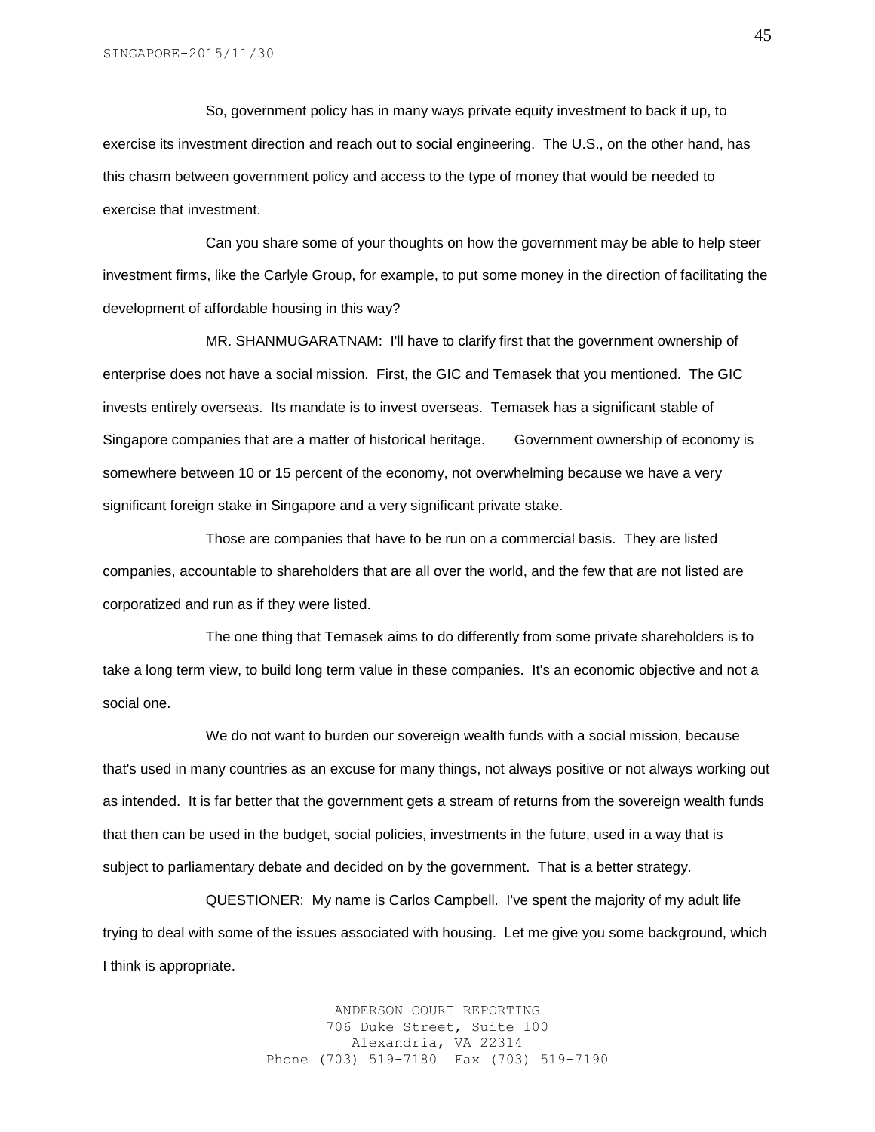So, government policy has in many ways private equity investment to back it up, to exercise its investment direction and reach out to social engineering. The U.S., on the other hand, has this chasm between government policy and access to the type of money that would be needed to exercise that investment.

Can you share some of your thoughts on how the government may be able to help steer investment firms, like the Carlyle Group, for example, to put some money in the direction of facilitating the development of affordable housing in this way?

MR. SHANMUGARATNAM: I'll have to clarify first that the government ownership of enterprise does not have a social mission. First, the GIC and Temasek that you mentioned. The GIC invests entirely overseas. Its mandate is to invest overseas. Temasek has a significant stable of Singapore companies that are a matter of historical heritage. Government ownership of economy is somewhere between 10 or 15 percent of the economy, not overwhelming because we have a very significant foreign stake in Singapore and a very significant private stake.

Those are companies that have to be run on a commercial basis. They are listed companies, accountable to shareholders that are all over the world, and the few that are not listed are corporatized and run as if they were listed.

The one thing that Temasek aims to do differently from some private shareholders is to take a long term view, to build long term value in these companies. It's an economic objective and not a social one.

We do not want to burden our sovereign wealth funds with a social mission, because that's used in many countries as an excuse for many things, not always positive or not always working out as intended. It is far better that the government gets a stream of returns from the sovereign wealth funds that then can be used in the budget, social policies, investments in the future, used in a way that is subject to parliamentary debate and decided on by the government. That is a better strategy.

QUESTIONER: My name is Carlos Campbell. I've spent the majority of my adult life trying to deal with some of the issues associated with housing. Let me give you some background, which I think is appropriate.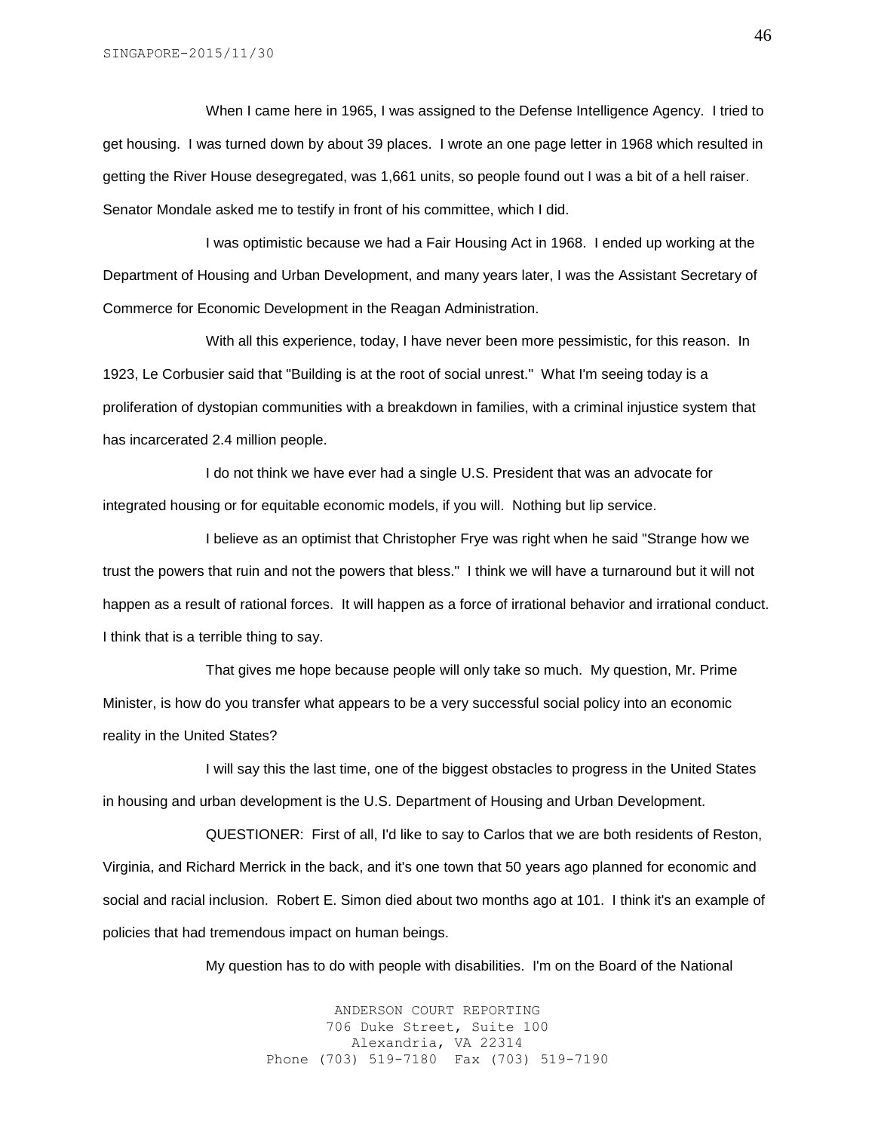When I came here in 1965, I was assigned to the Defense Intelligence Agency. I tried to get housing. I was turned down by about 39 places. I wrote an one page letter in 1968 which resulted in getting the River House desegregated, was 1,661 units, so people found out I was a bit of a hell raiser. Senator Mondale asked me to testify in front of his committee, which I did.

I was optimistic because we had a Fair Housing Act in 1968. I ended up working at the Department of Housing and Urban Development, and many years later, I was the Assistant Secretary of Commerce for Economic Development in the Reagan Administration.

With all this experience, today, I have never been more pessimistic, for this reason. In 1923, Le Corbusier said that "Building is at the root of social unrest." What I'm seeing today is a proliferation of dystopian communities with a breakdown in families, with a criminal injustice system that has incarcerated 2.4 million people.

I do not think we have ever had a single U.S. President that was an advocate for integrated housing or for equitable economic models, if you will. Nothing but lip service.

I believe as an optimist that Christopher Frye was right when he said "Strange how we trust the powers that ruin and not the powers that bless." I think we will have a turnaround but it will not happen as a result of rational forces. It will happen as a force of irrational behavior and irrational conduct. I think that is a terrible thing to say.

That gives me hope because people will only take so much. My question, Mr. Prime Minister, is how do you transfer what appears to be a very successful social policy into an economic reality in the United States?

I will say this the last time, one of the biggest obstacles to progress in the United States in housing and urban development is the U.S. Department of Housing and Urban Development.

QUESTIONER: First of all, I'd like to say to Carlos that we are both residents of Reston, Virginia, and Richard Merrick in the back, and it's one town that 50 years ago planned for economic and social and racial inclusion. Robert E. Simon died about two months ago at 101. I think it's an example of policies that had tremendous impact on human beings.

My question has to do with people with disabilities. I'm on the Board of the National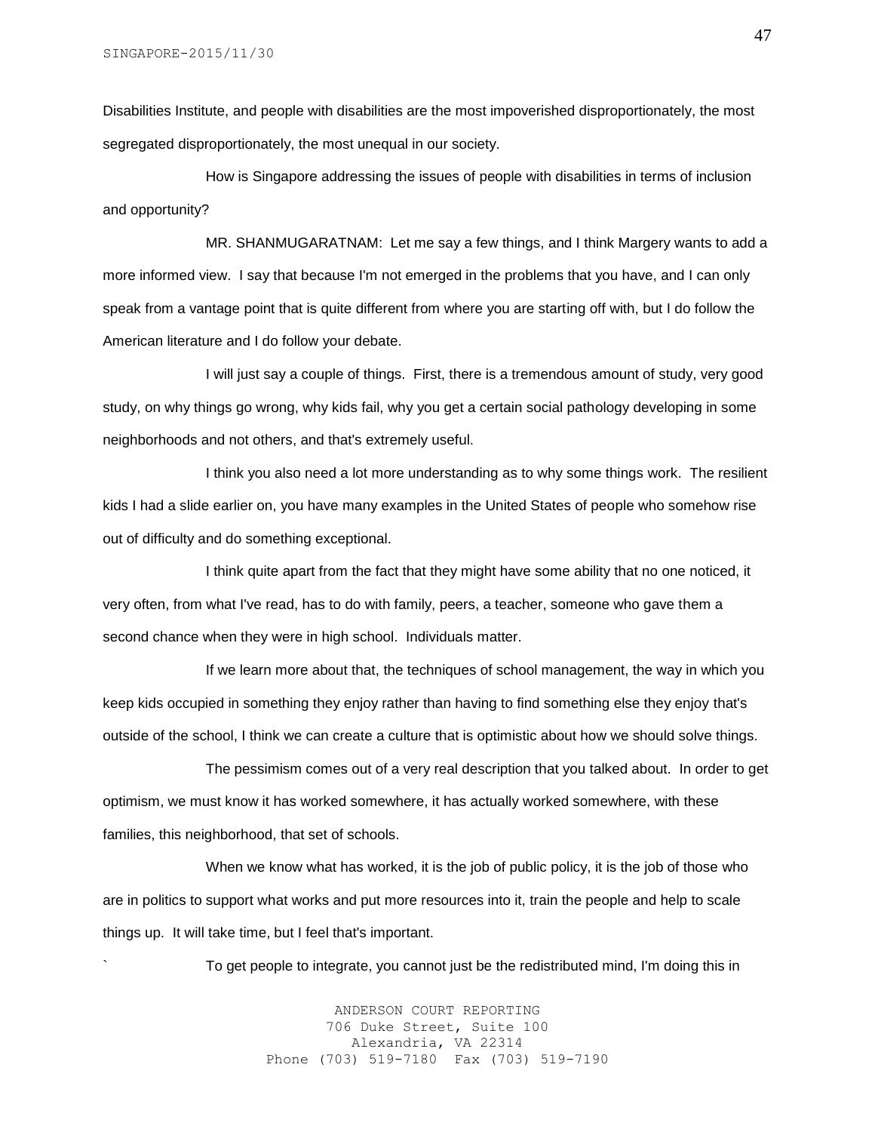Disabilities Institute, and people with disabilities are the most impoverished disproportionately, the most segregated disproportionately, the most unequal in our society.

How is Singapore addressing the issues of people with disabilities in terms of inclusion and opportunity?

MR. SHANMUGARATNAM: Let me say a few things, and I think Margery wants to add a more informed view. I say that because I'm not emerged in the problems that you have, and I can only speak from a vantage point that is quite different from where you are starting off with, but I do follow the American literature and I do follow your debate.

I will just say a couple of things. First, there is a tremendous amount of study, very good study, on why things go wrong, why kids fail, why you get a certain social pathology developing in some neighborhoods and not others, and that's extremely useful.

I think you also need a lot more understanding as to why some things work. The resilient kids I had a slide earlier on, you have many examples in the United States of people who somehow rise out of difficulty and do something exceptional.

I think quite apart from the fact that they might have some ability that no one noticed, it very often, from what I've read, has to do with family, peers, a teacher, someone who gave them a second chance when they were in high school. Individuals matter.

If we learn more about that, the techniques of school management, the way in which you keep kids occupied in something they enjoy rather than having to find something else they enjoy that's outside of the school, I think we can create a culture that is optimistic about how we should solve things.

The pessimism comes out of a very real description that you talked about. In order to get optimism, we must know it has worked somewhere, it has actually worked somewhere, with these families, this neighborhood, that set of schools.

When we know what has worked, it is the job of public policy, it is the job of those who are in politics to support what works and put more resources into it, train the people and help to scale things up. It will take time, but I feel that's important.

` To get people to integrate, you cannot just be the redistributed mind, I'm doing this in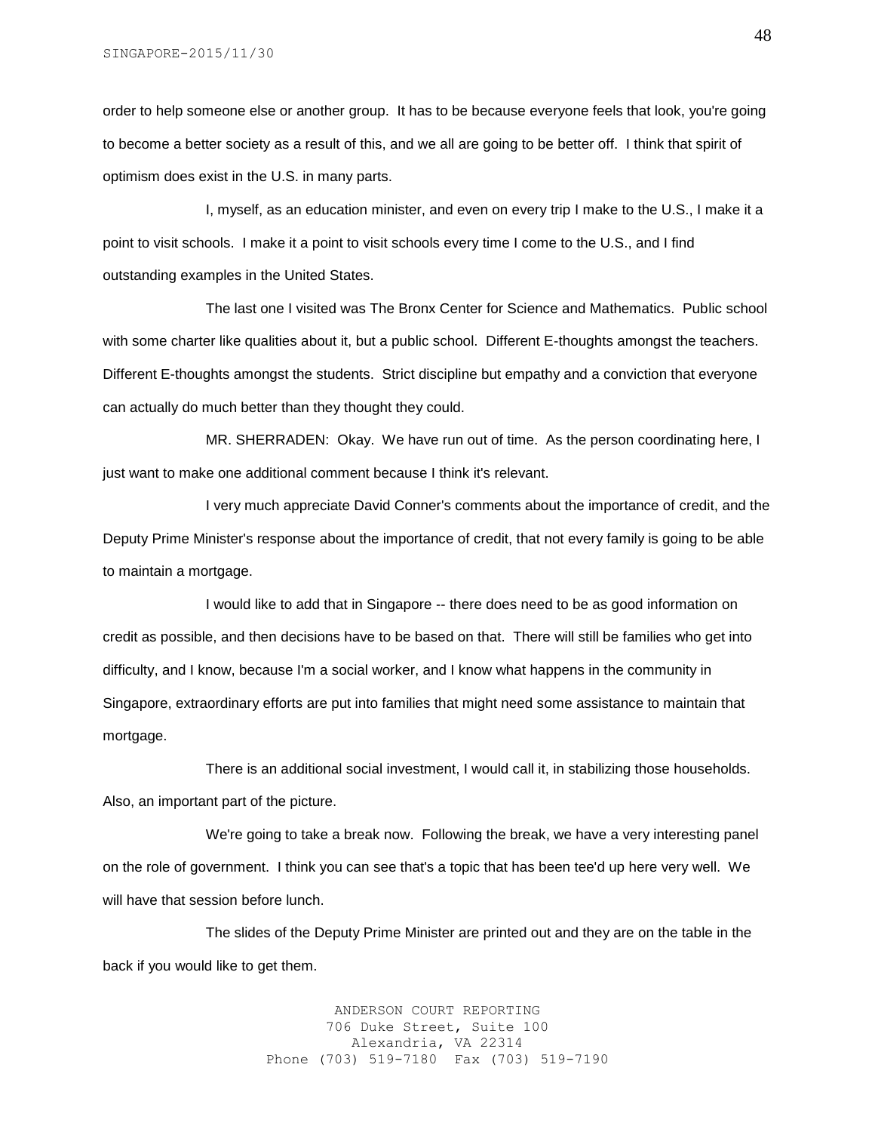order to help someone else or another group. It has to be because everyone feels that look, you're going to become a better society as a result of this, and we all are going to be better off. I think that spirit of optimism does exist in the U.S. in many parts.

I, myself, as an education minister, and even on every trip I make to the U.S., I make it a point to visit schools. I make it a point to visit schools every time I come to the U.S., and I find outstanding examples in the United States.

The last one I visited was The Bronx Center for Science and Mathematics. Public school with some charter like qualities about it, but a public school. Different E-thoughts amongst the teachers. Different E-thoughts amongst the students. Strict discipline but empathy and a conviction that everyone can actually do much better than they thought they could.

MR. SHERRADEN: Okay. We have run out of time. As the person coordinating here, I just want to make one additional comment because I think it's relevant.

I very much appreciate David Conner's comments about the importance of credit, and the Deputy Prime Minister's response about the importance of credit, that not every family is going to be able to maintain a mortgage.

I would like to add that in Singapore -- there does need to be as good information on credit as possible, and then decisions have to be based on that. There will still be families who get into difficulty, and I know, because I'm a social worker, and I know what happens in the community in Singapore, extraordinary efforts are put into families that might need some assistance to maintain that mortgage.

There is an additional social investment, I would call it, in stabilizing those households. Also, an important part of the picture.

We're going to take a break now. Following the break, we have a very interesting panel on the role of government. I think you can see that's a topic that has been tee'd up here very well. We will have that session before lunch.

The slides of the Deputy Prime Minister are printed out and they are on the table in the back if you would like to get them.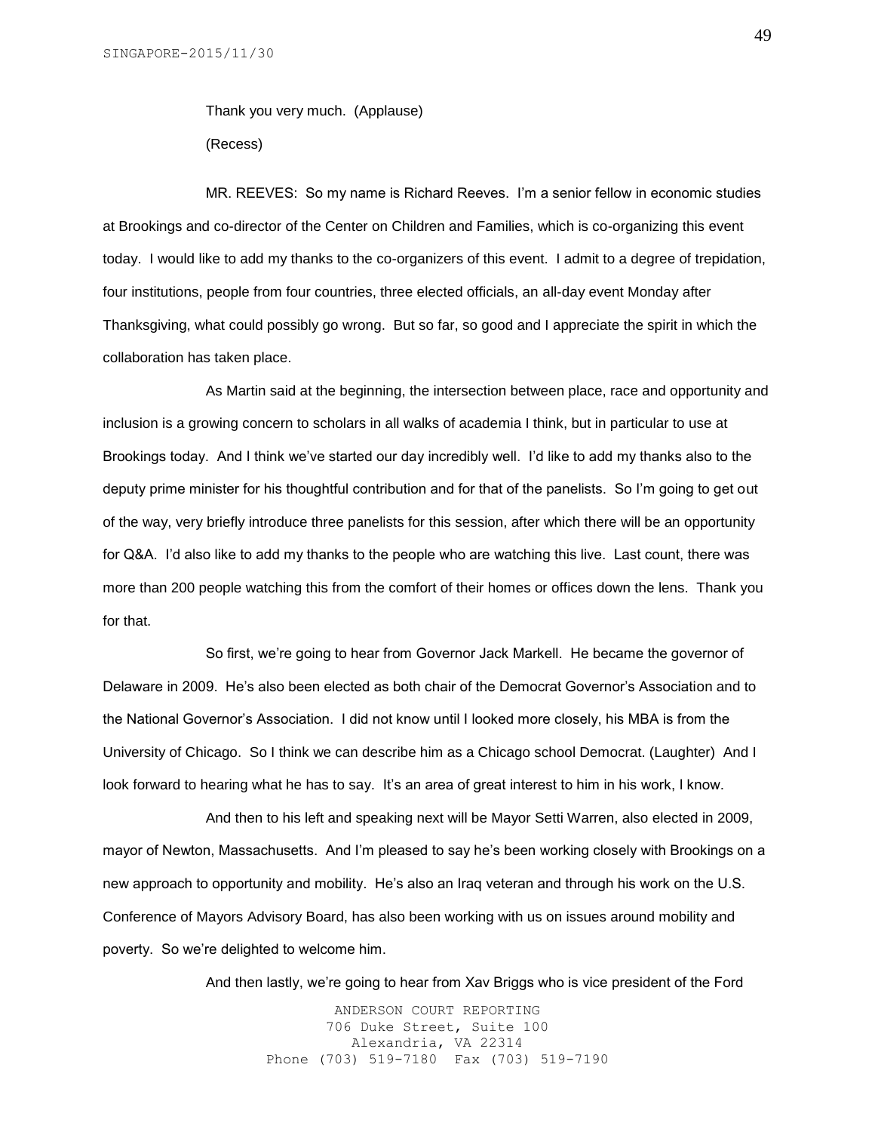Thank you very much. (Applause) (Recess)

MR. REEVES: So my name is Richard Reeves. I'm a senior fellow in economic studies at Brookings and co-director of the Center on Children and Families, which is co-organizing this event today. I would like to add my thanks to the co-organizers of this event. I admit to a degree of trepidation, four institutions, people from four countries, three elected officials, an all-day event Monday after Thanksgiving, what could possibly go wrong. But so far, so good and I appreciate the spirit in which the collaboration has taken place.

As Martin said at the beginning, the intersection between place, race and opportunity and inclusion is a growing concern to scholars in all walks of academia I think, but in particular to use at Brookings today. And I think we've started our day incredibly well. I'd like to add my thanks also to the deputy prime minister for his thoughtful contribution and for that of the panelists. So I'm going to get out of the way, very briefly introduce three panelists for this session, after which there will be an opportunity for Q&A. I'd also like to add my thanks to the people who are watching this live. Last count, there was more than 200 people watching this from the comfort of their homes or offices down the lens. Thank you for that.

So first, we're going to hear from Governor Jack Markell. He became the governor of Delaware in 2009. He's also been elected as both chair of the Democrat Governor's Association and to the National Governor's Association. I did not know until I looked more closely, his MBA is from the University of Chicago. So I think we can describe him as a Chicago school Democrat. (Laughter) And I look forward to hearing what he has to say. It's an area of great interest to him in his work, I know.

And then to his left and speaking next will be Mayor Setti Warren, also elected in 2009, mayor of Newton, Massachusetts. And I'm pleased to say he's been working closely with Brookings on a new approach to opportunity and mobility. He's also an Iraq veteran and through his work on the U.S. Conference of Mayors Advisory Board, has also been working with us on issues around mobility and poverty. So we're delighted to welcome him.

And then lastly, we're going to hear from Xav Briggs who is vice president of the Ford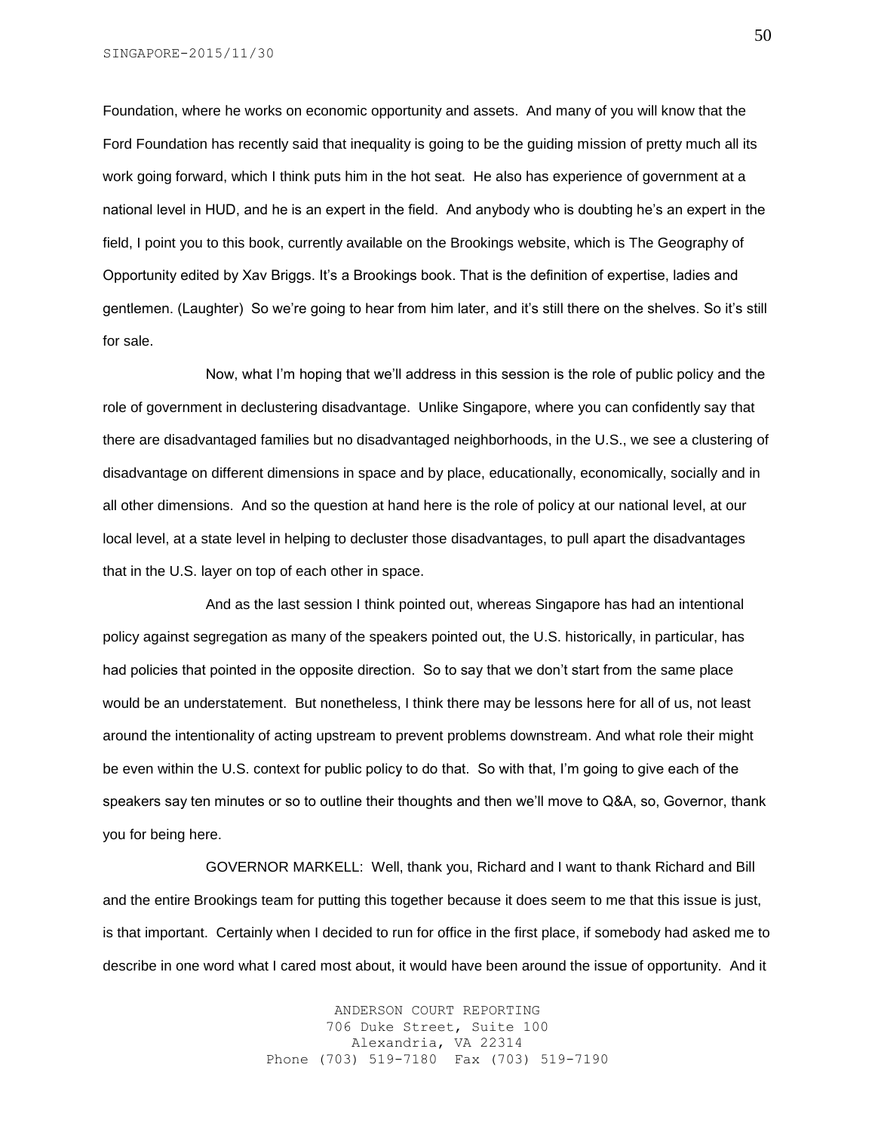Foundation, where he works on economic opportunity and assets. And many of you will know that the Ford Foundation has recently said that inequality is going to be the guiding mission of pretty much all its work going forward, which I think puts him in the hot seat. He also has experience of government at a national level in HUD, and he is an expert in the field. And anybody who is doubting he's an expert in the field, I point you to this book, currently available on the Brookings website, which is The Geography of Opportunity edited by Xav Briggs. It's a Brookings book. That is the definition of expertise, ladies and gentlemen. (Laughter) So we're going to hear from him later, and it's still there on the shelves. So it's still for sale.

Now, what I'm hoping that we'll address in this session is the role of public policy and the role of government in declustering disadvantage. Unlike Singapore, where you can confidently say that there are disadvantaged families but no disadvantaged neighborhoods, in the U.S., we see a clustering of disadvantage on different dimensions in space and by place, educationally, economically, socially and in all other dimensions. And so the question at hand here is the role of policy at our national level, at our local level, at a state level in helping to decluster those disadvantages, to pull apart the disadvantages that in the U.S. layer on top of each other in space.

And as the last session I think pointed out, whereas Singapore has had an intentional policy against segregation as many of the speakers pointed out, the U.S. historically, in particular, has had policies that pointed in the opposite direction. So to say that we don't start from the same place would be an understatement. But nonetheless, I think there may be lessons here for all of us, not least around the intentionality of acting upstream to prevent problems downstream. And what role their might be even within the U.S. context for public policy to do that. So with that, I'm going to give each of the speakers say ten minutes or so to outline their thoughts and then we'll move to Q&A, so, Governor, thank you for being here.

GOVERNOR MARKELL: Well, thank you, Richard and I want to thank Richard and Bill and the entire Brookings team for putting this together because it does seem to me that this issue is just, is that important. Certainly when I decided to run for office in the first place, if somebody had asked me to describe in one word what I cared most about, it would have been around the issue of opportunity. And it

> ANDERSON COURT REPORTING 706 Duke Street, Suite 100 Alexandria, VA 22314 Phone (703) 519-7180 Fax (703) 519-7190

50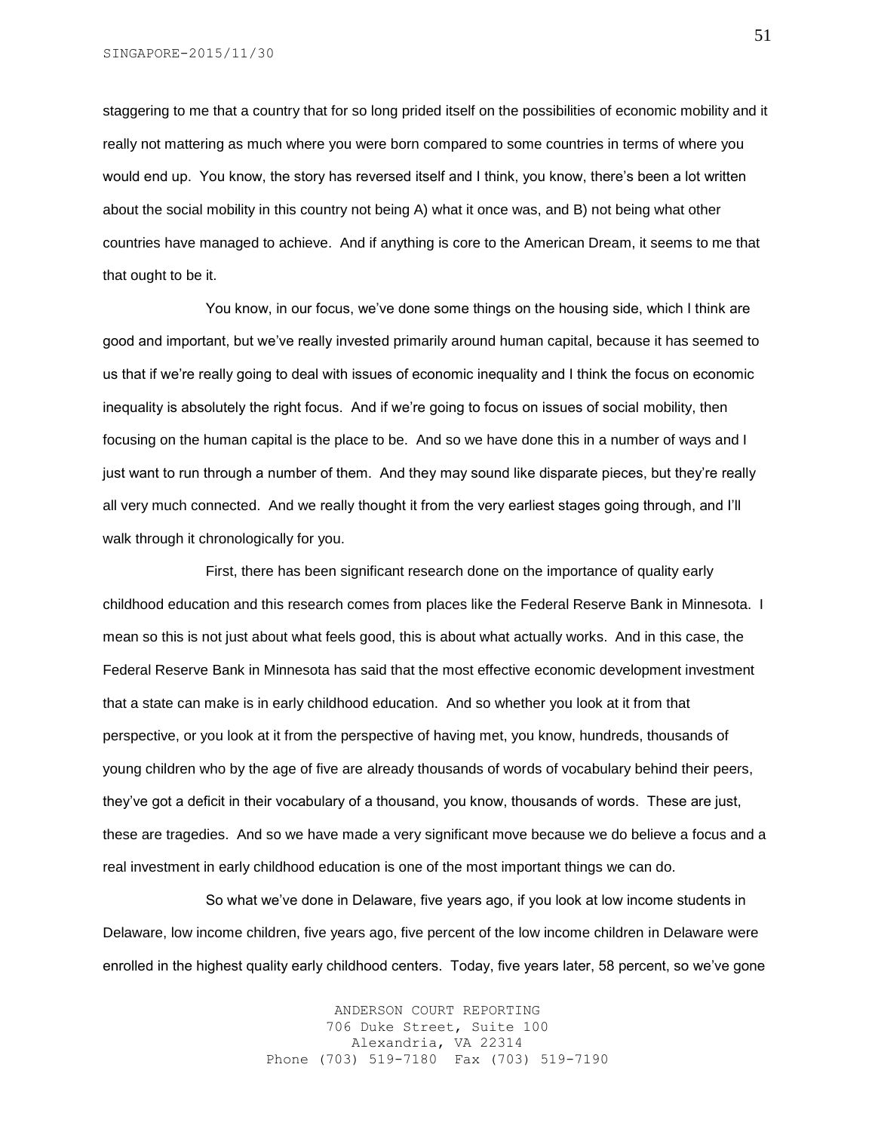staggering to me that a country that for so long prided itself on the possibilities of economic mobility and it really not mattering as much where you were born compared to some countries in terms of where you would end up. You know, the story has reversed itself and I think, you know, there's been a lot written about the social mobility in this country not being A) what it once was, and B) not being what other countries have managed to achieve. And if anything is core to the American Dream, it seems to me that that ought to be it.

You know, in our focus, we've done some things on the housing side, which I think are good and important, but we've really invested primarily around human capital, because it has seemed to us that if we're really going to deal with issues of economic inequality and I think the focus on economic inequality is absolutely the right focus. And if we're going to focus on issues of social mobility, then focusing on the human capital is the place to be. And so we have done this in a number of ways and I just want to run through a number of them. And they may sound like disparate pieces, but they're really all very much connected. And we really thought it from the very earliest stages going through, and I'll walk through it chronologically for you.

First, there has been significant research done on the importance of quality early childhood education and this research comes from places like the Federal Reserve Bank in Minnesota. I mean so this is not just about what feels good, this is about what actually works. And in this case, the Federal Reserve Bank in Minnesota has said that the most effective economic development investment that a state can make is in early childhood education. And so whether you look at it from that perspective, or you look at it from the perspective of having met, you know, hundreds, thousands of young children who by the age of five are already thousands of words of vocabulary behind their peers, they've got a deficit in their vocabulary of a thousand, you know, thousands of words. These are just, these are tragedies. And so we have made a very significant move because we do believe a focus and a real investment in early childhood education is one of the most important things we can do.

So what we've done in Delaware, five years ago, if you look at low income students in Delaware, low income children, five years ago, five percent of the low income children in Delaware were enrolled in the highest quality early childhood centers. Today, five years later, 58 percent, so we've gone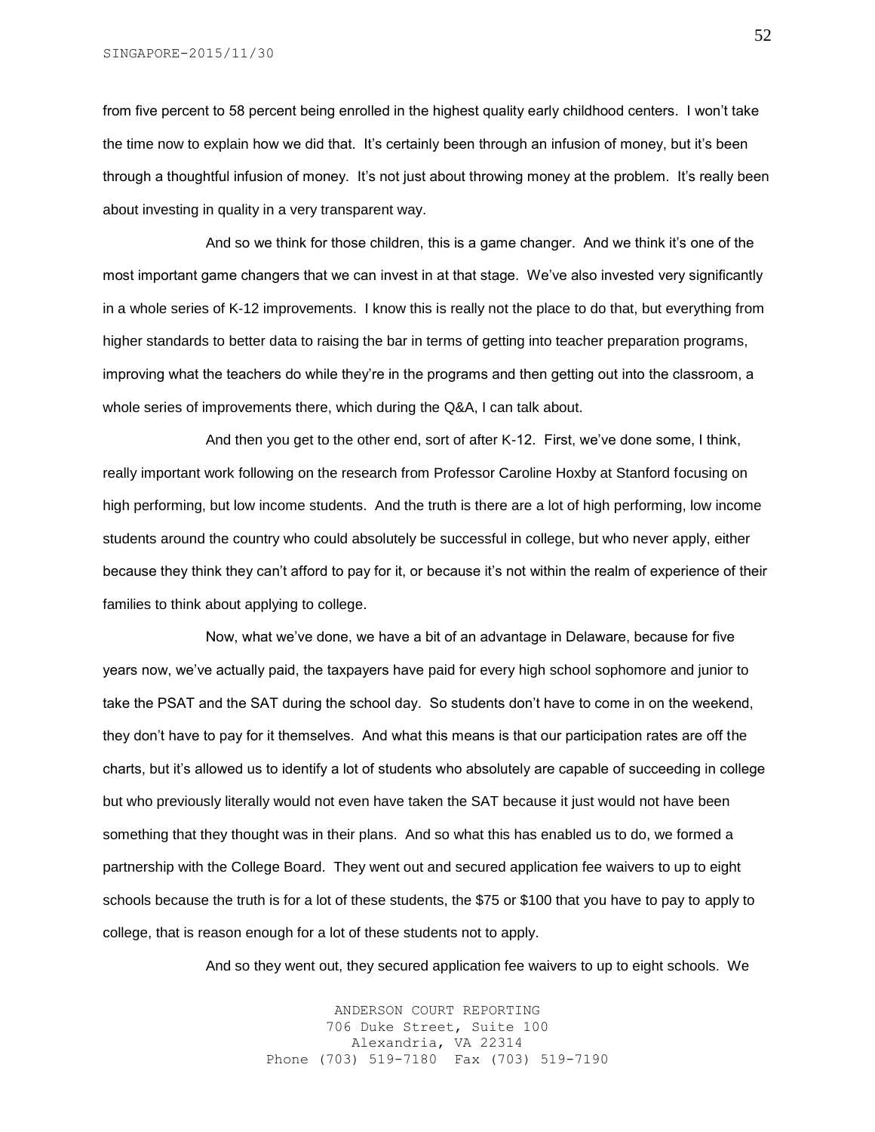from five percent to 58 percent being enrolled in the highest quality early childhood centers. I won't take the time now to explain how we did that. It's certainly been through an infusion of money, but it's been through a thoughtful infusion of money. It's not just about throwing money at the problem. It's really been about investing in quality in a very transparent way.

And so we think for those children, this is a game changer. And we think it's one of the most important game changers that we can invest in at that stage. We've also invested very significantly in a whole series of K-12 improvements. I know this is really not the place to do that, but everything from higher standards to better data to raising the bar in terms of getting into teacher preparation programs, improving what the teachers do while they're in the programs and then getting out into the classroom, a whole series of improvements there, which during the Q&A, I can talk about.

And then you get to the other end, sort of after K-12. First, we've done some, I think, really important work following on the research from Professor Caroline Hoxby at Stanford focusing on high performing, but low income students. And the truth is there are a lot of high performing, low income students around the country who could absolutely be successful in college, but who never apply, either because they think they can't afford to pay for it, or because it's not within the realm of experience of their families to think about applying to college.

Now, what we've done, we have a bit of an advantage in Delaware, because for five years now, we've actually paid, the taxpayers have paid for every high school sophomore and junior to take the PSAT and the SAT during the school day. So students don't have to come in on the weekend, they don't have to pay for it themselves. And what this means is that our participation rates are off the charts, but it's allowed us to identify a lot of students who absolutely are capable of succeeding in college but who previously literally would not even have taken the SAT because it just would not have been something that they thought was in their plans. And so what this has enabled us to do, we formed a partnership with the College Board. They went out and secured application fee waivers to up to eight schools because the truth is for a lot of these students, the \$75 or \$100 that you have to pay to apply to college, that is reason enough for a lot of these students not to apply.

And so they went out, they secured application fee waivers to up to eight schools. We

ANDERSON COURT REPORTING 706 Duke Street, Suite 100 Alexandria, VA 22314 Phone (703) 519-7180 Fax (703) 519-7190 52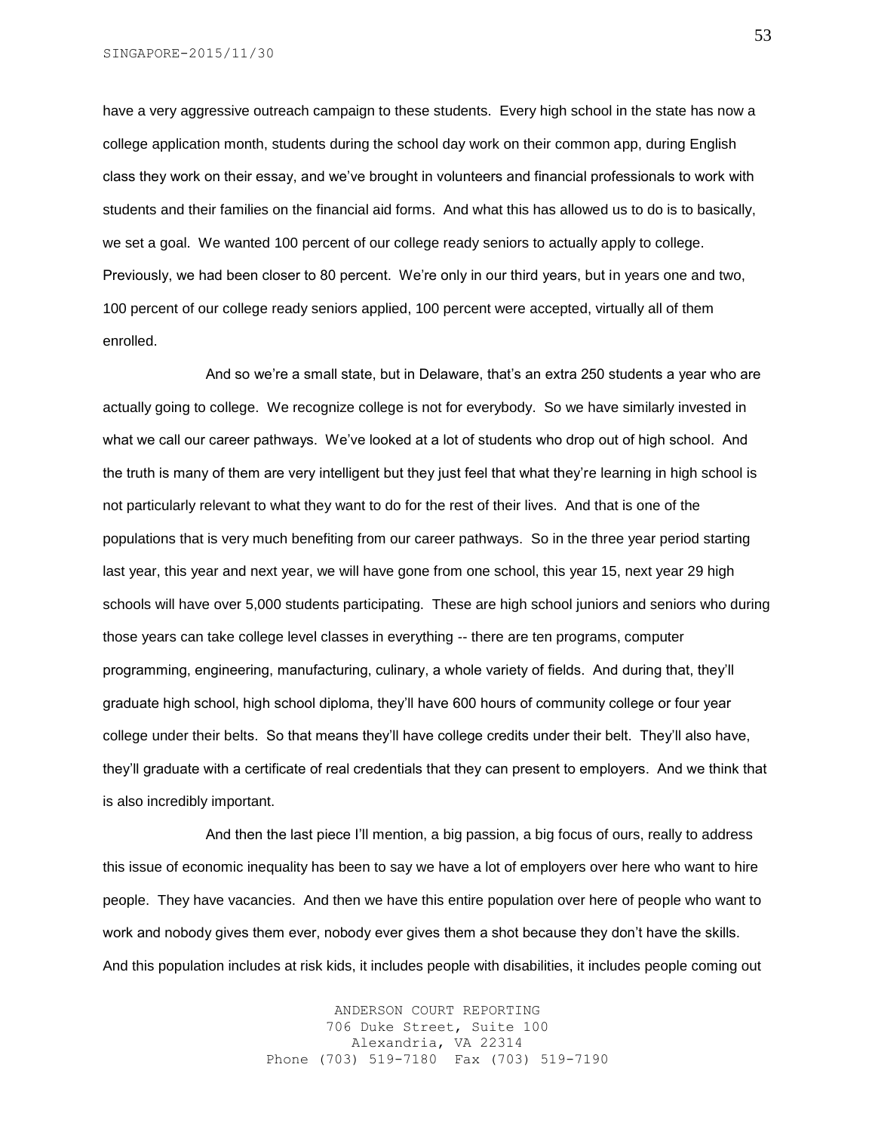have a very aggressive outreach campaign to these students. Every high school in the state has now a college application month, students during the school day work on their common app, during English class they work on their essay, and we've brought in volunteers and financial professionals to work with students and their families on the financial aid forms. And what this has allowed us to do is to basically, we set a goal. We wanted 100 percent of our college ready seniors to actually apply to college. Previously, we had been closer to 80 percent. We're only in our third years, but in years one and two, 100 percent of our college ready seniors applied, 100 percent were accepted, virtually all of them enrolled.

And so we're a small state, but in Delaware, that's an extra 250 students a year who are actually going to college. We recognize college is not for everybody. So we have similarly invested in what we call our career pathways. We've looked at a lot of students who drop out of high school. And the truth is many of them are very intelligent but they just feel that what they're learning in high school is not particularly relevant to what they want to do for the rest of their lives. And that is one of the populations that is very much benefiting from our career pathways. So in the three year period starting last year, this year and next year, we will have gone from one school, this year 15, next year 29 high schools will have over 5,000 students participating. These are high school juniors and seniors who during those years can take college level classes in everything -- there are ten programs, computer programming, engineering, manufacturing, culinary, a whole variety of fields. And during that, they'll graduate high school, high school diploma, they'll have 600 hours of community college or four year college under their belts. So that means they'll have college credits under their belt. They'll also have, they'll graduate with a certificate of real credentials that they can present to employers. And we think that is also incredibly important.

And then the last piece I'll mention, a big passion, a big focus of ours, really to address this issue of economic inequality has been to say we have a lot of employers over here who want to hire people. They have vacancies. And then we have this entire population over here of people who want to work and nobody gives them ever, nobody ever gives them a shot because they don't have the skills. And this population includes at risk kids, it includes people with disabilities, it includes people coming out

> ANDERSON COURT REPORTING 706 Duke Street, Suite 100 Alexandria, VA 22314 Phone (703) 519-7180 Fax (703) 519-7190

53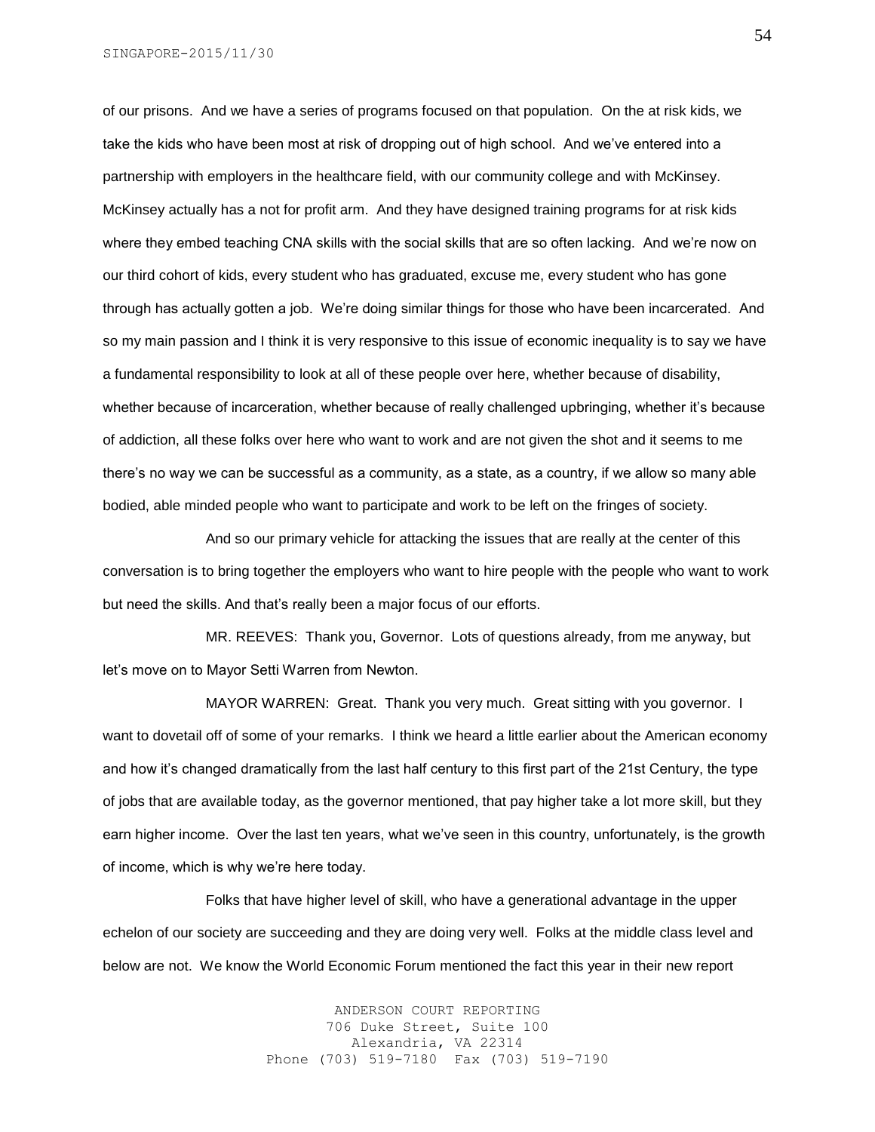of our prisons. And we have a series of programs focused on that population. On the at risk kids, we take the kids who have been most at risk of dropping out of high school. And we've entered into a partnership with employers in the healthcare field, with our community college and with McKinsey. McKinsey actually has a not for profit arm. And they have designed training programs for at risk kids where they embed teaching CNA skills with the social skills that are so often lacking. And we're now on our third cohort of kids, every student who has graduated, excuse me, every student who has gone through has actually gotten a job. We're doing similar things for those who have been incarcerated. And so my main passion and I think it is very responsive to this issue of economic inequality is to say we have a fundamental responsibility to look at all of these people over here, whether because of disability, whether because of incarceration, whether because of really challenged upbringing, whether it's because of addiction, all these folks over here who want to work and are not given the shot and it seems to me there's no way we can be successful as a community, as a state, as a country, if we allow so many able bodied, able minded people who want to participate and work to be left on the fringes of society.

And so our primary vehicle for attacking the issues that are really at the center of this conversation is to bring together the employers who want to hire people with the people who want to work but need the skills. And that's really been a major focus of our efforts.

MR. REEVES: Thank you, Governor. Lots of questions already, from me anyway, but let's move on to Mayor Setti Warren from Newton.

MAYOR WARREN: Great. Thank you very much. Great sitting with you governor. I want to dovetail off of some of your remarks. I think we heard a little earlier about the American economy and how it's changed dramatically from the last half century to this first part of the 21st Century, the type of jobs that are available today, as the governor mentioned, that pay higher take a lot more skill, but they earn higher income. Over the last ten years, what we've seen in this country, unfortunately, is the growth of income, which is why we're here today.

Folks that have higher level of skill, who have a generational advantage in the upper echelon of our society are succeeding and they are doing very well. Folks at the middle class level and below are not. We know the World Economic Forum mentioned the fact this year in their new report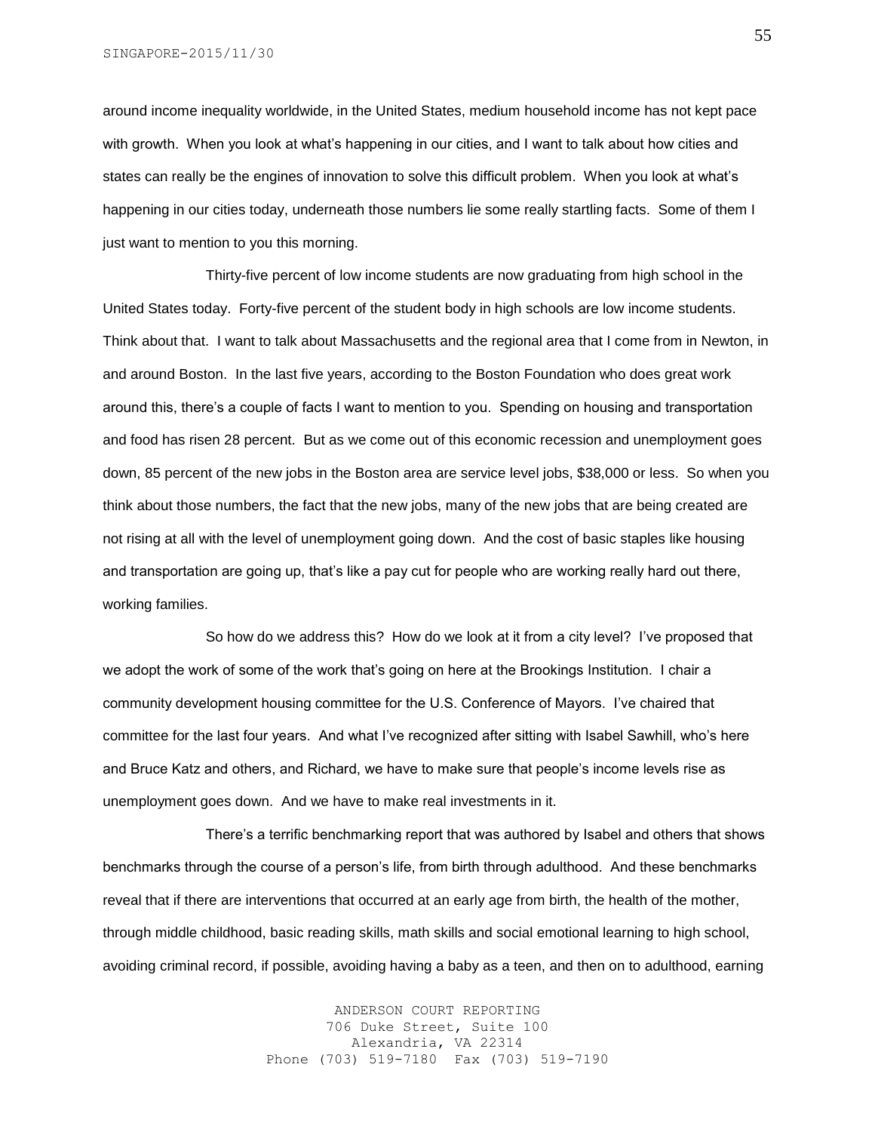around income inequality worldwide, in the United States, medium household income has not kept pace with growth. When you look at what's happening in our cities, and I want to talk about how cities and states can really be the engines of innovation to solve this difficult problem. When you look at what's happening in our cities today, underneath those numbers lie some really startling facts. Some of them I just want to mention to you this morning.

Thirty-five percent of low income students are now graduating from high school in the United States today. Forty-five percent of the student body in high schools are low income students. Think about that. I want to talk about Massachusetts and the regional area that I come from in Newton, in and around Boston. In the last five years, according to the Boston Foundation who does great work around this, there's a couple of facts I want to mention to you. Spending on housing and transportation and food has risen 28 percent. But as we come out of this economic recession and unemployment goes down, 85 percent of the new jobs in the Boston area are service level jobs, \$38,000 or less. So when you think about those numbers, the fact that the new jobs, many of the new jobs that are being created are not rising at all with the level of unemployment going down. And the cost of basic staples like housing and transportation are going up, that's like a pay cut for people who are working really hard out there, working families.

So how do we address this? How do we look at it from a city level? I've proposed that we adopt the work of some of the work that's going on here at the Brookings Institution. I chair a community development housing committee for the U.S. Conference of Mayors. I've chaired that committee for the last four years. And what I've recognized after sitting with Isabel Sawhill, who's here and Bruce Katz and others, and Richard, we have to make sure that people's income levels rise as unemployment goes down. And we have to make real investments in it.

There's a terrific benchmarking report that was authored by Isabel and others that shows benchmarks through the course of a person's life, from birth through adulthood. And these benchmarks reveal that if there are interventions that occurred at an early age from birth, the health of the mother, through middle childhood, basic reading skills, math skills and social emotional learning to high school, avoiding criminal record, if possible, avoiding having a baby as a teen, and then on to adulthood, earning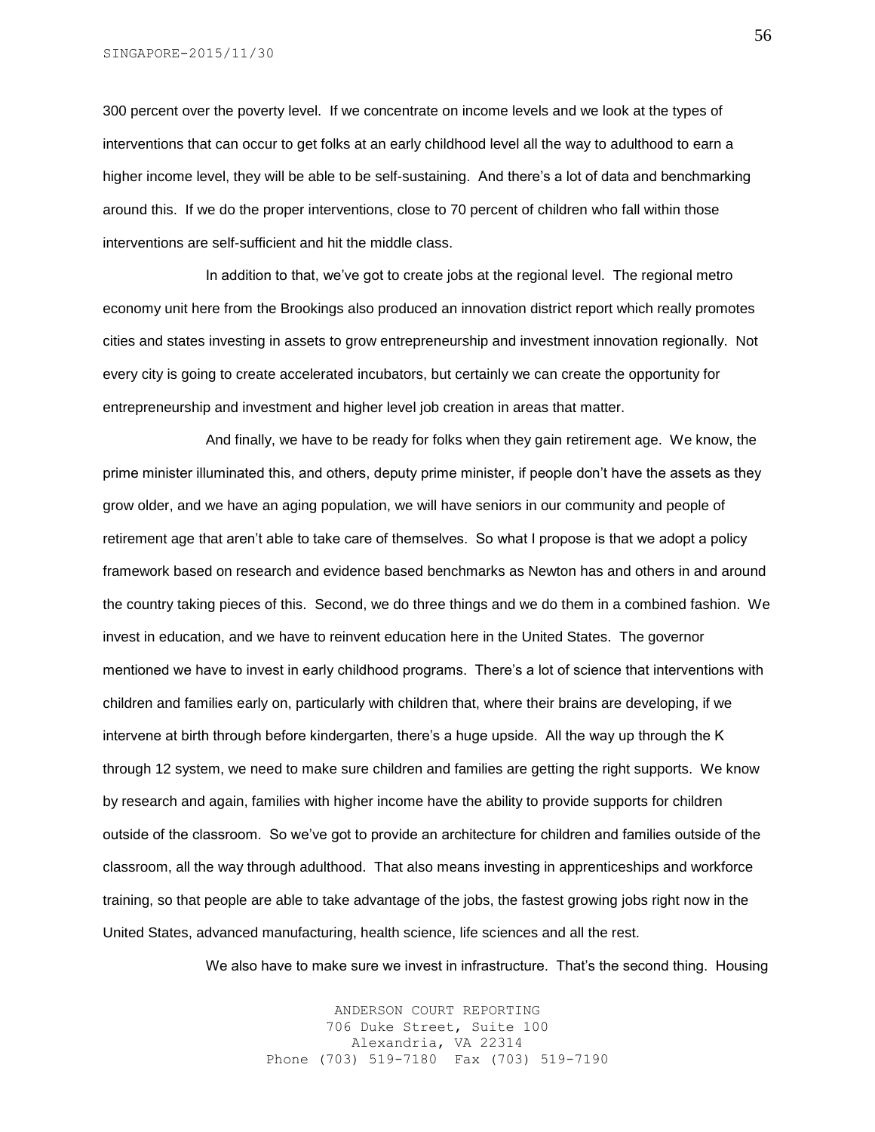300 percent over the poverty level. If we concentrate on income levels and we look at the types of interventions that can occur to get folks at an early childhood level all the way to adulthood to earn a higher income level, they will be able to be self-sustaining. And there's a lot of data and benchmarking around this. If we do the proper interventions, close to 70 percent of children who fall within those interventions are self-sufficient and hit the middle class.

In addition to that, we've got to create jobs at the regional level. The regional metro economy unit here from the Brookings also produced an innovation district report which really promotes cities and states investing in assets to grow entrepreneurship and investment innovation regionally. Not every city is going to create accelerated incubators, but certainly we can create the opportunity for entrepreneurship and investment and higher level job creation in areas that matter.

And finally, we have to be ready for folks when they gain retirement age. We know, the prime minister illuminated this, and others, deputy prime minister, if people don't have the assets as they grow older, and we have an aging population, we will have seniors in our community and people of retirement age that aren't able to take care of themselves. So what I propose is that we adopt a policy framework based on research and evidence based benchmarks as Newton has and others in and around the country taking pieces of this. Second, we do three things and we do them in a combined fashion. We invest in education, and we have to reinvent education here in the United States. The governor mentioned we have to invest in early childhood programs. There's a lot of science that interventions with children and families early on, particularly with children that, where their brains are developing, if we intervene at birth through before kindergarten, there's a huge upside. All the way up through the K through 12 system, we need to make sure children and families are getting the right supports. We know by research and again, families with higher income have the ability to provide supports for children outside of the classroom. So we've got to provide an architecture for children and families outside of the classroom, all the way through adulthood. That also means investing in apprenticeships and workforce training, so that people are able to take advantage of the jobs, the fastest growing jobs right now in the United States, advanced manufacturing, health science, life sciences and all the rest.

We also have to make sure we invest in infrastructure. That's the second thing. Housing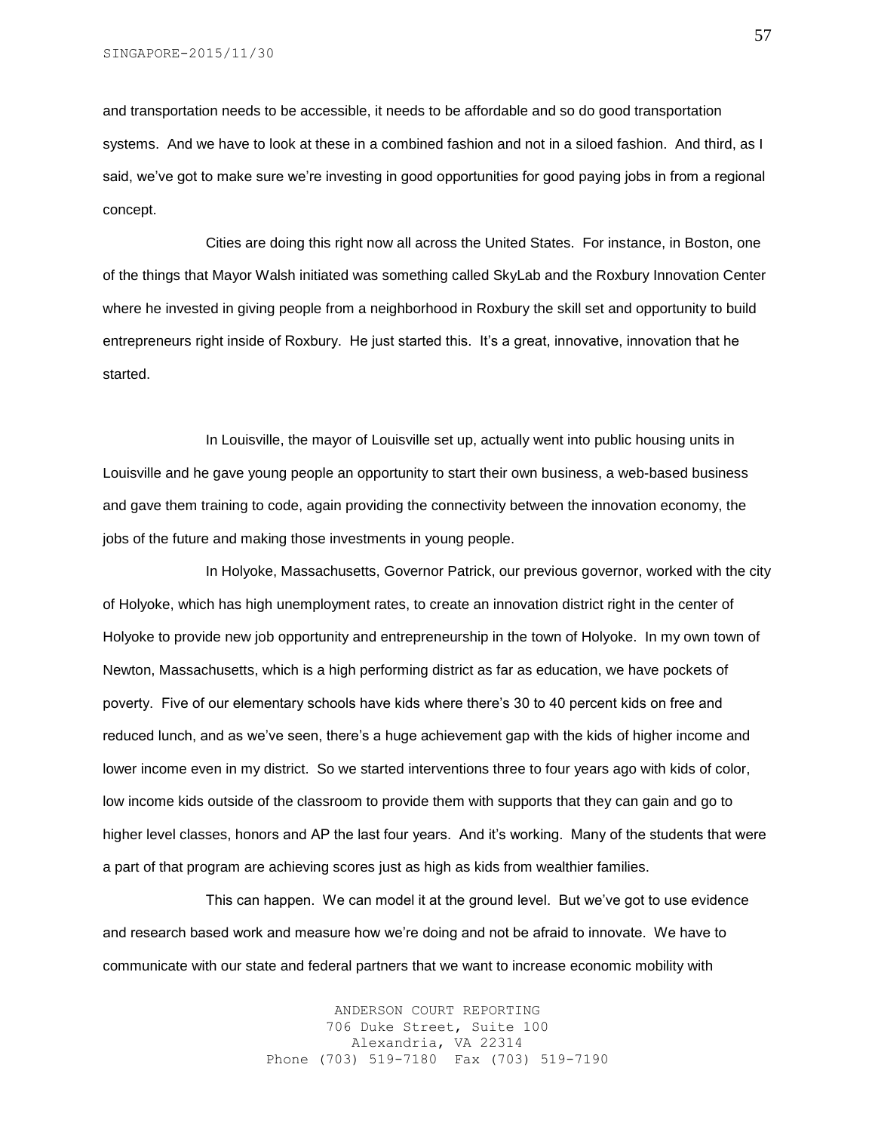and transportation needs to be accessible, it needs to be affordable and so do good transportation systems. And we have to look at these in a combined fashion and not in a siloed fashion. And third, as I said, we've got to make sure we're investing in good opportunities for good paying jobs in from a regional concept.

Cities are doing this right now all across the United States. For instance, in Boston, one of the things that Mayor Walsh initiated was something called SkyLab and the Roxbury Innovation Center where he invested in giving people from a neighborhood in Roxbury the skill set and opportunity to build entrepreneurs right inside of Roxbury. He just started this. It's a great, innovative, innovation that he started.

In Louisville, the mayor of Louisville set up, actually went into public housing units in Louisville and he gave young people an opportunity to start their own business, a web-based business and gave them training to code, again providing the connectivity between the innovation economy, the jobs of the future and making those investments in young people.

In Holyoke, Massachusetts, Governor Patrick, our previous governor, worked with the city of Holyoke, which has high unemployment rates, to create an innovation district right in the center of Holyoke to provide new job opportunity and entrepreneurship in the town of Holyoke. In my own town of Newton, Massachusetts, which is a high performing district as far as education, we have pockets of poverty. Five of our elementary schools have kids where there's 30 to 40 percent kids on free and reduced lunch, and as we've seen, there's a huge achievement gap with the kids of higher income and lower income even in my district. So we started interventions three to four years ago with kids of color, low income kids outside of the classroom to provide them with supports that they can gain and go to higher level classes, honors and AP the last four years. And it's working. Many of the students that were a part of that program are achieving scores just as high as kids from wealthier families.

This can happen. We can model it at the ground level. But we've got to use evidence and research based work and measure how we're doing and not be afraid to innovate. We have to communicate with our state and federal partners that we want to increase economic mobility with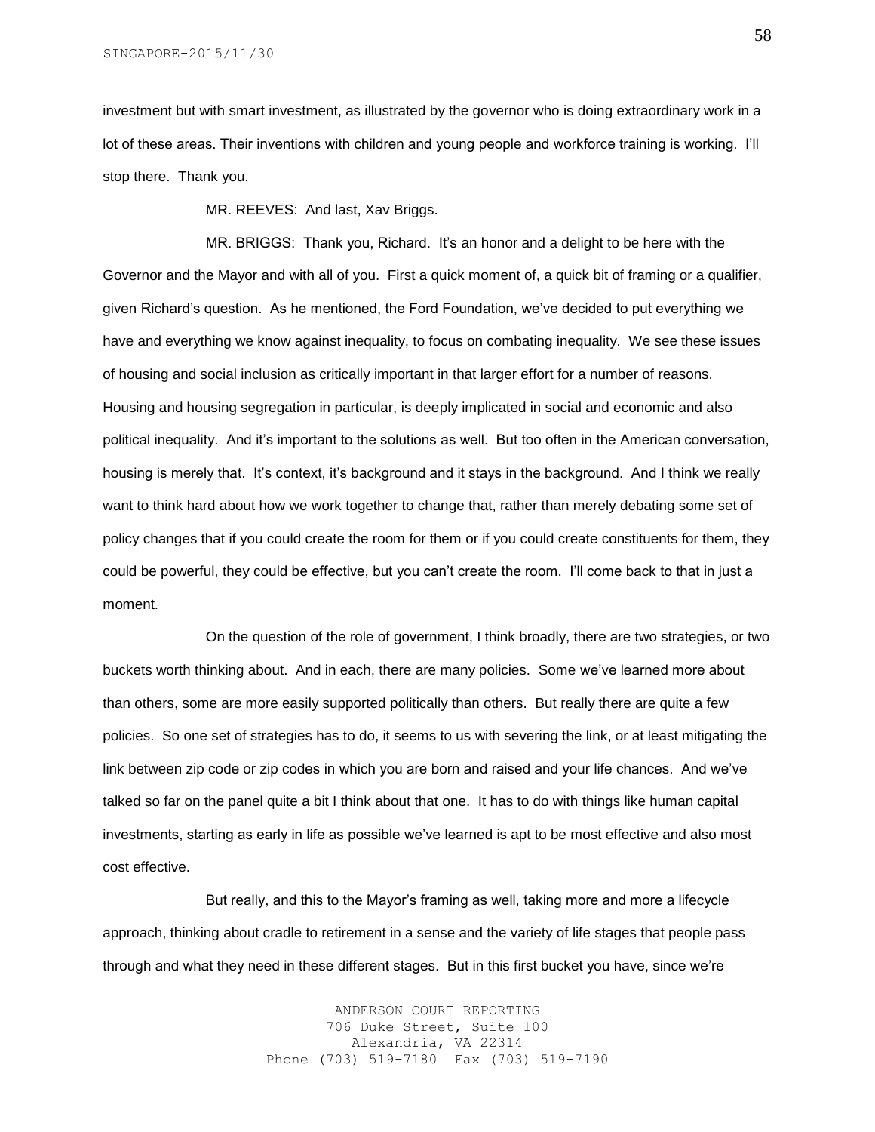investment but with smart investment, as illustrated by the governor who is doing extraordinary work in a lot of these areas. Their inventions with children and young people and workforce training is working. I'll stop there. Thank you.

MR. REEVES: And last, Xav Briggs.

MR. BRIGGS: Thank you, Richard. It's an honor and a delight to be here with the Governor and the Mayor and with all of you. First a quick moment of, a quick bit of framing or a qualifier, given Richard's question. As he mentioned, the Ford Foundation, we've decided to put everything we have and everything we know against inequality, to focus on combating inequality. We see these issues of housing and social inclusion as critically important in that larger effort for a number of reasons. Housing and housing segregation in particular, is deeply implicated in social and economic and also political inequality. And it's important to the solutions as well. But too often in the American conversation, housing is merely that. It's context, it's background and it stays in the background. And I think we really want to think hard about how we work together to change that, rather than merely debating some set of policy changes that if you could create the room for them or if you could create constituents for them, they could be powerful, they could be effective, but you can't create the room. I'll come back to that in just a moment.

On the question of the role of government, I think broadly, there are two strategies, or two buckets worth thinking about. And in each, there are many policies. Some we've learned more about than others, some are more easily supported politically than others. But really there are quite a few policies. So one set of strategies has to do, it seems to us with severing the link, or at least mitigating the link between zip code or zip codes in which you are born and raised and your life chances. And we've talked so far on the panel quite a bit I think about that one. It has to do with things like human capital investments, starting as early in life as possible we've learned is apt to be most effective and also most cost effective.

But really, and this to the Mayor's framing as well, taking more and more a lifecycle approach, thinking about cradle to retirement in a sense and the variety of life stages that people pass through and what they need in these different stages. But in this first bucket you have, since we're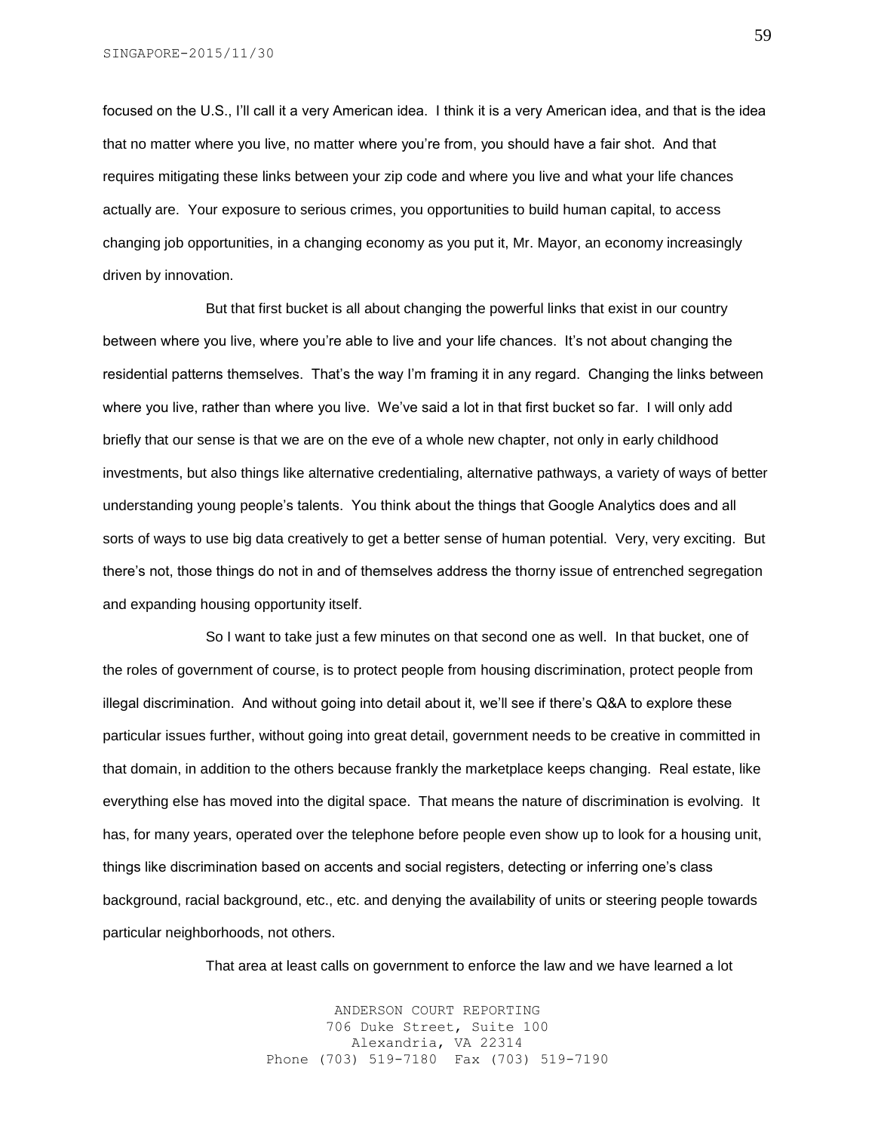focused on the U.S., I'll call it a very American idea. I think it is a very American idea, and that is the idea that no matter where you live, no matter where you're from, you should have a fair shot. And that requires mitigating these links between your zip code and where you live and what your life chances actually are. Your exposure to serious crimes, you opportunities to build human capital, to access changing job opportunities, in a changing economy as you put it, Mr. Mayor, an economy increasingly driven by innovation.

But that first bucket is all about changing the powerful links that exist in our country between where you live, where you're able to live and your life chances. It's not about changing the residential patterns themselves. That's the way I'm framing it in any regard. Changing the links between where you live, rather than where you live. We've said a lot in that first bucket so far. I will only add briefly that our sense is that we are on the eve of a whole new chapter, not only in early childhood investments, but also things like alternative credentialing, alternative pathways, a variety of ways of better understanding young people's talents. You think about the things that Google Analytics does and all sorts of ways to use big data creatively to get a better sense of human potential. Very, very exciting. But there's not, those things do not in and of themselves address the thorny issue of entrenched segregation and expanding housing opportunity itself.

So I want to take just a few minutes on that second one as well. In that bucket, one of the roles of government of course, is to protect people from housing discrimination, protect people from illegal discrimination. And without going into detail about it, we'll see if there's Q&A to explore these particular issues further, without going into great detail, government needs to be creative in committed in that domain, in addition to the others because frankly the marketplace keeps changing. Real estate, like everything else has moved into the digital space. That means the nature of discrimination is evolving. It has, for many years, operated over the telephone before people even show up to look for a housing unit, things like discrimination based on accents and social registers, detecting or inferring one's class background, racial background, etc., etc. and denying the availability of units or steering people towards particular neighborhoods, not others.

That area at least calls on government to enforce the law and we have learned a lot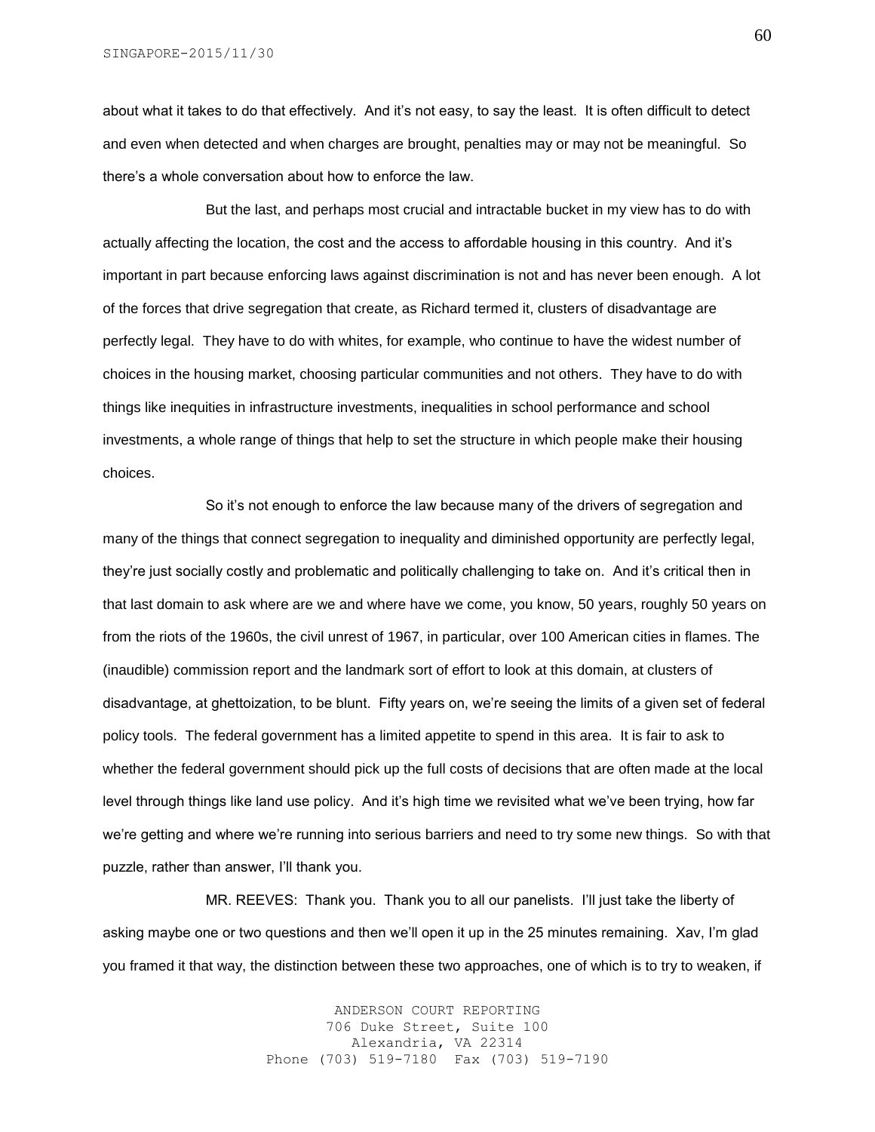about what it takes to do that effectively. And it's not easy, to say the least. It is often difficult to detect and even when detected and when charges are brought, penalties may or may not be meaningful. So there's a whole conversation about how to enforce the law.

But the last, and perhaps most crucial and intractable bucket in my view has to do with actually affecting the location, the cost and the access to affordable housing in this country. And it's important in part because enforcing laws against discrimination is not and has never been enough. A lot of the forces that drive segregation that create, as Richard termed it, clusters of disadvantage are perfectly legal. They have to do with whites, for example, who continue to have the widest number of choices in the housing market, choosing particular communities and not others. They have to do with things like inequities in infrastructure investments, inequalities in school performance and school investments, a whole range of things that help to set the structure in which people make their housing choices.

So it's not enough to enforce the law because many of the drivers of segregation and many of the things that connect segregation to inequality and diminished opportunity are perfectly legal, they're just socially costly and problematic and politically challenging to take on. And it's critical then in that last domain to ask where are we and where have we come, you know, 50 years, roughly 50 years on from the riots of the 1960s, the civil unrest of 1967, in particular, over 100 American cities in flames. The (inaudible) commission report and the landmark sort of effort to look at this domain, at clusters of disadvantage, at ghettoization, to be blunt. Fifty years on, we're seeing the limits of a given set of federal policy tools. The federal government has a limited appetite to spend in this area. It is fair to ask to whether the federal government should pick up the full costs of decisions that are often made at the local level through things like land use policy. And it's high time we revisited what we've been trying, how far we're getting and where we're running into serious barriers and need to try some new things. So with that puzzle, rather than answer, I'll thank you.

MR. REEVES: Thank you. Thank you to all our panelists. I'll just take the liberty of asking maybe one or two questions and then we'll open it up in the 25 minutes remaining. Xav, I'm glad you framed it that way, the distinction between these two approaches, one of which is to try to weaken, if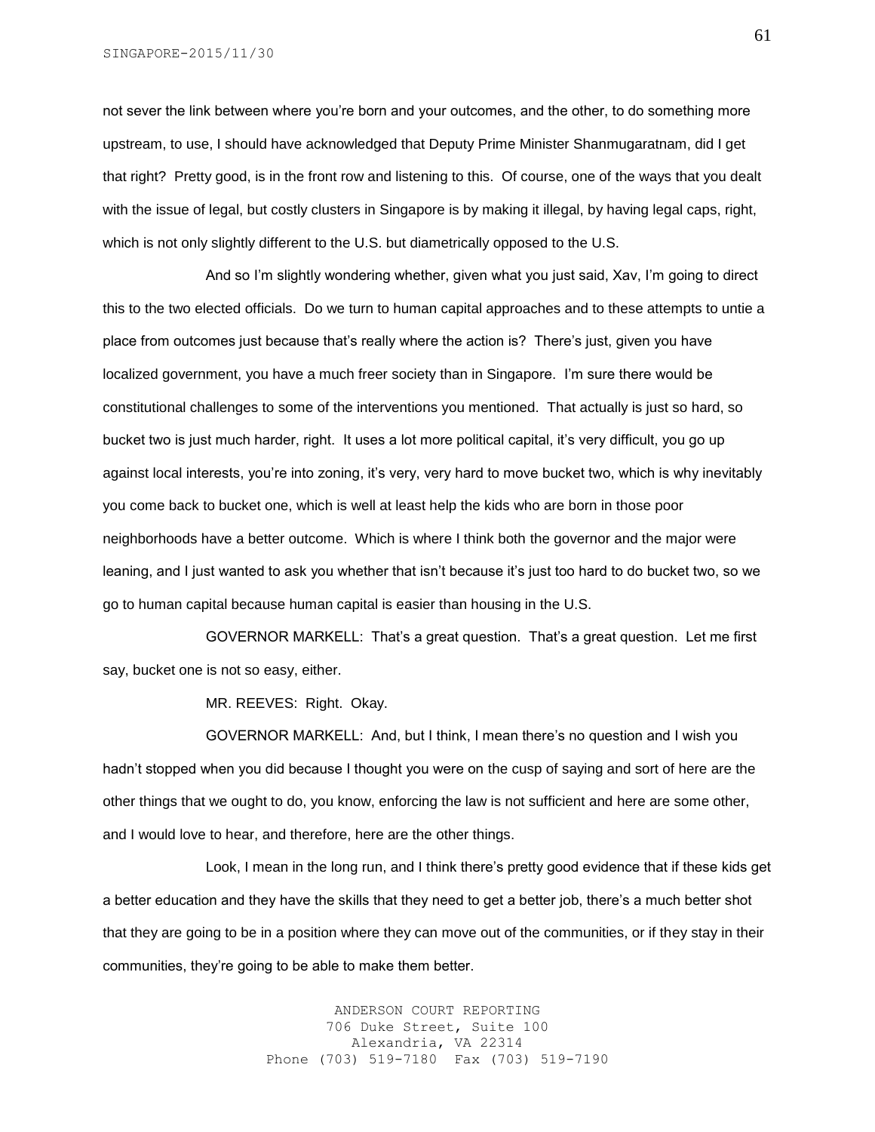not sever the link between where you're born and your outcomes, and the other, to do something more upstream, to use, I should have acknowledged that Deputy Prime Minister Shanmugaratnam, did I get that right? Pretty good, is in the front row and listening to this. Of course, one of the ways that you dealt with the issue of legal, but costly clusters in Singapore is by making it illegal, by having legal caps, right, which is not only slightly different to the U.S. but diametrically opposed to the U.S.

And so I'm slightly wondering whether, given what you just said, Xav, I'm going to direct this to the two elected officials. Do we turn to human capital approaches and to these attempts to untie a place from outcomes just because that's really where the action is? There's just, given you have localized government, you have a much freer society than in Singapore. I'm sure there would be constitutional challenges to some of the interventions you mentioned. That actually is just so hard, so bucket two is just much harder, right. It uses a lot more political capital, it's very difficult, you go up against local interests, you're into zoning, it's very, very hard to move bucket two, which is why inevitably you come back to bucket one, which is well at least help the kids who are born in those poor neighborhoods have a better outcome. Which is where I think both the governor and the major were leaning, and I just wanted to ask you whether that isn't because it's just too hard to do bucket two, so we go to human capital because human capital is easier than housing in the U.S.

GOVERNOR MARKELL: That's a great question. That's a great question. Let me first say, bucket one is not so easy, either.

MR. REEVES: Right. Okay.

GOVERNOR MARKELL: And, but I think, I mean there's no question and I wish you hadn't stopped when you did because I thought you were on the cusp of saying and sort of here are the other things that we ought to do, you know, enforcing the law is not sufficient and here are some other, and I would love to hear, and therefore, here are the other things.

Look, I mean in the long run, and I think there's pretty good evidence that if these kids get a better education and they have the skills that they need to get a better job, there's a much better shot that they are going to be in a position where they can move out of the communities, or if they stay in their communities, they're going to be able to make them better.

> ANDERSON COURT REPORTING 706 Duke Street, Suite 100 Alexandria, VA 22314 Phone (703) 519-7180 Fax (703) 519-7190

61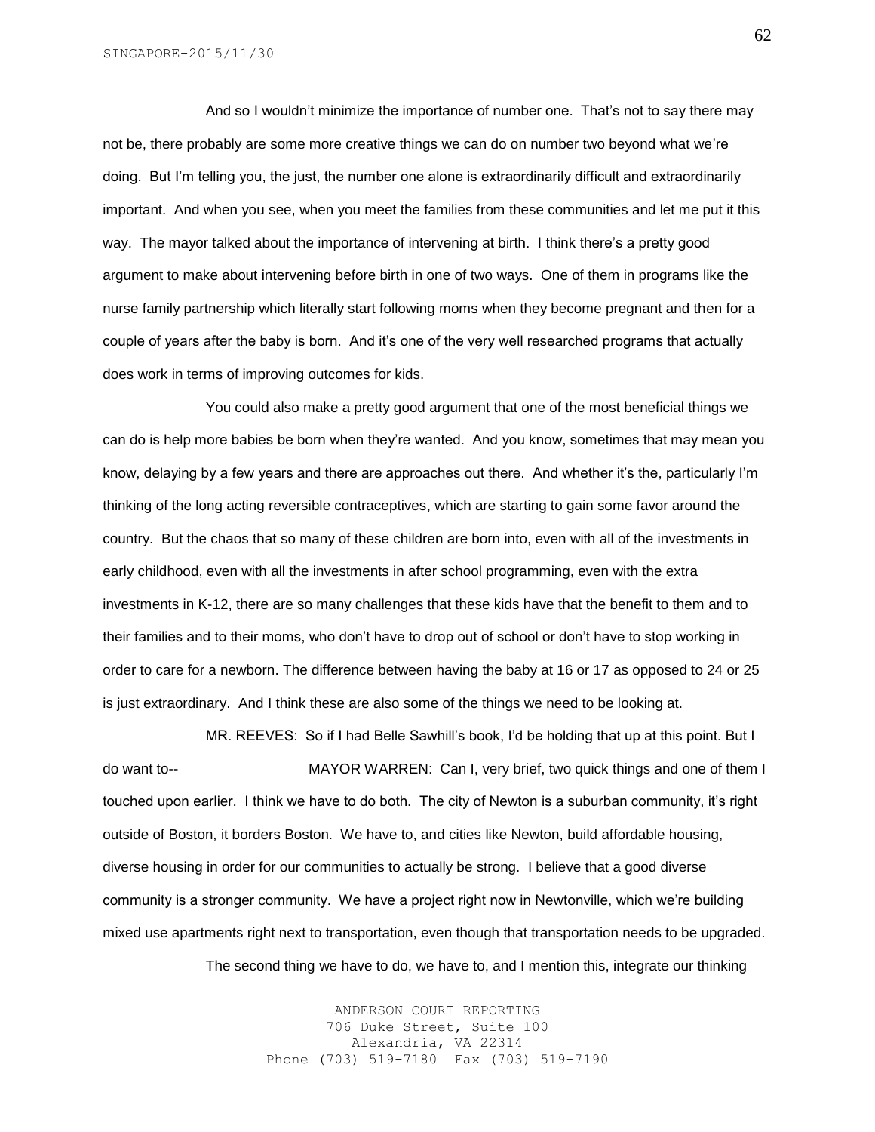And so I wouldn't minimize the importance of number one. That's not to say there may not be, there probably are some more creative things we can do on number two beyond what we're doing. But I'm telling you, the just, the number one alone is extraordinarily difficult and extraordinarily important. And when you see, when you meet the families from these communities and let me put it this way. The mayor talked about the importance of intervening at birth. I think there's a pretty good argument to make about intervening before birth in one of two ways. One of them in programs like the nurse family partnership which literally start following moms when they become pregnant and then for a couple of years after the baby is born. And it's one of the very well researched programs that actually does work in terms of improving outcomes for kids.

You could also make a pretty good argument that one of the most beneficial things we can do is help more babies be born when they're wanted. And you know, sometimes that may mean you know, delaying by a few years and there are approaches out there. And whether it's the, particularly I'm thinking of the long acting reversible contraceptives, which are starting to gain some favor around the country. But the chaos that so many of these children are born into, even with all of the investments in early childhood, even with all the investments in after school programming, even with the extra investments in K-12, there are so many challenges that these kids have that the benefit to them and to their families and to their moms, who don't have to drop out of school or don't have to stop working in order to care for a newborn. The difference between having the baby at 16 or 17 as opposed to 24 or 25 is just extraordinary. And I think these are also some of the things we need to be looking at.

MR. REEVES: So if I had Belle Sawhill's book, I'd be holding that up at this point. But I do want to-- MAYOR WARREN: Can I, very brief, two quick things and one of them I touched upon earlier. I think we have to do both. The city of Newton is a suburban community, it's right outside of Boston, it borders Boston. We have to, and cities like Newton, build affordable housing, diverse housing in order for our communities to actually be strong. I believe that a good diverse community is a stronger community. We have a project right now in Newtonville, which we're building mixed use apartments right next to transportation, even though that transportation needs to be upgraded. The second thing we have to do, we have to, and I mention this, integrate our thinking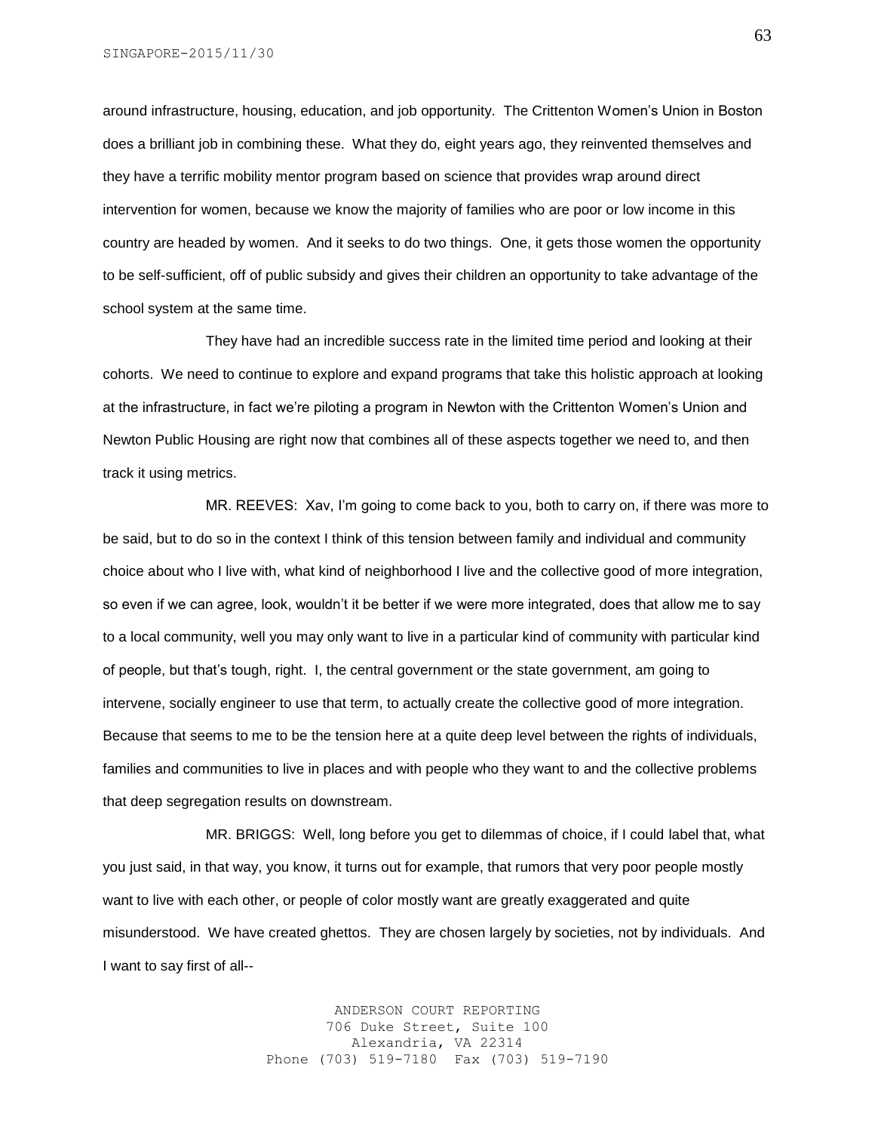around infrastructure, housing, education, and job opportunity. The Crittenton Women's Union in Boston does a brilliant job in combining these. What they do, eight years ago, they reinvented themselves and they have a terrific mobility mentor program based on science that provides wrap around direct intervention for women, because we know the majority of families who are poor or low income in this country are headed by women. And it seeks to do two things. One, it gets those women the opportunity to be self-sufficient, off of public subsidy and gives their children an opportunity to take advantage of the school system at the same time.

They have had an incredible success rate in the limited time period and looking at their cohorts. We need to continue to explore and expand programs that take this holistic approach at looking at the infrastructure, in fact we're piloting a program in Newton with the Crittenton Women's Union and Newton Public Housing are right now that combines all of these aspects together we need to, and then track it using metrics.

MR. REEVES: Xav, I'm going to come back to you, both to carry on, if there was more to be said, but to do so in the context I think of this tension between family and individual and community choice about who I live with, what kind of neighborhood I live and the collective good of more integration, so even if we can agree, look, wouldn't it be better if we were more integrated, does that allow me to say to a local community, well you may only want to live in a particular kind of community with particular kind of people, but that's tough, right. I, the central government or the state government, am going to intervene, socially engineer to use that term, to actually create the collective good of more integration. Because that seems to me to be the tension here at a quite deep level between the rights of individuals, families and communities to live in places and with people who they want to and the collective problems that deep segregation results on downstream.

MR. BRIGGS: Well, long before you get to dilemmas of choice, if I could label that, what you just said, in that way, you know, it turns out for example, that rumors that very poor people mostly want to live with each other, or people of color mostly want are greatly exaggerated and quite misunderstood. We have created ghettos. They are chosen largely by societies, not by individuals. And I want to say first of all--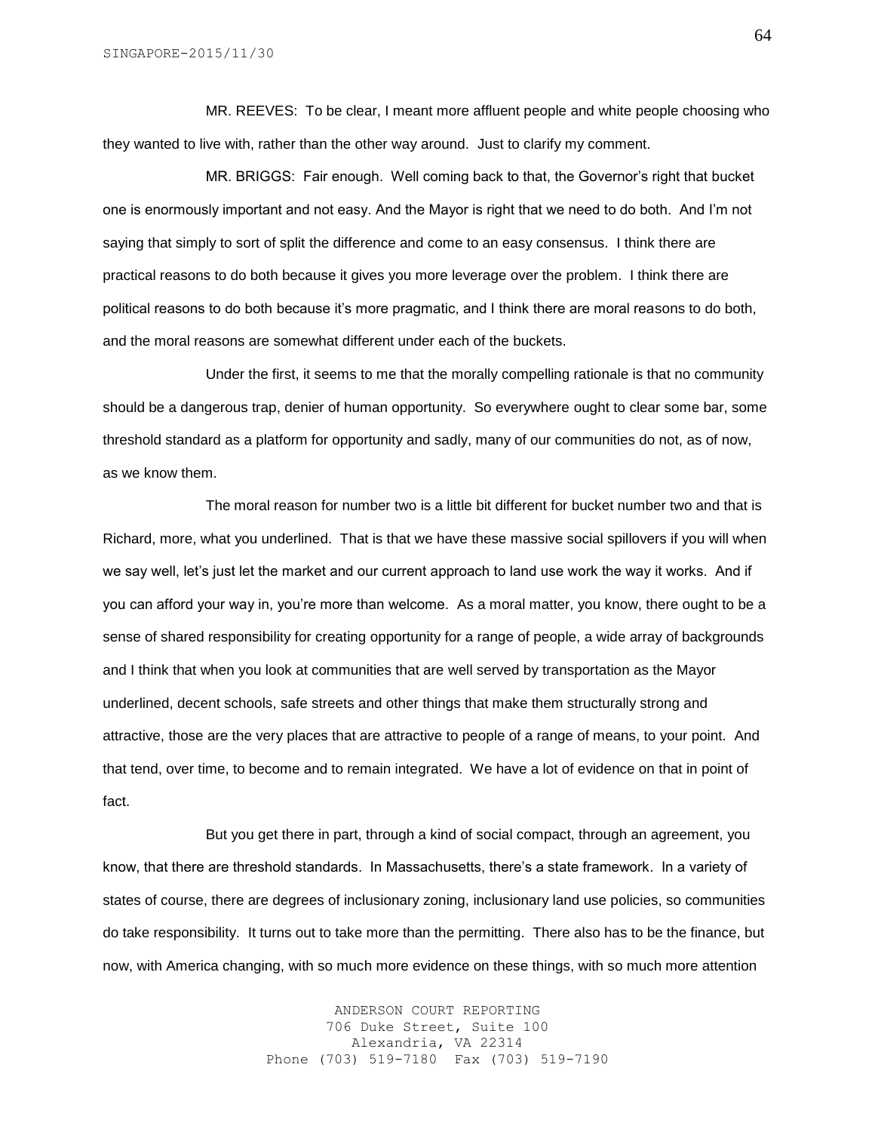MR. REEVES: To be clear, I meant more affluent people and white people choosing who they wanted to live with, rather than the other way around. Just to clarify my comment.

MR. BRIGGS: Fair enough. Well coming back to that, the Governor's right that bucket one is enormously important and not easy. And the Mayor is right that we need to do both. And I'm not saying that simply to sort of split the difference and come to an easy consensus. I think there are practical reasons to do both because it gives you more leverage over the problem. I think there are political reasons to do both because it's more pragmatic, and I think there are moral reasons to do both, and the moral reasons are somewhat different under each of the buckets.

Under the first, it seems to me that the morally compelling rationale is that no community should be a dangerous trap, denier of human opportunity. So everywhere ought to clear some bar, some threshold standard as a platform for opportunity and sadly, many of our communities do not, as of now, as we know them.

The moral reason for number two is a little bit different for bucket number two and that is Richard, more, what you underlined. That is that we have these massive social spillovers if you will when we say well, let's just let the market and our current approach to land use work the way it works. And if you can afford your way in, you're more than welcome. As a moral matter, you know, there ought to be a sense of shared responsibility for creating opportunity for a range of people, a wide array of backgrounds and I think that when you look at communities that are well served by transportation as the Mayor underlined, decent schools, safe streets and other things that make them structurally strong and attractive, those are the very places that are attractive to people of a range of means, to your point. And that tend, over time, to become and to remain integrated. We have a lot of evidence on that in point of fact.

But you get there in part, through a kind of social compact, through an agreement, you know, that there are threshold standards. In Massachusetts, there's a state framework. In a variety of states of course, there are degrees of inclusionary zoning, inclusionary land use policies, so communities do take responsibility. It turns out to take more than the permitting. There also has to be the finance, but now, with America changing, with so much more evidence on these things, with so much more attention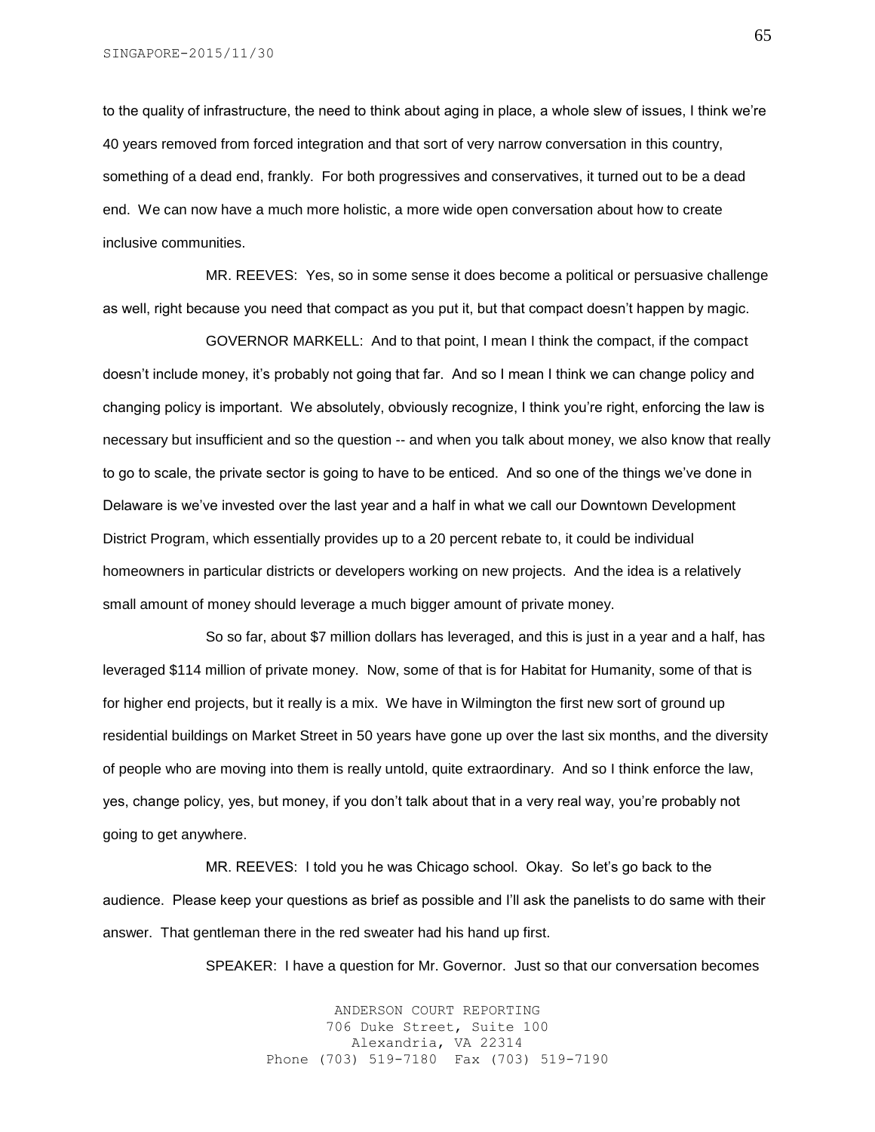to the quality of infrastructure, the need to think about aging in place, a whole slew of issues, I think we're 40 years removed from forced integration and that sort of very narrow conversation in this country, something of a dead end, frankly. For both progressives and conservatives, it turned out to be a dead end. We can now have a much more holistic, a more wide open conversation about how to create inclusive communities.

MR. REEVES: Yes, so in some sense it does become a political or persuasive challenge as well, right because you need that compact as you put it, but that compact doesn't happen by magic.

GOVERNOR MARKELL: And to that point, I mean I think the compact, if the compact doesn't include money, it's probably not going that far. And so I mean I think we can change policy and changing policy is important. We absolutely, obviously recognize, I think you're right, enforcing the law is necessary but insufficient and so the question -- and when you talk about money, we also know that really to go to scale, the private sector is going to have to be enticed. And so one of the things we've done in Delaware is we've invested over the last year and a half in what we call our Downtown Development District Program, which essentially provides up to a 20 percent rebate to, it could be individual homeowners in particular districts or developers working on new projects. And the idea is a relatively small amount of money should leverage a much bigger amount of private money.

So so far, about \$7 million dollars has leveraged, and this is just in a year and a half, has leveraged \$114 million of private money. Now, some of that is for Habitat for Humanity, some of that is for higher end projects, but it really is a mix. We have in Wilmington the first new sort of ground up residential buildings on Market Street in 50 years have gone up over the last six months, and the diversity of people who are moving into them is really untold, quite extraordinary. And so I think enforce the law, yes, change policy, yes, but money, if you don't talk about that in a very real way, you're probably not going to get anywhere.

MR. REEVES: I told you he was Chicago school. Okay. So let's go back to the audience. Please keep your questions as brief as possible and I'll ask the panelists to do same with their answer. That gentleman there in the red sweater had his hand up first.

SPEAKER: I have a question for Mr. Governor. Just so that our conversation becomes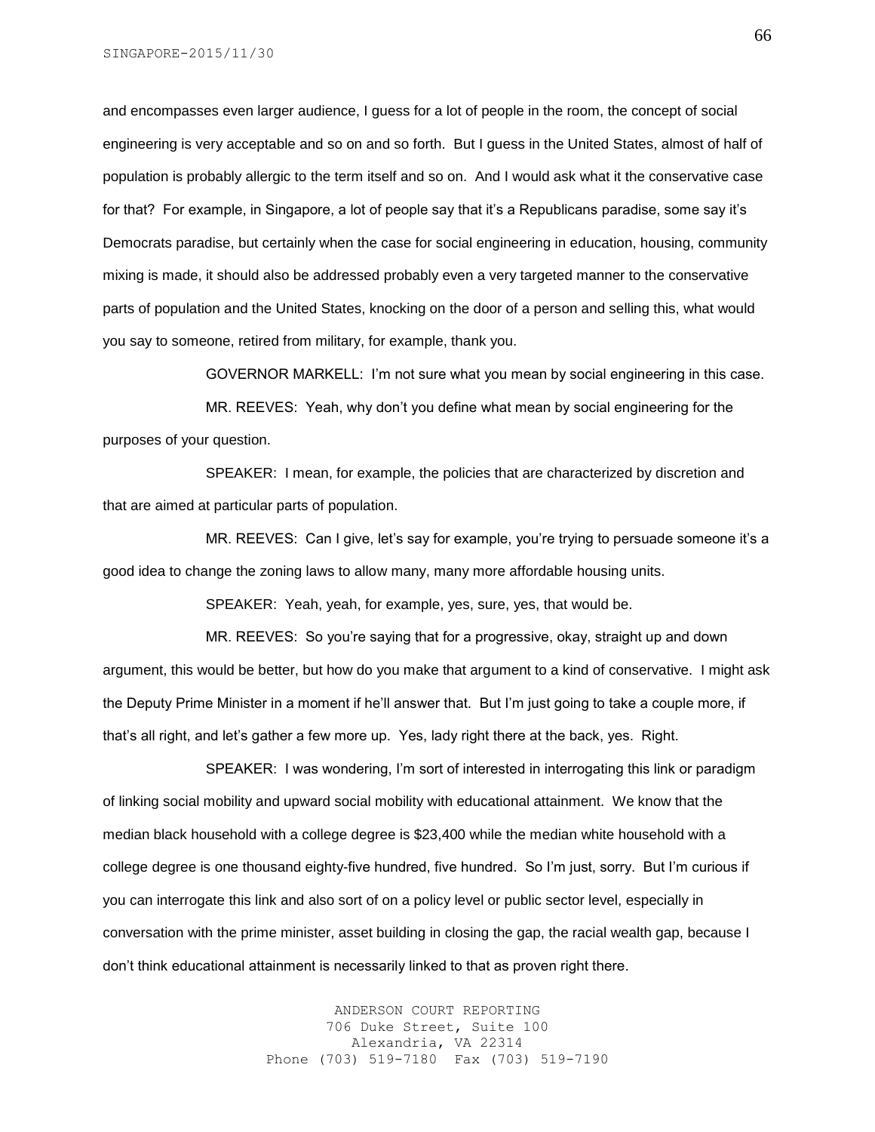and encompasses even larger audience, I guess for a lot of people in the room, the concept of social engineering is very acceptable and so on and so forth. But I guess in the United States, almost of half of population is probably allergic to the term itself and so on. And I would ask what it the conservative case for that? For example, in Singapore, a lot of people say that it's a Republicans paradise, some say it's Democrats paradise, but certainly when the case for social engineering in education, housing, community mixing is made, it should also be addressed probably even a very targeted manner to the conservative parts of population and the United States, knocking on the door of a person and selling this, what would you say to someone, retired from military, for example, thank you.

GOVERNOR MARKELL: I'm not sure what you mean by social engineering in this case.

MR. REEVES: Yeah, why don't you define what mean by social engineering for the purposes of your question.

SPEAKER: I mean, for example, the policies that are characterized by discretion and that are aimed at particular parts of population.

MR. REEVES: Can I give, let's say for example, you're trying to persuade someone it's a good idea to change the zoning laws to allow many, many more affordable housing units.

SPEAKER: Yeah, yeah, for example, yes, sure, yes, that would be.

MR. REEVES: So you're saying that for a progressive, okay, straight up and down argument, this would be better, but how do you make that argument to a kind of conservative. I might ask the Deputy Prime Minister in a moment if he'll answer that. But I'm just going to take a couple more, if that's all right, and let's gather a few more up. Yes, lady right there at the back, yes. Right.

SPEAKER: I was wondering, I'm sort of interested in interrogating this link or paradigm of linking social mobility and upward social mobility with educational attainment. We know that the median black household with a college degree is \$23,400 while the median white household with a college degree is one thousand eighty-five hundred, five hundred. So I'm just, sorry. But I'm curious if you can interrogate this link and also sort of on a policy level or public sector level, especially in conversation with the prime minister, asset building in closing the gap, the racial wealth gap, because I don't think educational attainment is necessarily linked to that as proven right there.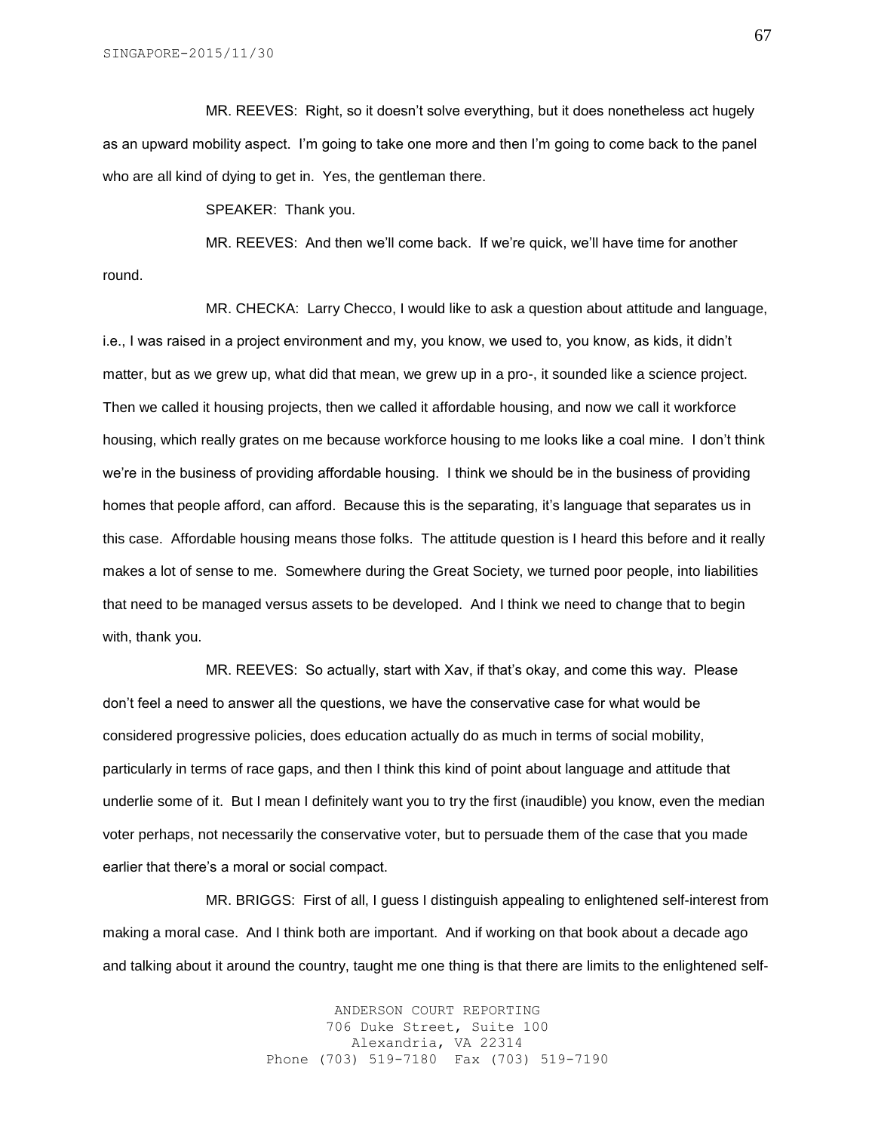MR. REEVES: Right, so it doesn't solve everything, but it does nonetheless act hugely as an upward mobility aspect. I'm going to take one more and then I'm going to come back to the panel who are all kind of dying to get in. Yes, the gentleman there.

SPEAKER: Thank you.

MR. REEVES: And then we'll come back. If we're quick, we'll have time for another round.

MR. CHECKA: Larry Checco, I would like to ask a question about attitude and language, i.e., I was raised in a project environment and my, you know, we used to, you know, as kids, it didn't matter, but as we grew up, what did that mean, we grew up in a pro-, it sounded like a science project. Then we called it housing projects, then we called it affordable housing, and now we call it workforce housing, which really grates on me because workforce housing to me looks like a coal mine. I don't think we're in the business of providing affordable housing. I think we should be in the business of providing homes that people afford, can afford. Because this is the separating, it's language that separates us in this case. Affordable housing means those folks. The attitude question is I heard this before and it really makes a lot of sense to me. Somewhere during the Great Society, we turned poor people, into liabilities that need to be managed versus assets to be developed. And I think we need to change that to begin with, thank you.

MR. REEVES: So actually, start with Xav, if that's okay, and come this way. Please don't feel a need to answer all the questions, we have the conservative case for what would be considered progressive policies, does education actually do as much in terms of social mobility, particularly in terms of race gaps, and then I think this kind of point about language and attitude that underlie some of it. But I mean I definitely want you to try the first (inaudible) you know, even the median voter perhaps, not necessarily the conservative voter, but to persuade them of the case that you made earlier that there's a moral or social compact.

MR. BRIGGS: First of all, I guess I distinguish appealing to enlightened self-interest from making a moral case. And I think both are important. And if working on that book about a decade ago and talking about it around the country, taught me one thing is that there are limits to the enlightened self-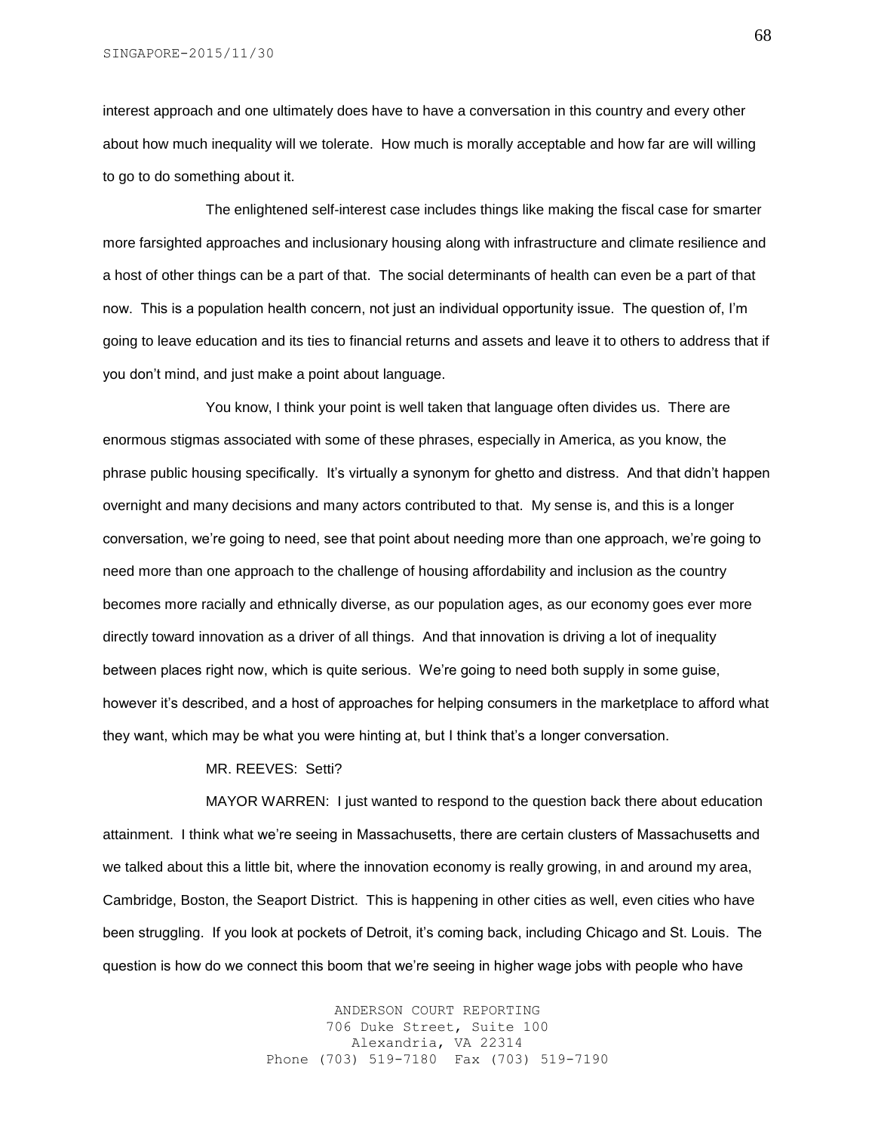interest approach and one ultimately does have to have a conversation in this country and every other about how much inequality will we tolerate. How much is morally acceptable and how far are will willing to go to do something about it.

The enlightened self-interest case includes things like making the fiscal case for smarter more farsighted approaches and inclusionary housing along with infrastructure and climate resilience and a host of other things can be a part of that. The social determinants of health can even be a part of that now. This is a population health concern, not just an individual opportunity issue. The question of, I'm going to leave education and its ties to financial returns and assets and leave it to others to address that if you don't mind, and just make a point about language.

You know, I think your point is well taken that language often divides us. There are enormous stigmas associated with some of these phrases, especially in America, as you know, the phrase public housing specifically. It's virtually a synonym for ghetto and distress. And that didn't happen overnight and many decisions and many actors contributed to that. My sense is, and this is a longer conversation, we're going to need, see that point about needing more than one approach, we're going to need more than one approach to the challenge of housing affordability and inclusion as the country becomes more racially and ethnically diverse, as our population ages, as our economy goes ever more directly toward innovation as a driver of all things. And that innovation is driving a lot of inequality between places right now, which is quite serious. We're going to need both supply in some guise, however it's described, and a host of approaches for helping consumers in the marketplace to afford what they want, which may be what you were hinting at, but I think that's a longer conversation.

## MR. REEVES: Setti?

MAYOR WARREN: I just wanted to respond to the question back there about education attainment. I think what we're seeing in Massachusetts, there are certain clusters of Massachusetts and we talked about this a little bit, where the innovation economy is really growing, in and around my area, Cambridge, Boston, the Seaport District. This is happening in other cities as well, even cities who have been struggling. If you look at pockets of Detroit, it's coming back, including Chicago and St. Louis. The question is how do we connect this boom that we're seeing in higher wage jobs with people who have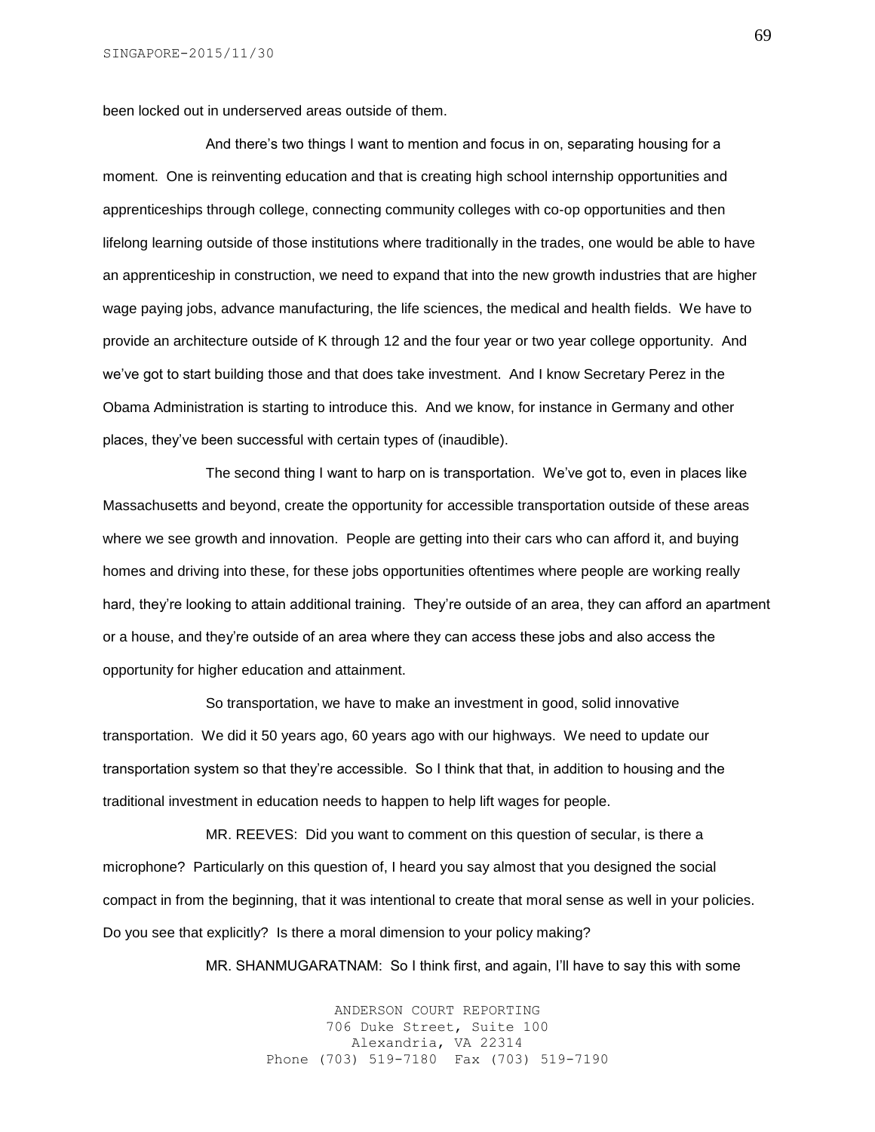been locked out in underserved areas outside of them.

And there's two things I want to mention and focus in on, separating housing for a moment. One is reinventing education and that is creating high school internship opportunities and apprenticeships through college, connecting community colleges with co-op opportunities and then lifelong learning outside of those institutions where traditionally in the trades, one would be able to have an apprenticeship in construction, we need to expand that into the new growth industries that are higher wage paying jobs, advance manufacturing, the life sciences, the medical and health fields. We have to provide an architecture outside of K through 12 and the four year or two year college opportunity. And we've got to start building those and that does take investment. And I know Secretary Perez in the Obama Administration is starting to introduce this. And we know, for instance in Germany and other places, they've been successful with certain types of (inaudible).

The second thing I want to harp on is transportation. We've got to, even in places like Massachusetts and beyond, create the opportunity for accessible transportation outside of these areas where we see growth and innovation. People are getting into their cars who can afford it, and buying homes and driving into these, for these jobs opportunities oftentimes where people are working really hard, they're looking to attain additional training. They're outside of an area, they can afford an apartment or a house, and they're outside of an area where they can access these jobs and also access the opportunity for higher education and attainment.

So transportation, we have to make an investment in good, solid innovative transportation. We did it 50 years ago, 60 years ago with our highways. We need to update our transportation system so that they're accessible. So I think that that, in addition to housing and the traditional investment in education needs to happen to help lift wages for people.

MR. REEVES: Did you want to comment on this question of secular, is there a microphone? Particularly on this question of, I heard you say almost that you designed the social compact in from the beginning, that it was intentional to create that moral sense as well in your policies. Do you see that explicitly? Is there a moral dimension to your policy making?

MR. SHANMUGARATNAM: So I think first, and again, I'll have to say this with some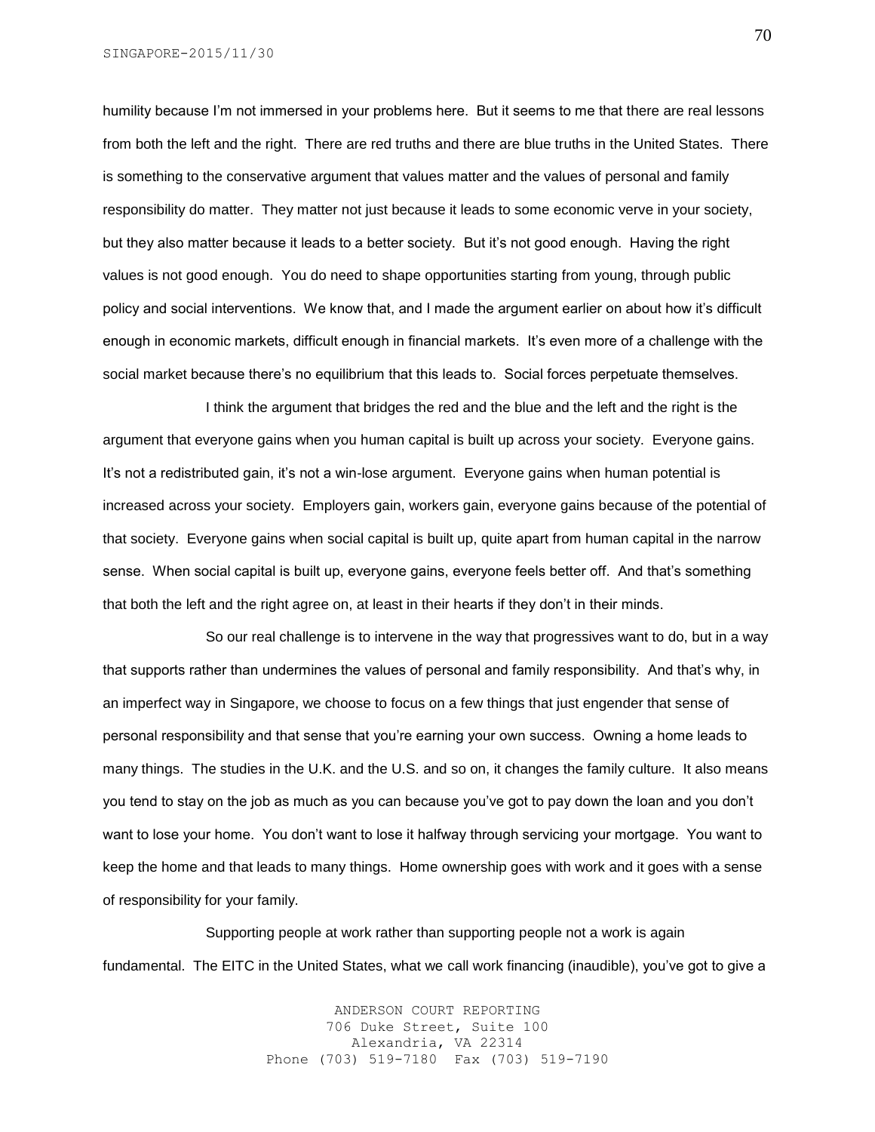humility because I'm not immersed in your problems here. But it seems to me that there are real lessons from both the left and the right. There are red truths and there are blue truths in the United States. There is something to the conservative argument that values matter and the values of personal and family responsibility do matter. They matter not just because it leads to some economic verve in your society, but they also matter because it leads to a better society. But it's not good enough. Having the right values is not good enough. You do need to shape opportunities starting from young, through public policy and social interventions. We know that, and I made the argument earlier on about how it's difficult enough in economic markets, difficult enough in financial markets. It's even more of a challenge with the social market because there's no equilibrium that this leads to. Social forces perpetuate themselves.

I think the argument that bridges the red and the blue and the left and the right is the argument that everyone gains when you human capital is built up across your society. Everyone gains. It's not a redistributed gain, it's not a win-lose argument. Everyone gains when human potential is increased across your society. Employers gain, workers gain, everyone gains because of the potential of that society. Everyone gains when social capital is built up, quite apart from human capital in the narrow sense. When social capital is built up, everyone gains, everyone feels better off. And that's something that both the left and the right agree on, at least in their hearts if they don't in their minds.

So our real challenge is to intervene in the way that progressives want to do, but in a way that supports rather than undermines the values of personal and family responsibility. And that's why, in an imperfect way in Singapore, we choose to focus on a few things that just engender that sense of personal responsibility and that sense that you're earning your own success. Owning a home leads to many things. The studies in the U.K. and the U.S. and so on, it changes the family culture. It also means you tend to stay on the job as much as you can because you've got to pay down the loan and you don't want to lose your home. You don't want to lose it halfway through servicing your mortgage. You want to keep the home and that leads to many things. Home ownership goes with work and it goes with a sense of responsibility for your family.

Supporting people at work rather than supporting people not a work is again fundamental. The EITC in the United States, what we call work financing (inaudible), you've got to give a

> ANDERSON COURT REPORTING 706 Duke Street, Suite 100 Alexandria, VA 22314 Phone (703) 519-7180 Fax (703) 519-7190

70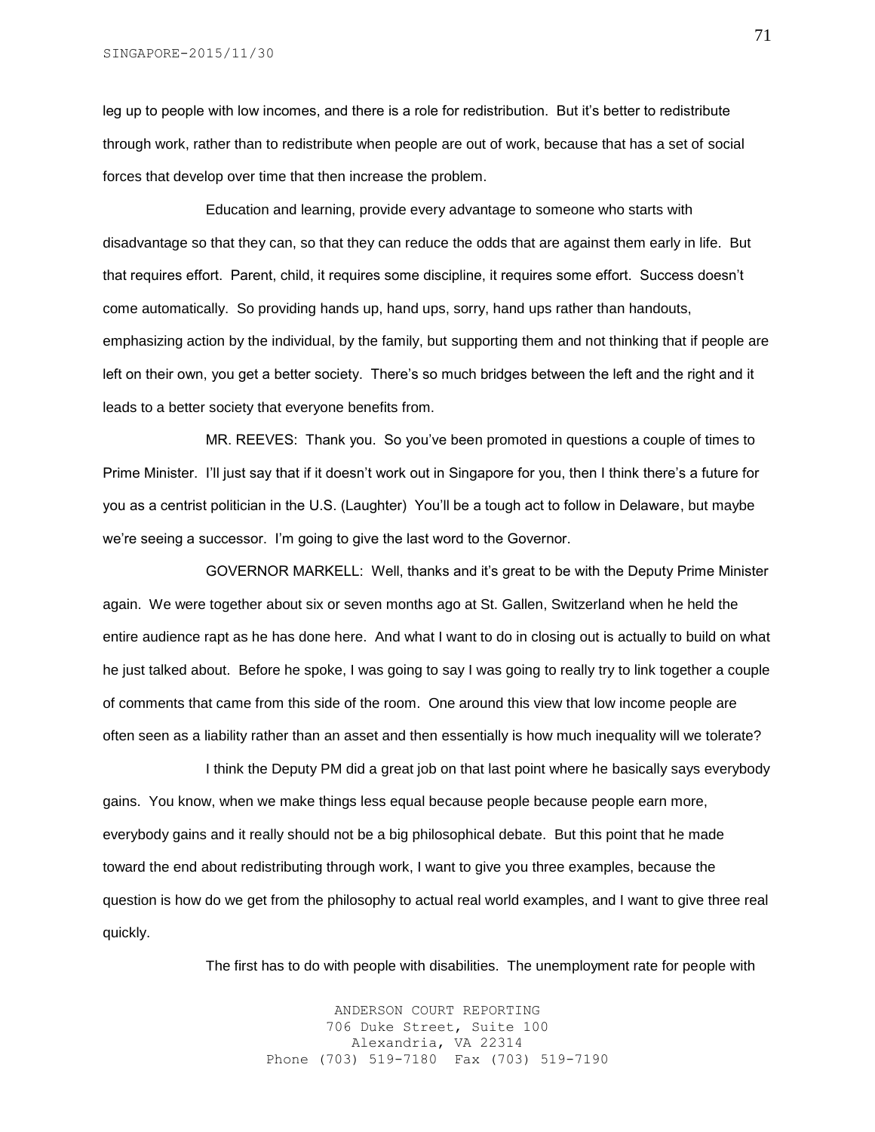leg up to people with low incomes, and there is a role for redistribution. But it's better to redistribute through work, rather than to redistribute when people are out of work, because that has a set of social forces that develop over time that then increase the problem.

Education and learning, provide every advantage to someone who starts with disadvantage so that they can, so that they can reduce the odds that are against them early in life. But that requires effort. Parent, child, it requires some discipline, it requires some effort. Success doesn't come automatically. So providing hands up, hand ups, sorry, hand ups rather than handouts, emphasizing action by the individual, by the family, but supporting them and not thinking that if people are left on their own, you get a better society. There's so much bridges between the left and the right and it leads to a better society that everyone benefits from.

MR. REEVES: Thank you. So you've been promoted in questions a couple of times to Prime Minister. I'll just say that if it doesn't work out in Singapore for you, then I think there's a future for you as a centrist politician in the U.S. (Laughter) You'll be a tough act to follow in Delaware, but maybe we're seeing a successor. I'm going to give the last word to the Governor.

GOVERNOR MARKELL: Well, thanks and it's great to be with the Deputy Prime Minister again. We were together about six or seven months ago at St. Gallen, Switzerland when he held the entire audience rapt as he has done here. And what I want to do in closing out is actually to build on what he just talked about. Before he spoke, I was going to say I was going to really try to link together a couple of comments that came from this side of the room. One around this view that low income people are often seen as a liability rather than an asset and then essentially is how much inequality will we tolerate?

I think the Deputy PM did a great job on that last point where he basically says everybody gains. You know, when we make things less equal because people because people earn more, everybody gains and it really should not be a big philosophical debate. But this point that he made toward the end about redistributing through work, I want to give you three examples, because the question is how do we get from the philosophy to actual real world examples, and I want to give three real quickly.

The first has to do with people with disabilities. The unemployment rate for people with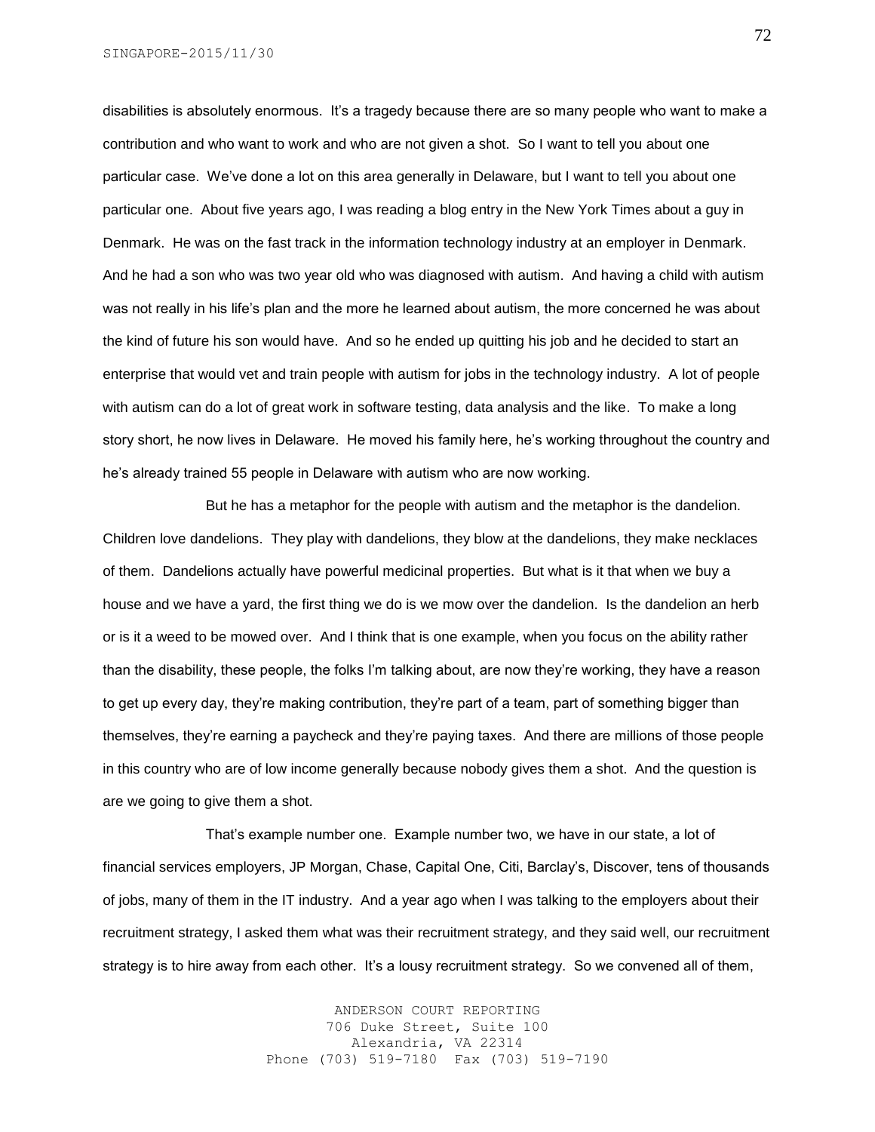disabilities is absolutely enormous. It's a tragedy because there are so many people who want to make a contribution and who want to work and who are not given a shot. So I want to tell you about one particular case. We've done a lot on this area generally in Delaware, but I want to tell you about one particular one. About five years ago, I was reading a blog entry in the New York Times about a guy in Denmark. He was on the fast track in the information technology industry at an employer in Denmark. And he had a son who was two year old who was diagnosed with autism. And having a child with autism was not really in his life's plan and the more he learned about autism, the more concerned he was about the kind of future his son would have. And so he ended up quitting his job and he decided to start an enterprise that would vet and train people with autism for jobs in the technology industry. A lot of people with autism can do a lot of great work in software testing, data analysis and the like. To make a long story short, he now lives in Delaware. He moved his family here, he's working throughout the country and he's already trained 55 people in Delaware with autism who are now working.

But he has a metaphor for the people with autism and the metaphor is the dandelion. Children love dandelions. They play with dandelions, they blow at the dandelions, they make necklaces of them. Dandelions actually have powerful medicinal properties. But what is it that when we buy a house and we have a yard, the first thing we do is we mow over the dandelion. Is the dandelion an herb or is it a weed to be mowed over. And I think that is one example, when you focus on the ability rather than the disability, these people, the folks I'm talking about, are now they're working, they have a reason to get up every day, they're making contribution, they're part of a team, part of something bigger than themselves, they're earning a paycheck and they're paying taxes. And there are millions of those people in this country who are of low income generally because nobody gives them a shot. And the question is are we going to give them a shot.

That's example number one. Example number two, we have in our state, a lot of financial services employers, JP Morgan, Chase, Capital One, Citi, Barclay's, Discover, tens of thousands of jobs, many of them in the IT industry. And a year ago when I was talking to the employers about their recruitment strategy, I asked them what was their recruitment strategy, and they said well, our recruitment strategy is to hire away from each other. It's a lousy recruitment strategy. So we convened all of them,

> ANDERSON COURT REPORTING 706 Duke Street, Suite 100 Alexandria, VA 22314 Phone (703) 519-7180 Fax (703) 519-7190

72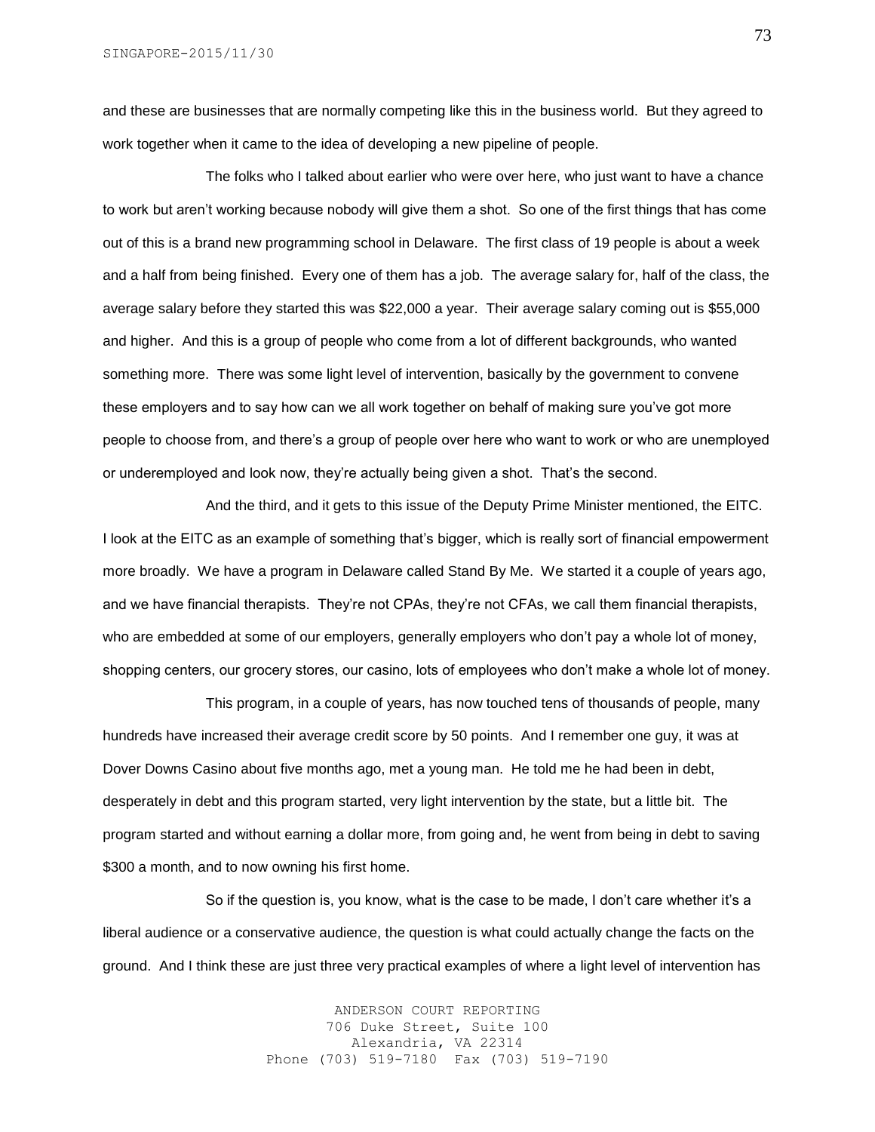and these are businesses that are normally competing like this in the business world. But they agreed to work together when it came to the idea of developing a new pipeline of people.

The folks who I talked about earlier who were over here, who just want to have a chance to work but aren't working because nobody will give them a shot. So one of the first things that has come out of this is a brand new programming school in Delaware. The first class of 19 people is about a week and a half from being finished. Every one of them has a job. The average salary for, half of the class, the average salary before they started this was \$22,000 a year. Their average salary coming out is \$55,000 and higher. And this is a group of people who come from a lot of different backgrounds, who wanted something more. There was some light level of intervention, basically by the government to convene these employers and to say how can we all work together on behalf of making sure you've got more people to choose from, and there's a group of people over here who want to work or who are unemployed or underemployed and look now, they're actually being given a shot. That's the second.

And the third, and it gets to this issue of the Deputy Prime Minister mentioned, the EITC. I look at the EITC as an example of something that's bigger, which is really sort of financial empowerment more broadly. We have a program in Delaware called Stand By Me. We started it a couple of years ago, and we have financial therapists. They're not CPAs, they're not CFAs, we call them financial therapists, who are embedded at some of our employers, generally employers who don't pay a whole lot of money, shopping centers, our grocery stores, our casino, lots of employees who don't make a whole lot of money.

This program, in a couple of years, has now touched tens of thousands of people, many hundreds have increased their average credit score by 50 points. And I remember one guy, it was at Dover Downs Casino about five months ago, met a young man. He told me he had been in debt, desperately in debt and this program started, very light intervention by the state, but a little bit. The program started and without earning a dollar more, from going and, he went from being in debt to saving \$300 a month, and to now owning his first home.

So if the question is, you know, what is the case to be made, I don't care whether it's a liberal audience or a conservative audience, the question is what could actually change the facts on the ground. And I think these are just three very practical examples of where a light level of intervention has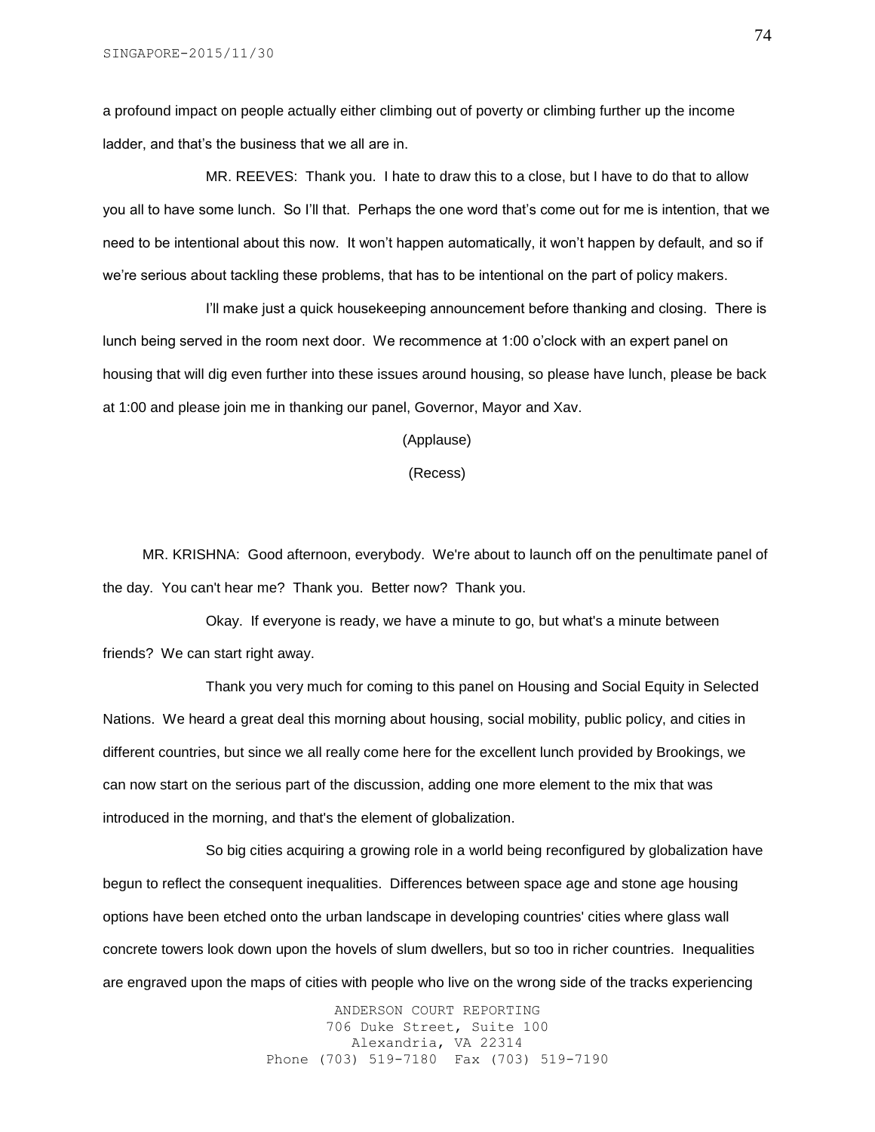a profound impact on people actually either climbing out of poverty or climbing further up the income ladder, and that's the business that we all are in.

MR. REEVES: Thank you. I hate to draw this to a close, but I have to do that to allow you all to have some lunch. So I'll that. Perhaps the one word that's come out for me is intention, that we need to be intentional about this now. It won't happen automatically, it won't happen by default, and so if we're serious about tackling these problems, that has to be intentional on the part of policy makers.

I'll make just a quick housekeeping announcement before thanking and closing. There is lunch being served in the room next door. We recommence at 1:00 o'clock with an expert panel on housing that will dig even further into these issues around housing, so please have lunch, please be back at 1:00 and please join me in thanking our panel, Governor, Mayor and Xav.

### (Applause)

(Recess)

 MR. KRISHNA: Good afternoon, everybody. We're about to launch off on the penultimate panel of the day. You can't hear me? Thank you. Better now? Thank you.

Okay. If everyone is ready, we have a minute to go, but what's a minute between friends? We can start right away.

Thank you very much for coming to this panel on Housing and Social Equity in Selected Nations. We heard a great deal this morning about housing, social mobility, public policy, and cities in different countries, but since we all really come here for the excellent lunch provided by Brookings, we can now start on the serious part of the discussion, adding one more element to the mix that was introduced in the morning, and that's the element of globalization.

So big cities acquiring a growing role in a world being reconfigured by globalization have begun to reflect the consequent inequalities. Differences between space age and stone age housing options have been etched onto the urban landscape in developing countries' cities where glass wall concrete towers look down upon the hovels of slum dwellers, but so too in richer countries. Inequalities are engraved upon the maps of cities with people who live on the wrong side of the tracks experiencing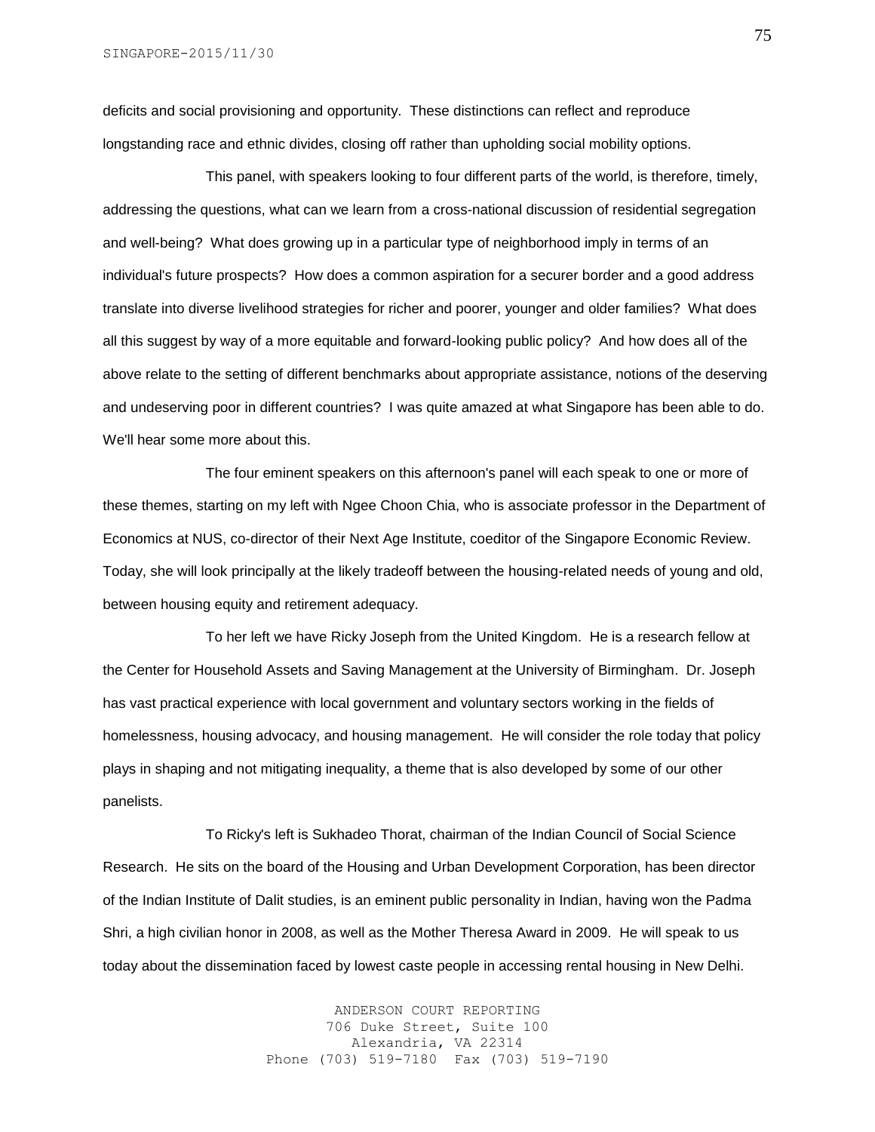deficits and social provisioning and opportunity. These distinctions can reflect and reproduce longstanding race and ethnic divides, closing off rather than upholding social mobility options.

This panel, with speakers looking to four different parts of the world, is therefore, timely, addressing the questions, what can we learn from a cross-national discussion of residential segregation and well-being? What does growing up in a particular type of neighborhood imply in terms of an individual's future prospects? How does a common aspiration for a securer border and a good address translate into diverse livelihood strategies for richer and poorer, younger and older families? What does all this suggest by way of a more equitable and forward-looking public policy? And how does all of the above relate to the setting of different benchmarks about appropriate assistance, notions of the deserving and undeserving poor in different countries? I was quite amazed at what Singapore has been able to do. We'll hear some more about this.

The four eminent speakers on this afternoon's panel will each speak to one or more of these themes, starting on my left with Ngee Choon Chia, who is associate professor in the Department of Economics at NUS, co-director of their Next Age Institute, coeditor of the Singapore Economic Review. Today, she will look principally at the likely tradeoff between the housing-related needs of young and old, between housing equity and retirement adequacy.

To her left we have Ricky Joseph from the United Kingdom. He is a research fellow at the Center for Household Assets and Saving Management at the University of Birmingham. Dr. Joseph has vast practical experience with local government and voluntary sectors working in the fields of homelessness, housing advocacy, and housing management. He will consider the role today that policy plays in shaping and not mitigating inequality, a theme that is also developed by some of our other panelists.

To Ricky's left is Sukhadeo Thorat, chairman of the Indian Council of Social Science Research. He sits on the board of the Housing and Urban Development Corporation, has been director of the Indian Institute of Dalit studies, is an eminent public personality in Indian, having won the Padma Shri, a high civilian honor in 2008, as well as the Mother Theresa Award in 2009. He will speak to us today about the dissemination faced by lowest caste people in accessing rental housing in New Delhi.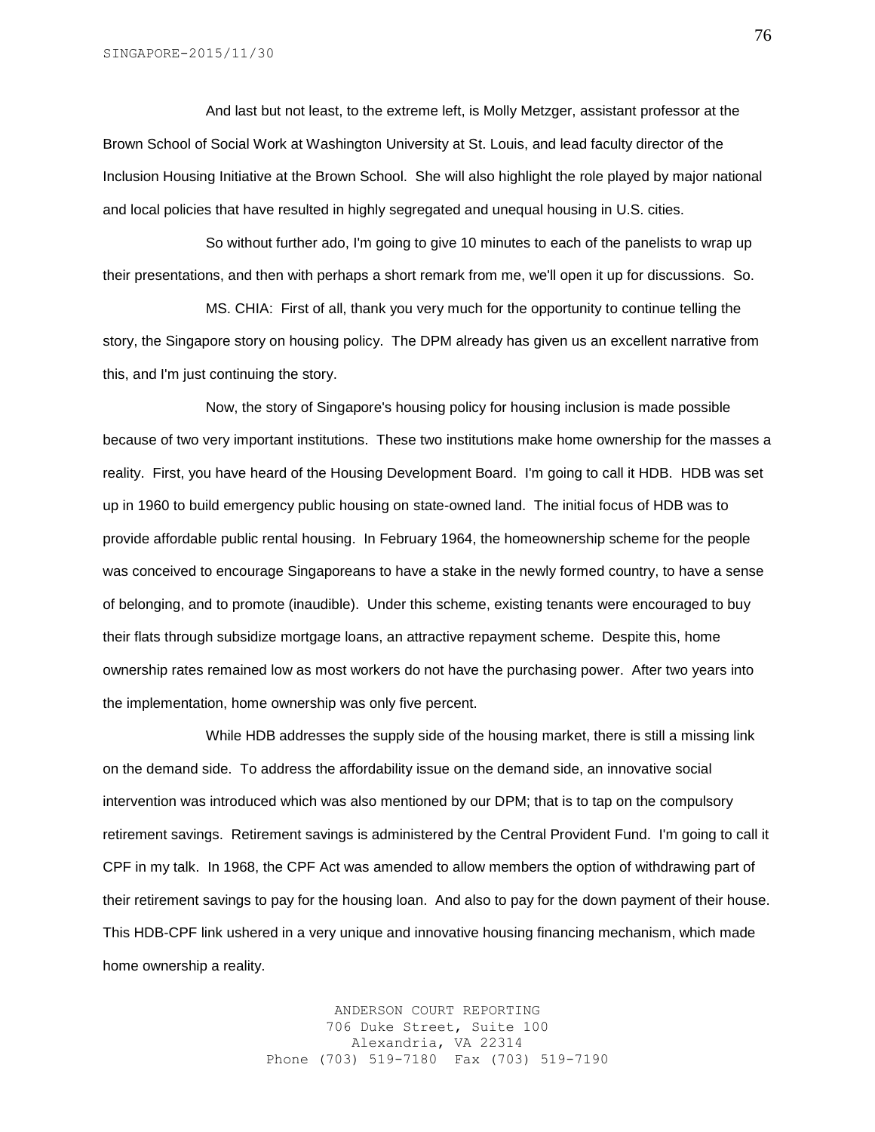And last but not least, to the extreme left, is Molly Metzger, assistant professor at the Brown School of Social Work at Washington University at St. Louis, and lead faculty director of the Inclusion Housing Initiative at the Brown School. She will also highlight the role played by major national and local policies that have resulted in highly segregated and unequal housing in U.S. cities.

So without further ado, I'm going to give 10 minutes to each of the panelists to wrap up their presentations, and then with perhaps a short remark from me, we'll open it up for discussions. So.

MS. CHIA: First of all, thank you very much for the opportunity to continue telling the story, the Singapore story on housing policy. The DPM already has given us an excellent narrative from this, and I'm just continuing the story.

Now, the story of Singapore's housing policy for housing inclusion is made possible because of two very important institutions. These two institutions make home ownership for the masses a reality. First, you have heard of the Housing Development Board. I'm going to call it HDB. HDB was set up in 1960 to build emergency public housing on state-owned land. The initial focus of HDB was to provide affordable public rental housing. In February 1964, the homeownership scheme for the people was conceived to encourage Singaporeans to have a stake in the newly formed country, to have a sense of belonging, and to promote (inaudible). Under this scheme, existing tenants were encouraged to buy their flats through subsidize mortgage loans, an attractive repayment scheme. Despite this, home ownership rates remained low as most workers do not have the purchasing power. After two years into the implementation, home ownership was only five percent.

While HDB addresses the supply side of the housing market, there is still a missing link on the demand side. To address the affordability issue on the demand side, an innovative social intervention was introduced which was also mentioned by our DPM; that is to tap on the compulsory retirement savings. Retirement savings is administered by the Central Provident Fund. I'm going to call it CPF in my talk. In 1968, the CPF Act was amended to allow members the option of withdrawing part of their retirement savings to pay for the housing loan. And also to pay for the down payment of their house. This HDB-CPF link ushered in a very unique and innovative housing financing mechanism, which made home ownership a reality.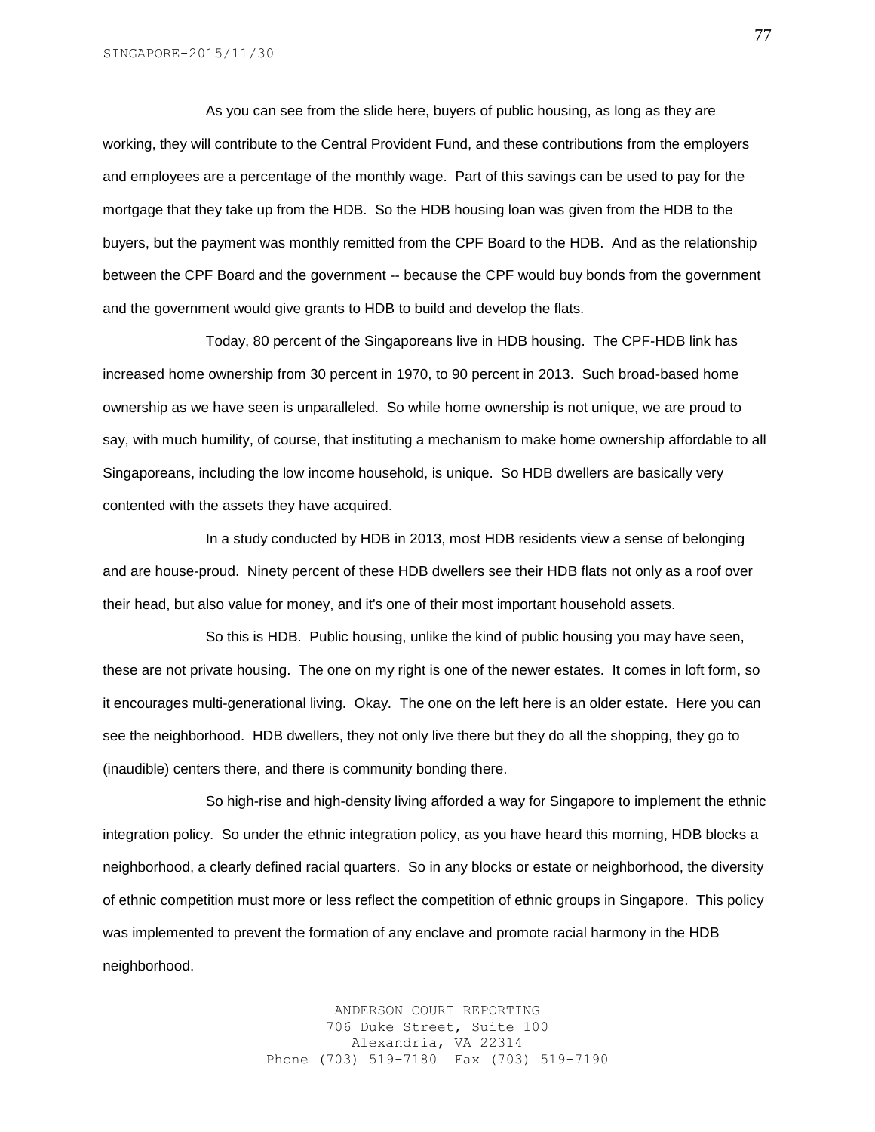As you can see from the slide here, buyers of public housing, as long as they are working, they will contribute to the Central Provident Fund, and these contributions from the employers and employees are a percentage of the monthly wage. Part of this savings can be used to pay for the mortgage that they take up from the HDB. So the HDB housing loan was given from the HDB to the buyers, but the payment was monthly remitted from the CPF Board to the HDB. And as the relationship between the CPF Board and the government -- because the CPF would buy bonds from the government and the government would give grants to HDB to build and develop the flats.

Today, 80 percent of the Singaporeans live in HDB housing. The CPF-HDB link has increased home ownership from 30 percent in 1970, to 90 percent in 2013. Such broad-based home ownership as we have seen is unparalleled. So while home ownership is not unique, we are proud to say, with much humility, of course, that instituting a mechanism to make home ownership affordable to all Singaporeans, including the low income household, is unique. So HDB dwellers are basically very contented with the assets they have acquired.

In a study conducted by HDB in 2013, most HDB residents view a sense of belonging and are house-proud. Ninety percent of these HDB dwellers see their HDB flats not only as a roof over their head, but also value for money, and it's one of their most important household assets.

So this is HDB. Public housing, unlike the kind of public housing you may have seen, these are not private housing. The one on my right is one of the newer estates. It comes in loft form, so it encourages multi-generational living. Okay. The one on the left here is an older estate. Here you can see the neighborhood. HDB dwellers, they not only live there but they do all the shopping, they go to (inaudible) centers there, and there is community bonding there.

So high-rise and high-density living afforded a way for Singapore to implement the ethnic integration policy. So under the ethnic integration policy, as you have heard this morning, HDB blocks a neighborhood, a clearly defined racial quarters. So in any blocks or estate or neighborhood, the diversity of ethnic competition must more or less reflect the competition of ethnic groups in Singapore. This policy was implemented to prevent the formation of any enclave and promote racial harmony in the HDB neighborhood.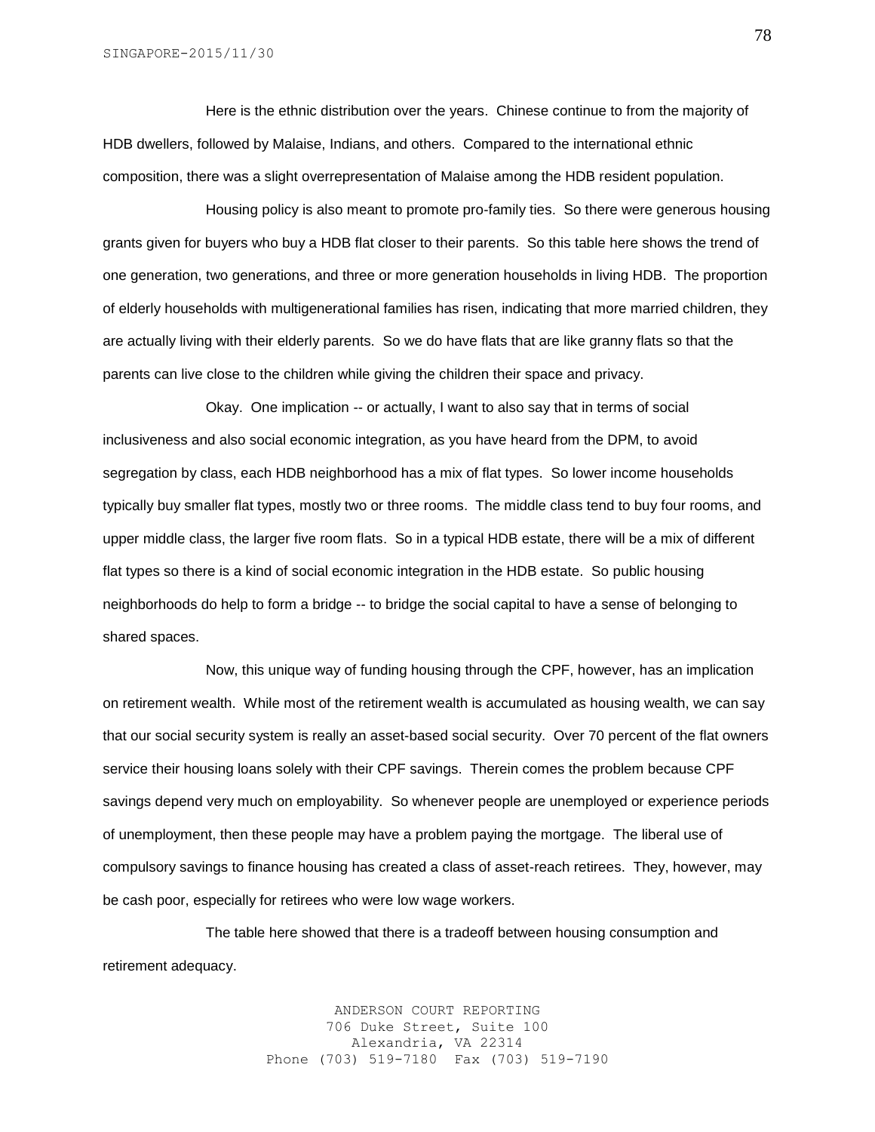Here is the ethnic distribution over the years. Chinese continue to from the majority of HDB dwellers, followed by Malaise, Indians, and others. Compared to the international ethnic composition, there was a slight overrepresentation of Malaise among the HDB resident population.

Housing policy is also meant to promote pro-family ties. So there were generous housing grants given for buyers who buy a HDB flat closer to their parents. So this table here shows the trend of one generation, two generations, and three or more generation households in living HDB. The proportion of elderly households with multigenerational families has risen, indicating that more married children, they are actually living with their elderly parents. So we do have flats that are like granny flats so that the parents can live close to the children while giving the children their space and privacy.

Okay. One implication -- or actually, I want to also say that in terms of social inclusiveness and also social economic integration, as you have heard from the DPM, to avoid segregation by class, each HDB neighborhood has a mix of flat types. So lower income households typically buy smaller flat types, mostly two or three rooms. The middle class tend to buy four rooms, and upper middle class, the larger five room flats. So in a typical HDB estate, there will be a mix of different flat types so there is a kind of social economic integration in the HDB estate. So public housing neighborhoods do help to form a bridge -- to bridge the social capital to have a sense of belonging to shared spaces.

Now, this unique way of funding housing through the CPF, however, has an implication on retirement wealth. While most of the retirement wealth is accumulated as housing wealth, we can say that our social security system is really an asset-based social security. Over 70 percent of the flat owners service their housing loans solely with their CPF savings. Therein comes the problem because CPF savings depend very much on employability. So whenever people are unemployed or experience periods of unemployment, then these people may have a problem paying the mortgage. The liberal use of compulsory savings to finance housing has created a class of asset-reach retirees. They, however, may be cash poor, especially for retirees who were low wage workers.

The table here showed that there is a tradeoff between housing consumption and retirement adequacy.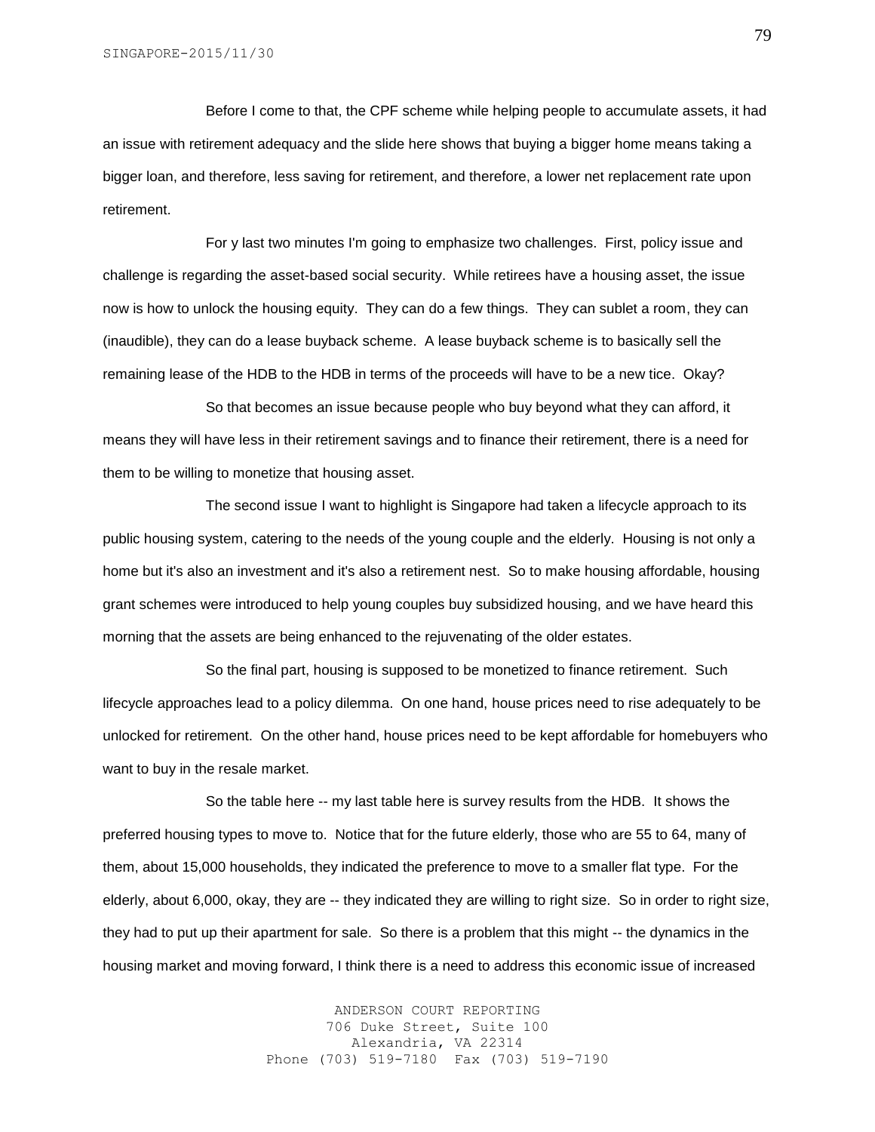Before I come to that, the CPF scheme while helping people to accumulate assets, it had an issue with retirement adequacy and the slide here shows that buying a bigger home means taking a bigger loan, and therefore, less saving for retirement, and therefore, a lower net replacement rate upon retirement.

For y last two minutes I'm going to emphasize two challenges. First, policy issue and challenge is regarding the asset-based social security. While retirees have a housing asset, the issue now is how to unlock the housing equity. They can do a few things. They can sublet a room, they can (inaudible), they can do a lease buyback scheme. A lease buyback scheme is to basically sell the remaining lease of the HDB to the HDB in terms of the proceeds will have to be a new tice. Okay?

So that becomes an issue because people who buy beyond what they can afford, it means they will have less in their retirement savings and to finance their retirement, there is a need for them to be willing to monetize that housing asset.

The second issue I want to highlight is Singapore had taken a lifecycle approach to its public housing system, catering to the needs of the young couple and the elderly. Housing is not only a home but it's also an investment and it's also a retirement nest. So to make housing affordable, housing grant schemes were introduced to help young couples buy subsidized housing, and we have heard this morning that the assets are being enhanced to the rejuvenating of the older estates.

So the final part, housing is supposed to be monetized to finance retirement. Such lifecycle approaches lead to a policy dilemma. On one hand, house prices need to rise adequately to be unlocked for retirement. On the other hand, house prices need to be kept affordable for homebuyers who want to buy in the resale market.

So the table here -- my last table here is survey results from the HDB. It shows the preferred housing types to move to. Notice that for the future elderly, those who are 55 to 64, many of them, about 15,000 households, they indicated the preference to move to a smaller flat type. For the elderly, about 6,000, okay, they are -- they indicated they are willing to right size. So in order to right size, they had to put up their apartment for sale. So there is a problem that this might -- the dynamics in the housing market and moving forward, I think there is a need to address this economic issue of increased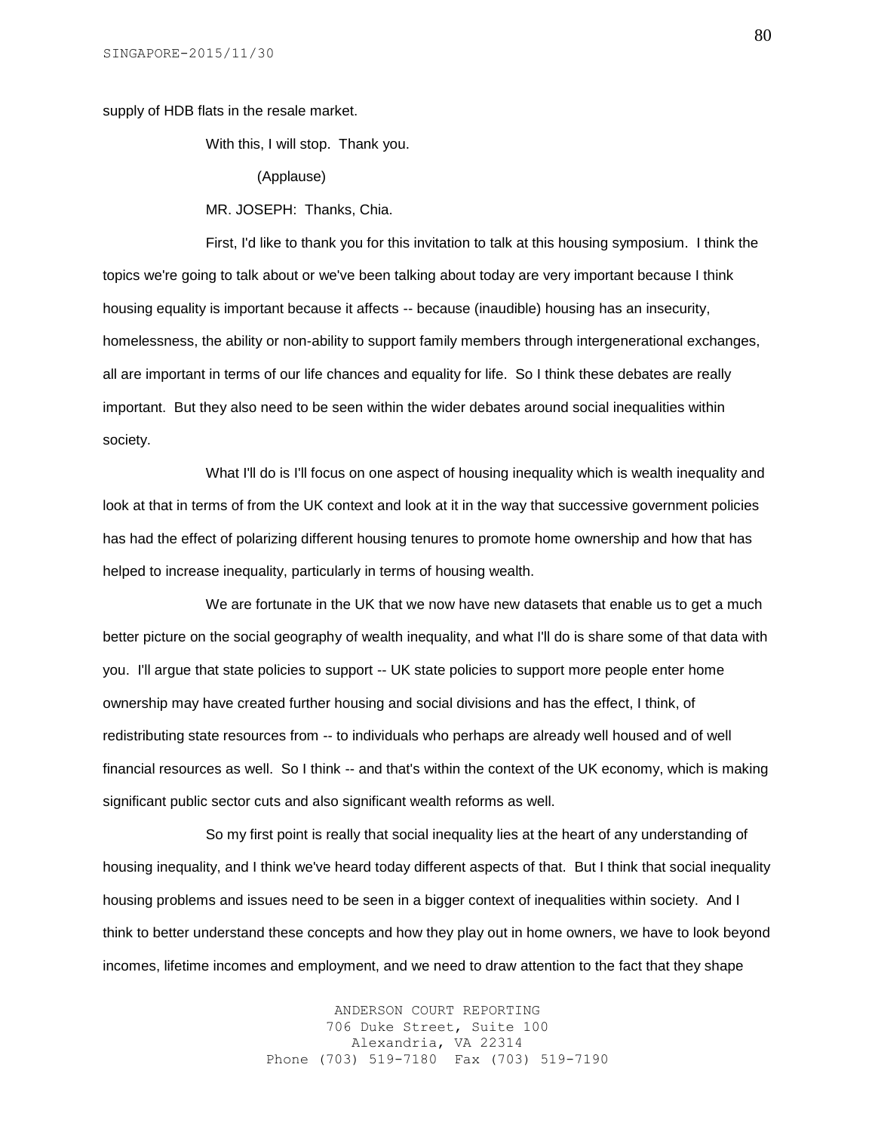supply of HDB flats in the resale market.

With this, I will stop. Thank you.

(Applause)

MR. JOSEPH: Thanks, Chia.

First, I'd like to thank you for this invitation to talk at this housing symposium. I think the topics we're going to talk about or we've been talking about today are very important because I think housing equality is important because it affects -- because (inaudible) housing has an insecurity, homelessness, the ability or non-ability to support family members through intergenerational exchanges, all are important in terms of our life chances and equality for life. So I think these debates are really important. But they also need to be seen within the wider debates around social inequalities within society.

What I'll do is I'll focus on one aspect of housing inequality which is wealth inequality and look at that in terms of from the UK context and look at it in the way that successive government policies has had the effect of polarizing different housing tenures to promote home ownership and how that has helped to increase inequality, particularly in terms of housing wealth.

We are fortunate in the UK that we now have new datasets that enable us to get a much better picture on the social geography of wealth inequality, and what I'll do is share some of that data with you. I'll argue that state policies to support -- UK state policies to support more people enter home ownership may have created further housing and social divisions and has the effect, I think, of redistributing state resources from -- to individuals who perhaps are already well housed and of well financial resources as well. So I think -- and that's within the context of the UK economy, which is making significant public sector cuts and also significant wealth reforms as well.

So my first point is really that social inequality lies at the heart of any understanding of housing inequality, and I think we've heard today different aspects of that. But I think that social inequality housing problems and issues need to be seen in a bigger context of inequalities within society. And I think to better understand these concepts and how they play out in home owners, we have to look beyond incomes, lifetime incomes and employment, and we need to draw attention to the fact that they shape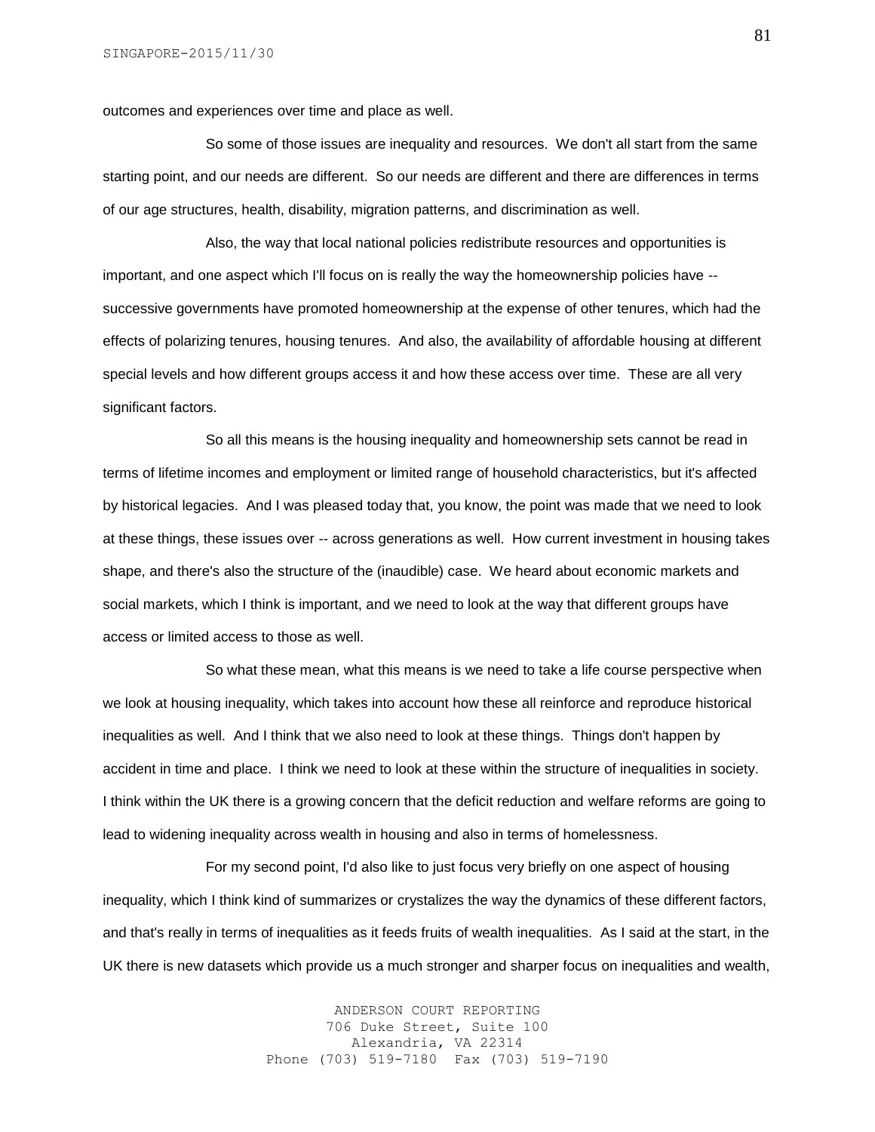outcomes and experiences over time and place as well.

So some of those issues are inequality and resources. We don't all start from the same starting point, and our needs are different. So our needs are different and there are differences in terms of our age structures, health, disability, migration patterns, and discrimination as well.

Also, the way that local national policies redistribute resources and opportunities is important, and one aspect which I'll focus on is really the way the homeownership policies have - successive governments have promoted homeownership at the expense of other tenures, which had the effects of polarizing tenures, housing tenures. And also, the availability of affordable housing at different special levels and how different groups access it and how these access over time. These are all very significant factors.

So all this means is the housing inequality and homeownership sets cannot be read in terms of lifetime incomes and employment or limited range of household characteristics, but it's affected by historical legacies. And I was pleased today that, you know, the point was made that we need to look at these things, these issues over -- across generations as well. How current investment in housing takes shape, and there's also the structure of the (inaudible) case. We heard about economic markets and social markets, which I think is important, and we need to look at the way that different groups have access or limited access to those as well.

So what these mean, what this means is we need to take a life course perspective when we look at housing inequality, which takes into account how these all reinforce and reproduce historical inequalities as well. And I think that we also need to look at these things. Things don't happen by accident in time and place. I think we need to look at these within the structure of inequalities in society. I think within the UK there is a growing concern that the deficit reduction and welfare reforms are going to lead to widening inequality across wealth in housing and also in terms of homelessness.

For my second point, I'd also like to just focus very briefly on one aspect of housing inequality, which I think kind of summarizes or crystalizes the way the dynamics of these different factors, and that's really in terms of inequalities as it feeds fruits of wealth inequalities. As I said at the start, in the UK there is new datasets which provide us a much stronger and sharper focus on inequalities and wealth,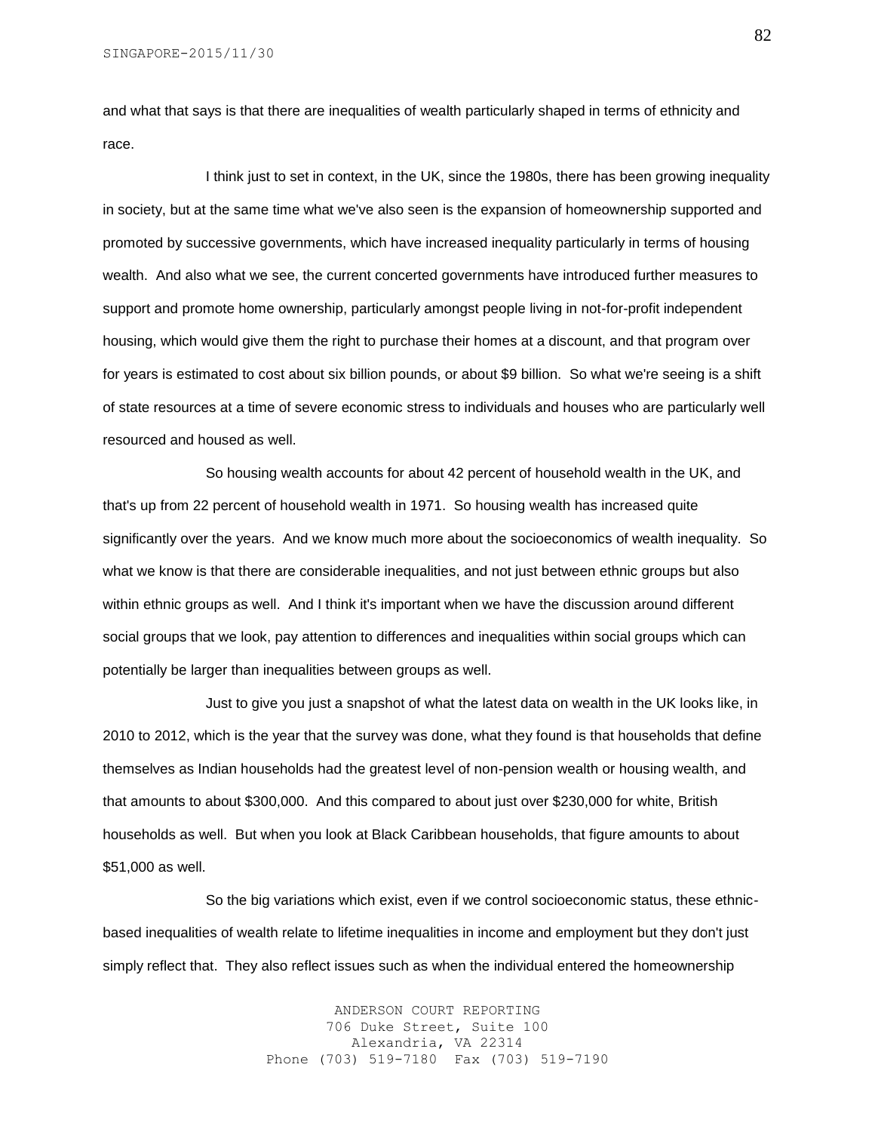and what that says is that there are inequalities of wealth particularly shaped in terms of ethnicity and race.

I think just to set in context, in the UK, since the 1980s, there has been growing inequality in society, but at the same time what we've also seen is the expansion of homeownership supported and promoted by successive governments, which have increased inequality particularly in terms of housing wealth. And also what we see, the current concerted governments have introduced further measures to support and promote home ownership, particularly amongst people living in not-for-profit independent housing, which would give them the right to purchase their homes at a discount, and that program over for years is estimated to cost about six billion pounds, or about \$9 billion. So what we're seeing is a shift of state resources at a time of severe economic stress to individuals and houses who are particularly well resourced and housed as well.

So housing wealth accounts for about 42 percent of household wealth in the UK, and that's up from 22 percent of household wealth in 1971. So housing wealth has increased quite significantly over the years. And we know much more about the socioeconomics of wealth inequality. So what we know is that there are considerable inequalities, and not just between ethnic groups but also within ethnic groups as well. And I think it's important when we have the discussion around different social groups that we look, pay attention to differences and inequalities within social groups which can potentially be larger than inequalities between groups as well.

Just to give you just a snapshot of what the latest data on wealth in the UK looks like, in 2010 to 2012, which is the year that the survey was done, what they found is that households that define themselves as Indian households had the greatest level of non-pension wealth or housing wealth, and that amounts to about \$300,000. And this compared to about just over \$230,000 for white, British households as well. But when you look at Black Caribbean households, that figure amounts to about \$51,000 as well.

So the big variations which exist, even if we control socioeconomic status, these ethnicbased inequalities of wealth relate to lifetime inequalities in income and employment but they don't just simply reflect that. They also reflect issues such as when the individual entered the homeownership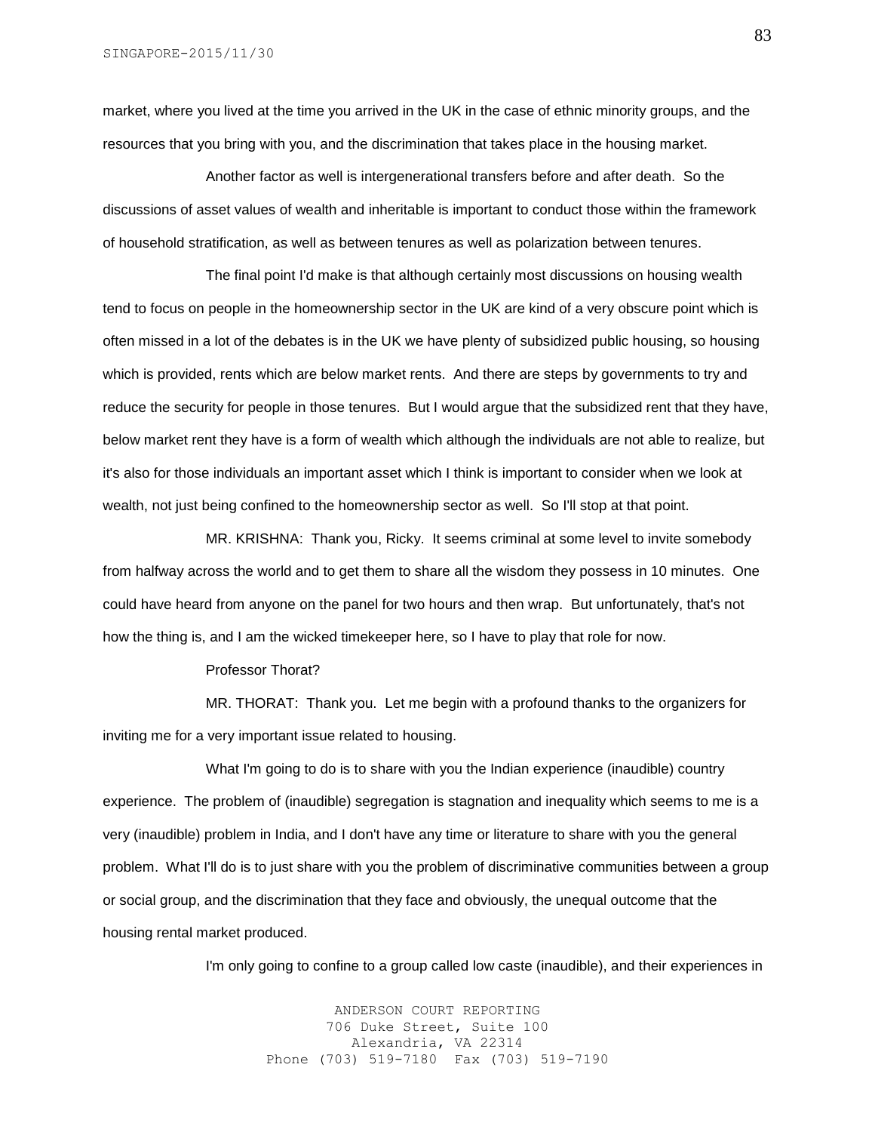market, where you lived at the time you arrived in the UK in the case of ethnic minority groups, and the resources that you bring with you, and the discrimination that takes place in the housing market.

Another factor as well is intergenerational transfers before and after death. So the discussions of asset values of wealth and inheritable is important to conduct those within the framework of household stratification, as well as between tenures as well as polarization between tenures.

The final point I'd make is that although certainly most discussions on housing wealth tend to focus on people in the homeownership sector in the UK are kind of a very obscure point which is often missed in a lot of the debates is in the UK we have plenty of subsidized public housing, so housing which is provided, rents which are below market rents. And there are steps by governments to try and reduce the security for people in those tenures. But I would argue that the subsidized rent that they have, below market rent they have is a form of wealth which although the individuals are not able to realize, but it's also for those individuals an important asset which I think is important to consider when we look at wealth, not just being confined to the homeownership sector as well. So I'll stop at that point.

MR. KRISHNA: Thank you, Ricky. It seems criminal at some level to invite somebody from halfway across the world and to get them to share all the wisdom they possess in 10 minutes. One could have heard from anyone on the panel for two hours and then wrap. But unfortunately, that's not how the thing is, and I am the wicked timekeeper here, so I have to play that role for now.

Professor Thorat?

MR. THORAT: Thank you. Let me begin with a profound thanks to the organizers for inviting me for a very important issue related to housing.

What I'm going to do is to share with you the Indian experience (inaudible) country experience. The problem of (inaudible) segregation is stagnation and inequality which seems to me is a very (inaudible) problem in India, and I don't have any time or literature to share with you the general problem. What I'll do is to just share with you the problem of discriminative communities between a group or social group, and the discrimination that they face and obviously, the unequal outcome that the housing rental market produced.

I'm only going to confine to a group called low caste (inaudible), and their experiences in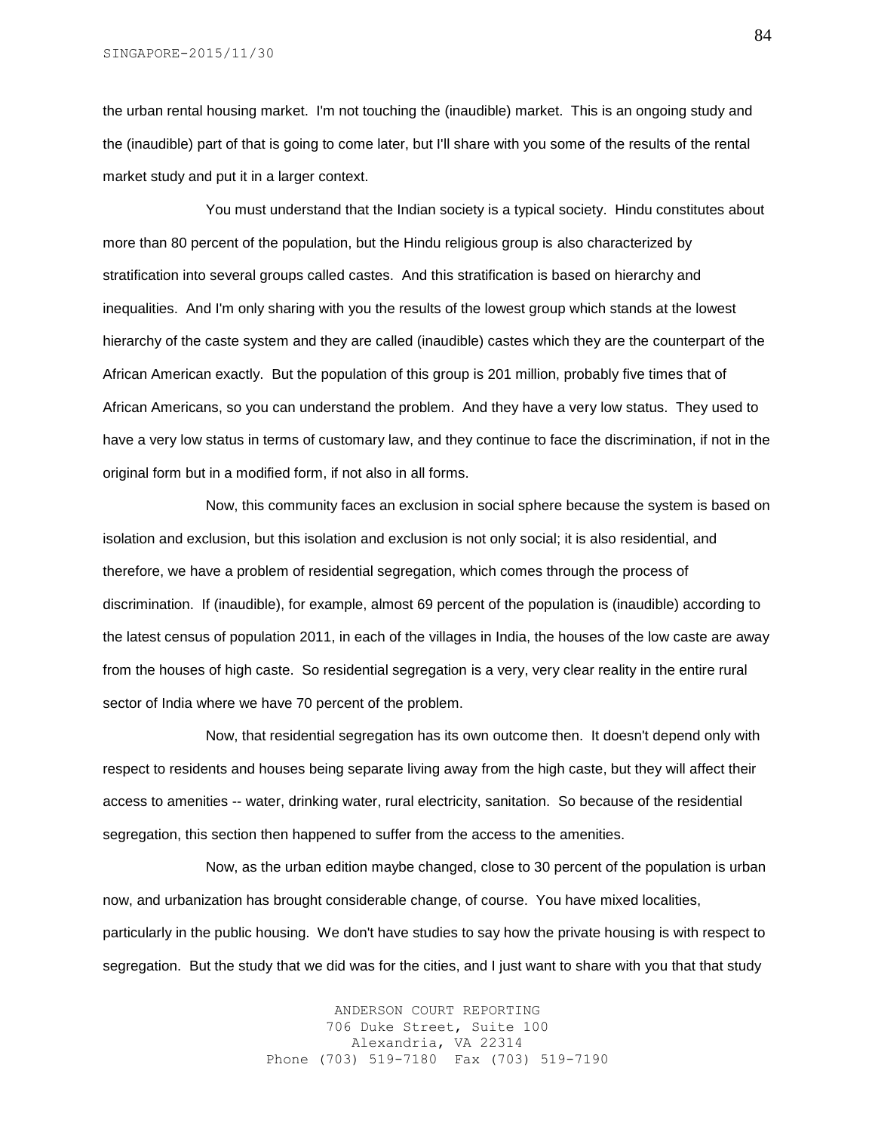the urban rental housing market. I'm not touching the (inaudible) market. This is an ongoing study and the (inaudible) part of that is going to come later, but I'll share with you some of the results of the rental market study and put it in a larger context.

You must understand that the Indian society is a typical society. Hindu constitutes about more than 80 percent of the population, but the Hindu religious group is also characterized by stratification into several groups called castes. And this stratification is based on hierarchy and inequalities. And I'm only sharing with you the results of the lowest group which stands at the lowest hierarchy of the caste system and they are called (inaudible) castes which they are the counterpart of the African American exactly. But the population of this group is 201 million, probably five times that of African Americans, so you can understand the problem. And they have a very low status. They used to have a very low status in terms of customary law, and they continue to face the discrimination, if not in the original form but in a modified form, if not also in all forms.

Now, this community faces an exclusion in social sphere because the system is based on isolation and exclusion, but this isolation and exclusion is not only social; it is also residential, and therefore, we have a problem of residential segregation, which comes through the process of discrimination. If (inaudible), for example, almost 69 percent of the population is (inaudible) according to the latest census of population 2011, in each of the villages in India, the houses of the low caste are away from the houses of high caste. So residential segregation is a very, very clear reality in the entire rural sector of India where we have 70 percent of the problem.

Now, that residential segregation has its own outcome then. It doesn't depend only with respect to residents and houses being separate living away from the high caste, but they will affect their access to amenities -- water, drinking water, rural electricity, sanitation. So because of the residential segregation, this section then happened to suffer from the access to the amenities.

Now, as the urban edition maybe changed, close to 30 percent of the population is urban now, and urbanization has brought considerable change, of course. You have mixed localities, particularly in the public housing. We don't have studies to say how the private housing is with respect to segregation. But the study that we did was for the cities, and I just want to share with you that that study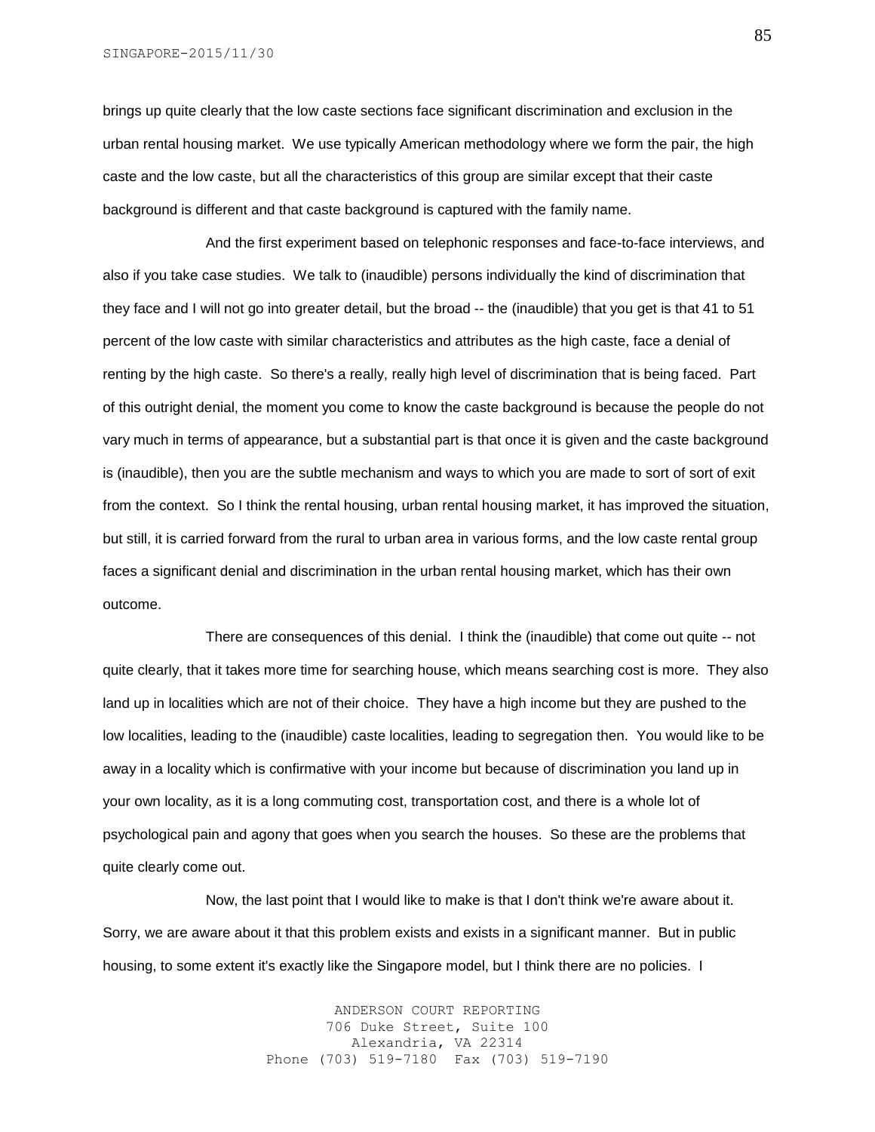SINGAPORE-2015/11/30

brings up quite clearly that the low caste sections face significant discrimination and exclusion in the urban rental housing market. We use typically American methodology where we form the pair, the high caste and the low caste, but all the characteristics of this group are similar except that their caste background is different and that caste background is captured with the family name.

And the first experiment based on telephonic responses and face-to-face interviews, and also if you take case studies. We talk to (inaudible) persons individually the kind of discrimination that they face and I will not go into greater detail, but the broad -- the (inaudible) that you get is that 41 to 51 percent of the low caste with similar characteristics and attributes as the high caste, face a denial of renting by the high caste. So there's a really, really high level of discrimination that is being faced. Part of this outright denial, the moment you come to know the caste background is because the people do not vary much in terms of appearance, but a substantial part is that once it is given and the caste background is (inaudible), then you are the subtle mechanism and ways to which you are made to sort of sort of exit from the context. So I think the rental housing, urban rental housing market, it has improved the situation, but still, it is carried forward from the rural to urban area in various forms, and the low caste rental group faces a significant denial and discrimination in the urban rental housing market, which has their own outcome.

There are consequences of this denial. I think the (inaudible) that come out quite -- not quite clearly, that it takes more time for searching house, which means searching cost is more. They also land up in localities which are not of their choice. They have a high income but they are pushed to the low localities, leading to the (inaudible) caste localities, leading to segregation then. You would like to be away in a locality which is confirmative with your income but because of discrimination you land up in your own locality, as it is a long commuting cost, transportation cost, and there is a whole lot of psychological pain and agony that goes when you search the houses. So these are the problems that quite clearly come out.

Now, the last point that I would like to make is that I don't think we're aware about it. Sorry, we are aware about it that this problem exists and exists in a significant manner. But in public housing, to some extent it's exactly like the Singapore model, but I think there are no policies. I

> ANDERSON COURT REPORTING 706 Duke Street, Suite 100 Alexandria, VA 22314 Phone (703) 519-7180 Fax (703) 519-7190

85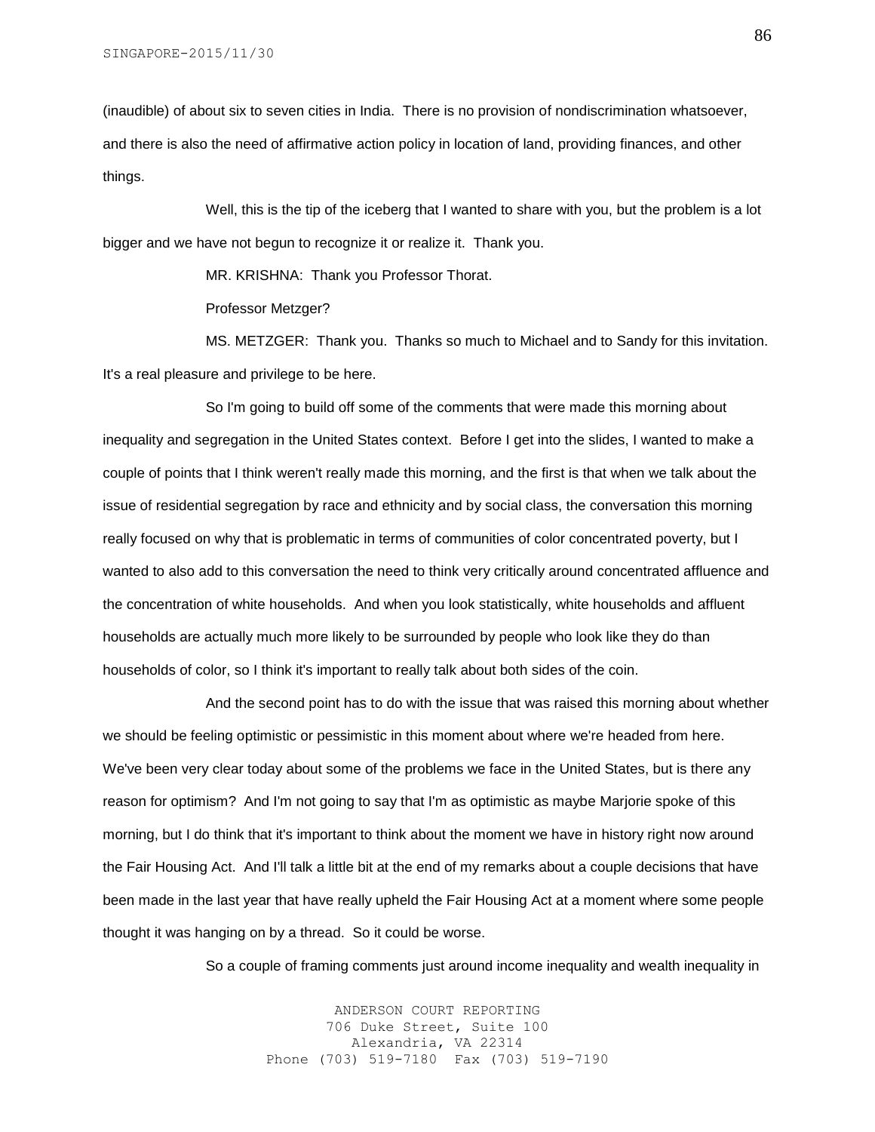(inaudible) of about six to seven cities in India. There is no provision of nondiscrimination whatsoever, and there is also the need of affirmative action policy in location of land, providing finances, and other things.

Well, this is the tip of the iceberg that I wanted to share with you, but the problem is a lot bigger and we have not begun to recognize it or realize it. Thank you.

MR. KRISHNA: Thank you Professor Thorat.

Professor Metzger?

MS. METZGER: Thank you. Thanks so much to Michael and to Sandy for this invitation. It's a real pleasure and privilege to be here.

So I'm going to build off some of the comments that were made this morning about inequality and segregation in the United States context. Before I get into the slides, I wanted to make a couple of points that I think weren't really made this morning, and the first is that when we talk about the issue of residential segregation by race and ethnicity and by social class, the conversation this morning really focused on why that is problematic in terms of communities of color concentrated poverty, but I wanted to also add to this conversation the need to think very critically around concentrated affluence and the concentration of white households. And when you look statistically, white households and affluent households are actually much more likely to be surrounded by people who look like they do than households of color, so I think it's important to really talk about both sides of the coin.

And the second point has to do with the issue that was raised this morning about whether we should be feeling optimistic or pessimistic in this moment about where we're headed from here. We've been very clear today about some of the problems we face in the United States, but is there any reason for optimism? And I'm not going to say that I'm as optimistic as maybe Marjorie spoke of this morning, but I do think that it's important to think about the moment we have in history right now around the Fair Housing Act. And I'll talk a little bit at the end of my remarks about a couple decisions that have been made in the last year that have really upheld the Fair Housing Act at a moment where some people thought it was hanging on by a thread. So it could be worse.

So a couple of framing comments just around income inequality and wealth inequality in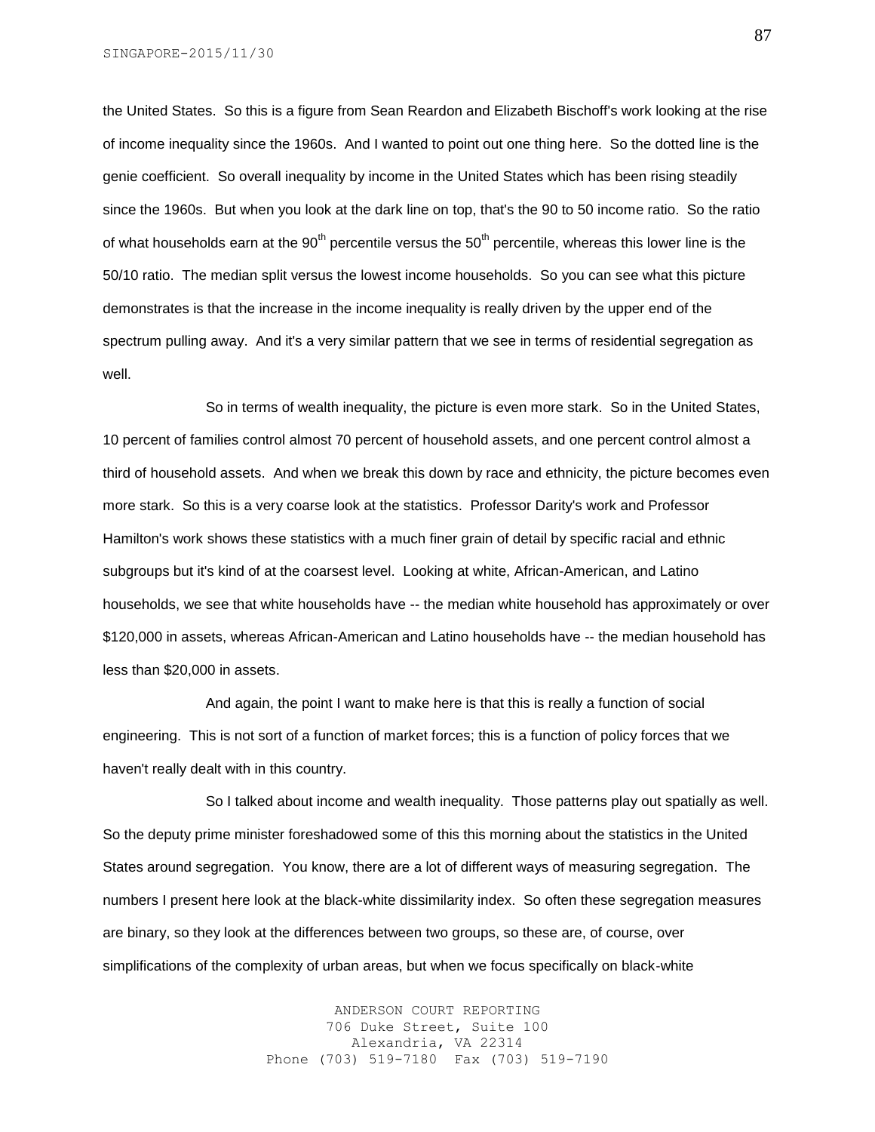SINGAPORE-2015/11/30

the United States. So this is a figure from Sean Reardon and Elizabeth Bischoff's work looking at the rise of income inequality since the 1960s. And I wanted to point out one thing here. So the dotted line is the genie coefficient. So overall inequality by income in the United States which has been rising steadily since the 1960s. But when you look at the dark line on top, that's the 90 to 50 income ratio. So the ratio of what households earn at the  $90<sup>th</sup>$  percentile versus the  $50<sup>th</sup>$  percentile, whereas this lower line is the 50/10 ratio. The median split versus the lowest income households. So you can see what this picture demonstrates is that the increase in the income inequality is really driven by the upper end of the spectrum pulling away. And it's a very similar pattern that we see in terms of residential segregation as well.

So in terms of wealth inequality, the picture is even more stark. So in the United States, 10 percent of families control almost 70 percent of household assets, and one percent control almost a third of household assets. And when we break this down by race and ethnicity, the picture becomes even more stark. So this is a very coarse look at the statistics. Professor Darity's work and Professor Hamilton's work shows these statistics with a much finer grain of detail by specific racial and ethnic subgroups but it's kind of at the coarsest level. Looking at white, African-American, and Latino households, we see that white households have -- the median white household has approximately or over \$120,000 in assets, whereas African-American and Latino households have -- the median household has less than \$20,000 in assets.

And again, the point I want to make here is that this is really a function of social engineering. This is not sort of a function of market forces; this is a function of policy forces that we haven't really dealt with in this country.

So I talked about income and wealth inequality. Those patterns play out spatially as well. So the deputy prime minister foreshadowed some of this this morning about the statistics in the United States around segregation. You know, there are a lot of different ways of measuring segregation. The numbers I present here look at the black-white dissimilarity index. So often these segregation measures are binary, so they look at the differences between two groups, so these are, of course, over simplifications of the complexity of urban areas, but when we focus specifically on black-white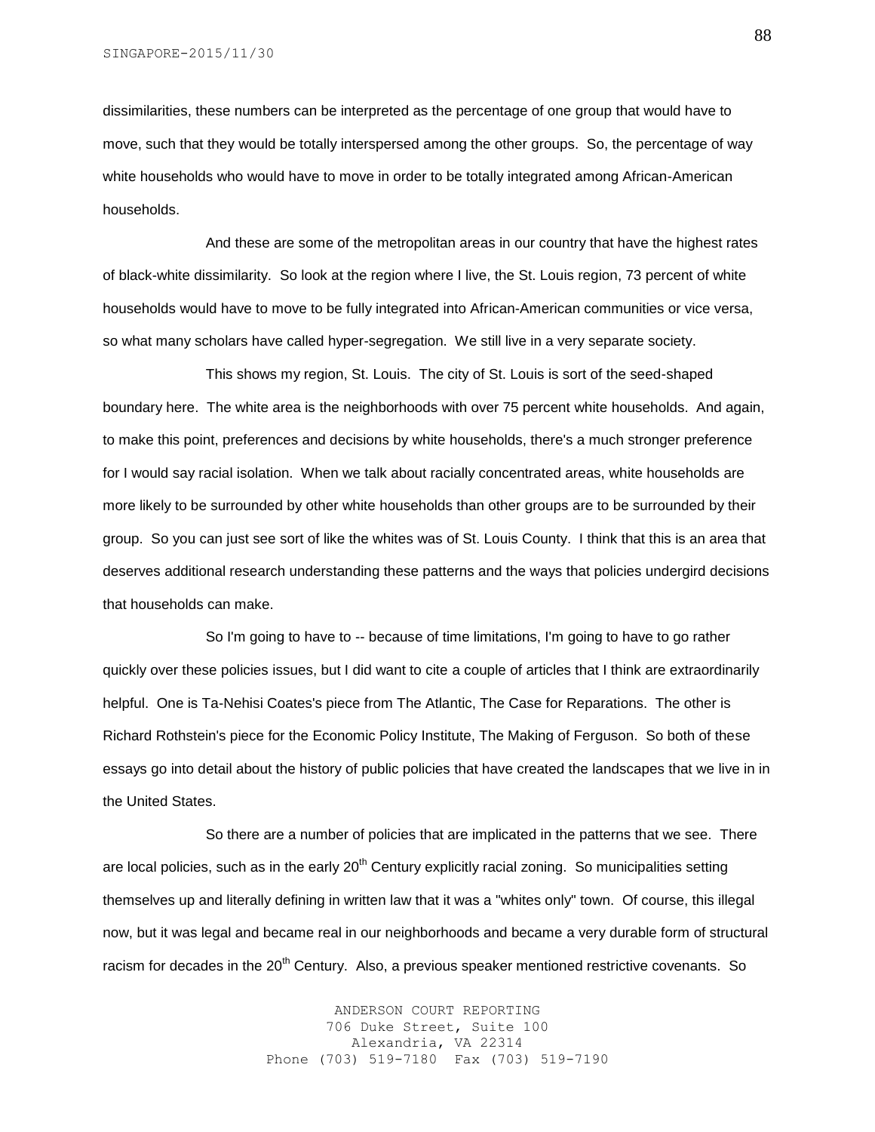SINGAPORE-2015/11/30

dissimilarities, these numbers can be interpreted as the percentage of one group that would have to move, such that they would be totally interspersed among the other groups. So, the percentage of way white households who would have to move in order to be totally integrated among African-American households.

And these are some of the metropolitan areas in our country that have the highest rates of black-white dissimilarity. So look at the region where I live, the St. Louis region, 73 percent of white households would have to move to be fully integrated into African-American communities or vice versa, so what many scholars have called hyper-segregation. We still live in a very separate society.

This shows my region, St. Louis. The city of St. Louis is sort of the seed-shaped boundary here. The white area is the neighborhoods with over 75 percent white households. And again, to make this point, preferences and decisions by white households, there's a much stronger preference for I would say racial isolation. When we talk about racially concentrated areas, white households are more likely to be surrounded by other white households than other groups are to be surrounded by their group. So you can just see sort of like the whites was of St. Louis County. I think that this is an area that deserves additional research understanding these patterns and the ways that policies undergird decisions that households can make.

So I'm going to have to -- because of time limitations, I'm going to have to go rather quickly over these policies issues, but I did want to cite a couple of articles that I think are extraordinarily helpful. One is Ta-Nehisi Coates's piece from The Atlantic, The Case for Reparations. The other is Richard Rothstein's piece for the Economic Policy Institute, The Making of Ferguson. So both of these essays go into detail about the history of public policies that have created the landscapes that we live in in the United States.

So there are a number of policies that are implicated in the patterns that we see. There are local policies, such as in the early  $20<sup>th</sup>$  Century explicitly racial zoning. So municipalities setting themselves up and literally defining in written law that it was a "whites only" town. Of course, this illegal now, but it was legal and became real in our neighborhoods and became a very durable form of structural racism for decades in the 20<sup>th</sup> Century. Also, a previous speaker mentioned restrictive covenants. So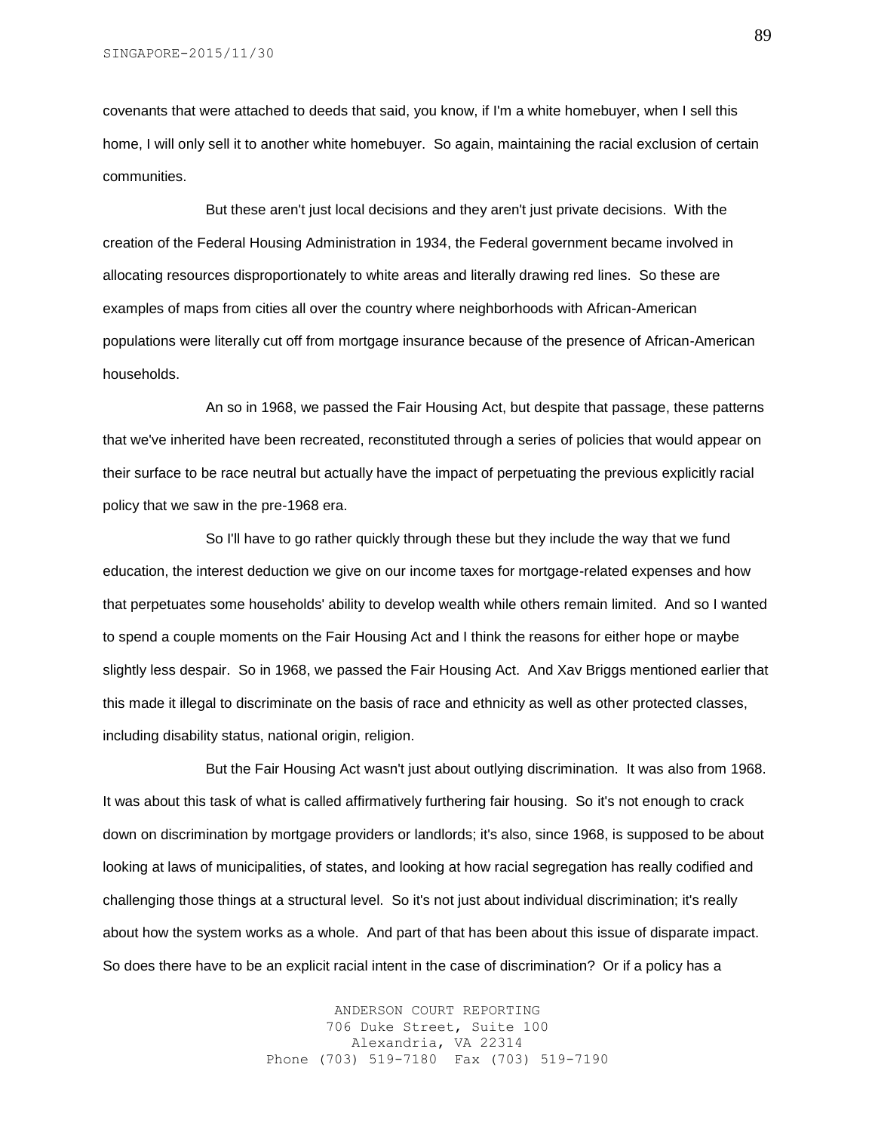covenants that were attached to deeds that said, you know, if I'm a white homebuyer, when I sell this home, I will only sell it to another white homebuyer. So again, maintaining the racial exclusion of certain communities.

But these aren't just local decisions and they aren't just private decisions. With the creation of the Federal Housing Administration in 1934, the Federal government became involved in allocating resources disproportionately to white areas and literally drawing red lines. So these are examples of maps from cities all over the country where neighborhoods with African-American populations were literally cut off from mortgage insurance because of the presence of African-American households.

An so in 1968, we passed the Fair Housing Act, but despite that passage, these patterns that we've inherited have been recreated, reconstituted through a series of policies that would appear on their surface to be race neutral but actually have the impact of perpetuating the previous explicitly racial policy that we saw in the pre-1968 era.

So I'll have to go rather quickly through these but they include the way that we fund education, the interest deduction we give on our income taxes for mortgage-related expenses and how that perpetuates some households' ability to develop wealth while others remain limited. And so I wanted to spend a couple moments on the Fair Housing Act and I think the reasons for either hope or maybe slightly less despair. So in 1968, we passed the Fair Housing Act. And Xav Briggs mentioned earlier that this made it illegal to discriminate on the basis of race and ethnicity as well as other protected classes, including disability status, national origin, religion.

But the Fair Housing Act wasn't just about outlying discrimination. It was also from 1968. It was about this task of what is called affirmatively furthering fair housing. So it's not enough to crack down on discrimination by mortgage providers or landlords; it's also, since 1968, is supposed to be about looking at laws of municipalities, of states, and looking at how racial segregation has really codified and challenging those things at a structural level. So it's not just about individual discrimination; it's really about how the system works as a whole. And part of that has been about this issue of disparate impact. So does there have to be an explicit racial intent in the case of discrimination? Or if a policy has a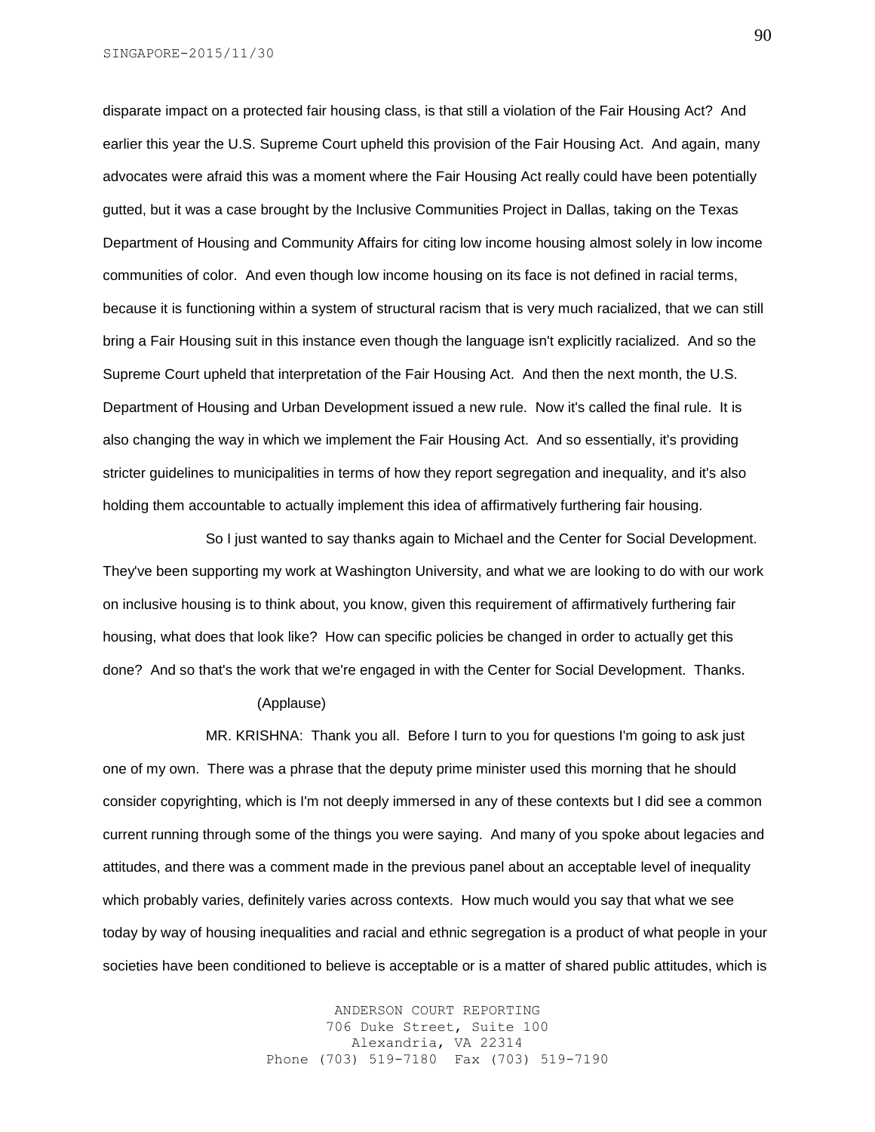disparate impact on a protected fair housing class, is that still a violation of the Fair Housing Act? And earlier this year the U.S. Supreme Court upheld this provision of the Fair Housing Act. And again, many advocates were afraid this was a moment where the Fair Housing Act really could have been potentially gutted, but it was a case brought by the Inclusive Communities Project in Dallas, taking on the Texas Department of Housing and Community Affairs for citing low income housing almost solely in low income communities of color. And even though low income housing on its face is not defined in racial terms, because it is functioning within a system of structural racism that is very much racialized, that we can still bring a Fair Housing suit in this instance even though the language isn't explicitly racialized. And so the Supreme Court upheld that interpretation of the Fair Housing Act. And then the next month, the U.S. Department of Housing and Urban Development issued a new rule. Now it's called the final rule. It is also changing the way in which we implement the Fair Housing Act. And so essentially, it's providing stricter guidelines to municipalities in terms of how they report segregation and inequality, and it's also holding them accountable to actually implement this idea of affirmatively furthering fair housing.

So I just wanted to say thanks again to Michael and the Center for Social Development. They've been supporting my work at Washington University, and what we are looking to do with our work on inclusive housing is to think about, you know, given this requirement of affirmatively furthering fair housing, what does that look like? How can specific policies be changed in order to actually get this done? And so that's the work that we're engaged in with the Center for Social Development. Thanks.

#### (Applause)

MR. KRISHNA: Thank you all. Before I turn to you for questions I'm going to ask just one of my own. There was a phrase that the deputy prime minister used this morning that he should consider copyrighting, which is I'm not deeply immersed in any of these contexts but I did see a common current running through some of the things you were saying. And many of you spoke about legacies and attitudes, and there was a comment made in the previous panel about an acceptable level of inequality which probably varies, definitely varies across contexts. How much would you say that what we see today by way of housing inequalities and racial and ethnic segregation is a product of what people in your societies have been conditioned to believe is acceptable or is a matter of shared public attitudes, which is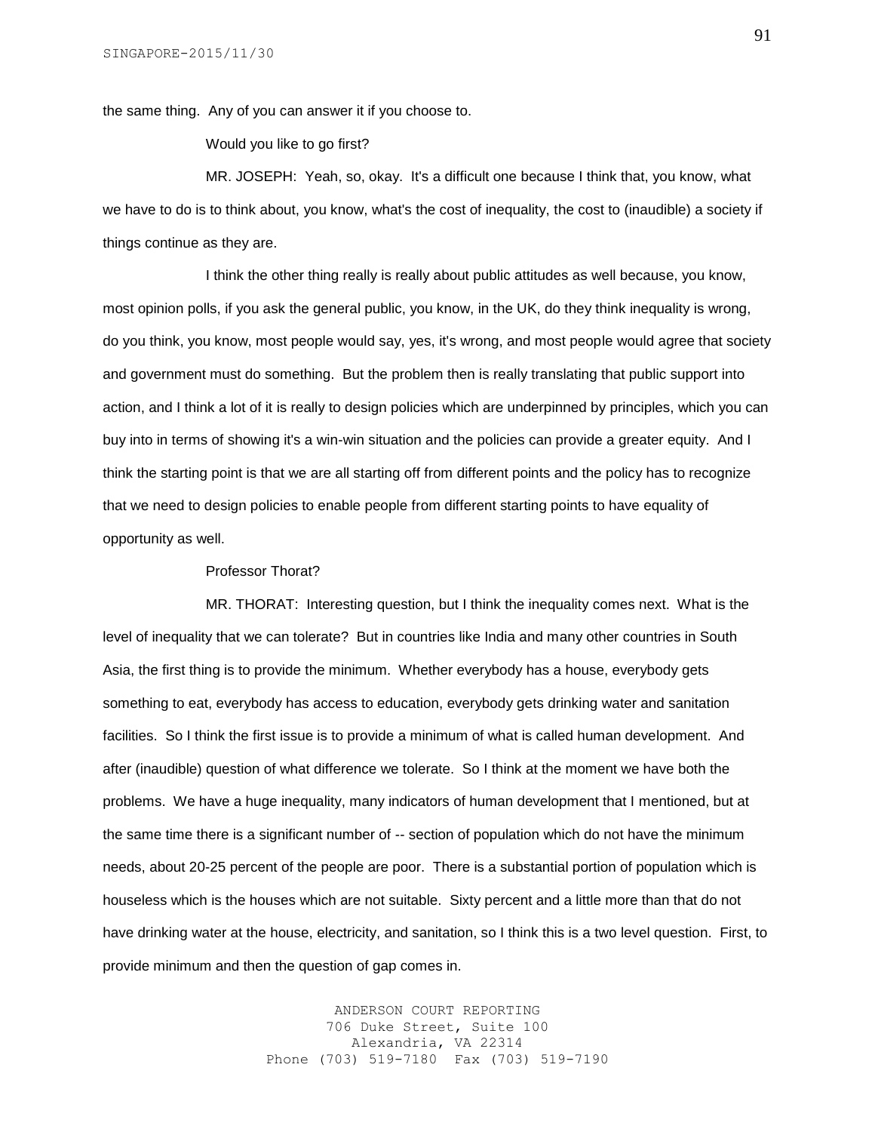the same thing. Any of you can answer it if you choose to.

Would you like to go first?

MR. JOSEPH: Yeah, so, okay. It's a difficult one because I think that, you know, what we have to do is to think about, you know, what's the cost of inequality, the cost to (inaudible) a society if things continue as they are.

I think the other thing really is really about public attitudes as well because, you know, most opinion polls, if you ask the general public, you know, in the UK, do they think inequality is wrong, do you think, you know, most people would say, yes, it's wrong, and most people would agree that society and government must do something. But the problem then is really translating that public support into action, and I think a lot of it is really to design policies which are underpinned by principles, which you can buy into in terms of showing it's a win-win situation and the policies can provide a greater equity. And I think the starting point is that we are all starting off from different points and the policy has to recognize that we need to design policies to enable people from different starting points to have equality of opportunity as well.

Professor Thorat?

MR. THORAT: Interesting question, but I think the inequality comes next. What is the level of inequality that we can tolerate? But in countries like India and many other countries in South Asia, the first thing is to provide the minimum. Whether everybody has a house, everybody gets something to eat, everybody has access to education, everybody gets drinking water and sanitation facilities. So I think the first issue is to provide a minimum of what is called human development. And after (inaudible) question of what difference we tolerate. So I think at the moment we have both the problems. We have a huge inequality, many indicators of human development that I mentioned, but at the same time there is a significant number of -- section of population which do not have the minimum needs, about 20-25 percent of the people are poor. There is a substantial portion of population which is houseless which is the houses which are not suitable. Sixty percent and a little more than that do not have drinking water at the house, electricity, and sanitation, so I think this is a two level question. First, to provide minimum and then the question of gap comes in.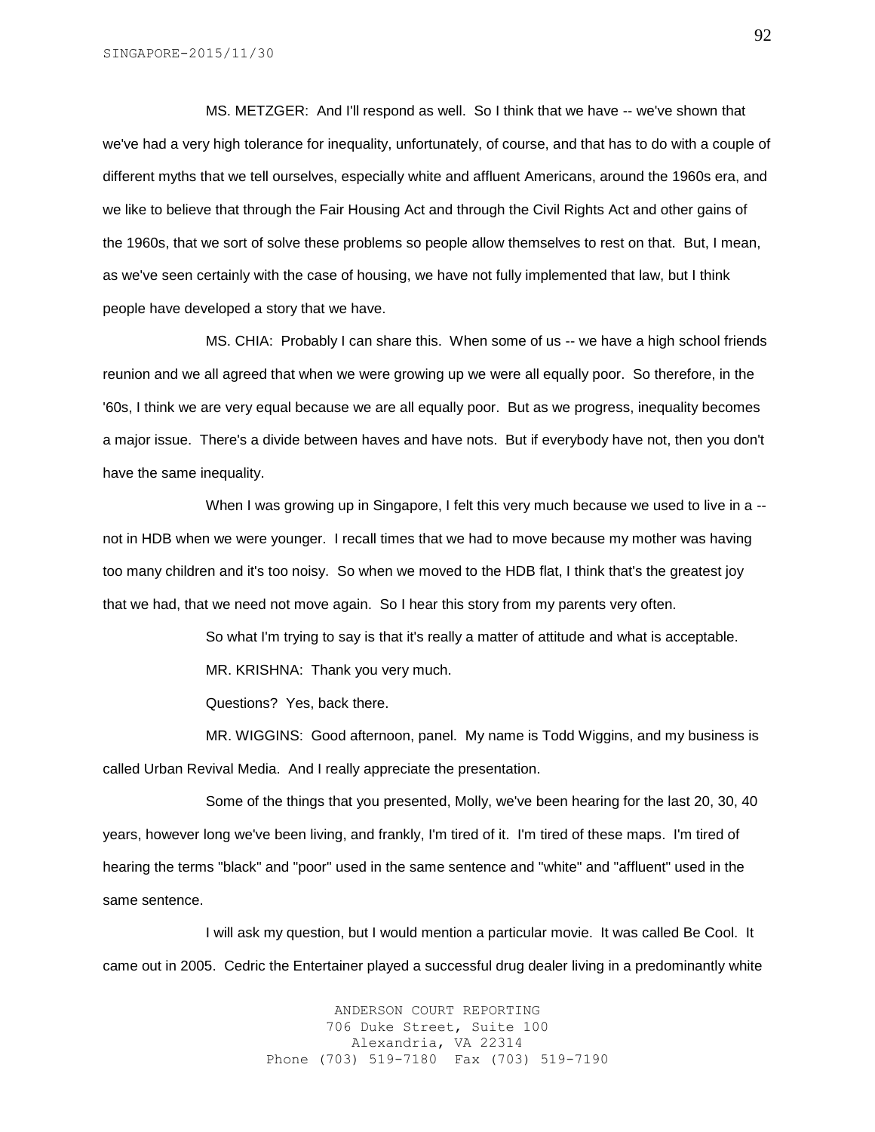MS. METZGER: And I'll respond as well. So I think that we have -- we've shown that we've had a very high tolerance for inequality, unfortunately, of course, and that has to do with a couple of different myths that we tell ourselves, especially white and affluent Americans, around the 1960s era, and we like to believe that through the Fair Housing Act and through the Civil Rights Act and other gains of the 1960s, that we sort of solve these problems so people allow themselves to rest on that. But, I mean, as we've seen certainly with the case of housing, we have not fully implemented that law, but I think people have developed a story that we have.

MS. CHIA: Probably I can share this. When some of us -- we have a high school friends reunion and we all agreed that when we were growing up we were all equally poor. So therefore, in the '60s, I think we are very equal because we are all equally poor. But as we progress, inequality becomes a major issue. There's a divide between haves and have nots. But if everybody have not, then you don't have the same inequality.

When I was growing up in Singapore, I felt this very much because we used to live in a - not in HDB when we were younger. I recall times that we had to move because my mother was having too many children and it's too noisy. So when we moved to the HDB flat, I think that's the greatest joy that we had, that we need not move again. So I hear this story from my parents very often.

> So what I'm trying to say is that it's really a matter of attitude and what is acceptable. MR. KRISHNA: Thank you very much.

Questions? Yes, back there.

MR. WIGGINS: Good afternoon, panel. My name is Todd Wiggins, and my business is called Urban Revival Media. And I really appreciate the presentation.

Some of the things that you presented, Molly, we've been hearing for the last 20, 30, 40 years, however long we've been living, and frankly, I'm tired of it. I'm tired of these maps. I'm tired of hearing the terms "black" and "poor" used in the same sentence and "white" and "affluent" used in the same sentence.

I will ask my question, but I would mention a particular movie. It was called Be Cool. It came out in 2005. Cedric the Entertainer played a successful drug dealer living in a predominantly white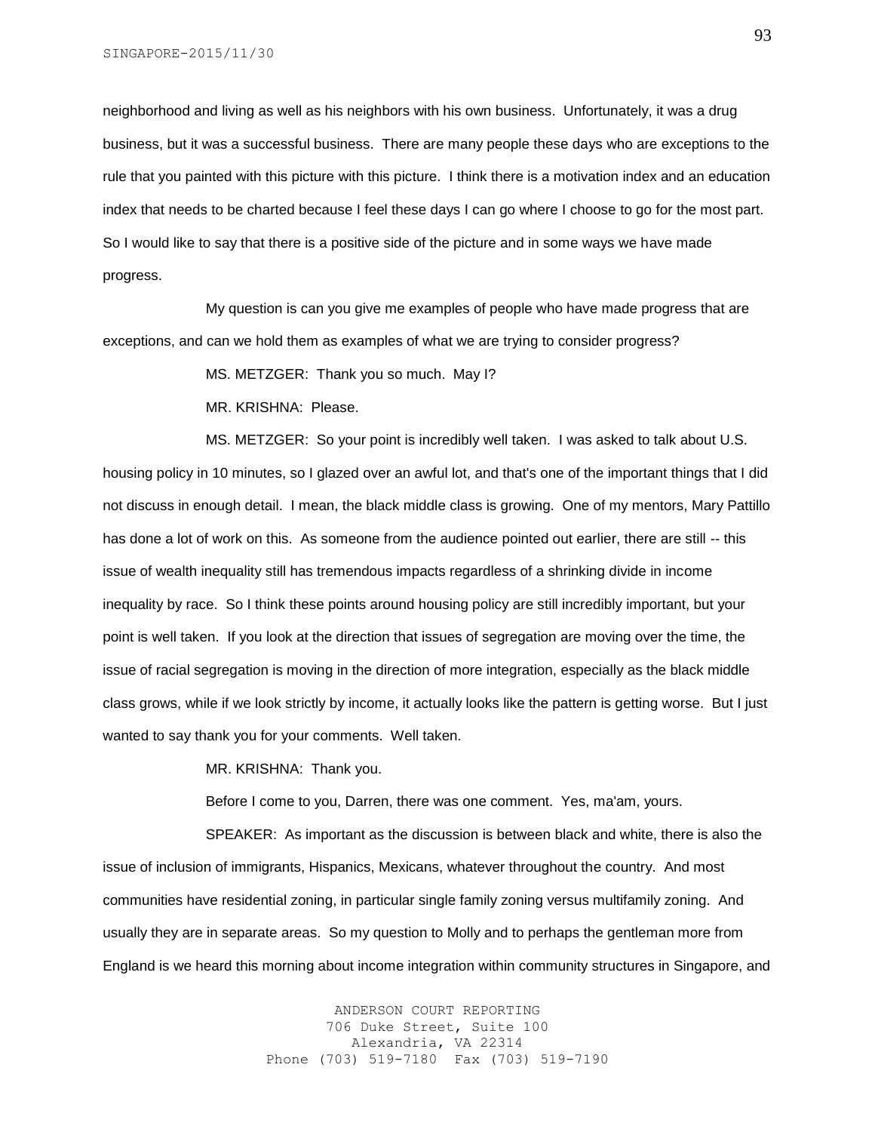neighborhood and living as well as his neighbors with his own business. Unfortunately, it was a drug business, but it was a successful business. There are many people these days who are exceptions to the rule that you painted with this picture with this picture. I think there is a motivation index and an education index that needs to be charted because I feel these days I can go where I choose to go for the most part. So I would like to say that there is a positive side of the picture and in some ways we have made progress.

My question is can you give me examples of people who have made progress that are exceptions, and can we hold them as examples of what we are trying to consider progress?

MS. METZGER: Thank you so much. May I?

MR. KRISHNA: Please.

MS. METZGER: So your point is incredibly well taken. I was asked to talk about U.S. housing policy in 10 minutes, so I glazed over an awful lot, and that's one of the important things that I did not discuss in enough detail. I mean, the black middle class is growing. One of my mentors, Mary Pattillo has done a lot of work on this. As someone from the audience pointed out earlier, there are still -- this issue of wealth inequality still has tremendous impacts regardless of a shrinking divide in income inequality by race. So I think these points around housing policy are still incredibly important, but your point is well taken. If you look at the direction that issues of segregation are moving over the time, the issue of racial segregation is moving in the direction of more integration, especially as the black middle class grows, while if we look strictly by income, it actually looks like the pattern is getting worse. But I just wanted to say thank you for your comments. Well taken.

MR. KRISHNA: Thank you.

Before I come to you, Darren, there was one comment. Yes, ma'am, yours.

SPEAKER: As important as the discussion is between black and white, there is also the issue of inclusion of immigrants, Hispanics, Mexicans, whatever throughout the country. And most communities have residential zoning, in particular single family zoning versus multifamily zoning. And usually they are in separate areas. So my question to Molly and to perhaps the gentleman more from England is we heard this morning about income integration within community structures in Singapore, and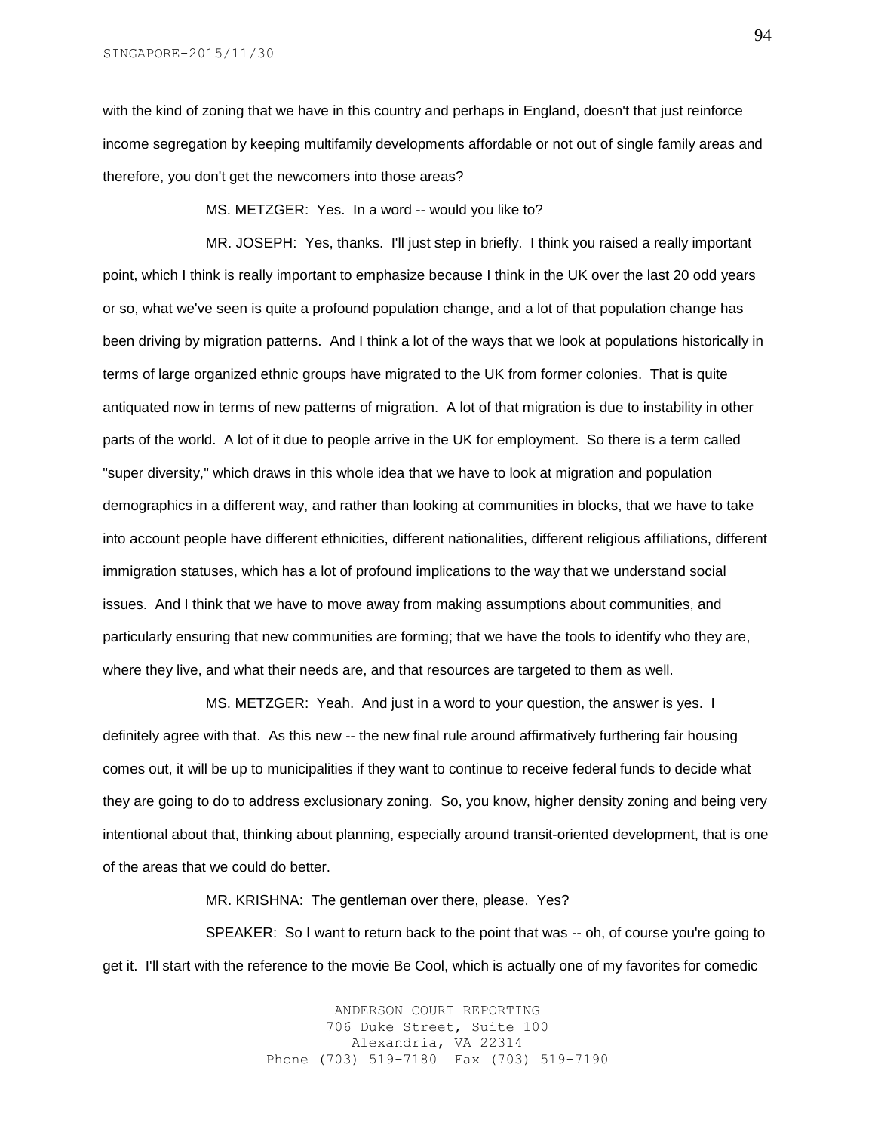with the kind of zoning that we have in this country and perhaps in England, doesn't that just reinforce income segregation by keeping multifamily developments affordable or not out of single family areas and therefore, you don't get the newcomers into those areas?

MS. METZGER: Yes. In a word -- would you like to?

MR. JOSEPH: Yes, thanks. I'll just step in briefly. I think you raised a really important point, which I think is really important to emphasize because I think in the UK over the last 20 odd years or so, what we've seen is quite a profound population change, and a lot of that population change has been driving by migration patterns. And I think a lot of the ways that we look at populations historically in terms of large organized ethnic groups have migrated to the UK from former colonies. That is quite antiquated now in terms of new patterns of migration. A lot of that migration is due to instability in other parts of the world. A lot of it due to people arrive in the UK for employment. So there is a term called "super diversity," which draws in this whole idea that we have to look at migration and population demographics in a different way, and rather than looking at communities in blocks, that we have to take into account people have different ethnicities, different nationalities, different religious affiliations, different immigration statuses, which has a lot of profound implications to the way that we understand social issues. And I think that we have to move away from making assumptions about communities, and particularly ensuring that new communities are forming; that we have the tools to identify who they are, where they live, and what their needs are, and that resources are targeted to them as well.

MS. METZGER: Yeah. And just in a word to your question, the answer is yes. I definitely agree with that. As this new -- the new final rule around affirmatively furthering fair housing comes out, it will be up to municipalities if they want to continue to receive federal funds to decide what they are going to do to address exclusionary zoning. So, you know, higher density zoning and being very intentional about that, thinking about planning, especially around transit-oriented development, that is one of the areas that we could do better.

MR. KRISHNA: The gentleman over there, please. Yes?

SPEAKER: So I want to return back to the point that was -- oh, of course you're going to get it. I'll start with the reference to the movie Be Cool, which is actually one of my favorites for comedic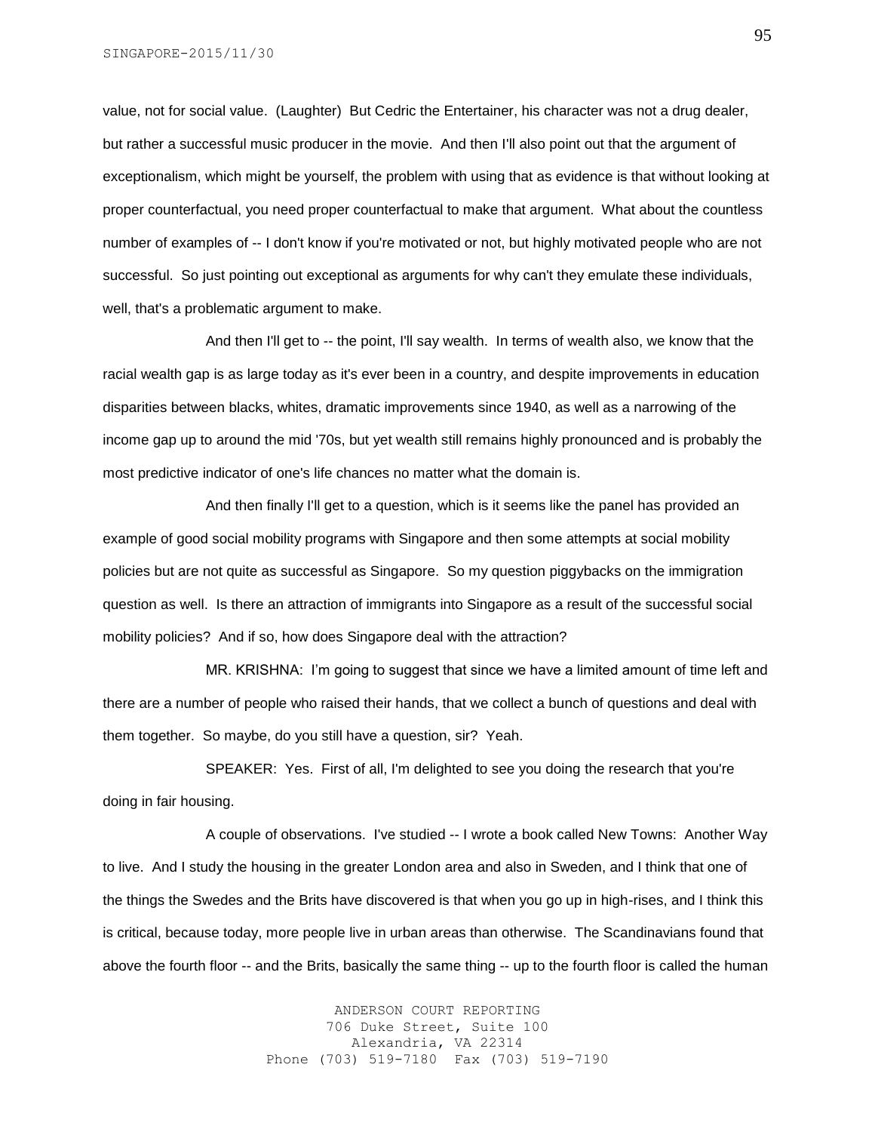value, not for social value. (Laughter) But Cedric the Entertainer, his character was not a drug dealer, but rather a successful music producer in the movie. And then I'll also point out that the argument of exceptionalism, which might be yourself, the problem with using that as evidence is that without looking at proper counterfactual, you need proper counterfactual to make that argument. What about the countless number of examples of -- I don't know if you're motivated or not, but highly motivated people who are not successful. So just pointing out exceptional as arguments for why can't they emulate these individuals, well, that's a problematic argument to make.

And then I'll get to -- the point, I'll say wealth. In terms of wealth also, we know that the racial wealth gap is as large today as it's ever been in a country, and despite improvements in education disparities between blacks, whites, dramatic improvements since 1940, as well as a narrowing of the income gap up to around the mid '70s, but yet wealth still remains highly pronounced and is probably the most predictive indicator of one's life chances no matter what the domain is.

And then finally I'll get to a question, which is it seems like the panel has provided an example of good social mobility programs with Singapore and then some attempts at social mobility policies but are not quite as successful as Singapore. So my question piggybacks on the immigration question as well. Is there an attraction of immigrants into Singapore as a result of the successful social mobility policies? And if so, how does Singapore deal with the attraction?

MR. KRISHNA: I'm going to suggest that since we have a limited amount of time left and there are a number of people who raised their hands, that we collect a bunch of questions and deal with them together. So maybe, do you still have a question, sir? Yeah.

SPEAKER: Yes. First of all, I'm delighted to see you doing the research that you're doing in fair housing.

A couple of observations. I've studied -- I wrote a book called New Towns: Another Way to live. And I study the housing in the greater London area and also in Sweden, and I think that one of the things the Swedes and the Brits have discovered is that when you go up in high-rises, and I think this is critical, because today, more people live in urban areas than otherwise. The Scandinavians found that above the fourth floor -- and the Brits, basically the same thing -- up to the fourth floor is called the human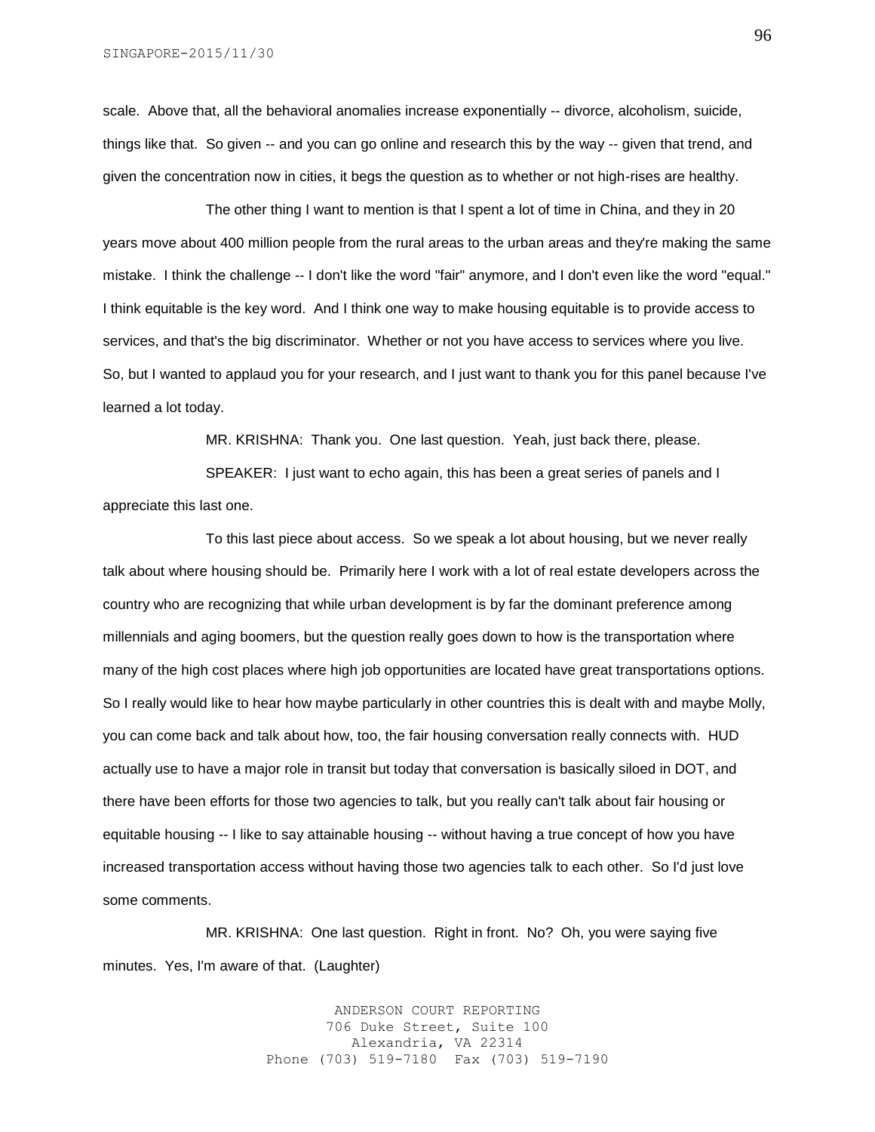scale. Above that, all the behavioral anomalies increase exponentially -- divorce, alcoholism, suicide, things like that. So given -- and you can go online and research this by the way -- given that trend, and given the concentration now in cities, it begs the question as to whether or not high-rises are healthy.

The other thing I want to mention is that I spent a lot of time in China, and they in 20 years move about 400 million people from the rural areas to the urban areas and they're making the same mistake. I think the challenge -- I don't like the word "fair" anymore, and I don't even like the word "equal." I think equitable is the key word. And I think one way to make housing equitable is to provide access to services, and that's the big discriminator. Whether or not you have access to services where you live. So, but I wanted to applaud you for your research, and I just want to thank you for this panel because I've learned a lot today.

MR. KRISHNA: Thank you. One last question. Yeah, just back there, please.

SPEAKER: I just want to echo again, this has been a great series of panels and I appreciate this last one.

To this last piece about access. So we speak a lot about housing, but we never really talk about where housing should be. Primarily here I work with a lot of real estate developers across the country who are recognizing that while urban development is by far the dominant preference among millennials and aging boomers, but the question really goes down to how is the transportation where many of the high cost places where high job opportunities are located have great transportations options. So I really would like to hear how maybe particularly in other countries this is dealt with and maybe Molly, you can come back and talk about how, too, the fair housing conversation really connects with. HUD actually use to have a major role in transit but today that conversation is basically siloed in DOT, and there have been efforts for those two agencies to talk, but you really can't talk about fair housing or equitable housing -- I like to say attainable housing -- without having a true concept of how you have increased transportation access without having those two agencies talk to each other. So I'd just love some comments.

MR. KRISHNA: One last question. Right in front. No? Oh, you were saying five minutes. Yes, I'm aware of that. (Laughter)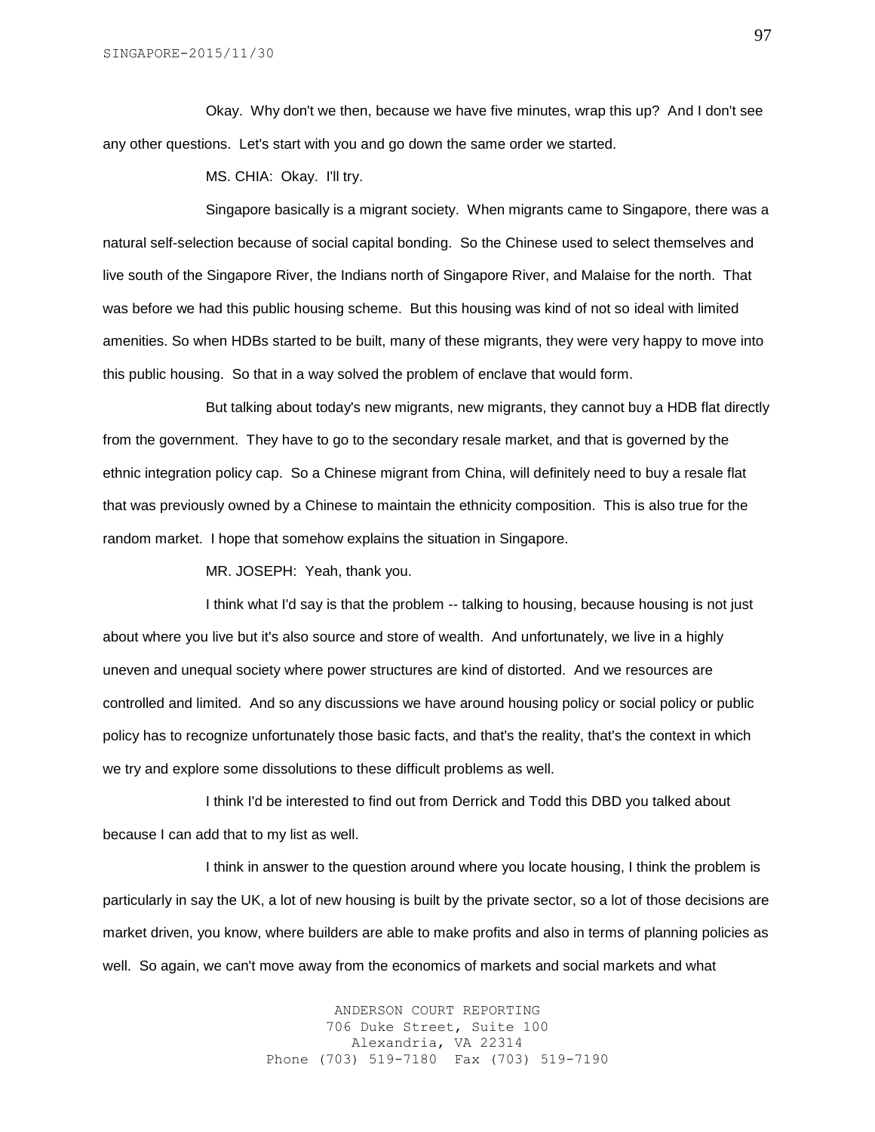Okay. Why don't we then, because we have five minutes, wrap this up? And I don't see any other questions. Let's start with you and go down the same order we started.

MS. CHIA: Okay. I'll try.

Singapore basically is a migrant society. When migrants came to Singapore, there was a natural self-selection because of social capital bonding. So the Chinese used to select themselves and live south of the Singapore River, the Indians north of Singapore River, and Malaise for the north. That was before we had this public housing scheme. But this housing was kind of not so ideal with limited amenities. So when HDBs started to be built, many of these migrants, they were very happy to move into this public housing. So that in a way solved the problem of enclave that would form.

But talking about today's new migrants, new migrants, they cannot buy a HDB flat directly from the government. They have to go to the secondary resale market, and that is governed by the ethnic integration policy cap. So a Chinese migrant from China, will definitely need to buy a resale flat that was previously owned by a Chinese to maintain the ethnicity composition. This is also true for the random market. I hope that somehow explains the situation in Singapore.

MR. JOSEPH: Yeah, thank you.

I think what I'd say is that the problem -- talking to housing, because housing is not just about where you live but it's also source and store of wealth. And unfortunately, we live in a highly uneven and unequal society where power structures are kind of distorted. And we resources are controlled and limited. And so any discussions we have around housing policy or social policy or public policy has to recognize unfortunately those basic facts, and that's the reality, that's the context in which we try and explore some dissolutions to these difficult problems as well.

I think I'd be interested to find out from Derrick and Todd this DBD you talked about because I can add that to my list as well.

I think in answer to the question around where you locate housing, I think the problem is particularly in say the UK, a lot of new housing is built by the private sector, so a lot of those decisions are market driven, you know, where builders are able to make profits and also in terms of planning policies as well. So again, we can't move away from the economics of markets and social markets and what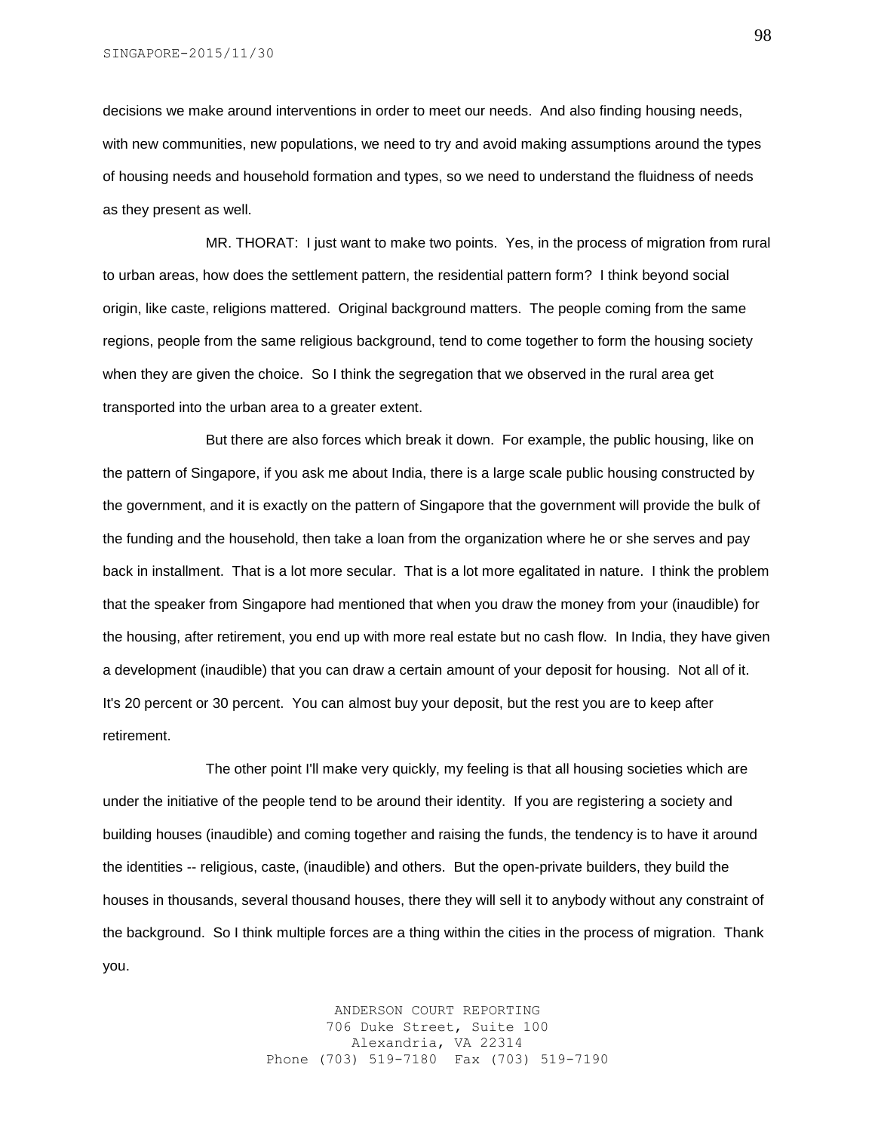decisions we make around interventions in order to meet our needs. And also finding housing needs, with new communities, new populations, we need to try and avoid making assumptions around the types of housing needs and household formation and types, so we need to understand the fluidness of needs as they present as well.

MR. THORAT: I just want to make two points. Yes, in the process of migration from rural to urban areas, how does the settlement pattern, the residential pattern form? I think beyond social origin, like caste, religions mattered. Original background matters. The people coming from the same regions, people from the same religious background, tend to come together to form the housing society when they are given the choice. So I think the segregation that we observed in the rural area get transported into the urban area to a greater extent.

But there are also forces which break it down. For example, the public housing, like on the pattern of Singapore, if you ask me about India, there is a large scale public housing constructed by the government, and it is exactly on the pattern of Singapore that the government will provide the bulk of the funding and the household, then take a loan from the organization where he or she serves and pay back in installment. That is a lot more secular. That is a lot more egalitated in nature. I think the problem that the speaker from Singapore had mentioned that when you draw the money from your (inaudible) for the housing, after retirement, you end up with more real estate but no cash flow. In India, they have given a development (inaudible) that you can draw a certain amount of your deposit for housing. Not all of it. It's 20 percent or 30 percent. You can almost buy your deposit, but the rest you are to keep after retirement.

The other point I'll make very quickly, my feeling is that all housing societies which are under the initiative of the people tend to be around their identity. If you are registering a society and building houses (inaudible) and coming together and raising the funds, the tendency is to have it around the identities -- religious, caste, (inaudible) and others. But the open-private builders, they build the houses in thousands, several thousand houses, there they will sell it to anybody without any constraint of the background. So I think multiple forces are a thing within the cities in the process of migration. Thank you.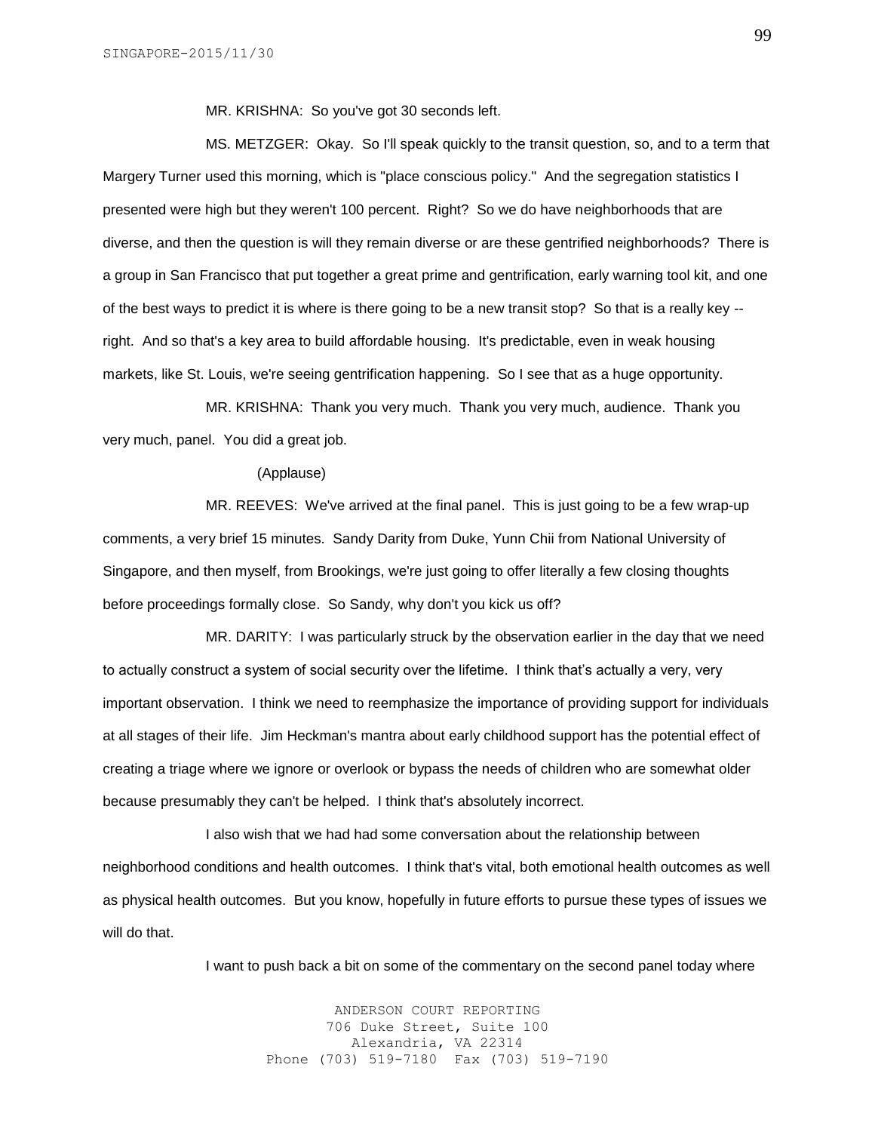MR. KRISHNA: So you've got 30 seconds left.

MS. METZGER: Okay. So I'll speak quickly to the transit question, so, and to a term that Margery Turner used this morning, which is "place conscious policy." And the segregation statistics I presented were high but they weren't 100 percent. Right? So we do have neighborhoods that are diverse, and then the question is will they remain diverse or are these gentrified neighborhoods? There is a group in San Francisco that put together a great prime and gentrification, early warning tool kit, and one of the best ways to predict it is where is there going to be a new transit stop? So that is a really key - right. And so that's a key area to build affordable housing. It's predictable, even in weak housing markets, like St. Louis, we're seeing gentrification happening. So I see that as a huge opportunity.

MR. KRISHNA: Thank you very much. Thank you very much, audience. Thank you very much, panel. You did a great job.

## (Applause)

MR. REEVES: We've arrived at the final panel. This is just going to be a few wrap-up comments, a very brief 15 minutes. Sandy Darity from Duke, Yunn Chii from National University of Singapore, and then myself, from Brookings, we're just going to offer literally a few closing thoughts before proceedings formally close. So Sandy, why don't you kick us off?

MR. DARITY: I was particularly struck by the observation earlier in the day that we need to actually construct a system of social security over the lifetime. I think that's actually a very, very important observation. I think we need to reemphasize the importance of providing support for individuals at all stages of their life. Jim Heckman's mantra about early childhood support has the potential effect of creating a triage where we ignore or overlook or bypass the needs of children who are somewhat older because presumably they can't be helped. I think that's absolutely incorrect.

I also wish that we had had some conversation about the relationship between neighborhood conditions and health outcomes. I think that's vital, both emotional health outcomes as well as physical health outcomes. But you know, hopefully in future efforts to pursue these types of issues we will do that.

I want to push back a bit on some of the commentary on the second panel today where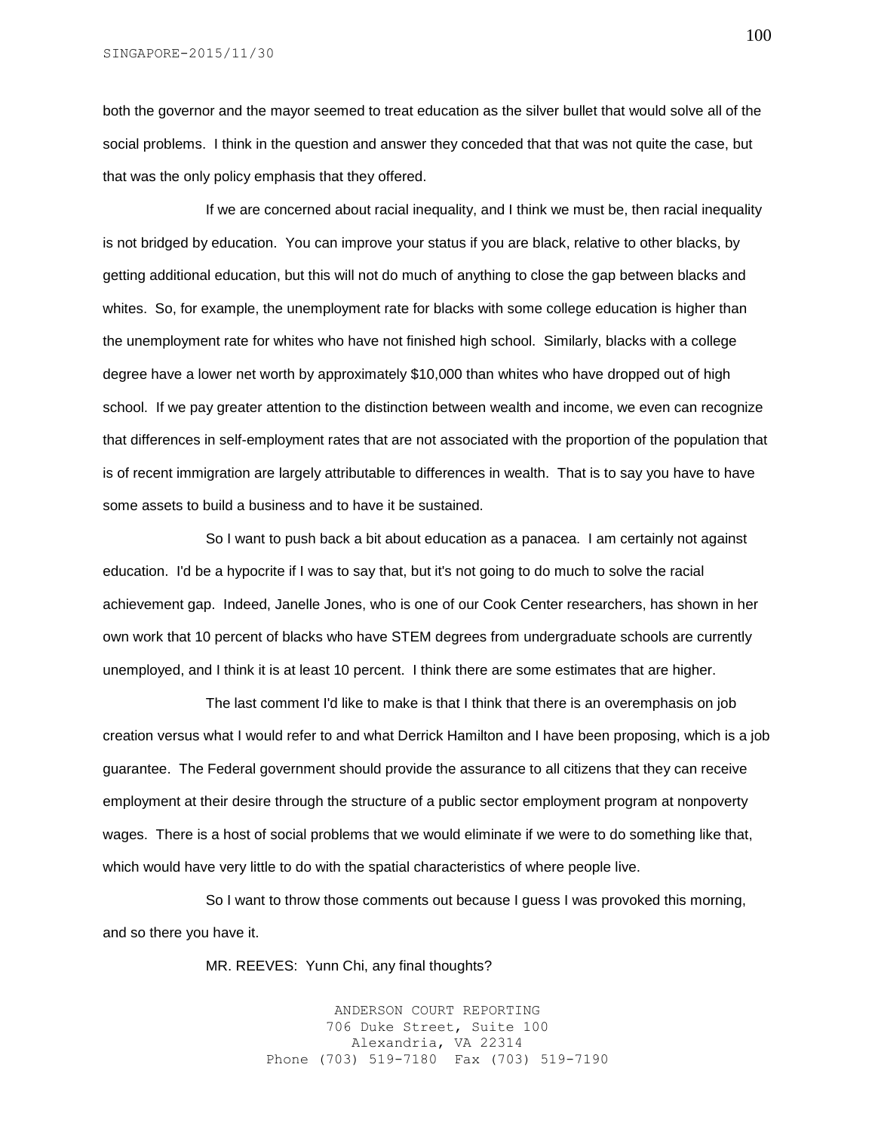both the governor and the mayor seemed to treat education as the silver bullet that would solve all of the social problems. I think in the question and answer they conceded that that was not quite the case, but that was the only policy emphasis that they offered.

If we are concerned about racial inequality, and I think we must be, then racial inequality is not bridged by education. You can improve your status if you are black, relative to other blacks, by getting additional education, but this will not do much of anything to close the gap between blacks and whites. So, for example, the unemployment rate for blacks with some college education is higher than the unemployment rate for whites who have not finished high school. Similarly, blacks with a college degree have a lower net worth by approximately \$10,000 than whites who have dropped out of high school. If we pay greater attention to the distinction between wealth and income, we even can recognize that differences in self-employment rates that are not associated with the proportion of the population that is of recent immigration are largely attributable to differences in wealth. That is to say you have to have some assets to build a business and to have it be sustained.

So I want to push back a bit about education as a panacea. I am certainly not against education. I'd be a hypocrite if I was to say that, but it's not going to do much to solve the racial achievement gap. Indeed, Janelle Jones, who is one of our Cook Center researchers, has shown in her own work that 10 percent of blacks who have STEM degrees from undergraduate schools are currently unemployed, and I think it is at least 10 percent. I think there are some estimates that are higher.

The last comment I'd like to make is that I think that there is an overemphasis on job creation versus what I would refer to and what Derrick Hamilton and I have been proposing, which is a job guarantee. The Federal government should provide the assurance to all citizens that they can receive employment at their desire through the structure of a public sector employment program at nonpoverty wages. There is a host of social problems that we would eliminate if we were to do something like that, which would have very little to do with the spatial characteristics of where people live.

So I want to throw those comments out because I guess I was provoked this morning, and so there you have it.

MR. REEVES: Yunn Chi, any final thoughts?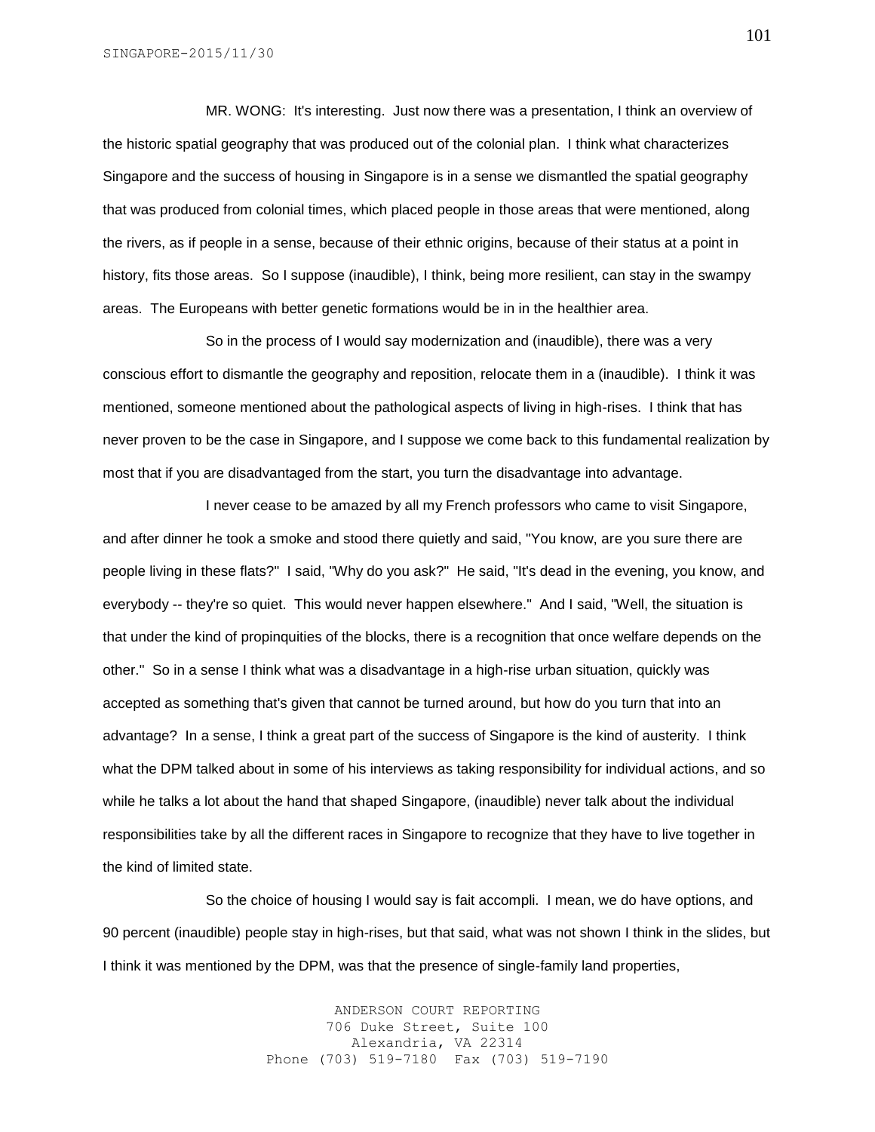MR. WONG: It's interesting. Just now there was a presentation, I think an overview of the historic spatial geography that was produced out of the colonial plan. I think what characterizes Singapore and the success of housing in Singapore is in a sense we dismantled the spatial geography that was produced from colonial times, which placed people in those areas that were mentioned, along the rivers, as if people in a sense, because of their ethnic origins, because of their status at a point in history, fits those areas. So I suppose (inaudible), I think, being more resilient, can stay in the swampy areas. The Europeans with better genetic formations would be in in the healthier area.

So in the process of I would say modernization and (inaudible), there was a very conscious effort to dismantle the geography and reposition, relocate them in a (inaudible). I think it was mentioned, someone mentioned about the pathological aspects of living in high-rises. I think that has never proven to be the case in Singapore, and I suppose we come back to this fundamental realization by most that if you are disadvantaged from the start, you turn the disadvantage into advantage.

I never cease to be amazed by all my French professors who came to visit Singapore, and after dinner he took a smoke and stood there quietly and said, "You know, are you sure there are people living in these flats?" I said, "Why do you ask?" He said, "It's dead in the evening, you know, and everybody -- they're so quiet. This would never happen elsewhere." And I said, "Well, the situation is that under the kind of propinquities of the blocks, there is a recognition that once welfare depends on the other." So in a sense I think what was a disadvantage in a high-rise urban situation, quickly was accepted as something that's given that cannot be turned around, but how do you turn that into an advantage? In a sense, I think a great part of the success of Singapore is the kind of austerity. I think what the DPM talked about in some of his interviews as taking responsibility for individual actions, and so while he talks a lot about the hand that shaped Singapore, (inaudible) never talk about the individual responsibilities take by all the different races in Singapore to recognize that they have to live together in the kind of limited state.

So the choice of housing I would say is fait accompli. I mean, we do have options, and 90 percent (inaudible) people stay in high-rises, but that said, what was not shown I think in the slides, but I think it was mentioned by the DPM, was that the presence of single-family land properties,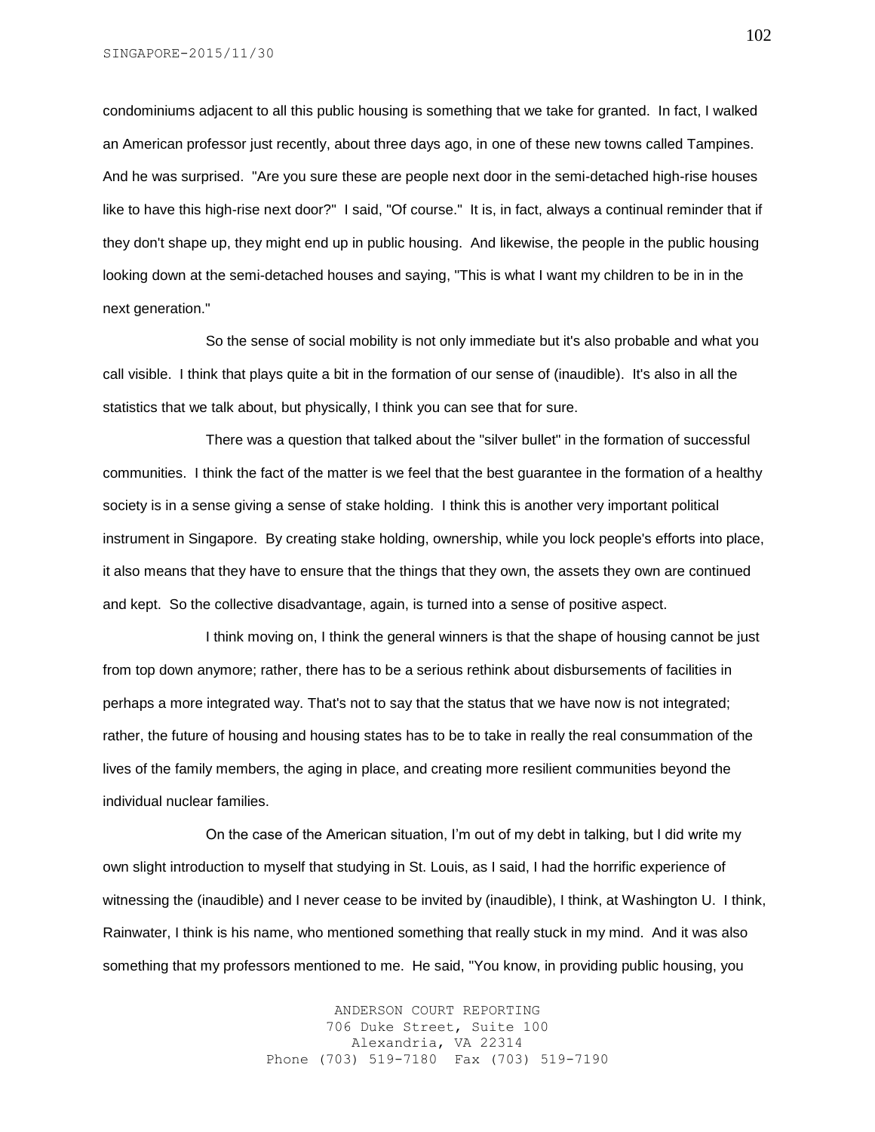condominiums adjacent to all this public housing is something that we take for granted. In fact, I walked an American professor just recently, about three days ago, in one of these new towns called Tampines. And he was surprised. "Are you sure these are people next door in the semi-detached high-rise houses like to have this high-rise next door?" I said, "Of course." It is, in fact, always a continual reminder that if they don't shape up, they might end up in public housing. And likewise, the people in the public housing looking down at the semi-detached houses and saying, "This is what I want my children to be in in the next generation."

So the sense of social mobility is not only immediate but it's also probable and what you call visible. I think that plays quite a bit in the formation of our sense of (inaudible). It's also in all the statistics that we talk about, but physically, I think you can see that for sure.

There was a question that talked about the "silver bullet" in the formation of successful communities. I think the fact of the matter is we feel that the best guarantee in the formation of a healthy society is in a sense giving a sense of stake holding. I think this is another very important political instrument in Singapore. By creating stake holding, ownership, while you lock people's efforts into place, it also means that they have to ensure that the things that they own, the assets they own are continued and kept. So the collective disadvantage, again, is turned into a sense of positive aspect.

I think moving on, I think the general winners is that the shape of housing cannot be just from top down anymore; rather, there has to be a serious rethink about disbursements of facilities in perhaps a more integrated way. That's not to say that the status that we have now is not integrated; rather, the future of housing and housing states has to be to take in really the real consummation of the lives of the family members, the aging in place, and creating more resilient communities beyond the individual nuclear families.

On the case of the American situation, I'm out of my debt in talking, but I did write my own slight introduction to myself that studying in St. Louis, as I said, I had the horrific experience of witnessing the (inaudible) and I never cease to be invited by (inaudible), I think, at Washington U. I think, Rainwater, I think is his name, who mentioned something that really stuck in my mind. And it was also something that my professors mentioned to me. He said, "You know, in providing public housing, you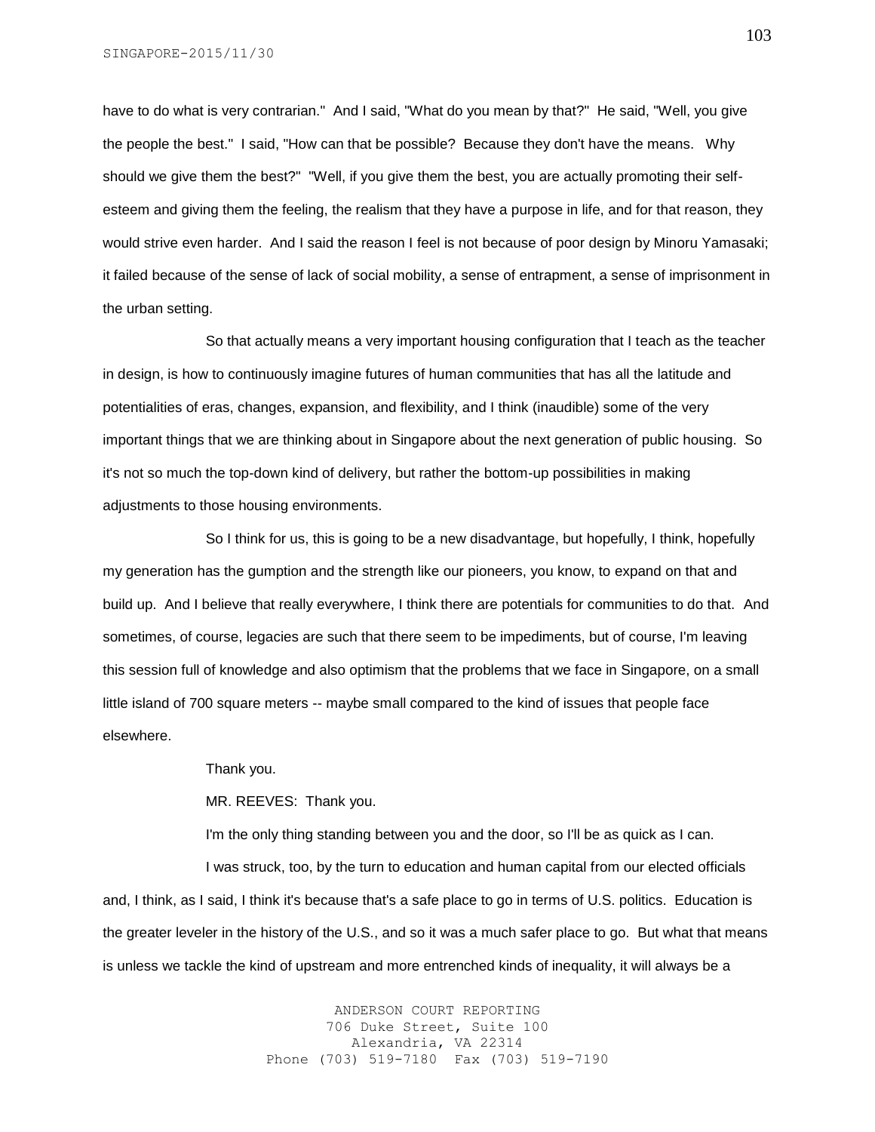SINGAPORE-2015/11/30

have to do what is very contrarian." And I said, "What do you mean by that?" He said, "Well, you give the people the best." I said, "How can that be possible? Because they don't have the means. Why should we give them the best?" "Well, if you give them the best, you are actually promoting their selfesteem and giving them the feeling, the realism that they have a purpose in life, and for that reason, they would strive even harder. And I said the reason I feel is not because of poor design by Minoru Yamasaki; it failed because of the sense of lack of social mobility, a sense of entrapment, a sense of imprisonment in the urban setting.

So that actually means a very important housing configuration that I teach as the teacher in design, is how to continuously imagine futures of human communities that has all the latitude and potentialities of eras, changes, expansion, and flexibility, and I think (inaudible) some of the very important things that we are thinking about in Singapore about the next generation of public housing. So it's not so much the top-down kind of delivery, but rather the bottom-up possibilities in making adjustments to those housing environments.

So I think for us, this is going to be a new disadvantage, but hopefully, I think, hopefully my generation has the gumption and the strength like our pioneers, you know, to expand on that and build up. And I believe that really everywhere, I think there are potentials for communities to do that. And sometimes, of course, legacies are such that there seem to be impediments, but of course, I'm leaving this session full of knowledge and also optimism that the problems that we face in Singapore, on a small little island of 700 square meters -- maybe small compared to the kind of issues that people face elsewhere.

Thank you.

MR. REEVES: Thank you.

I'm the only thing standing between you and the door, so I'll be as quick as I can.

I was struck, too, by the turn to education and human capital from our elected officials and, I think, as I said, I think it's because that's a safe place to go in terms of U.S. politics. Education is the greater leveler in the history of the U.S., and so it was a much safer place to go. But what that means is unless we tackle the kind of upstream and more entrenched kinds of inequality, it will always be a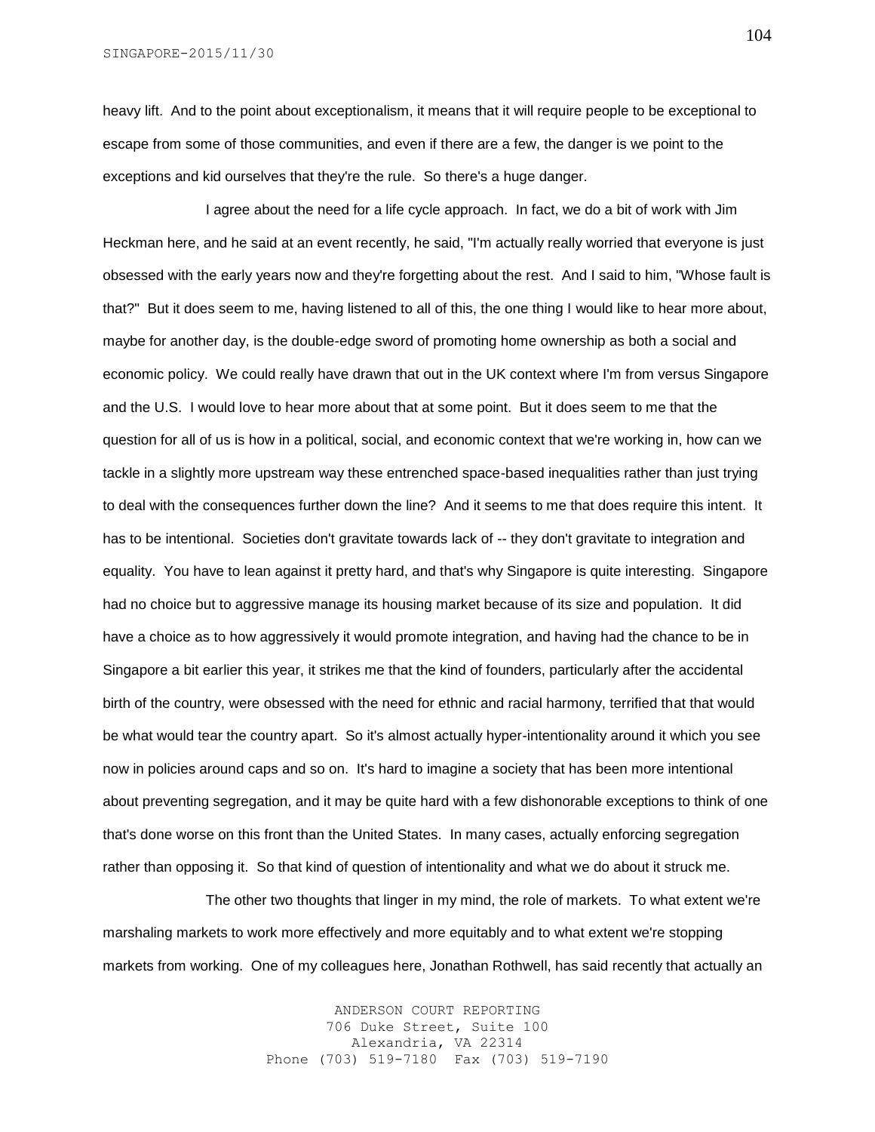heavy lift. And to the point about exceptionalism, it means that it will require people to be exceptional to escape from some of those communities, and even if there are a few, the danger is we point to the exceptions and kid ourselves that they're the rule. So there's a huge danger.

I agree about the need for a life cycle approach. In fact, we do a bit of work with Jim Heckman here, and he said at an event recently, he said, "I'm actually really worried that everyone is just obsessed with the early years now and they're forgetting about the rest. And I said to him, "Whose fault is that?" But it does seem to me, having listened to all of this, the one thing I would like to hear more about, maybe for another day, is the double-edge sword of promoting home ownership as both a social and economic policy. We could really have drawn that out in the UK context where I'm from versus Singapore and the U.S. I would love to hear more about that at some point. But it does seem to me that the question for all of us is how in a political, social, and economic context that we're working in, how can we tackle in a slightly more upstream way these entrenched space-based inequalities rather than just trying to deal with the consequences further down the line? And it seems to me that does require this intent. It has to be intentional. Societies don't gravitate towards lack of -- they don't gravitate to integration and equality. You have to lean against it pretty hard, and that's why Singapore is quite interesting. Singapore had no choice but to aggressive manage its housing market because of its size and population. It did have a choice as to how aggressively it would promote integration, and having had the chance to be in Singapore a bit earlier this year, it strikes me that the kind of founders, particularly after the accidental birth of the country, were obsessed with the need for ethnic and racial harmony, terrified that that would be what would tear the country apart. So it's almost actually hyper-intentionality around it which you see now in policies around caps and so on. It's hard to imagine a society that has been more intentional about preventing segregation, and it may be quite hard with a few dishonorable exceptions to think of one that's done worse on this front than the United States. In many cases, actually enforcing segregation rather than opposing it. So that kind of question of intentionality and what we do about it struck me.

The other two thoughts that linger in my mind, the role of markets. To what extent we're marshaling markets to work more effectively and more equitably and to what extent we're stopping markets from working. One of my colleagues here, Jonathan Rothwell, has said recently that actually an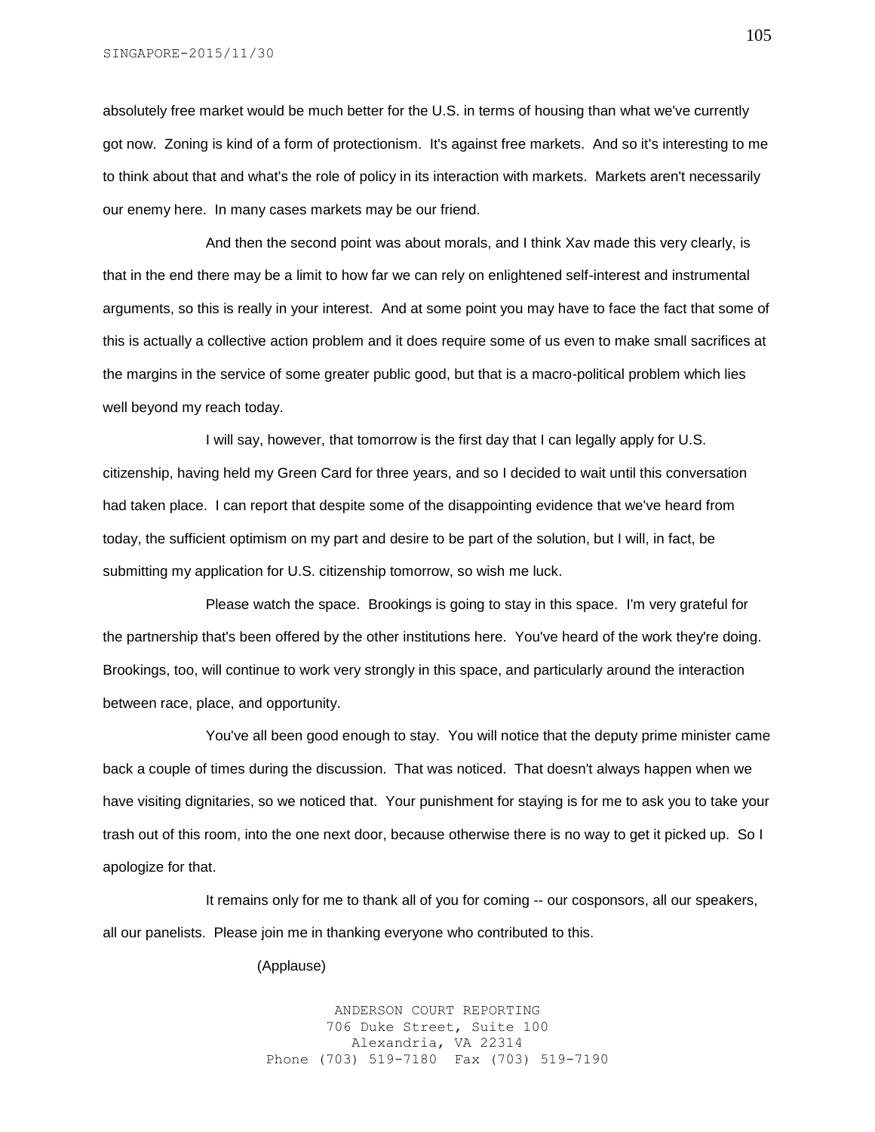absolutely free market would be much better for the U.S. in terms of housing than what we've currently got now. Zoning is kind of a form of protectionism. It's against free markets. And so it's interesting to me to think about that and what's the role of policy in its interaction with markets. Markets aren't necessarily our enemy here. In many cases markets may be our friend.

And then the second point was about morals, and I think Xav made this very clearly, is that in the end there may be a limit to how far we can rely on enlightened self-interest and instrumental arguments, so this is really in your interest. And at some point you may have to face the fact that some of this is actually a collective action problem and it does require some of us even to make small sacrifices at the margins in the service of some greater public good, but that is a macro-political problem which lies well beyond my reach today.

I will say, however, that tomorrow is the first day that I can legally apply for U.S. citizenship, having held my Green Card for three years, and so I decided to wait until this conversation had taken place. I can report that despite some of the disappointing evidence that we've heard from today, the sufficient optimism on my part and desire to be part of the solution, but I will, in fact, be submitting my application for U.S. citizenship tomorrow, so wish me luck.

Please watch the space. Brookings is going to stay in this space. I'm very grateful for the partnership that's been offered by the other institutions here. You've heard of the work they're doing. Brookings, too, will continue to work very strongly in this space, and particularly around the interaction between race, place, and opportunity.

You've all been good enough to stay. You will notice that the deputy prime minister came back a couple of times during the discussion. That was noticed. That doesn't always happen when we have visiting dignitaries, so we noticed that. Your punishment for staying is for me to ask you to take your trash out of this room, into the one next door, because otherwise there is no way to get it picked up. So I apologize for that.

It remains only for me to thank all of you for coming -- our cosponsors, all our speakers, all our panelists. Please join me in thanking everyone who contributed to this.

## (Applause)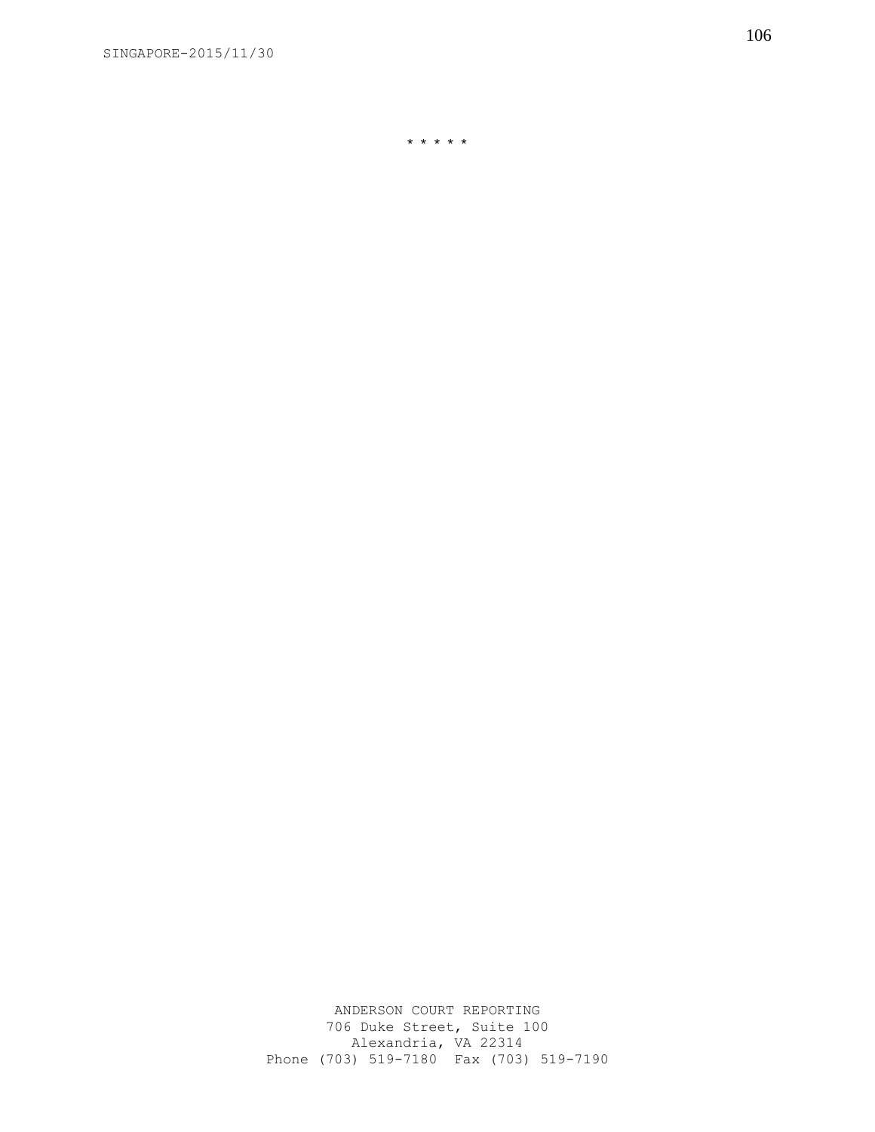\* \* \* \* \*